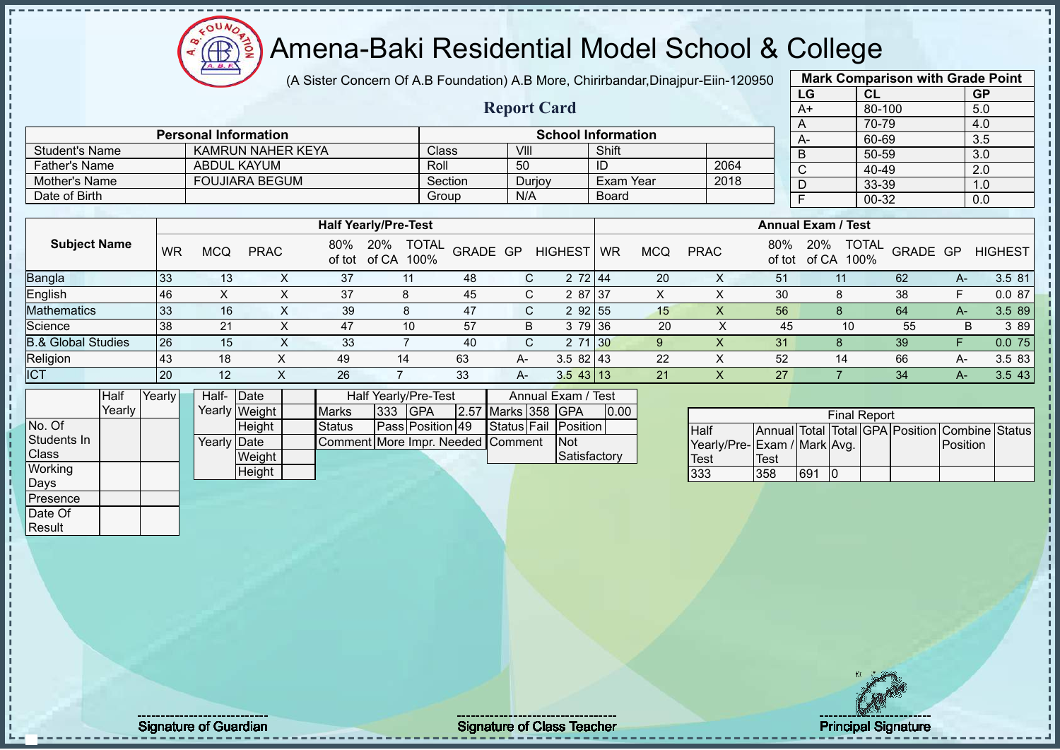(A Sister Concern Of A.B Foundation) A.B More, Chirirbandar,Dinajpur-Eiin-120950

 $12\mu\text{V}$ 

Æ

|                               |                 |                    |                             |               |                                    |                                   |                    |                           |                  |                |                             |             | LG                              | CL                  |          | <b>GP</b>        |                       |
|-------------------------------|-----------------|--------------------|-----------------------------|---------------|------------------------------------|-----------------------------------|--------------------|---------------------------|------------------|----------------|-----------------------------|-------------|---------------------------------|---------------------|----------|------------------|-----------------------|
|                               |                 |                    |                             |               |                                    |                                   | <b>Report Card</b> |                           |                  |                |                             |             | $A+$                            | 80-100              |          | 5.0              |                       |
|                               |                 |                    | <b>Personal Information</b> |               |                                    |                                   |                    | <b>School Information</b> |                  |                |                             |             | A                               | $70 - 79$           |          | 4.0              |                       |
| <b>Student's Name</b>         |                 |                    | <b>KAMRUN NAHER KEYA</b>    |               |                                    | Class                             | VIII               |                           | Shift            |                |                             |             | A-                              | 60-69               |          | 3.5              |                       |
| <b>Father's Name</b>          |                 | <b>ABDUL KAYUM</b> |                             |               |                                    | Roll                              | 50                 |                           | ID               |                | 2064                        |             | B                               | 50-59               |          | $\overline{3.0}$ |                       |
| Mother's Name                 |                 |                    | <b>FOUJIARA BEGUM</b>       |               |                                    | Section                           |                    |                           | <b>Exam Year</b> |                | 2018                        |             | $\overline{\text{c}}$           | 40-49               |          | $\overline{2.0}$ |                       |
| Date of Birth                 |                 |                    |                             |               |                                    | Group                             | Durjoy<br>N/A      |                           | Board            |                |                             |             | D                               | 33-39               |          | 1.0              |                       |
|                               |                 |                    |                             |               |                                    |                                   |                    |                           |                  |                |                             |             | $\overline{F}$                  | $00 - 32$           |          | 0.0              |                       |
|                               |                 |                    |                             |               | <b>Half Yearly/Pre-Test</b>        |                                   |                    |                           |                  |                |                             |             | <b>Annual Exam / Test</b>       |                     |          |                  |                       |
| <b>Subject Name</b>           | <b>WR</b>       | <b>MCQ</b>         | <b>PRAC</b>                 |               | 80% 20% TOTAL<br>of tot of CA 100% |                                   | GRADE GP           | HIGHEST WR                |                  | <b>MCQ</b>     | <b>PRAC</b>                 | 80%         | 20% TOTAL<br>of tot of CA 100%  |                     | GRADE GP |                  | <b>HIGHEST</b>        |
| Bangla                        | 33              | 13                 | X                           | 37            | 11                                 | 48                                | $\mathsf{C}$       | 2 72 44                   |                  | 20             | X                           | 51          | 11                              |                     | 62       | $A-$             | 3.5 81                |
| English                       | 46              | $\pmb{\times}$     | X                           | 37            | 8                                  | 45                                | C                  | 2 87 37                   |                  | $\mathsf{X}$   | $\boldsymbol{\mathsf{X}}$   | 30          | 8                               |                     | 38       | F.               | 0.087                 |
| <b>Mathematics</b>            | 33              | 16                 | $\times$                    | 39            | 8                                  | 47                                | C                  | 2 92 55                   |                  | 15             | $\times$                    | 56          | 8                               |                     | 64       | $A-$             | 3.5 89                |
| Science                       | 38              | 21                 | X                           | 47            | 10                                 | 57                                | B                  | 3 79 36                   |                  | 20             | X                           | 45          |                                 | 10                  | 55       | B                | 3 8 9                 |
| <b>B.&amp; Global Studies</b> | $\overline{26}$ | 15                 | X                           | 33            | $\overline{7}$                     | 40                                | $\mathsf C$        | 2 71 30                   |                  | 9 <sup>°</sup> | $\mathsf X$                 | 31          | 8                               |                     | 39       | F                | 0.075                 |
| Religion                      | 43              | 18                 | X                           | 49            | 14                                 | 63                                | A-                 | $3.582$ 43                |                  | 22             | $\pmb{\times}$              | 52          | 14                              |                     | 66       | A-               | 3.5 83                |
| <b>ICT</b>                    | 20              | 12                 | $\boldsymbol{\mathsf{X}}$   | 26            | $\overline{7}$                     | 33                                | $A -$              | $3.543$ 13                |                  | 21             | $\overline{\mathsf{x}}$     | 27          | $\overline{7}$                  |                     | 34       | $A-$             | 3.543                 |
| Half<br>Yearly                |                 | Half-Date          |                             |               | Half Yearly/Pre-Test               |                                   |                    | Annual Exam / Test        |                  |                |                             |             |                                 |                     |          |                  |                       |
| Yearly                        |                 |                    | Yearly Weight               | <b>Marks</b>  | <b>GPA</b><br>333                  |                                   | 2.57 Marks 358 GPA |                           | 0.00             |                |                             |             |                                 | <b>Final Report</b> |          |                  |                       |
| No. Of                        |                 |                    | Height                      | <b>Status</b> |                                    | Pass Position 49                  | Status Fail        | Position                  |                  |                | <b>Half</b>                 |             | Annual Total Total GPA Position |                     |          |                  | <b>Combine Status</b> |
| Students In                   |                 | Yearly Date        |                             |               |                                    | Comment More Impr. Needed Comment |                    | Not                       |                  |                | Yearly/Pre-Exam / Mark Avg. |             |                                 |                     |          | Position         |                       |
| Class                         |                 |                    | Weight                      |               |                                    |                                   |                    | Satisfactory              |                  |                | <b>Test</b>                 | <b>Test</b> |                                 |                     |          |                  |                       |
| Working                       |                 |                    | Height                      |               |                                    |                                   |                    |                           |                  |                | 333                         | 358         | 691 0                           |                     |          |                  |                       |
| Days                          |                 |                    |                             |               |                                    |                                   |                    |                           |                  |                |                             |             |                                 |                     |          |                  |                       |
| Presence                      |                 |                    |                             |               |                                    |                                   |                    |                           |                  |                |                             |             |                                 |                     |          |                  |                       |
| Date Of                       |                 |                    |                             |               |                                    |                                   |                    |                           |                  |                |                             |             |                                 |                     |          |                  |                       |
| Result                        |                 |                    |                             |               |                                    |                                   |                    |                           |                  |                |                             |             |                                 |                     |          |                  |                       |
|                               |                 |                    |                             |               |                                    |                                   |                    |                           |                  |                |                             |             |                                 |                     |          |                  |                       |



**Mark Comparison with Grade Point**

Signature of Guardian Signature of Class Teacher Principal Signature of Class Teacher Principal Signature of Class Teacher Principal Signature of Class Teacher Principal Signature of Class Teacher Principal Signature of Cl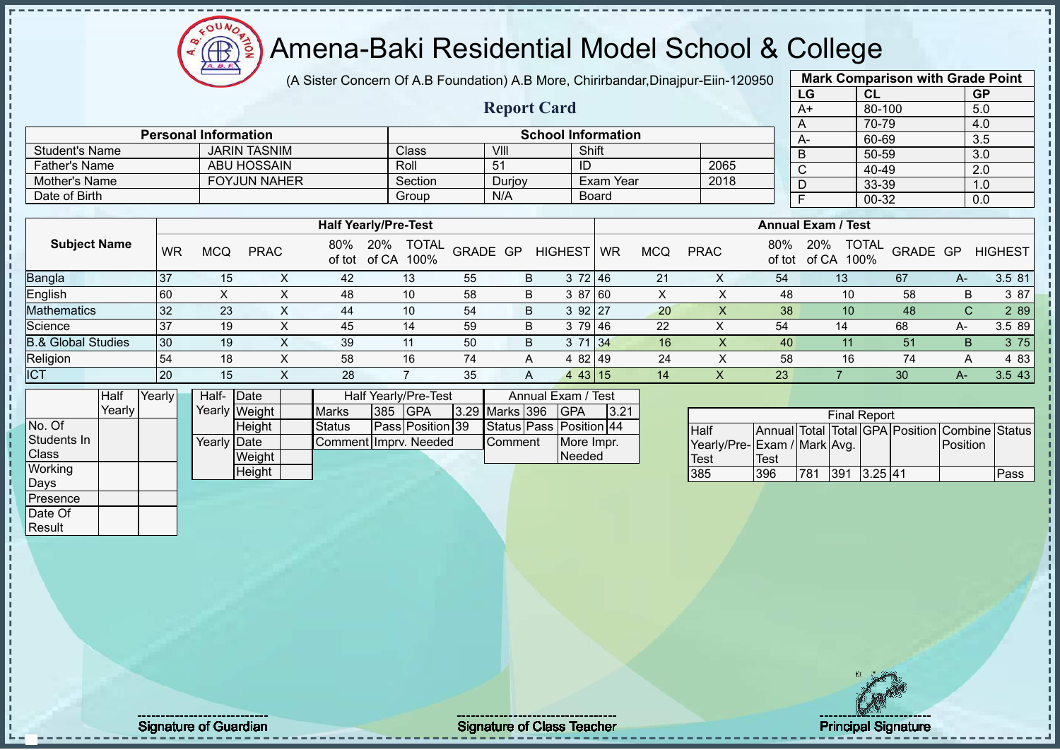# Amena-Baki Residential Model School & College

(A Sister Concern Of A.B Foundation) A.B More, Chirirbandar,Dinajpur-Eiin-120950

**Report Card**

|      | <b>Mark Comparison with Grade Point</b> |           |  |  |  |  |  |  |  |  |  |  |
|------|-----------------------------------------|-----------|--|--|--|--|--|--|--|--|--|--|
| LG   | CL                                      | <b>GP</b> |  |  |  |  |  |  |  |  |  |  |
| $A+$ | 80-100                                  | 5.0       |  |  |  |  |  |  |  |  |  |  |
| A    | 70-79                                   | 4.0       |  |  |  |  |  |  |  |  |  |  |
| A-   | 60-69                                   | 3.5       |  |  |  |  |  |  |  |  |  |  |
| B    | 50-59                                   | 3.0       |  |  |  |  |  |  |  |  |  |  |
| C    | $40 - 49$                               | 2.0       |  |  |  |  |  |  |  |  |  |  |
| D    | 33-39                                   | 1.0       |  |  |  |  |  |  |  |  |  |  |
| F    | 00-32                                   | 0.0       |  |  |  |  |  |  |  |  |  |  |
|      |                                         |           |  |  |  |  |  |  |  |  |  |  |

|                               |           |            |             |     | <b>Half Yearly/Pre-Test</b>                 |          |   |                |    |            |             |               | <b>Annual Exam / Test</b>            |                 |    |                |
|-------------------------------|-----------|------------|-------------|-----|---------------------------------------------|----------|---|----------------|----|------------|-------------|---------------|--------------------------------------|-----------------|----|----------------|
| <b>Subject Name</b>           | <b>WR</b> | <b>MCQ</b> | <b>PRAC</b> | 80% | <b>TOTAL</b><br>20%<br>of tot of CA<br>100% | GRADE GP |   | <b>HIGHEST</b> | WR | <b>MCQ</b> | <b>PRAC</b> | 80%<br>of tot | <b>TOTAL</b><br>20%<br>of CA<br>100% | <b>GRADE GP</b> |    | <b>HIGHEST</b> |
| <b>Bangla</b>                 | 37        | 15         |             | 42  | 13                                          | 55       | B | 3 72 46        |    | 21         | X           | 54            | 13                                   | 67              | A- | 3.5 81         |
| English                       | 60        |            |             | 48  | 10                                          | 58       | B | 3 87 60        |    | X          |             | 48            | 10                                   | 58              | В  | 3 87           |
| <b>Mathematics</b>            | 32        | 23         |             | 44  | 10                                          | -54      | B | $392$   27     |    | <b>20</b>  |             | 38            | 10                                   | 48              | C. | 2 8 9          |
| Science                       | 37        | 19         |             | 45  | 14                                          | 59       | B | 3 79 46        |    | 22         | X           | 54            | 14                                   | 68              | А- | 3.5 89         |
| <b>B.&amp; Global Studies</b> | 30        | 19         |             | 39  | 11                                          | 50       | B | 3 71 34        |    | 16         |             | 40            |                                      | 51              | B. | 3 75           |
| Religion                      | 54        | 18         |             | 58  | 16                                          | 74       | A | 4 82 49        |    | 24         |             | 58            | 16                                   | 74              | А  | 4 8 3          |
| <b>ICT</b>                    | 20        | 15         |             | 28  |                                             | 35       | A | 443 15         |    | 14         | ⋏           | 23            |                                      | 30              | A- | 3.543          |

|              | Half   | Yearly | Half- Date           |               |                       |                | Half Yearly/Pre-Test |  | Annual Exam / Test |                         |      |
|--------------|--------|--------|----------------------|---------------|-----------------------|----------------|----------------------|--|--------------------|-------------------------|------|
|              | Yearly |        |                      | Yearly Weight | <b>Marks</b>          | <b>385 GPA</b> |                      |  | 3.29 Marks 396     | <b>IGPA</b>             | 3.21 |
| No. Of       |        |        |                      | <b>Height</b> | Status                |                | Pass Position 39     |  |                    | Status Pass Position 44 |      |
| Students In  |        |        | Yearly <b> </b> Date |               | Comment Imprv. Needed |                |                      |  | Comment            | More Impr.              |      |
| <b>Class</b> |        |        |                      | Weight        |                       |                |                      |  |                    | Needed                  |      |
| Working      |        |        |                      | Height        |                       |                |                      |  |                    |                         |      |
| Days         |        |        |                      |               |                       |                |                      |  |                    |                         |      |
| Presence     |        |        |                      |               |                       |                |                      |  |                    |                         |      |

Student's Name JARIN TASNIM Class VIII Shift<br>
Father's Name ABU HOSSAIN Roll 51 ID

Mother's Name FOYJUN NAHER Section Durjoy Exam Year<br>
Date of Birth Group N/A Board Date of Birth Board Group N/A Board

**Personal Information**<br> **School Information**<br> **School Information**<br> **School Information**<br> **School Information**<br> **School Information**<br> **School Information** 

Father's Name ABU HOSSAIN Roll 51 ID 2065<br>
Mother's Name FOYJUN NAHER Section Durjoy Exam Year 2018

|                             | <b>Final Report</b> |     |                       |  |  |                                                |      |  |  |  |  |  |  |
|-----------------------------|---------------------|-----|-----------------------|--|--|------------------------------------------------|------|--|--|--|--|--|--|
| <b>Half</b>                 |                     |     |                       |  |  | Annual Total Total GPA Position Combine Status |      |  |  |  |  |  |  |
| Yearly/Pre-Exam / Mark Avg. |                     |     |                       |  |  | Position                                       |      |  |  |  |  |  |  |
| Test                        | Test                |     |                       |  |  |                                                |      |  |  |  |  |  |  |
| 385                         | 396                 | 781 | $391 \, 13.25 \, 141$ |  |  |                                                | Pass |  |  |  |  |  |  |

Date Of **Result** 

л

**Signature of Guardian Community Community Strature of Class Teacher Community Community Community Principal Signature**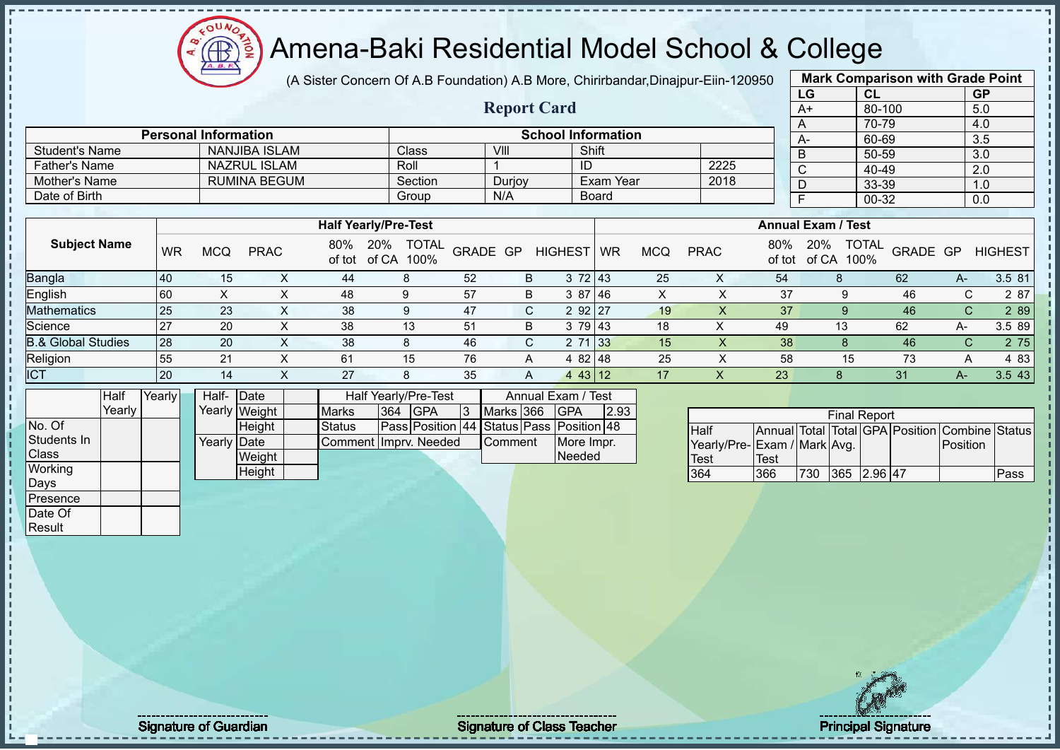# Amena-Baki Residential Model School & College

(A Sister Concern Of A.B Foundation) A.B More, Chirirbandar,Dinajpur-Eiin-120950

**Report Card**

| <b>Mark Comparison with Grade Point</b> |           |           |  |  |  |  |  |  |  |  |  |
|-----------------------------------------|-----------|-----------|--|--|--|--|--|--|--|--|--|
| LG                                      | <b>CL</b> | <b>GP</b> |  |  |  |  |  |  |  |  |  |
| $\overline{A+}$                         | 80-100    | 5.0       |  |  |  |  |  |  |  |  |  |
| A                                       | 70-79     | 4.0       |  |  |  |  |  |  |  |  |  |
| A-                                      | 60-69     | 3.5       |  |  |  |  |  |  |  |  |  |
| B                                       | 50-59     | 3.0       |  |  |  |  |  |  |  |  |  |
| $\overline{\text{c}}$                   | 40-49     | 2.0       |  |  |  |  |  |  |  |  |  |
| D                                       | 33-39     | 1.0       |  |  |  |  |  |  |  |  |  |
| F                                       | $00 - 32$ | 0.0       |  |  |  |  |  |  |  |  |  |
|                                         |           |           |  |  |  |  |  |  |  |  |  |

|                               |           |            |                     |               |                                      |          |        |                |            |            |             |               | ັ                         | ャーマー                 |          |      | L.V            |
|-------------------------------|-----------|------------|---------------------|---------------|--------------------------------------|----------|--------|----------------|------------|------------|-------------|---------------|---------------------------|----------------------|----------|------|----------------|
| Mother's Name                 |           |            | <b>RUMINA BEGUM</b> |               | Section                              |          | Durjoy |                | Exam Year  |            | 2018        |               | D                         | 33-39                |          |      | 1.0            |
| Date of Birth                 |           |            |                     |               | Group                                |          | N/A    |                | Board      |            |             |               |                           | 00-32                |          |      | 0.0            |
|                               |           |            |                     |               |                                      |          |        |                |            |            |             |               |                           |                      |          |      |                |
|                               |           |            |                     |               | <b>Half Yearly/Pre-Test</b>          |          |        |                |            |            |             |               | <b>Annual Exam / Test</b> |                      |          |      |                |
| <b>Subject Name</b>           | <b>WR</b> | <b>MCQ</b> | <b>PRAC</b>         | 80%<br>of tot | 20%<br><b>TOTAL</b><br>of CA<br>100% | GRADE GP |        | <b>HIGHEST</b> | <b>WR</b>  | <b>MCQ</b> | <b>PRAC</b> | 80%<br>of tot | 20%<br>of CA              | <b>TOTAL</b><br>100% | GRADE GP |      | <b>HIGHEST</b> |
| <b>Bangla</b>                 | 40        | 15         | X.                  | 44            | 8                                    | 52       | B      |                | 372 43     | 25         | Χ           | 54            | 8                         |                      | 62       | A-   | 3.5 81         |
| English                       | 60        |            | ⋏                   | 48            | 9                                    | 57       | B      |                | 3 87 46    | X          | х           | 37            |                           |                      | 46       | C.   | 2 87           |
| <b>Mathematics</b>            | 25        | 23         | ㅅ                   | 38            | 9                                    | 47       | C.     |                | 2 92 27    | 19         |             | 37            |                           |                      | 46       | C.   | 2 8 9          |
| Science                       | 27        | 20         | X                   | 38            | 13                                   | 51       | B      |                | 3 79 43    | 18         |             | 49            | 13                        |                      | 62       | A-   | 3.5 89         |
| <b>B.&amp; Global Studies</b> | 28        | 20         | $\lambda$           | 38            | 8                                    | 46       | C.     |                | 2 71 33    | 15         |             | 38            |                           |                      | 46       | C    | 2 75           |
| Religion                      | 55        | 21         | $\lambda$           | 61            | 15                                   | 76       | A      |                | $482$   48 | 25         | ᄉ           | 58            |                           | 15                   | 73       | A    | 4 8 3          |
| <b>ICT</b>                    | 20        | 14         |                     | 27            | 8                                    | 35       | A      |                | $443$ 12   | 17         |             | 23            | 8                         |                      | 31       | A- 1 | 3.5 43         |

|              | Half   | Yearly | Half-       | <b>IDate</b>  |                       |               | Half Yearly/Pre-Test                     |    |                | Annual Exam / Test |      |  |
|--------------|--------|--------|-------------|---------------|-----------------------|---------------|------------------------------------------|----|----------------|--------------------|------|--|
|              | Yearlv |        |             | Yearly Weight | <b>Marks</b>          | $ 364\rangle$ | <b>IGPA</b>                              | I3 | Marks 366      | <b>IGPA</b>        | 2.93 |  |
| No. Of       |        |        |             | Height        | <b>Status</b>         |               | Pass Position 44 Status Pass Position 48 |    |                |                    |      |  |
| Students In  |        |        | Yearly Date |               | Comment Imprv. Needed |               |                                          |    | <b>Comment</b> | More Impr.         |      |  |
| <b>Class</b> |        |        |             | Weight        |                       |               |                                          |    |                | Needed             |      |  |
| Working      |        |        |             | Height        |                       |               |                                          |    |                |                    |      |  |
| Days         |        |        |             |               |                       |               |                                          |    |                |                    |      |  |
| Presence     |        |        |             |               |                       |               |                                          |    |                |                    |      |  |

Student's Name NANJIBA ISLAM Class VIII Shift<br>
Father's Name NAZRULISLAM Roll 1

**Personal Information School Information** 

Father's Name NAZRUL ISLAM Roll 1 ID 2225

|               | <b>Final Report</b>         |      |     |             |  |  |                                                |      |  |  |  |  |  |
|---------------|-----------------------------|------|-----|-------------|--|--|------------------------------------------------|------|--|--|--|--|--|
| <b>I</b> Half |                             |      |     |             |  |  | Annual Total Total GPA Position Combine Status |      |  |  |  |  |  |
|               | Yearly/Pre-Exam / Mark Avg. |      |     |             |  |  | <b>Position</b>                                |      |  |  |  |  |  |
| Test          |                             | Test |     |             |  |  |                                                |      |  |  |  |  |  |
| 364           |                             | 366  | 730 | 365 2.96 47 |  |  |                                                | Pass |  |  |  |  |  |

Date Of **Result** 

Signature of Guardian Signature Signature of Class Teacher New York Network Principal Signature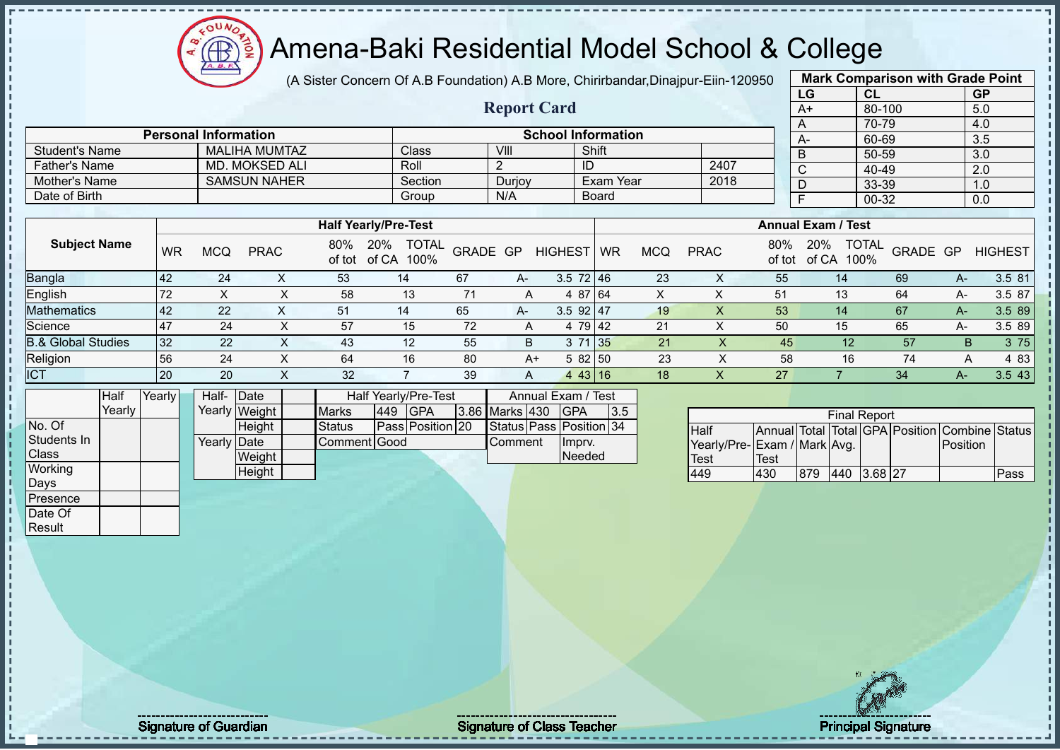# Amena-Baki Residential Model School & College

(A Sister Concern Of A.B Foundation) A.B More, Chirirbandar,Dinajpur-Eiin-120950

**Report Card**

|                       | <b>Mark Comparison with Grade Point</b> |           |  |  |  |  |  |  |  |  |  |  |
|-----------------------|-----------------------------------------|-----------|--|--|--|--|--|--|--|--|--|--|
| LG                    | <b>CL</b>                               | <b>GP</b> |  |  |  |  |  |  |  |  |  |  |
| $A+$                  | 80-100                                  | 5.0       |  |  |  |  |  |  |  |  |  |  |
| A                     | 70-79                                   | 4.0       |  |  |  |  |  |  |  |  |  |  |
| A-                    | 60-69                                   | 3.5       |  |  |  |  |  |  |  |  |  |  |
| B                     | 50-59                                   | 3.0       |  |  |  |  |  |  |  |  |  |  |
| $\overline{\text{c}}$ | 40-49                                   | 2.0       |  |  |  |  |  |  |  |  |  |  |
| D                     | 33-39                                   | 1.0       |  |  |  |  |  |  |  |  |  |  |
| F                     | $00 - 32$                               | 0.0       |  |  |  |  |  |  |  |  |  |  |
|                       |                                         |           |  |  |  |  |  |  |  |  |  |  |

|                               |           |            |             |               | <b>Half Yearly/Pre-Test</b>          |          |    |                  |           |                 |             |               | <b>Annual Exam / Test</b>            |                 |    |                |
|-------------------------------|-----------|------------|-------------|---------------|--------------------------------------|----------|----|------------------|-----------|-----------------|-------------|---------------|--------------------------------------|-----------------|----|----------------|
| <b>Subject Name</b>           | <b>WR</b> | <b>MCQ</b> | <b>PRAC</b> | 80%<br>of tot | <b>TOTAL</b><br>20%<br>of CA<br>100% | GRADE GP |    | <b>HIGHEST</b>   | <b>WR</b> | MCQ             | <b>PRAC</b> | 80%<br>of tot | <b>TOTAL</b><br>20%<br>of CA<br>100% | <b>GRADE GP</b> |    | <b>HIGHEST</b> |
| <b>Bangla</b>                 | 42        | 24         |             | 53            | 14                                   | 67       | A- | $3.5 \ 72 \ 146$ |           | 23              |             | 55            | 14                                   | 69              | A- | 3.5 81         |
| English                       | 72        |            |             | 58            | 13                                   |          | A  | 4 87 64          |           | $\check{ }$     |             | 51            | 13                                   | 64              | А- | 3.5 87         |
| Mathematics                   | 42        | 22         |             | 51            | 14                                   | 65       | A- | $3.5$ 92 47      |           | 19              |             | 53            | 14                                   | 67              | A- | 3.5 89         |
| Science                       | <b>47</b> | 24         |             | 57            | 15                                   | 72       | A  | 4 79 42          |           | 21              |             | 50            | 15                                   | 65              | А- | 3.5 89         |
| <b>B.&amp; Global Studies</b> | 32        | 22         |             | 43            | 12                                   | 55       | B  | 3 71 35          |           | 21              |             | 45            | 12                                   | 57              | B. | 3 75           |
| Religion                      | 56        | 24         |             | 64            | 16                                   | 80       | A+ | 5 82 50          |           | 23              |             | 58            | 16                                   | 74              |    | 4 8 3          |
| <b>ICT</b>                    | <b>20</b> | 20         |             | 32            |                                      | 39       | A  | 443 16           |           | 18 <sup>°</sup> |             | 27            |                                      | 34              | A- | 3.543          |

|              | Half   | Yearly | Half- Date  |               |              |     | Half Yearly/Pre-Test    |                       |             | Annual Exam / Test      |  |  |
|--------------|--------|--------|-------------|---------------|--------------|-----|-------------------------|-----------------------|-------------|-------------------------|--|--|
|              | Yearlv |        |             | Yearly Weight | <b>Marks</b> | 449 | <b>IGPA</b>             | <b>3.86 Marks 430</b> | <b>IGPA</b> | 13.5                    |  |  |
| No. Of       |        |        |             | Height        | Status       |     | <b>Pass Position 20</b> |                       |             | Status Pass Position 34 |  |  |
| Students In  |        |        | Yearly Date |               | Comment Good |     |                         | <b>Comment</b>        | Ilmpry.     |                         |  |  |
| <b>Class</b> |        |        |             | Weight        |              |     |                         |                       |             | <b>Needed</b>           |  |  |
| Working      |        |        |             | Height        |              |     |                         |                       |             |                         |  |  |
| Days         |        |        |             |               |              |     |                         |                       |             |                         |  |  |

Student's Name MALIHA MUMTAZ Class VIII VIII Shift

Mother's Name SAMSUN NAHER Section Durjoy Exam Year Date of Birth Board Group N/A Board

**Personal Information School Information** 

Father's Name MD. MOKSED ALI Roll 2 ID 2407<br>
Mother's Name SAMSUN NAHER Section Duriov Exam Year 2018

|                             | <b>Final Report</b> |     |     |                      |  |                                                |      |  |  |  |  |  |  |  |  |
|-----------------------------|---------------------|-----|-----|----------------------|--|------------------------------------------------|------|--|--|--|--|--|--|--|--|
| Half                        |                     |     |     |                      |  | Annual Total Total GPA Position Combine Status |      |  |  |  |  |  |  |  |  |
| Yearly/Pre-Exam / Mark Avg. |                     |     |     |                      |  | Position                                       |      |  |  |  |  |  |  |  |  |
| Test                        | Test                |     |     |                      |  |                                                |      |  |  |  |  |  |  |  |  |
| 449                         | 430                 | 879 | 440 | $3.68$ <sub>27</sub> |  |                                                | Pass |  |  |  |  |  |  |  |  |

Presence Date Of **Result**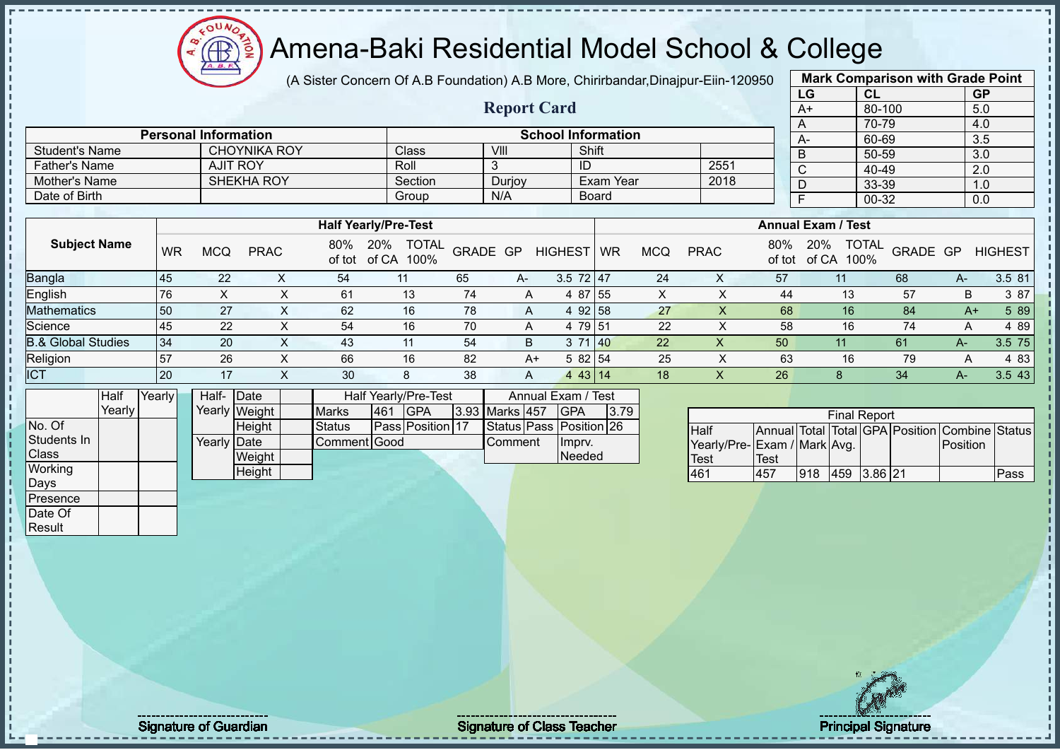# Amena-Baki Residential Model School & College

(A Sister Concern Of A.B Foundation) A.B More, Chirirbandar,Dinajpur-Eiin-120950

**Report Card**

| <b>Mark Comparison with Grade Point</b> |           |           |  |  |  |  |  |  |  |  |  |  |
|-----------------------------------------|-----------|-----------|--|--|--|--|--|--|--|--|--|--|
| LG                                      | <b>CL</b> | <b>GP</b> |  |  |  |  |  |  |  |  |  |  |
| $A+$                                    | 80-100    | 5.0       |  |  |  |  |  |  |  |  |  |  |
| A                                       | 70-79     | 4.0       |  |  |  |  |  |  |  |  |  |  |
| A-                                      | 60-69     | 3.5       |  |  |  |  |  |  |  |  |  |  |
| B                                       | 50-59     | 3.0       |  |  |  |  |  |  |  |  |  |  |
| $\bar{C}$                               | 40-49     | 2.0       |  |  |  |  |  |  |  |  |  |  |
| D                                       | 33-39     | 1.0       |  |  |  |  |  |  |  |  |  |  |
| F                                       | 00-32     | 0.0       |  |  |  |  |  |  |  |  |  |  |
|                                         |           |           |  |  |  |  |  |  |  |  |  |  |

|                               |           |            |             |     |                                             |          |    |                         |    |            |             |               |                                      | ---             |      | $\ddotsc$      |
|-------------------------------|-----------|------------|-------------|-----|---------------------------------------------|----------|----|-------------------------|----|------------|-------------|---------------|--------------------------------------|-----------------|------|----------------|
|                               |           |            |             |     |                                             |          |    |                         |    |            |             |               |                                      |                 |      |                |
|                               |           |            |             |     | <b>Half Yearly/Pre-Test</b>                 |          |    |                         |    |            |             |               | <b>Annual Exam / Test</b>            |                 |      |                |
| <b>Subject Name</b>           | <b>WR</b> | <b>MCQ</b> | <b>PRAC</b> | 80% | <b>TOTAL</b><br>20%<br>of tot of CA<br>100% | GRADE GP |    | <b>HIGHEST</b>          | WR | <b>MCQ</b> | <b>PRAC</b> | 80%<br>of tot | <b>TOTAL</b><br>20%<br>of CA<br>100% | <b>GRADE GP</b> |      | <b>HIGHEST</b> |
| <b>Bangla</b>                 | 45        | 22         |             | 54  |                                             | 65       | A- | $3.5$ 72 47             |    | 24         | Х           | 57            |                                      | 68              | A-   | 3.5 81         |
| English                       | 76        |            |             | 61  | 13                                          | 74       | A  | 4 87 55                 |    | X          |             | 44            | 13                                   | 57              | B    | 3 87           |
| <b>Mathematics</b>            | 50        | 27         |             | 62  | 16                                          | 78       | A  | 92 58<br>4              |    | 27         |             | 68            | 16                                   | 84              | $A+$ | 5 89           |
| Science                       | 45        | 22         |             | 54  | 16                                          | 70       | A  | 4 79 51                 |    | 22         |             | 58            | 16                                   | 74              | А    | 4 89           |
| <b>B.&amp; Global Studies</b> | 34        | 20         | X           | 43  | 11                                          | 54       | B  | 3 71 40                 |    | 22         | X           | 50            | 11                                   | 61              | $A-$ | 3.5 75         |
| Religion                      | 57        | 26         |             | 66  | 16                                          | 82       |    | 5 82 54<br>$A+$         |    | 25         |             | 63            | 16                                   | 79              | A    | 4 8 3          |
| <b>ICT</b>                    | 20        | 17         |             | 30  | 8                                           | 38       | A  | 43 14<br>$\overline{4}$ |    | 18         |             | 26            |                                      | 34              | A-   | 3.5 43         |

|              | <b>Half</b> | Yearlv l | Half-       | <b>IDate</b>  |                      |      | <b>Half Yearly/Pre-Test</b> | Annual Exam / Test |                |  |                         |       |
|--------------|-------------|----------|-------------|---------------|----------------------|------|-----------------------------|--------------------|----------------|--|-------------------------|-------|
|              | Yearly      |          |             | Yearly Weight | <b>Marks</b>         | 1461 | <b>IGPA</b>                 |                    | 3.93 Marks 457 |  | IGPA                    | 13.79 |
| No. Of       |             |          |             | <b>Height</b> | Status               |      | <b>Pass Position 17</b>     |                    |                |  | Status Pass Position 26 |       |
| Students In  |             |          | Yearly Date |               | <b>IComment Good</b> |      |                             |                    | <b>Comment</b> |  | Imprv.                  |       |
| <b>Class</b> |             |          |             | Weight        |                      |      |                             |                    |                |  | Needed                  |       |
| Working      |             |          |             | Height        |                      |      |                             |                    |                |  |                         |       |
| Days         |             |          |             |               |                      |      |                             |                    |                |  |                         |       |
| Presence     |             |          |             |               |                      |      |                             |                    |                |  |                         |       |

Student's Name CHOYNIKA ROY Class VIII Shift<br>
Father's Name AJIT ROY Roll 3 ID

Date of Birth Board Group N/A Board

**Personal Information School Information**

Father's Name AJIT ROY Roll 3 ID 2551 Mother's Name SHEKHA ROY Section Durjoy Exam Year 2018<br>
Date of Birth State of Birth State of Birth State of Birth State of Birth State of Birth State of Birth State of Birth State of Birth State of Birth State of Birth St

|                             | <b>Final Report</b> |     |             |  |  |                                                |      |  |  |  |  |  |  |  |  |
|-----------------------------|---------------------|-----|-------------|--|--|------------------------------------------------|------|--|--|--|--|--|--|--|--|
| <b>I</b> Half               |                     |     |             |  |  | Annual Total Total GPA Position Combine Status |      |  |  |  |  |  |  |  |  |
| Yearly/Pre-Exam / Mark Avg. |                     |     |             |  |  | <b>IPosition</b>                               |      |  |  |  |  |  |  |  |  |
| <b>Test</b>                 | Test                |     |             |  |  |                                                |      |  |  |  |  |  |  |  |  |
| 461                         | 457                 | 918 | 459 3.86 21 |  |  |                                                | Pass |  |  |  |  |  |  |  |  |

Date Of **Result** 

Signature of Guardian Signature Signature of Class Teacher Principal Signature 5. Teacher Principal Signature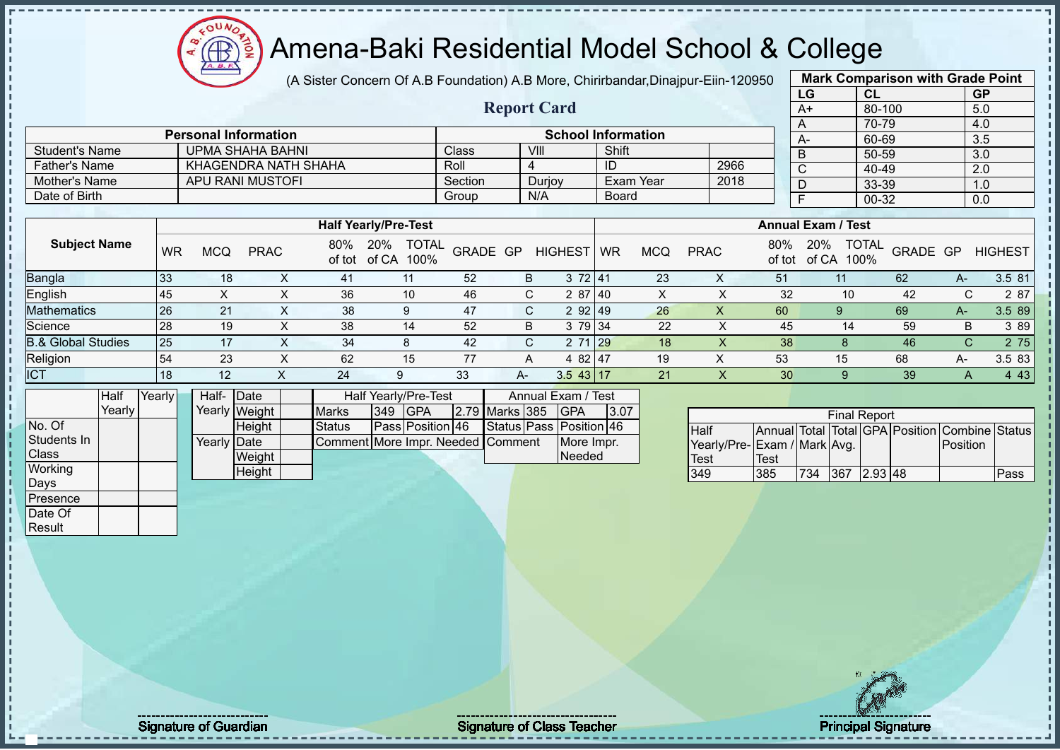(A Sister Concern Of A.B Foundation) A.B More, Chirirbandar,Dinajpur-Eiin-120950 **Mark Comparison with Grade Point**

 $12\mu\text{V}$ 

Æ

|                               |        |           |                             |               |                |               | $\mu$ , Olator Contourt Or A.D I bandadon) A.D More, Onlinibandar, Dinapar-Elli-Tzoboo |              |                         |                           |             |                  |            |                             |                           |                |            |                     |          |                                                |                |
|-------------------------------|--------|-----------|-----------------------------|---------------|----------------|---------------|----------------------------------------------------------------------------------------|--------------|-------------------------|---------------------------|-------------|------------------|------------|-----------------------------|---------------------------|----------------|------------|---------------------|----------|------------------------------------------------|----------------|
|                               |        |           |                             |               |                |               |                                                                                        |              |                         |                           |             |                  |            |                             |                           | LG             |            | CL                  |          | GP                                             |                |
|                               |        |           |                             |               |                |               |                                                                                        |              | <b>Report Card</b>      |                           |             |                  |            |                             |                           | $A+$           |            | 80-100              |          | 5.0                                            |                |
|                               |        |           |                             |               |                |               |                                                                                        |              |                         |                           |             |                  |            |                             |                           | A              |            | 70-79               |          | 4.0                                            |                |
|                               |        |           | <b>Personal Information</b> |               |                |               |                                                                                        |              |                         | <b>School Information</b> |             |                  |            |                             |                           | $A-$           |            | 60-69               |          | 3.5                                            |                |
| <b>Student's Name</b>         |        |           | <b>UPMA SHAHA BAHNI</b>     |               |                |               |                                                                                        | <b>Class</b> |                         | VIII                      |             | Shift            |            |                             |                           | B              |            | $50 - 59$           |          | 3.0                                            |                |
| <b>Father's Name</b>          |        |           | KHAGENDRA NATH SHAHA        |               |                |               |                                                                                        | Roll         |                         | $\overline{4}$            | ID          |                  |            | 2966                        |                           | $\mathsf{C}$   |            | 40-49               |          | 2.0                                            |                |
| Mother's Name                 |        |           | <b>APU RANI MUSTOFI</b>     |               |                |               |                                                                                        | Section      |                         | Durjoy                    |             | <b>Exam Year</b> |            | 2018                        |                           | D              |            | 33-39               |          | 1.0                                            |                |
| Date of Birth                 |        |           |                             |               |                |               |                                                                                        | Group        |                         | N/A                       |             | Board            |            |                             |                           | $\overline{F}$ |            | $00 - 32$           |          | 0.0                                            |                |
|                               |        |           |                             |               |                |               |                                                                                        |              |                         |                           |             |                  |            |                             |                           |                |            |                     |          |                                                |                |
|                               |        |           |                             |               |                |               | <b>Half Yearly/Pre-Test</b>                                                            |              |                         |                           |             |                  |            |                             | <b>Annual Exam / Test</b> |                |            |                     |          |                                                |                |
| <b>Subject Name</b>           |        | <b>WR</b> | <b>MCQ</b>                  | <b>PRAC</b>   |                | 80%           | 20% TOTAL<br>of tot of CA 100%                                                         |              | GRADE GP                | <b>HIGHEST</b>            | <b>WR</b>   |                  | <b>MCQ</b> | <b>PRAC</b>                 | 80%<br>of tot             | 20%            | of CA 100% | <b>TOTAL</b>        | GRADE GP |                                                | <b>HIGHEST</b> |
| Bangla                        |        | 33        | 18                          |               | X              | 41            | 11                                                                                     | 52           | B                       |                           | 372 41      |                  | 23         | $\boldsymbol{\mathsf{X}}$   | 51                        |                | 11         |                     | 62       | $A-$                                           | 3.5 81         |
| English                       |        | 45        | $\boldsymbol{\mathsf{X}}$   |               | $\pmb{\times}$ | 36            | 10                                                                                     | 46           | C                       |                           | 2 87 40     |                  | X          | X                           | 32                        |                | 10         |                     | 42       | C                                              | 2 87           |
| Mathematics                   |        | 26        | 21                          |               | X              | 38            | 9                                                                                      | 47           | C                       |                           | 2 92 49     |                  | 26         | X                           | 60                        |                | 9          |                     | 69       | $A-$                                           | 3.5 89         |
| Science                       |        | 28        | 19                          |               | $\times$       | 38            | 14                                                                                     | 52           | B                       |                           | 3 79 34     |                  | 22         | $\pmb{\times}$              | 45                        |                | 14         |                     | 59       | B                                              | 3 8 9          |
| <b>B.&amp; Global Studies</b> |        | 25        | 17                          |               | X              | 34            | 8                                                                                      | 42           | $\mathsf{C}$            |                           | 2 71 29     |                  | 18         | X                           | 38                        |                | 8          |                     | 46       | $\mathsf{C}$                                   | 2 75           |
| Religion                      |        | 54        | 23                          |               | $\times$       | 62            | 15                                                                                     | 77           | Α                       |                           | 4 82 47     |                  | 19         | $\sf X$                     | 53                        |                | 15         |                     | 68       | A-                                             | 3.5 83         |
| <b>ICT</b>                    |        | 18        | 12                          |               | X.             | 24            | 9                                                                                      | 33           | $A -$                   |                           | $3.5$ 43 17 |                  | 21         | $\boldsymbol{\mathsf{X}}$   | 30                        |                | 9          |                     | 39       | A                                              | 4 4 3          |
|                               | Half   | Yearly    | Half-Date                   |               |                |               | Half Yearly/Pre-Test                                                                   |              |                         | Annual Exam / Test        |             |                  |            |                             |                           |                |            |                     |          |                                                |                |
|                               | Yearly |           |                             | Yearly Weight |                | <b>Marks</b>  | 349 GPA                                                                                |              | 2.79 Marks 385          | <b>GPA</b>                |             | 3.07             |            |                             |                           |                |            |                     |          |                                                |                |
| No. Of                        |        |           |                             | Height        |                | <b>Status</b> | Pass Position 46                                                                       |              | Status Pass Position 46 |                           |             |                  |            |                             |                           |                |            | <b>Final Report</b> |          |                                                |                |
| Students In                   |        |           | <b>Yearly Date</b>          |               |                |               | Comment More Impr. Needed Comment                                                      |              |                         |                           | More Impr.  |                  |            | Half                        |                           |                |            |                     |          | Annual Total Total GPA Position Combine Status |                |
| Class                         |        |           |                             | Weight        |                |               |                                                                                        |              |                         |                           | Needed      |                  |            | Yearly/Pre-Exam / Mark Avg. | <b>Test</b>               |                |            |                     |          | Position                                       |                |
| Working                       |        |           |                             | Height        |                |               |                                                                                        |              |                         |                           |             |                  |            | <b>Test</b><br>349          | 385                       | 734            |            | 367 2.93 48         |          |                                                | Pass           |
| Days                          |        |           |                             |               |                |               |                                                                                        |              |                         |                           |             |                  |            |                             |                           |                |            |                     |          |                                                |                |
| Presence                      |        |           |                             |               |                |               |                                                                                        |              |                         |                           |             |                  |            |                             |                           |                |            |                     |          |                                                |                |
| Date Of                       |        |           |                             |               |                |               |                                                                                        |              |                         |                           |             |                  |            |                             |                           |                |            |                     |          |                                                |                |
| Result                        |        |           |                             |               |                |               |                                                                                        |              |                         |                           |             |                  |            |                             |                           |                |            |                     |          |                                                |                |
|                               |        |           |                             |               |                |               |                                                                                        |              |                         |                           |             |                  |            |                             |                           |                |            |                     |          |                                                |                |

л

Signature of Guardian Signature of Class Teacher Principal Signature of Class Teacher Principal Signature 6/52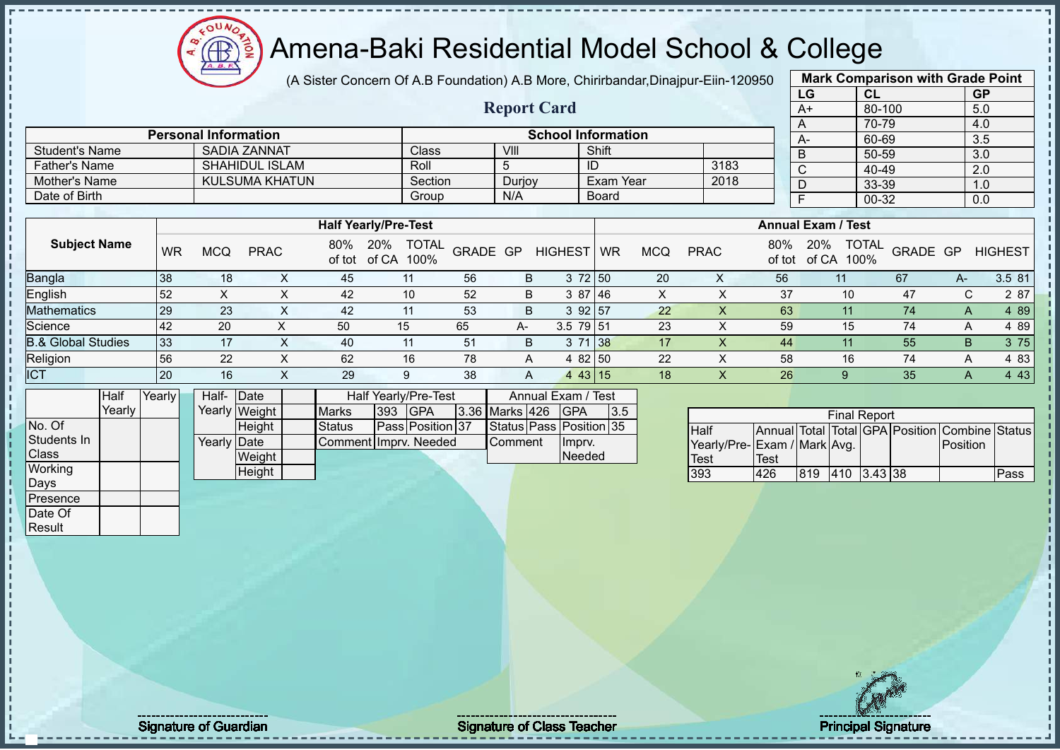

(A Sister Concern Of A.B Foundation) A.B More, Chirirbandar,Dinajpur-Eiin-120950

**Report Card**

| <b>Mark Comparison with Grade Point</b> |           |           |  |  |  |  |  |  |  |  |  |  |
|-----------------------------------------|-----------|-----------|--|--|--|--|--|--|--|--|--|--|
| LG                                      | <b>CL</b> | <b>GP</b> |  |  |  |  |  |  |  |  |  |  |
| $A+$                                    | 80-100    | 5.0       |  |  |  |  |  |  |  |  |  |  |
| A                                       | 70-79     | 4.0       |  |  |  |  |  |  |  |  |  |  |
| A-                                      | 60-69     | 3.5       |  |  |  |  |  |  |  |  |  |  |
| B                                       | 50-59     | 3.0       |  |  |  |  |  |  |  |  |  |  |
| $\bar{C}$                               | 40-49     | 2.0       |  |  |  |  |  |  |  |  |  |  |
| D                                       | 33-39     | 1.0       |  |  |  |  |  |  |  |  |  |  |
| F                                       | 00-32     | 0.0       |  |  |  |  |  |  |  |  |  |  |
|                                         |           |           |  |  |  |  |  |  |  |  |  |  |

|                               |    |            |             |     | <b>Half Yearly/Pre-Test</b>              |          |    |                |           |     |             |               | <b>Annual Exam / Test</b>            |                 |    |                |
|-------------------------------|----|------------|-------------|-----|------------------------------------------|----------|----|----------------|-----------|-----|-------------|---------------|--------------------------------------|-----------------|----|----------------|
| <b>Subject Name</b>           | WR | <b>MCQ</b> | <b>PRAC</b> | 80% | <b>TOTAL</b><br>20%<br>of tot of CA 100% | GRADE GP |    | <b>HIGHEST</b> | <b>WR</b> | MCQ | <b>PRAC</b> | 80%<br>of tot | <b>TOTAL</b><br>20%<br>of CA<br>100% | <b>GRADE GP</b> |    | <b>HIGHEST</b> |
| <b>Bangla</b>                 | 38 | 18         |             | 45  | 11                                       | 56       | B  | 3 72 50        |           | 20  | ∧           | 56            |                                      | 67              | А- | 3.5 81         |
| English                       | 52 |            |             | 42  | 10                                       | 52       | B  | 3 87 46        |           | ⌒   |             | 37            | $10^{\circ}$                         | 47              | U  | 2 87           |
| <b>Mathematics</b>            | 29 | 23         |             | 42  | 11                                       | 53       | B  | 3 92 57        |           | 22  |             | 63            |                                      | 74              | A  | 4 8 9          |
| Science                       | 42 | 20         |             | 50  | 15                                       | 65       | A- | $3.5$ 79 51    |           | 23  |             | 59            | 15                                   | 74              | А  | 4 89           |
| <b>B.&amp; Global Studies</b> | 33 | 17         |             | 40  | 11                                       | 51       | B  | 3 71 38        |           | 17  |             | 44            |                                      | 55              | B. | 3 75           |
| Religion                      | 56 | 22         |             | 62  | 16                                       | 78       | A  | 4 82 50        |           | 22  |             | 58            | 16                                   | 74              | А  | 4 83           |
| <b>ICT</b>                    | 20 | 16         |             | 29  | 9                                        | 38       | A  | 443 15         |           | 18  |             | 26            |                                      | 35              |    | 4 4 3          |

|              | Half   | Yearly |  | Half- Date  |               |                       |         | <b>Half Yearly/Pre-Test</b> |                      | Annual Exam / Test      |     |  |
|--------------|--------|--------|--|-------------|---------------|-----------------------|---------|-----------------------------|----------------------|-------------------------|-----|--|
|              | Yearlv |        |  |             | Yearly Weight | <b>Marks</b>          | 393 GPA |                             | $3.36$ Marks 426 GPA |                         | 3.5 |  |
| No. Of       |        |        |  |             | <b>Height</b> | Status                |         | <b>Pass Position 37</b>     |                      | Status Pass Position 35 |     |  |
| Students In  |        |        |  | Yearly Date |               | Comment Imprv. Needed |         |                             | <b>Comment</b>       | Impry.                  |     |  |
| <b>Class</b> |        |        |  |             | Weight        |                       |         |                             |                      | Needed                  |     |  |
| Working      | Height |        |  |             |               |                       |         |                             |                      |                         |     |  |
| Days         |        |        |  |             |               |                       |         |                             |                      |                         |     |  |

Student's Name SADIA ZANNAT Class VIII Shift<br>
Father's Name SHAHIDUI ISLAM<br>
SHAHIDUI ISLAM<br>
Roll 5 ID

Mother's Name KULSUMA KHATUN Section Durjoy Exam Year Date of Birth Board Group N/A Board

**Personal Information School Information** 

Father's Name SHAHIDUL ISLAM Roll 5 ID 3183

|      | <b>Final Report</b>                     |     |                 |  |  |                                                |      |  |  |  |  |  |  |  |  |
|------|-----------------------------------------|-----|-----------------|--|--|------------------------------------------------|------|--|--|--|--|--|--|--|--|
| Half |                                         |     |                 |  |  | Annual Total Total GPA Position Combine Status |      |  |  |  |  |  |  |  |  |
|      | Yearly/Pre-Exam / Mark Avg.<br>Position |     |                 |  |  |                                                |      |  |  |  |  |  |  |  |  |
| Test | Test                                    |     |                 |  |  |                                                |      |  |  |  |  |  |  |  |  |
| 393  | 426                                     | 819 | $ 410 $ 3.43 38 |  |  |                                                | Pass |  |  |  |  |  |  |  |  |

Presence Date Of **Result** 

Signature of Guardian Signature Signature of Class Teacher Principal Signature 7/52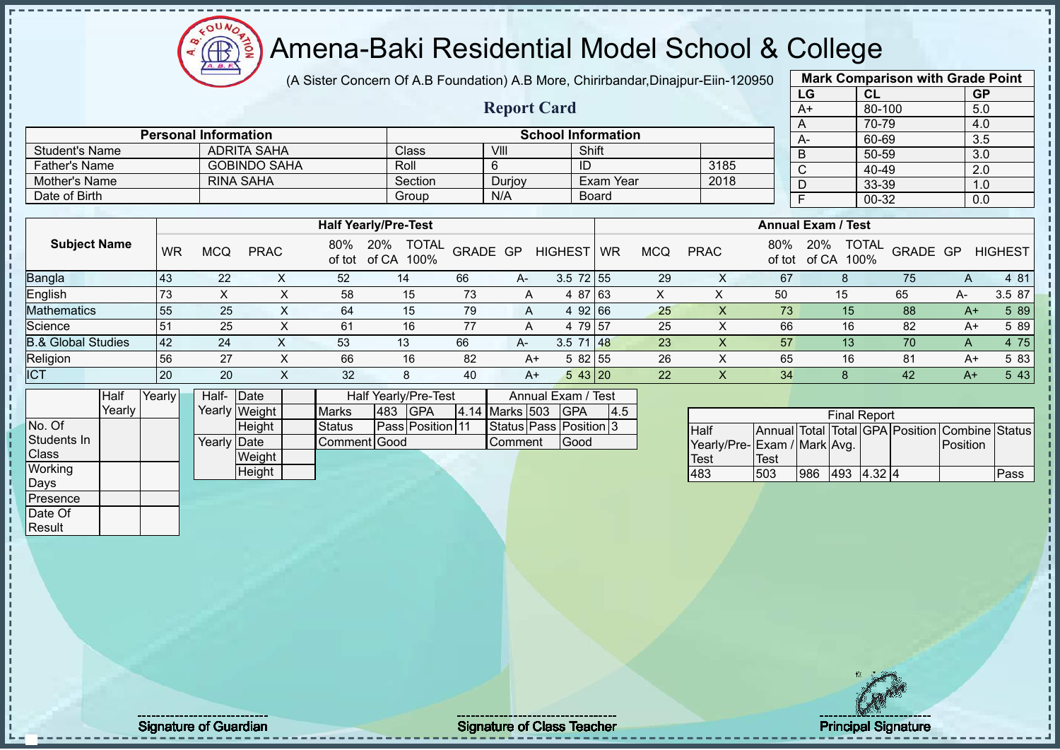# Amena-Baki Residential Model School & College

(A Sister Concern Of A.B Foundation) A.B More, Chirirbandar,Dinajpur-Eiin-120950

**Report Card**

|      | <b>Mark Comparison with Grade Point</b> |           |  |  |  |  |  |  |  |  |  |  |
|------|-----------------------------------------|-----------|--|--|--|--|--|--|--|--|--|--|
| LG   | CL                                      | <b>GP</b> |  |  |  |  |  |  |  |  |  |  |
| $A+$ | 80-100                                  | 5.0       |  |  |  |  |  |  |  |  |  |  |
| A    | 70-79                                   | 4.0       |  |  |  |  |  |  |  |  |  |  |
| А-   | 60-69                                   | 3.5       |  |  |  |  |  |  |  |  |  |  |
| B    | 50-59                                   | 3.0       |  |  |  |  |  |  |  |  |  |  |
| C    | 40-49                                   | 2.0       |  |  |  |  |  |  |  |  |  |  |
| n    | 33-39                                   | 1.0       |  |  |  |  |  |  |  |  |  |  |
| F    | 00-32                                   | 0.0       |  |  |  |  |  |  |  |  |  |  |
|      |                                         |           |  |  |  |  |  |  |  |  |  |  |

|                               |                |            |                     |               |                                      |          |        |                |           |            |             |               |                           |                      |          |      | $\ddotsc$      |
|-------------------------------|----------------|------------|---------------------|---------------|--------------------------------------|----------|--------|----------------|-----------|------------|-------------|---------------|---------------------------|----------------------|----------|------|----------------|
| Father's Name                 |                |            | <b>GOBINDO SAHA</b> |               | Roll                                 |          |        | ID             |           |            | 3185        |               | C                         | 40-49                |          |      | 2.0            |
| Mother's Name                 |                |            | <b>RINA SAHA</b>    |               | Section                              |          | Durjoy |                | Exam Year |            | 2018        |               | D                         | 33-39                |          |      | 1.0            |
| Date of Birth                 |                |            |                     |               | Group                                |          | N/A    |                | Board     |            |             |               |                           | 00-32                |          |      | 0.0            |
|                               |                |            |                     |               |                                      |          |        |                |           |            |             |               |                           |                      |          |      |                |
|                               |                |            |                     |               | <b>Half Yearly/Pre-Test</b>          |          |        |                |           |            |             |               | <b>Annual Exam / Test</b> |                      |          |      |                |
| <b>Subject Name</b>           | <b>WR</b>      | <b>MCQ</b> | <b>PRAC</b>         | 80%<br>of tot | 20%<br><b>TOTAL</b><br>100%<br>of CA | GRADE GP |        | HIGHEST        | <b>WR</b> | <b>MCQ</b> | <b>PRAC</b> | 80%<br>of tot | 20%<br>of CA              | <b>TOTAL</b><br>100% | GRADE GP |      | <b>HIGHEST</b> |
| Bangla                        | 43             | 22         | ⋏                   | 52            | 14                                   | 66       | A-     | $3.5$ 72 55    |           | 29         |             | 67            |                           |                      | 75       | A    | 4 81           |
| English                       | 73             | X          | X                   | 58            | 15                                   | 73       | A      | 4 87 63        |           | X          |             | 50            |                           | 15                   | 65       | A-   | 3.5 87         |
| <b>Mathematics</b>            | 55             | 25         | X                   | 64            | 15                                   | 79       | A      | 4 92 66        |           | 25         |             | 73            |                           | 15                   | 88       | $A+$ | 5 89           |
| Science                       | 5 <sup>1</sup> | 25         | X                   | 61            | 16                                   | 77       | A      | 4              | 79 57     | 25         |             | 66            |                           | 16                   | 82       | $A+$ | 5 89           |
| <b>B.&amp; Global Studies</b> | 42             | 24         |                     | 53            | 13                                   | 66       | A-     | $3.5$ 71 48    |           | 23         |             | 57            |                           | 13                   | 70       | A    | 4 75           |
| Religion                      | 56             | 27         |                     | 66            | 16                                   | 82       |        | $582$ 55<br>A+ |           | 26         |             | 65            |                           | 16                   | 81       | A+   | 5 83           |

| ICT          |        | 20     | 20          |               | 32            |     | Ö                       | 40 | A+                     | 543 20             |     | 22 |                              | 34   |     |                     | 42 | A+                                             | 5 4 3 |
|--------------|--------|--------|-------------|---------------|---------------|-----|-------------------------|----|------------------------|--------------------|-----|----|------------------------------|------|-----|---------------------|----|------------------------------------------------|-------|
|              | Half   | Yearly | Half-       | Date          |               |     | Half Yearly/Pre-Test    |    |                        | Annual Exam / Test |     |    |                              |      |     |                     |    |                                                |       |
|              | Yearly |        |             | Yearly Weight | <b>Marks</b>  | 483 | <b>IGPA</b>             |    | 4.14 Marks 503 GPA     |                    | 4.5 |    |                              |      |     | <b>Final Report</b> |    |                                                |       |
| No. Of       |        |        |             | Height        | <b>Status</b> |     | <b>Pass Position 11</b> |    | Status Pass Position 3 |                    |     |    | Half                         |      |     |                     |    | Annual Total Total GPA Position Combine Status |       |
| Students In  |        |        | Yearly Date |               | Comment Good  |     |                         |    | Comment                | Good               |     |    | Yearly/Pre- Exam / Mark Avg. |      |     |                     |    | Position                                       |       |
| <b>Class</b> |        |        |             | Weight        |               |     |                         |    |                        |                    |     |    | Test                         | Test |     |                     |    |                                                |       |
| Working      |        |        |             | Height        |               |     |                         |    |                        |                    |     |    | 483                          | 503  | 986 | $ 493 $ 4.32 4      |    |                                                | Pass  |
| Days         |        |        |             |               |               |     |                         |    |                        |                    |     |    |                              |      |     |                     |    |                                                |       |
| Presence     |        |        |             |               |               |     |                         |    |                        |                    |     |    |                              |      |     |                     |    |                                                |       |
| Date Of      |        |        |             |               |               |     |                         |    |                        |                    |     |    |                              |      |     |                     |    |                                                |       |

**Personal Information**<br> **ADRITA SAHA**<br> **Class Example 1** Shift **Class Example 1** Shift **Example 1** Shift

Student's Name ADRITA SAHA Class VIII VIII Shift

|                             | <b>Final Report</b><br>Annual Total Total GPA Position Combine Status |     |     |        |  |                  |      |  |  |  |  |  |  |  |  |
|-----------------------------|-----------------------------------------------------------------------|-----|-----|--------|--|------------------|------|--|--|--|--|--|--|--|--|
| <b>Half</b>                 |                                                                       |     |     |        |  |                  |      |  |  |  |  |  |  |  |  |
| Yearly/Pre-Exam / Mark Avg. |                                                                       |     |     |        |  | <b>IPosition</b> |      |  |  |  |  |  |  |  |  |
| <b>Test</b>                 | Test                                                                  |     |     |        |  |                  |      |  |  |  |  |  |  |  |  |
| 483                         | 503                                                                   | 986 | 493 | 4.32 4 |  |                  | Pass |  |  |  |  |  |  |  |  |

Result

Signature of Guardian Signature of Class Teacher Principal Signature 8/52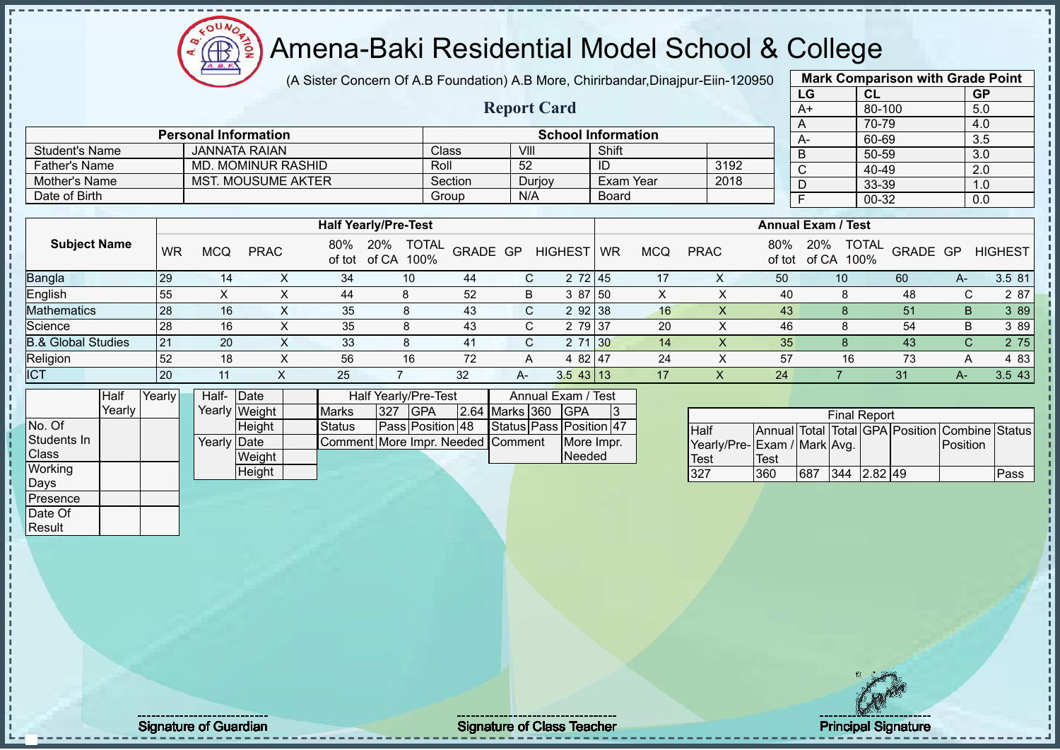# Amena-Baki Residential Model School & College

(A Sister Concern Of A.B Foundation) A.B More, Chirirbandar,Dinajpur-Eiin-120950

**Report Card**

**Personal Information School Information** 

|                | <b>Mark Comparison with Grade Point</b> |           |
|----------------|-----------------------------------------|-----------|
| LG             | <b>CL</b>                               | <b>GP</b> |
| $A+$           | 80-100                                  | 5.0       |
| A              | 70-79                                   | 4.0       |
| А-             | 60-69                                   | 3.5       |
| B              | 50-59                                   | 3.0       |
| $\overline{C}$ | 40-49                                   | 2.0       |
| D              | 33-39                                   | 1.0       |
| F              | $00 - 32$                               | 0.0       |
|                |                                         |           |

| <b>Father's Name</b><br>Mother's Name |            |             |     |                                                        |                                                     | 52                                       |          | ID                                                          |                                                    |                           |     |              |                       |                                 |                         | 2.0                            |
|---------------------------------------|------------|-------------|-----|--------------------------------------------------------|-----------------------------------------------------|------------------------------------------|----------|-------------------------------------------------------------|----------------------------------------------------|---------------------------|-----|--------------|-----------------------|---------------------------------|-------------------------|--------------------------------|
|                                       |            |             |     |                                                        |                                                     |                                          |          |                                                             |                                                    |                           |     |              |                       |                                 |                         | 1.0                            |
|                                       |            |             |     |                                                        |                                                     |                                          |          |                                                             |                                                    |                           |     |              |                       |                                 |                         | 0.0                            |
|                                       |            |             |     |                                                        |                                                     |                                          |          |                                                             |                                                    |                           |     |              |                       |                                 |                         |                                |
|                                       |            |             |     |                                                        |                                                     |                                          |          |                                                             |                                                    |                           |     |              |                       |                                 |                         |                                |
| <b>WR</b>                             | <b>MCQ</b> | <b>PRAC</b> | 80% | 20%                                                    |                                                     |                                          |          | WR                                                          | <b>MCQ</b>                                         | <b>PRAC</b>               | 80% | 20%<br>of CA | <b>TOTAL</b><br>100%  |                                 |                         | <b>HIGHEST</b>                 |
| 29                                    | 14         | $\sim$      | 34  | 10                                                     | 44                                                  |                                          |          |                                                             | 17                                                 |                           | 50  |              |                       | 60                              | A-                      | 3.5 81                         |
| 55                                    |            |             | 44  | 8                                                      | 52                                                  |                                          |          |                                                             | X                                                  |                           | 40  |              |                       | 48                              |                         | 2 87                           |
| 28                                    | 16         | $\lambda$   | 35  | 8                                                      | 43                                                  |                                          |          |                                                             | 16                                                 | X                         | 43  |              |                       | 51                              |                         | 3 8 9                          |
| 28                                    | 16         |             | 35  | 8                                                      | 43                                                  |                                          |          |                                                             | 20                                                 | x                         | 46  |              |                       | 54                              |                         | 3 8 9                          |
| 21                                    | 20         | v           | 33  | 8                                                      | 41                                                  |                                          |          |                                                             | 14                                                 | X                         | 35  |              |                       | 43                              |                         | 2 75                           |
|                                       |            |             |     | <b>MD. MOMINUR RASHID</b><br><b>MST. MOUSUME AKTER</b> | <b>Half Yearly/Pre-Test</b><br>of tot of CA<br>100% | Roll<br>Section<br>Group<br><b>TOTAL</b> | GRADE GP | Durjoy<br>N/A<br><b>HIGHEST</b><br>C.<br>B<br>C.<br>C.<br>С | 2 72 45<br>3 87 50<br>292 38<br>2 79 37<br>2 71 30 | Exam Year<br><b>Board</b> |     | 3192<br>2018 | $\sim$<br>D<br>of tot | <b>Annual Exam / Test</b><br>10 | 40-49<br>33-39<br>00-32 | GRADE GP<br>C.<br>B<br>B<br>C. |

Religion 52 18 X 56 16 72 A 4 82 47 24 X 57 16 73 A 4 83

| ICT          |        | 20     |             |               | 25                                |     |                      | 32 | A-                 | $3.5$ 43 13             |    |                             | 24   |     |                     | 31 | $A-$                                           | 3.543 |
|--------------|--------|--------|-------------|---------------|-----------------------------------|-----|----------------------|----|--------------------|-------------------------|----|-----------------------------|------|-----|---------------------|----|------------------------------------------------|-------|
|              | Half   | Yearly | Half-       | Date          |                                   |     | Half Yearly/Pre-Test |    |                    | Annual Exam / Test      |    |                             |      |     |                     |    |                                                |       |
|              | Yearly |        |             | Yearly Weight | <b>Marks</b>                      | 327 | <b>IGPA</b>          |    | 2.64 Marks 360 GPA |                         | 13 |                             |      |     | <b>Final Report</b> |    |                                                |       |
| No. Of       |        |        |             | Height        | <b>Status</b>                     |     | Pass Position 48     |    |                    | Status Pass Position 47 |    | Half                        |      |     |                     |    | Annual Total Total GPA Position Combine Status |       |
| Students In  |        |        | Yearly Date |               | Comment More Impr. Needed Comment |     |                      |    |                    | More Impr.              |    | Yearly/Pre-Exam / Mark Avg. |      |     |                     |    | Position                                       |       |
| <b>Class</b> |        |        |             | Weight        |                                   |     |                      |    |                    | Needed                  |    | Test                        | Test |     |                     |    |                                                |       |
| Working      |        |        |             | Height        |                                   |     |                      |    |                    |                         |    | 327                         | 360  | 687 | $344$ 2.82 49       |    |                                                | Pass  |
| Days         |        |        |             |               |                                   |     |                      |    |                    |                         |    |                             |      |     |                     |    |                                                |       |
| Presence     |        |        |             |               |                                   |     |                      |    |                    |                         |    |                             |      |     |                     |    |                                                |       |
| Date Of      |        |        |             |               |                                   |     |                      |    |                    |                         |    |                             |      |     |                     |    |                                                |       |

Student's Name JANNATA RAIAN Class VIII Shift

|                             | <b>Final Report</b> |     |     |           |  |                                                |      |  |  |  |  |  |  |  |  |
|-----------------------------|---------------------|-----|-----|-----------|--|------------------------------------------------|------|--|--|--|--|--|--|--|--|
| <b>Half</b>                 |                     |     |     |           |  | Annual Total Total GPA Position Combine Status |      |  |  |  |  |  |  |  |  |
| Yearly/Pre-Exam / Mark Avg. |                     |     |     |           |  | Position                                       |      |  |  |  |  |  |  |  |  |
| Test                        | <b>Test</b>         |     |     |           |  |                                                |      |  |  |  |  |  |  |  |  |
| 327                         | 360                 | 687 | 344 | $2.82$ 49 |  |                                                | Pass |  |  |  |  |  |  |  |  |

Result

Signature of Guardian Signature Signature of Class Teacher Principal Signature Principal Signature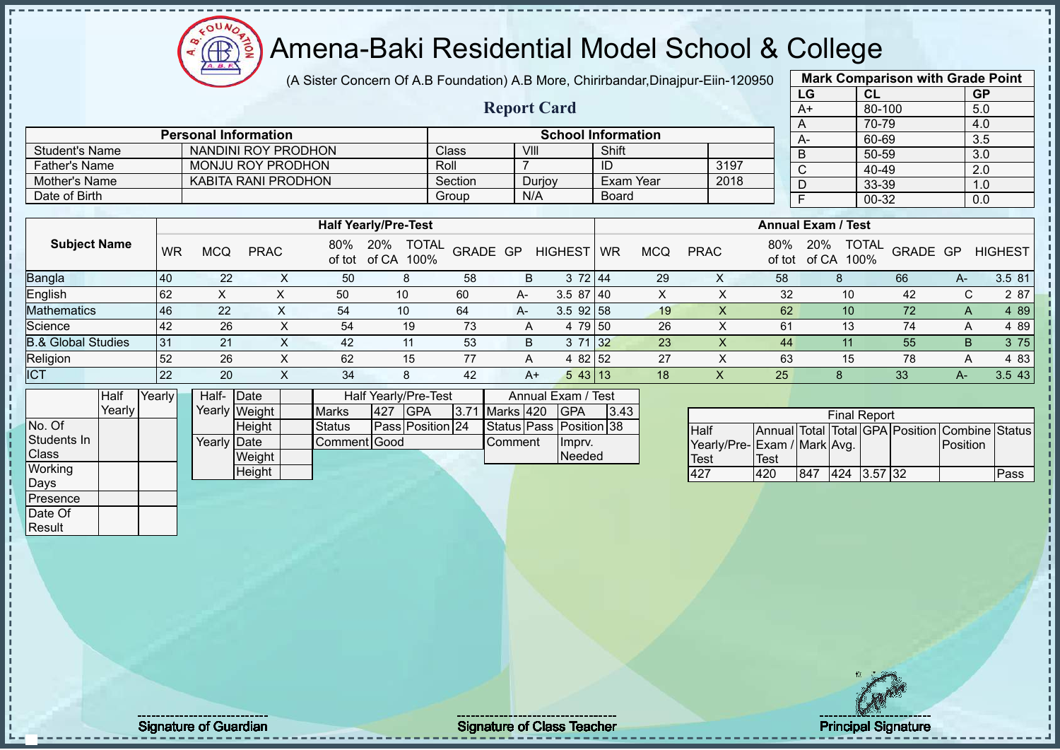$12\mu\text{V}$ **AB** 

# Amena-Baki Residential Model School & College

(A Sister Concern Of A.B Foundation) A.B More, Chirirbandar,Dinajpur-Eiin-120950

**Report Card**

|              | <b>Mark Comparison with Grade Point</b> |           |
|--------------|-----------------------------------------|-----------|
| LG           | CL                                      | <b>GP</b> |
| $A+$         | 80-100                                  | 5.0       |
| A            | 70-79                                   | 4.0       |
| A-           | 60-69                                   | 3.5       |
| B            | 50-59                                   | 3.0       |
| $\mathsf{C}$ | $40 - 49$                               | 2.0       |
| D            | 33-39                                   | 1.0       |
| F            | 00-32                                   | 0.0       |
|              |                                         |           |

|                | <b>Personal Information</b> |         |        | <b>School Information</b> |      | $A-$ |
|----------------|-----------------------------|---------|--------|---------------------------|------|------|
| Student's Name | NANDINI ROY PRODHON         | Class   | VIII   | Shift                     |      |      |
| Father's Name  | MONJU ROY PRODHON           | Roll    |        | ID                        | 3197 |      |
| Mother's Name  | KABITA RANI PRODHON         | Section | Duriov | Exam Year                 | 2018 |      |
| Date of Birth  |                             | Group   | N/A    | <b>Board</b>              |      |      |

|                               |      |     |             |     | <b>Half Yearly/Pre-Test</b>                 |          |      |                |           |            |             |               | <b>Annual Exam / Test</b> |                                  |    |                |
|-------------------------------|------|-----|-------------|-----|---------------------------------------------|----------|------|----------------|-----------|------------|-------------|---------------|---------------------------|----------------------------------|----|----------------|
| <b>Subject Name</b>           | WR   | MCQ | <b>PRAC</b> | 80% | <b>TOTAL</b><br>20%<br>of tot of CA<br>100% | GRADE GP |      | <b>HIGHEST</b> | <b>WR</b> | <b>MCQ</b> | <b>PRAC</b> | 80%<br>of tot | 20%<br>of CA              | <b>TOTAL</b><br>GRADE GP<br>100% |    | <b>HIGHEST</b> |
| Bangla                        | 40   | 22  | $\sim$      | 50  | 8                                           | 58       | В    | 3 72 44        |           | 29         | X           | 58            |                           | 66                               | A- | 3.5 81         |
| English                       | l 62 |     |             | 50  | 10                                          | 60       | $A-$ | $3.587$ 40     |           | ⌒          |             | 32            | 10                        | 42                               |    | 2 87           |
| Mathematics                   | 46   | 22  |             | 54  | 10                                          | 64       | $A-$ | $3.5$ 92 58    |           | 19         | ∧           | 62            | 10                        | 72                               | A  | 4 8 9          |
| Science                       | 42   | 26  | ∧           | 54  | 19                                          | 73       |      | 4 79 50        |           | 26         |             | 61            | 13                        | 74                               | A  | 4 8 9          |
| <b>B.&amp; Global Studies</b> | 31   | 21  | X           | 42  | 11                                          | 53       | B    | 3 71 32        |           | 23         |             | 44            |                           | 55                               | B  | 3 75           |
| Religion                      | 52   | 26  | X           | 62  | 15                                          | 77       | A    | 4 82 52        |           | 27         |             | 63            | 15                        | 78                               | A  | 4 8 3          |
| <b>ICT</b>                    | 22   | 20  | $\sim$      | 34  | 8                                           | 42       | $A+$ | 543 13         |           | 18         | Х           | 25            | 8                         | 33                               | A- | 3.543          |

|              | Half     | Yearly I | Half- Date  |               |              |     | <b>Half Yearly/Pre-Test</b> |  | Annual Exam / Test |                         |      |
|--------------|----------|----------|-------------|---------------|--------------|-----|-----------------------------|--|--------------------|-------------------------|------|
|              | Yearlv l |          |             | Yearly Weight | <b>Marks</b> | 427 | <b>IGPA</b>                 |  | 3.71 Marks 420     | <b>IGPA</b>             | 3.43 |
| No. Of       |          |          |             | <b>Height</b> | Status       |     | Pass Position 24            |  |                    | Status Pass Position 38 |      |
| Students In  |          |          | Yearly Date |               | Comment Good |     |                             |  | <b>I</b> Comment   | Impry.                  |      |
| <b>Class</b> |          |          |             | Weight        |              |     |                             |  |                    | Needed                  |      |
| Working      |          |          |             | Height        |              |     |                             |  |                    |                         |      |
| Days         |          |          |             |               |              |     |                             |  |                    |                         |      |
| Presence     |          |          |             |               |              |     |                             |  |                    |                         |      |

| <b>Final Report</b>          |      |     |             |  |  |                                                |      |  |  |  |  |  |  |  |
|------------------------------|------|-----|-------------|--|--|------------------------------------------------|------|--|--|--|--|--|--|--|
| Half                         |      |     |             |  |  | Annual Total Total GPA Position Combine Status |      |  |  |  |  |  |  |  |
| Yearly/Pre- Exam / Mark Avg. |      |     |             |  |  | <b>IPosition</b>                               |      |  |  |  |  |  |  |  |
| <b>Test</b>                  | Test |     |             |  |  |                                                |      |  |  |  |  |  |  |  |
| 427                          | 420  | 847 | 424 3.57 32 |  |  |                                                | Pass |  |  |  |  |  |  |  |

Date Of **Result**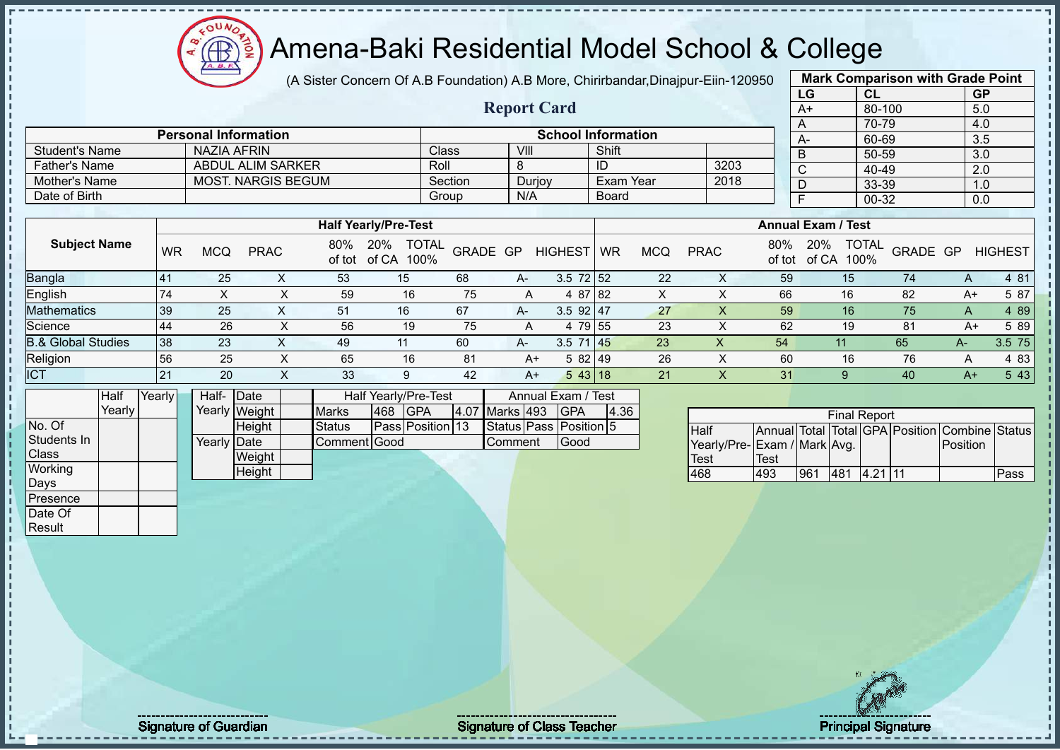Amena-Baki Residential Model School & College  $\bigoplus$ **TION** 

 $12\mu\text{V}$ 

 $\overline{A}$ .  $\overline{B}$ 

|                               |           |                             |                           |               |                                | (A Sister Concern Of A.B Foundation) A.B More, Chirirbandar, Dinajpur-Eiin-120950 |                        |                           |                 |            |                              |             |                |                                |          | <b>Mark Comparison with Grade Point</b>        |                |
|-------------------------------|-----------|-----------------------------|---------------------------|---------------|--------------------------------|-----------------------------------------------------------------------------------|------------------------|---------------------------|-----------------|------------|------------------------------|-------------|----------------|--------------------------------|----------|------------------------------------------------|----------------|
|                               |           |                             |                           |               |                                |                                                                                   |                        |                           |                 |            |                              |             | LG             | CL                             |          | GP                                             |                |
|                               |           |                             |                           |               |                                |                                                                                   | <b>Report Card</b>     |                           |                 |            |                              |             | $A+$           | 80-100                         |          | 5.0                                            |                |
|                               |           |                             |                           |               |                                |                                                                                   |                        |                           |                 |            |                              |             | $\overline{A}$ | 70-79                          |          | 4.0                                            |                |
|                               |           | <b>Personal Information</b> |                           |               |                                |                                                                                   |                        | <b>School Information</b> |                 |            |                              |             | $A-$           | 60-69                          |          | 3.5                                            |                |
| <b>Student's Name</b>         |           | <b>NAZIA AFRIN</b>          |                           |               |                                | Class                                                                             | VIII                   |                           | Shift           |            |                              |             | $\overline{B}$ | $50 - 59$                      |          | $\overline{3.0}$                               |                |
| <b>Father's Name</b>          |           |                             | <b>ABDUL ALIM SARKER</b>  |               |                                | Roll                                                                              | 8                      |                           | $\overline{ID}$ |            | 3203                         |             | $\overline{c}$ | $40 - 49$                      |          | 2.0                                            |                |
| Mother's Name                 |           |                             | <b>MOST. NARGIS BEGUM</b> |               |                                | Section                                                                           | Durjoy                 |                           | Exam Year       |            | 2018                         |             | $\overline{D}$ | 33-39                          |          | 1.0                                            |                |
| Date of Birth                 |           |                             |                           |               |                                | Group                                                                             | N/A                    |                           | <b>Board</b>    |            |                              |             | $\overline{F}$ | $00 - 32$                      |          | 0.0                                            |                |
|                               |           |                             |                           |               |                                |                                                                                   |                        |                           |                 |            |                              |             |                | <b>Annual Exam / Test</b>      |          |                                                |                |
|                               |           |                             |                           |               | <b>Half Yearly/Pre-Test</b>    |                                                                                   |                        |                           |                 |            |                              |             |                |                                |          |                                                |                |
| <b>Subject Name</b>           | <b>WR</b> | <b>MCQ</b>                  | <b>PRAC</b>               | 80%           | 20% TOTAL<br>of tot of CA 100% | GRADE GP                                                                          |                        | HIGHEST WR                |                 | <b>MCQ</b> | <b>PRAC</b>                  | 80%         |                | 20% TOTAL<br>of tot of CA 100% | GRADE GP |                                                | <b>HIGHEST</b> |
| Bangla                        | 41        | 25                          | X                         | 53            | 15                             | 68                                                                                | A-                     | $3.5 \ 72 \ 52$           |                 | 22         | X                            | 59          |                | 15                             | 74       | A                                              | 4 81           |
| English                       | 74        | $\mathsf{X}$                | $\pmb{\times}$            | 59            | 16                             | 75                                                                                | $\overline{A}$         | 4 87 82                   |                 | X          | $\pmb{\times}$               | 66          |                | 16                             | 82       | $A+$                                           | 5 87           |
| <b>Mathematics</b>            | 39        | 25                          | $\mathsf X$               | 51            | 16                             | 67                                                                                | A-                     | $3.5$ 92 47               |                 | 27         | $\mathsf X$                  | 59          |                | 16                             | 75       | A                                              | 4 8 9          |
| Science                       | 44        | 26                          | X                         | 56            | 19                             | 75                                                                                | Α                      | 4 79 55                   |                 | 23         | X                            | 62          |                | 19                             | 81       | $A+$                                           | 5 89           |
| <b>B.&amp; Global Studies</b> | 38        | 23                          | $\mathsf{X}$              | 49            | 11                             | 60                                                                                | A-                     | 3.5 71 45                 |                 | 23         | $\mathsf X$                  | 54          |                | 11                             | 65       | $A-$                                           | 3.5 75         |
| Religion                      | 56        | 25                          | $\boldsymbol{\mathsf{X}}$ | 65            | 16                             | 81                                                                                | $A+$                   | 5 82 49                   |                 | 26         | $\boldsymbol{\mathsf{X}}$    | 60          |                | 16                             | 76       | A                                              | 4 8 3          |
| <b>ICT</b>                    | 21        | 20                          | $\mathsf{X}$              | 33            | 9                              | 42                                                                                | $A+$                   | $543$ 18                  |                 | 21         | $\mathsf{X}$                 | 31          |                | $9^{\circ}$                    | 40       | $A+$                                           | 5 4 3          |
| Half                          | Yearly    | Half-Date                   |                           |               | Half Yearly/Pre-Test           |                                                                                   |                        | Annual Exam / Test        |                 |            |                              |             |                |                                |          |                                                |                |
| Yearly                        |           | Yearly Weight               |                           | <b>Marks</b>  | <b>GPA</b><br>468              |                                                                                   | 4.07 Marks 493         | <b>GPA</b>                | 4.36            |            |                              |             |                | <b>Final Report</b>            |          |                                                |                |
| No. Of                        |           |                             | Height                    | <b>Status</b> | Pass Position 13               |                                                                                   | Status Pass Position 5 |                           |                 |            | Half                         |             |                |                                |          | Annual Total Total GPA Position Combine Status |                |
| Students In                   |           | Yearly Date                 |                           | Comment Good  |                                |                                                                                   | Comment                | Good                      |                 |            | Yearly/Pre- Exam / Mark Avg. |             |                |                                |          | Position                                       |                |
| Class                         |           |                             | Weight                    |               |                                |                                                                                   |                        |                           |                 |            | Test                         | <b>Test</b> |                |                                |          |                                                |                |
| Working                       |           |                             | Height                    |               |                                |                                                                                   |                        |                           |                 |            | 468                          | 493         |                | 961 481 4.21 11                |          |                                                | Pass           |
| Days                          |           |                             |                           |               |                                |                                                                                   |                        |                           |                 |            |                              |             |                |                                |          |                                                |                |
| Presence                      |           |                             |                           |               |                                |                                                                                   |                        |                           |                 |            |                              |             |                |                                |          |                                                |                |
| Date Of                       |           |                             |                           |               |                                |                                                                                   |                        |                           |                 |            |                              |             |                |                                |          |                                                |                |
| Result                        |           |                             |                           |               |                                |                                                                                   |                        |                           |                 |            |                              |             |                |                                |          |                                                |                |
|                               |           |                             |                           |               |                                |                                                                                   |                        |                           |                 |            |                              |             |                |                                |          |                                                |                |

Signature of Guardian Signature of Class Teacher Principal Signature of Class Teacher Principal Signature 11/5<br>
Signature of Class Teacher Principal Signature 11/522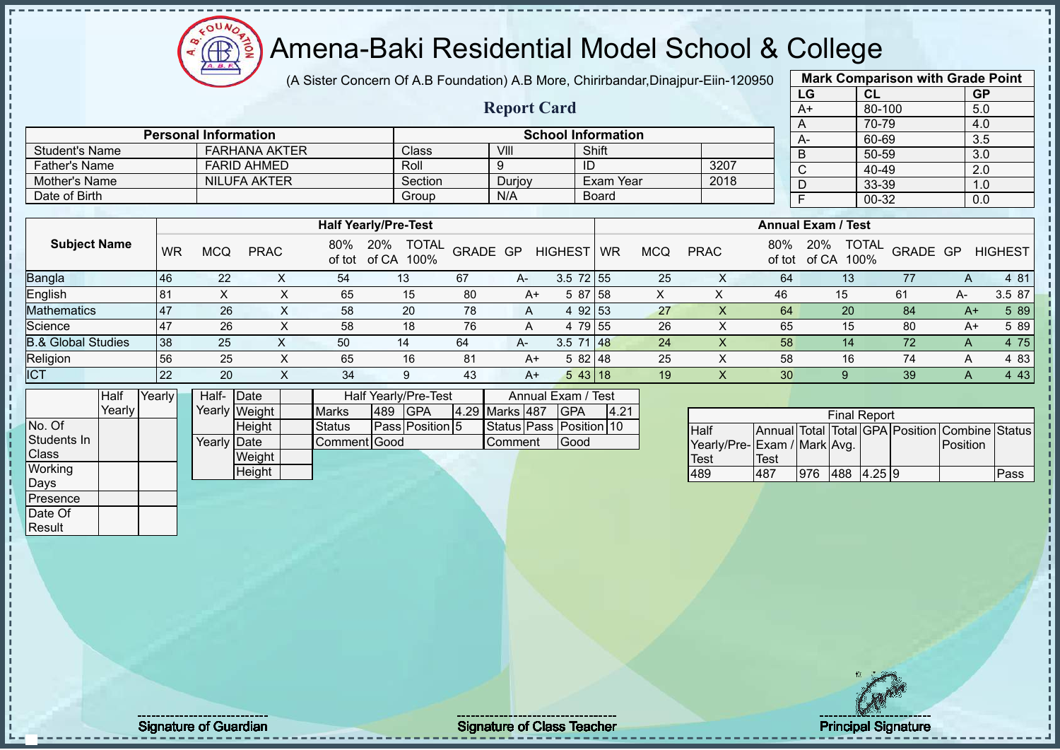# Amena-Baki Residential Model School & College

(A Sister Concern Of A.B Foundation) A.B More, Chirirbandar,Dinajpur-Eiin-120950

**Report Card**

|      | <b>Mark Comparison with Grade Point</b> |           |
|------|-----------------------------------------|-----------|
| LG   | <b>CL</b>                               | <b>GP</b> |
| $A+$ | 80-100                                  | 5.0       |
| A    | 70-79                                   | 4.0       |
| А-   | 60-69                                   | 3.5       |
| B    | 50-59                                   | 3.0       |
| C    | 40-49                                   | 2.0       |
| D    | 33-39                                   | 1.0       |
| F    | $00 - 32$                               | 0.0       |
|      |                                         |           |

|                               |           |     |                     |               |                                      |          |        |                 |           |            |             |               |                                      | 00 OO    |      | v.v            |
|-------------------------------|-----------|-----|---------------------|---------------|--------------------------------------|----------|--------|-----------------|-----------|------------|-------------|---------------|--------------------------------------|----------|------|----------------|
| <b>Father's Name</b>          |           |     | <b>FARID AHMED</b>  |               | Roll                                 |          | 9      |                 | ID        |            | 3207        |               | $\sim$                               | 40-49    |      | 2.0            |
| Mother's Name                 |           |     | <b>NILUFA AKTER</b> |               | Section                              |          | Durjoy |                 | Exam Year |            | 2018        |               | D                                    | 33-39    |      | 1.0            |
| Date of Birth                 |           |     |                     |               | Group                                |          | N/A    |                 | Board     |            |             |               |                                      | 00-32    |      | 0.0            |
|                               |           |     |                     |               |                                      |          |        |                 |           |            |             |               |                                      |          |      |                |
|                               |           |     |                     |               | <b>Half Yearly/Pre-Test</b>          |          |        |                 |           |            |             |               | <b>Annual Exam / Test</b>            |          |      |                |
| <b>Subject Name</b>           | <b>WR</b> | MCQ | <b>PRAC</b>         | 80%<br>of tot | <b>TOTAL</b><br>20%<br>of CA<br>100% | GRADE GP |        | <b>HIGHEST</b>  | <b>WR</b> | <b>MCQ</b> | <b>PRAC</b> | 80%<br>of tot | <b>TOTAL</b><br>20%<br>100%<br>of CA | GRADE GP |      | <b>HIGHEST</b> |
| Bangla                        | 46        | 22  | X                   | 54            | 13                                   | 67       | A-     | $3.5$ 72 55     |           | 25         | X.          | 64            | 13                                   | 77       | A    | 4 81           |
| English                       | 81        | X   | Y.                  | 65            | 15                                   | 80       | A+     |                 | 5 87 58   | X          | x           | 46            | 15                                   | 61       | A-   | 3.5 87         |
| <b>Mathematics</b>            | 47        | 26  | X                   | 58            | 20                                   | 78       | A      |                 | 4 92 53   | 27         | X           | 64            | 20                                   | 84       | $A+$ | 5 89           |
| Science                       | 47        | 26  | X                   | 58            | 18                                   | 76       | A      |                 | 4 79 55   | 26         | X           | 65            | 15                                   | 80       | A+   | 5 89           |
| <b>B.&amp; Global Studies</b> | 38        | 25  | ∧                   | 50            | 14                                   | 64       | A-     | $3.5 \ 71 \ 48$ |           | 24         | X           | 58            | 14                                   | 72       | A    | 4 75           |
| Religion                      | 56        | 25  | X.                  | 65            | 16                                   | 81       | $A+$   | 582 48          |           | 25         | ∧           | 58            | 16                                   | 74       | A    | 4 8 3          |
| <b>ICT</b>                    | 22        | 20  |                     | 34            | 9                                    | 43       | $A+$   |                 | 543 18    | 19         |             | 30            |                                      | 39       | A    | 4 4 3          |

|              | Half   | Yearly | Half-       | Date          |               |     | <b>Half Yearly/Pre-Test</b> |  | Annual Exam / Test |  |                         |      |
|--------------|--------|--------|-------------|---------------|---------------|-----|-----------------------------|--|--------------------|--|-------------------------|------|
|              | Yearly |        |             | Yearly Weight | <b>Marks</b>  | 489 | <b>GPA</b>                  |  | 4.29 Marks 487     |  | <b>GPA</b>              | 4.21 |
| No. Of       |        |        |             | Height        | <b>Status</b> |     | Pass Position 5             |  |                    |  | Status Pass Position 10 |      |
| Students In  |        |        | Yearly Date |               | Comment Good  |     |                             |  | <b>Comment</b>     |  | Good                    |      |
| <b>Class</b> |        |        |             | Weight        |               |     |                             |  |                    |  |                         |      |
| Working      |        |        |             | Height        |               |     |                             |  |                    |  |                         |      |
| Days         |        |        |             |               |               |     |                             |  |                    |  |                         |      |
| Presence     |        |        |             |               |               |     |                             |  |                    |  |                         |      |
| Date Of      |        |        |             |               |               |     |                             |  |                    |  |                         |      |

Student's Name **FARHANA AKTER** Class VIII Shift

**Personal Information School Information** 

| <b>Final Report</b>         |      |     |               |  |  |                                                |      |  |  |  |  |  |
|-----------------------------|------|-----|---------------|--|--|------------------------------------------------|------|--|--|--|--|--|
| Half                        |      |     |               |  |  | Annual Total Total GPA Position Combine Status |      |  |  |  |  |  |
| Yearly/Pre-Exam / Mark Avg. |      |     |               |  |  | Position                                       |      |  |  |  |  |  |
| Test                        | Test |     |               |  |  |                                                |      |  |  |  |  |  |
| 489                         | 487  | 976 | 488  4.25   9 |  |  |                                                | Pass |  |  |  |  |  |

Result

Signature of Guardian Signature of Class Teacher Principal Signature of Class Teacher Principal Signature 12/5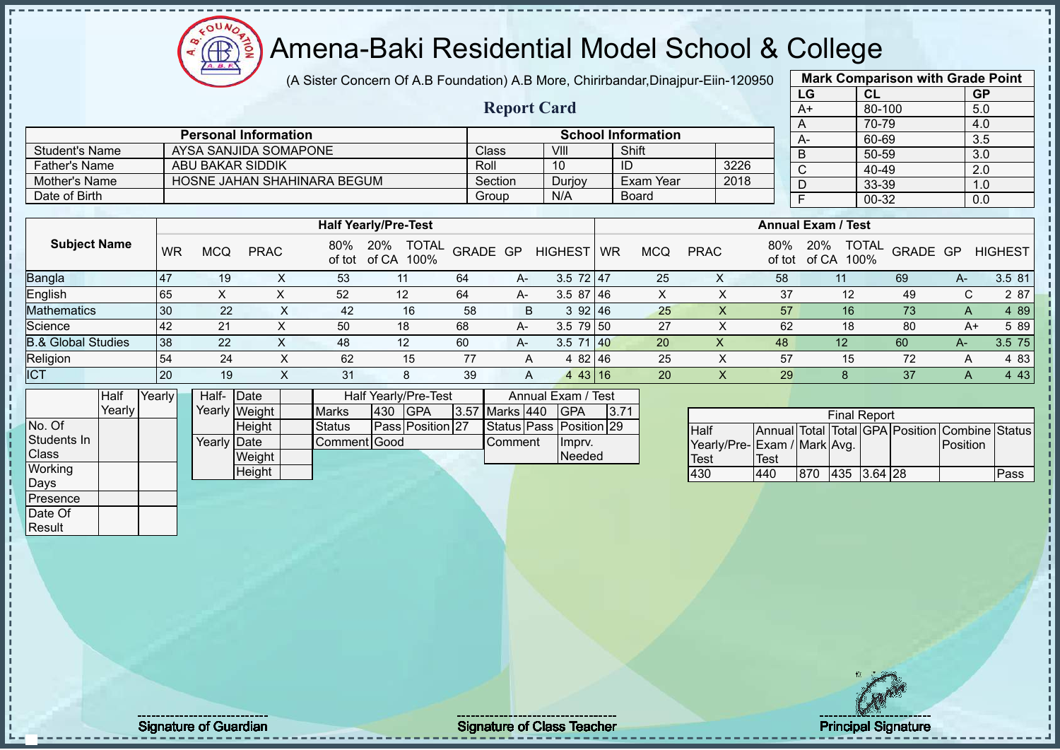(A Sister Concern Of A.B Foundation) A.B More, Chirirbandar,Dinajpur-Eiin-120950

|      | <b>Mark Comparison with Grade Point</b> |           |
|------|-----------------------------------------|-----------|
| LG   | <b>CL</b>                               | <b>GP</b> |
| $A+$ | 80-100                                  | 5.0       |
| A    | 70-79                                   | 4.0       |
| A-   | 60-69                                   | 3.5       |
| B    | 50-59                                   | 3.0       |
| C    | 40-49                                   | 2.0       |
| D    | 33-39                                   | 1.0       |
| F    | $00 - 32$                               | 0.0       |
|      |                                         |           |

|                       |                             | <b>Report Card</b> |        |                           |      | --<br>$A+$ |
|-----------------------|-----------------------------|--------------------|--------|---------------------------|------|------------|
|                       | <b>Personal Information</b> |                    |        | <b>School Information</b> |      | $A-$       |
| <b>Student's Name</b> | AYSA SANJIDA SOMAPONE       | Class              | VIII   | Shift                     |      | D          |
| <b>Father's Name</b>  | ABU BAKAR SIDDIK            | Roll               | 10     | ID                        | 3226 | $\sim$     |
| Mother's Name         | HOSNE JAHAN SHAHINARA BEGUM | Section            | Durjoy | Exam Year                 | 2018 |            |
| Date of Birth         |                             | Group              | N/A    | <b>Board</b>              |      |            |

|                               |                | <b>Half Yearly/Pre-Test</b> |             |               |                                      |          |      |                |           |     | <b>Annual Exam / Test</b> |               |                                      |          |        |                |  |  |
|-------------------------------|----------------|-----------------------------|-------------|---------------|--------------------------------------|----------|------|----------------|-----------|-----|---------------------------|---------------|--------------------------------------|----------|--------|----------------|--|--|
| <b>Subject Name</b>           | <b>WR</b>      | <b>MCQ</b>                  | <b>PRAC</b> | 80%<br>of tot | <b>TOTAL</b><br>20%<br>of CA<br>100% | GRADE GP |      | <b>HIGHEST</b> | <b>WR</b> | MCQ | <b>PRAC</b>               | 80%<br>of tot | <b>TOTAL</b><br>20%<br>of CA<br>100% | GRADE GP |        | <b>HIGHEST</b> |  |  |
| <b>Bangla</b>                 | $\overline{4}$ | 19                          |             | 53            |                                      | 64       | $A-$ | $3.5$ 72 47    |           | 25  | ∧                         | 58            |                                      | 69       | $A-$   | 3.5 81         |  |  |
| English                       | 65             | ⌒                           |             | 52            | 12 <sup>°</sup>                      | 64       | $A-$ | $3.587$ 46     |           | ∧   |                           | 37            | 12                                   | 49       | ⌒<br>U | 2 87           |  |  |
| <b>Mathematics</b>            | 30             | 22                          |             | 42            | 16                                   | 58       | B    | 392 46         |           | 25  |                           | 57            | 16                                   | 73       | А      | 4 8 9          |  |  |
| Science                       | 42             | 21                          |             | 50            | 18                                   | 68       | $A-$ | $3.5$ 79 50    |           | 27  |                           | 62            | 18                                   | 80       | A+     | 5 89           |  |  |
| <b>B.&amp; Global Studies</b> | 38             | 22                          |             | 48            | 12                                   | 60       | A-   | 3.5<br>71140   |           | 20  | X                         | 48            | 12                                   | 60       | A-     | 3.5 75         |  |  |
| Religion                      | 54             | 24                          |             | 62            | 15                                   | 77       | A    | 4 82 46        |           | 25  |                           | 57            | 15                                   | 72       | Α      | 4 8 3          |  |  |
| <b>ICT</b>                    | <b>20</b>      | 19                          |             | 31            | 8                                    | 39       | A    | 43   16<br>4   |           | 20  | ∧                         | 29            | 8                                    | 37       | Α      | 4 4 3          |  |  |

|                | Half     | Yearly | Half- Date           |               |               |     | Half Yearly/Pre-Test | Annual Exam / Test |                |  |                         |      |
|----------------|----------|--------|----------------------|---------------|---------------|-----|----------------------|--------------------|----------------|--|-------------------------|------|
|                | Yearlv l |        |                      | Yearly Weight | <b>Marks</b>  | 430 | <b>IGPA</b>          |                    | 3.57 Marks 440 |  | <b>IGPA</b>             | 3.71 |
| No. Of         |          |        |                      | <b>Height</b> | <b>Status</b> |     | Pass Position 27     |                    |                |  | Status Pass Position 29 |      |
| Students In    |          |        | Yearlv <b>I</b> Date |               | Comment Good  |     |                      |                    | Comment        |  | Imprv.                  |      |
| <b>Class</b>   |          |        |                      | Weight        |               |     |                      |                    |                |  | Needed                  |      |
| <b>Working</b> |          |        |                      | Height        |               |     |                      |                    |                |  |                         |      |
| Days           |          |        |                      |               |               |     |                      |                    |                |  |                         |      |
| Presence       |          |        |                      |               |               |     |                      |                    |                |  |                         |      |

 $12\mu\text{V}$ 

| <b>Final Report</b>         |              |     |             |  |  |                                                |      |  |  |  |  |  |
|-----------------------------|--------------|-----|-------------|--|--|------------------------------------------------|------|--|--|--|--|--|
| <b>I</b> Half               |              |     |             |  |  | Annual Total Total GPA Position Combine Status |      |  |  |  |  |  |
| Yearly/Pre-Exam / Mark Avg. |              |     |             |  |  | <b>IPosition</b>                               |      |  |  |  |  |  |
| Test                        | <b>ITest</b> |     |             |  |  |                                                |      |  |  |  |  |  |
| 430                         | 440          | 870 | 435 3.64 28 |  |  |                                                | Pass |  |  |  |  |  |

Date Of Result

Signature of Guardian Signature of Class Teacher Principal Signature of Class Teacher Principal Signature 13/5<br>
Signature of Class Teacher Principal Signature 13/522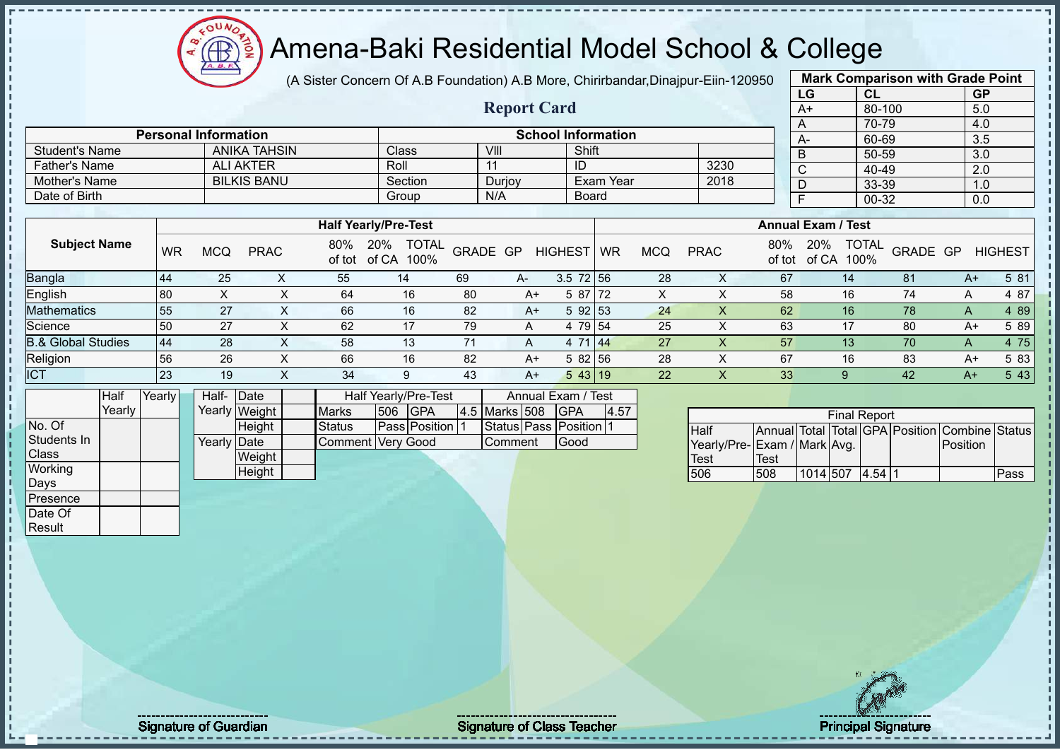

(A Sister Concern Of A.B Foundation) A.B More, Chirirbandar,Dinajpur-Eiin-120950

|      | <b>Mark Comparison with Grade Point</b> |           |
|------|-----------------------------------------|-----------|
| LG   | <b>CL</b>                               | <b>GP</b> |
| $A+$ | 80-100                                  | 5.0       |
| A    | 70-79                                   | 4.0       |
| A-   | 60-69                                   | 3.5       |
| B    | 50-59                                   | 3.0       |
| C    | 40-49                                   | 2.0       |
| D    | 33-39                                   | 1.0       |
| F    | $00 - 32$                               | 0.0       |
|      |                                         |           |

|                       |                                                          |         | <b>Report Card</b> |           |      | $A+$  | 80-100         | 5.0        |  |  |  |
|-----------------------|----------------------------------------------------------|---------|--------------------|-----------|------|-------|----------------|------------|--|--|--|
|                       |                                                          |         |                    |           |      |       | 70-79          | -4.0       |  |  |  |
|                       | <b>School Information</b><br><b>Personal Information</b> |         |                    |           |      |       |                |            |  |  |  |
| <b>Student's Name</b> | ANIKA TAHSIN<br>Shift<br>Class<br>VIII                   |         |                    |           |      |       |                |            |  |  |  |
| <b>Father's Name</b>  | <b>ALI AKTER</b>                                         | Roll    |                    | ID        | 3230 |       | 50-59<br>40-49 | 3.0<br>2.0 |  |  |  |
| Mother's Name         | <b>BILKIS BANU</b>                                       | Section | Durjoy             | Exam Year | 2018 |       | 33-39          | 1.0        |  |  |  |
| Date of Birth         |                                                          | Group   | <b>Board</b>       |           |      | 00-32 | 0.0            |            |  |  |  |

|                               |            |     |             |               | <b>Half Yearly/Pre-Test</b>          |          |      |                | <b>Annual Exam / Test</b> |            |             |               |                                      |          |      |                |
|-------------------------------|------------|-----|-------------|---------------|--------------------------------------|----------|------|----------------|---------------------------|------------|-------------|---------------|--------------------------------------|----------|------|----------------|
| <b>Subject Name</b>           | <b>WR</b>  | MCQ | <b>PRAC</b> | 80%<br>of tot | <b>TOTAL</b><br>20%<br>100%<br>of CA | GRADE GP |      | <b>HIGHEST</b> | <b>WR</b>                 | <b>MCQ</b> | <b>PRAC</b> | 80%<br>of tot | <b>TOTAL</b><br>20%<br>100%<br>of CA | GRADE GP |      | <b>HIGHEST</b> |
| <b>Bangla</b>                 | 44         | 25  |             | 55            | 14                                   | 69       | A-   | $3.5$ 72 56    |                           | 28         |             | 67            | 14                                   | 81       | $A+$ | 5 81           |
| <b>English</b>                | 80         |     |             | 64            | 16                                   | 80       | A+   | 5 87 72        |                           |            |             | 58            | 16                                   | 74       |      | 4 87           |
| <b>Mathematics</b>            | 55         | 27  |             | 66            | 16                                   | 82       | $A+$ | 5 92 53        |                           | 24         |             | 62            | 16                                   | 78       | A    | 4 8 9          |
| Science                       | 50         | 27  |             | 62            | 17                                   | 79       | A    | 4 79 54        |                           | 25         |             | 63            |                                      | 80       | $A+$ | 5 89           |
| <b>B.&amp; Global Studies</b> | $\vert 44$ | 28  |             | 58            | 13                                   |          | A    | 4 71           | 1 144                     | 27         |             | 57            | 13                                   | 70       |      | 4 75           |
| Religion                      | 56         | 26  |             | 66            | 16                                   | 82       | A+   | 5 82 56        |                           | 28         |             | 67            | 16                                   | 83       | A+   | 5 83           |
| <b>ICT</b>                    | <b>23</b>  | 19  | ↗           | 34            | 9                                    | 43       | $A+$ | 543 19         |                           | 22         |             | 33            |                                      | 42       | $A+$ | 543            |

|                | Half   | Yearly | Half- Date  |               |                          | Half Yearly/Pre-Test |                 | Annual Exam / Test |                      |      |
|----------------|--------|--------|-------------|---------------|--------------------------|----------------------|-----------------|--------------------|----------------------|------|
|                | Yearly |        |             | Yearly Weight | <b>Marks</b>             | 506 GPA              |                 | 4.5 Marks 508      | <b>IGPA</b>          | 4.57 |
| No. Of         |        |        |             | <b>Height</b> | Status                   |                      | Pass Position 1 |                    | Status Pass Position |      |
| Students In    |        |        | Yearly Date |               | <b>Comment Very Good</b> |                      |                 | Comment            | Good                 |      |
| <b>I</b> Class |        |        |             | Weight        |                          |                      |                 |                    |                      |      |
| Working        |        |        |             | Height        |                          |                      |                 |                    |                      |      |
| Days           |        |        |             |               |                          |                      |                 |                    |                      |      |
| Presence       |        |        |             |               |                          |                      |                 |                    |                      |      |

| <b>Final Report</b>         |      |          |  |         |  |                                                |      |  |  |  |  |  |  |
|-----------------------------|------|----------|--|---------|--|------------------------------------------------|------|--|--|--|--|--|--|
| Half                        |      |          |  |         |  | Annual Total Total GPA Position Combine Status |      |  |  |  |  |  |  |
| Yearly/Pre-Exam / Mark Avg. |      |          |  |         |  | <b>Position</b>                                |      |  |  |  |  |  |  |
| <b>Test</b>                 | Test |          |  |         |  |                                                |      |  |  |  |  |  |  |
| 506                         | 508  | 1014 507 |  | 14.5411 |  |                                                | Pass |  |  |  |  |  |  |

Date Of **Result** 

Signature of Guardian Signature of Class Teacher Principal Signature of Class Teacher Principal Signature 14/5<br>Signature 14/522 and Signature 14/52 and Signature 14/52 and Signature 14/52 and Signature 14/52 and Signature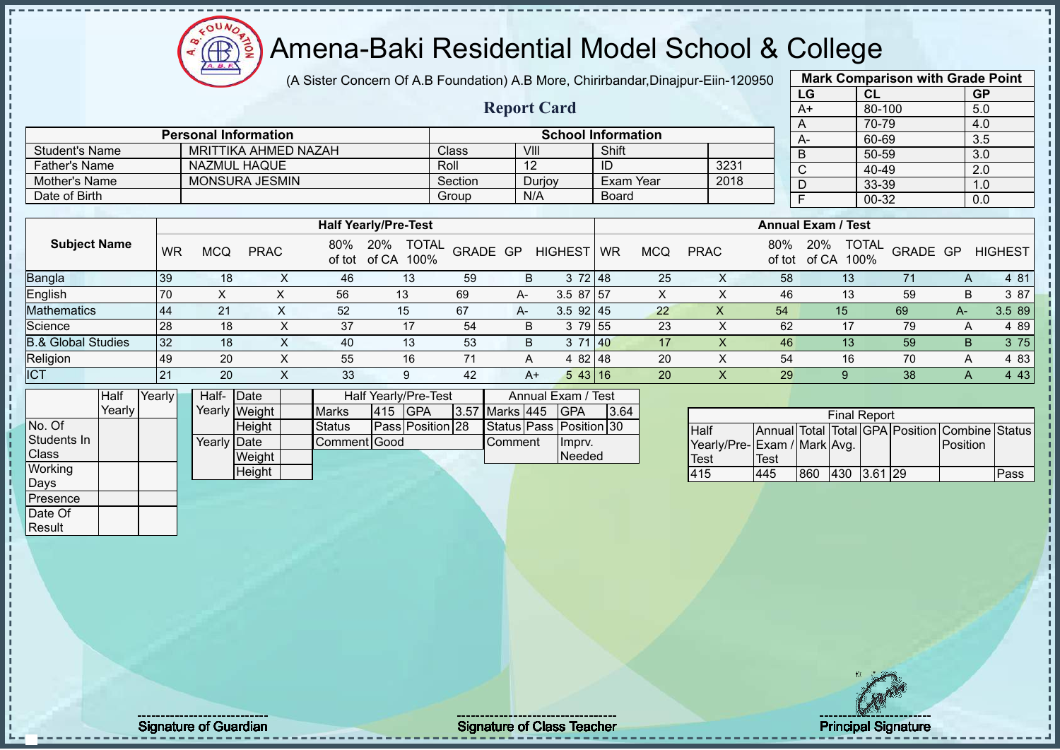(A Sister Concern Of A.B Foundation) A.B More, Chirirbandar,Dinajpur-Eiin-120950 **Mark Comparison with Grade Point**

 $12\mu\text{V}$ 

Æ

|                                       |           |                             |                                              |                |               |                                    |                 |                         |                           |              |                  | $\mu$ , Older Conochi Ci A.D i canadaoni A.D iviore, Onlinibanda, Dinajpar Ellir izocoo |             |                         |                                   |                                                |                  |                |
|---------------------------------------|-----------|-----------------------------|----------------------------------------------|----------------|---------------|------------------------------------|-----------------|-------------------------|---------------------------|--------------|------------------|-----------------------------------------------------------------------------------------|-------------|-------------------------|-----------------------------------|------------------------------------------------|------------------|----------------|
|                                       |           |                             |                                              |                |               |                                    |                 |                         |                           |              |                  |                                                                                         |             | LG                      | CL                                |                                                | GP               |                |
|                                       |           |                             |                                              |                |               |                                    |                 | <b>Report Card</b>      |                           |              |                  |                                                                                         |             | $A+$                    |                                   | 80-100                                         | 5.0              |                |
|                                       |           |                             |                                              |                |               |                                    |                 |                         |                           |              |                  |                                                                                         |             | A                       | 70-79                             |                                                | 4.0              |                |
|                                       |           | <b>Personal Information</b> | <b>MRITTIKA AHMED NAZAH</b>                  |                |               |                                    |                 | VIII                    | <b>School Information</b> | Shift        |                  |                                                                                         |             | $A -$                   | 60-69                             |                                                | 3.5              |                |
| <b>Student's Name</b>                 |           |                             |                                              |                |               |                                    | Class           |                         |                           |              |                  |                                                                                         |             | $\overline{B}$          | $50 - 59$                         |                                                | $\overline{3.0}$ |                |
| <b>Father's Name</b><br>Mother's Name |           |                             | <b>NAZMUL HAQUE</b><br><b>MONSURA JESMIN</b> |                |               |                                    | Roll<br>Section | 12                      |                           | ID           | <b>Exam Year</b> | 3231<br>2018                                                                            |             | $\overline{\mathsf{C}}$ | 40-49                             |                                                | 2.0              |                |
|                                       |           |                             |                                              |                |               |                                    |                 | N/A                     | Durjoy                    |              |                  |                                                                                         |             | D                       | 33-39                             |                                                | 1.0              |                |
| Date of Birth                         |           |                             |                                              |                |               |                                    | Group           |                         |                           | <b>Board</b> |                  |                                                                                         |             | $\overline{F}$          | 00-32                             |                                                | 0.0              |                |
|                                       |           |                             |                                              |                |               | <b>Half Yearly/Pre-Test</b>        |                 |                         |                           |              |                  |                                                                                         |             |                         | <b>Annual Exam / Test</b>         |                                                |                  |                |
|                                       |           |                             |                                              |                |               |                                    |                 |                         |                           |              |                  |                                                                                         |             |                         |                                   |                                                |                  |                |
| <b>Subject Name</b>                   | <b>WR</b> | <b>MCQ</b>                  | <b>PRAC</b>                                  |                |               | 80% 20% TOTAL<br>of tot of CA 100% |                 | GRADE GP                | <b>HIGHEST</b>            | <b>WR</b>    | <b>MCQ</b>       | <b>PRAC</b>                                                                             | 80%         | 20%                     | <b>TOTAL</b><br>of tot of CA 100% | GRADE GP                                       |                  | <b>HIGHEST</b> |
| Bangla                                | 39        | 18                          |                                              | X              | 46            | 13                                 | 59              | B                       | 372   48                  |              | 25               | X                                                                                       | 58          |                         | 13                                | 71                                             | A                | 4 81           |
| English                               | 70        | X                           |                                              | $\pmb{\times}$ | 56            | 13                                 | 69              | A-                      | $3.587$ 57                |              | X                | $\pmb{\times}$                                                                          | 46          |                         | 13                                | 59                                             | B                | 3 87           |
| <b>Mathematics</b>                    | 44        | 21                          |                                              | X              | 52            | 15                                 | 67              | A-                      | $3.5$ 92 45               |              | 22               | $\pmb{\mathsf{X}}$                                                                      | 54          |                         | 15                                | 69                                             | $A-$             | 3.5 89         |
| Science                               | 28        | 18                          |                                              | $\mathsf X$    | 37            | 17                                 | 54              | B                       | 3 79 55                   |              | 23               | $\times$                                                                                | 62          |                         | 17                                | 79                                             | Α                | 4 8 9          |
| <b>B.&amp; Global Studies</b>         | 32        | 18                          |                                              | X              | 40            | 13                                 | 53              | B                       | 3 71 40                   |              | 17               | $\boldsymbol{\mathsf{X}}$                                                               | 46          |                         | 13                                | 59                                             | B                | 3 75           |
| Religion                              | 49        | 20                          |                                              | X              | 55            | 16                                 | 71              | A                       | 4 82 48                   |              | 20               | X                                                                                       | 54          |                         | 16                                | 70                                             | A                | 4 8 3          |
| <b>ICT</b>                            | 21        | 20                          |                                              | $\mathsf{X}$   | 33            | 9                                  | 42              | $A+$                    | 5 43 16                   |              | 20               | $\mathsf X$                                                                             | 29          |                         | 9                                 | 38                                             | A                | 4 4 3          |
| Half                                  | Yearly    |                             | Half- Date                                   |                |               | Half Yearly/Pre-Test               |                 |                         | Annual Exam / Test        |              |                  |                                                                                         |             |                         |                                   |                                                |                  |                |
| Yearly                                |           |                             | Yearly Weight                                |                | <b>Marks</b>  | 415 GPA                            |                 | 3.57 Marks 445          | <b>GPA</b>                | 3.64         |                  |                                                                                         |             |                         | <b>Final Report</b>               |                                                |                  |                |
| No. Of                                |           |                             | Height                                       |                | <b>Status</b> | Pass Position 28                   |                 | Status Pass Position 30 |                           |              |                  | Half                                                                                    |             |                         |                                   | Annual Total Total GPA Position Combine Status |                  |                |
| Students In                           |           |                             | Yearly Date                                  |                | Comment Good  |                                    |                 | Comment                 | Imprv.                    |              |                  | Yearly/Pre-Exam / Mark Avg.                                                             |             |                         |                                   |                                                | Position         |                |
| Class                                 |           |                             | Weight                                       |                |               |                                    |                 |                         | Needed                    |              |                  | <b>Test</b>                                                                             | <b>Test</b> |                         |                                   |                                                |                  |                |
| Working                               |           |                             | Height                                       |                |               |                                    |                 |                         |                           |              |                  | 415                                                                                     | 445         |                         | 860 430 3.61 29                   |                                                |                  | Pass           |
| Days                                  |           |                             |                                              |                |               |                                    |                 |                         |                           |              |                  |                                                                                         |             |                         |                                   |                                                |                  |                |
| Presence                              |           |                             |                                              |                |               |                                    |                 |                         |                           |              |                  |                                                                                         |             |                         |                                   |                                                |                  |                |
| Date Of                               |           |                             |                                              |                |               |                                    |                 |                         |                           |              |                  |                                                                                         |             |                         |                                   |                                                |                  |                |
| Result                                |           |                             |                                              |                |               |                                    |                 |                         |                           |              |                  |                                                                                         |             |                         |                                   |                                                |                  |                |
|                                       |           |                             |                                              |                |               |                                    |                 |                         |                           |              |                  |                                                                                         |             |                         |                                   |                                                |                  |                |
|                                       |           |                             |                                              |                |               |                                    |                 |                         |                           |              |                  |                                                                                         |             |                         |                                   |                                                |                  |                |
|                                       |           |                             |                                              |                |               |                                    |                 |                         |                           |              |                  |                                                                                         |             |                         |                                   |                                                |                  |                |

Signature of Guardian Signature of Class Teacher Principal Signature of Class Teacher Principal Signature 15/5<br>
Signature of Class Teacher Principal Signature 15/522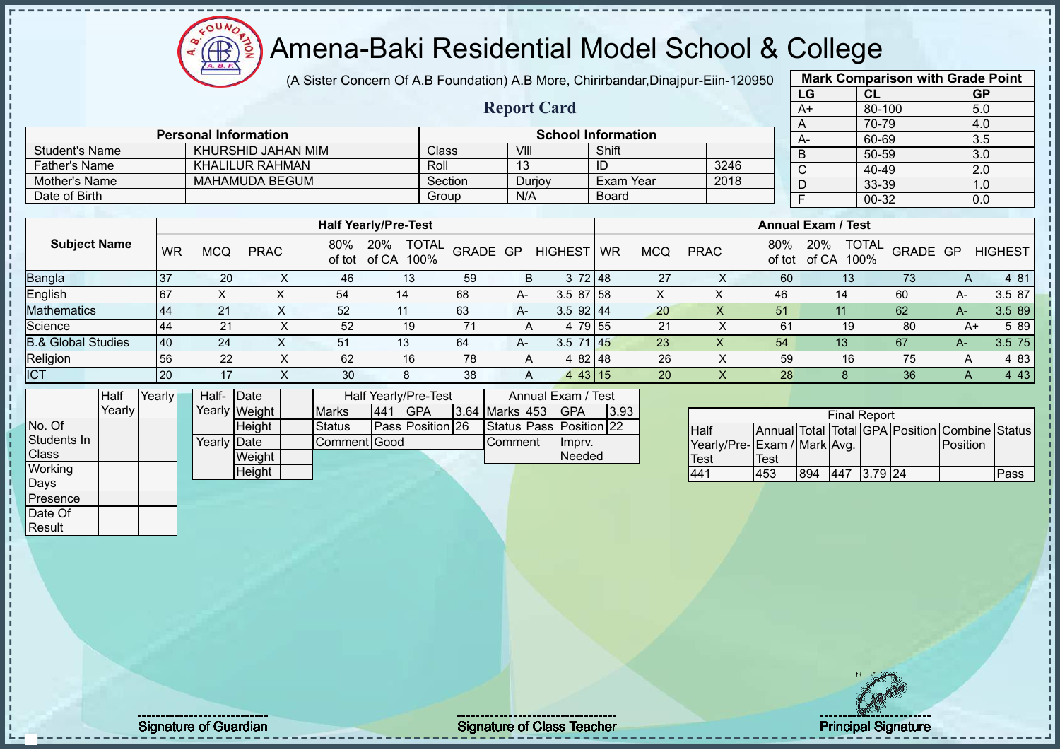$12\mu\text{V}$ 

 $\sqrt{\frac{2}{\pi}}$ 

|                                |        |           | $\equiv$    |                             | (A Sister Concern Of A.B Foundation) A.B More, Chirirbandar, Dinajpur-Eiin-120950 |                                      |          |                    |                                             |              |            |                                                    |               |                           |                      | <b>Mark Comparison with Grade Point</b>        |           |                |
|--------------------------------|--------|-----------|-------------|-----------------------------|-----------------------------------------------------------------------------------|--------------------------------------|----------|--------------------|---------------------------------------------|--------------|------------|----------------------------------------------------|---------------|---------------------------|----------------------|------------------------------------------------|-----------|----------------|
|                                |        |           |             |                             |                                                                                   |                                      |          |                    |                                             |              |            |                                                    |               | LG                        | CL                   |                                                | <b>GP</b> |                |
|                                |        |           |             |                             |                                                                                   |                                      |          | <b>Report Card</b> |                                             |              |            |                                                    |               | $A+$                      | 80-100               |                                                | 5.0       |                |
|                                |        |           |             |                             |                                                                                   |                                      |          |                    |                                             |              |            |                                                    |               | A                         | 70-79                |                                                | 4.0       |                |
|                                |        |           |             | <b>Personal Information</b> |                                                                                   |                                      |          |                    | <b>School Information</b>                   |              |            |                                                    |               | A-                        | 60-69                |                                                | 3.5       |                |
| <b>Student's Name</b>          |        |           |             | KHURSHID JAHAN MIM          |                                                                                   |                                      | Class    | VIII               |                                             | Shift        |            |                                                    |               | $\overline{B}$            | $50 - 59$            |                                                | 3.0       |                |
| <b>Father's Name</b>           |        |           |             | <b>KHALILUR RAHMAN</b>      |                                                                                   |                                      | Roll     | 13                 |                                             | ID           |            | 3246                                               |               | $\mathsf{C}$              | 40-49                |                                                | 2.0       |                |
| <b>Mother's Name</b>           |        |           |             | <b>MAHAMUDA BEGUM</b>       |                                                                                   |                                      | Section  | Durjoy             |                                             | Exam Year    |            | 2018                                               |               | D                         | 33-39                |                                                | 1.0       |                |
| Date of Birth                  |        |           |             |                             |                                                                                   |                                      | Group    | N/A                |                                             | <b>Board</b> |            |                                                    |               | $\overline{F}$            | 00-32                |                                                | 0.0       |                |
|                                |        |           |             |                             |                                                                                   |                                      |          |                    |                                             |              |            |                                                    |               |                           |                      |                                                |           |                |
|                                |        |           |             |                             |                                                                                   | <b>Half Yearly/Pre-Test</b>          |          |                    |                                             |              |            |                                                    |               | <b>Annual Exam / Test</b> |                      |                                                |           |                |
| <b>Subject Name</b>            |        | <b>WR</b> | <b>MCQ</b>  | <b>PRAC</b>                 | of tot                                                                            | 20%<br><b>TOTAL</b><br>of CA<br>100% | GRADE GP |                    | <b>HIGHEST</b>                              | WR           | <b>MCQ</b> | <b>PRAC</b>                                        | 80%<br>of tot | 20%<br>of CA              | <b>TOTAL</b><br>100% | GRADE GP                                       |           | <b>HIGHEST</b> |
| Bangla                         |        | 37        | 20          | X                           | 46                                                                                | 13                                   | 59       | B                  | 3 72 48                                     |              | 27         | X                                                  | 60            |                           | 13                   | 73                                             | A         | 4 81           |
| English                        |        | 67        | X           | X                           | 54                                                                                | 14                                   | 68       | A-                 | $3.587$ 58                                  |              | X          | X                                                  | 46            | 14                        |                      | 60                                             | A-        | 3.5 87         |
| Mathematics                    |        | 44        | 21          | X                           | 52                                                                                | 11                                   | 63       | A-                 | 3.5 92 44                                   |              | 20         | $\overline{\mathsf{X}}$                            | 51            | 11                        |                      | 62                                             | $A-$      | 3.5 89         |
| Science                        |        | 44        | 21          | X                           | 52                                                                                | 19                                   | 71       | A                  | 4 79 55                                     |              | 21         | X                                                  | 61            |                           | 19                   | 80                                             | $A+$      | 5 89           |
| <b>B.&amp; Global Studies</b>  |        | 40        | 24          | X                           | 51                                                                                | 13                                   | 64       | A-                 | $3.5$ 71 45                                 |              | 23         | $\mathsf{X}$                                       | 54            | 13                        |                      | 67                                             | $A-$      | 3.5 75         |
| Religion                       |        | 56        | 22          | X                           | 62                                                                                | 16                                   | 78       | A                  | 4 82 48                                     |              | 26         | X                                                  | 59            |                           | 16                   | 75                                             | Α         | 4 8 3          |
| <b>ICT</b>                     |        | 20        | 17          | $\mathsf{X}$                | 30                                                                                | 8                                    | 38       | Α                  | 443 15                                      |              | 20         | X                                                  | 28            |                           | 8                    | 36                                             | A         | 4 4 3          |
|                                | Half   | Yearly    | Half-Date   |                             |                                                                                   | Half Yearly/Pre-Test                 |          |                    | Annual Exam / Test                          |              |            |                                                    |               |                           |                      |                                                |           |                |
|                                | Yearly |           |             | Yearly Weight               | <b>Marks</b>                                                                      | 441<br><b>GPA</b>                    |          | 3.64 Marks 453     | <b>GPA</b>                                  | 3.93         |            |                                                    |               |                           | <b>Final Report</b>  |                                                |           |                |
| No. Of<br>Students In<br>Class |        |           | Yearly Date | Height<br>Weight            | <b>Status</b>                                                                     | Pass Position 26<br>Comment Good     |          | Comment            | Status Pass Position 22<br>Imprv.<br>Needed |              |            | <b>Half</b><br>Yearly/Pre-Exam / Mark Avg.<br>Test | Test          |                           |                      | Annual Total Total GPA Position Combine Status | Position  |                |
| Working                        |        |           |             | <b>Height</b>               |                                                                                   |                                      |          |                    |                                             |              |            | 441                                                | 453           | 894                       | 447 3.79 24          |                                                |           | Pass           |
| Days<br>Presence               |        |           |             |                             |                                                                                   |                                      |          |                    |                                             |              |            |                                                    |               |                           |                      |                                                |           |                |
| Date Of<br>Result              |        |           |             |                             |                                                                                   |                                      |          |                    |                                             |              |            |                                                    |               |                           |                      |                                                |           |                |

Signature of Guardian Signature of Class Teacher Principal Signature of Class Teacher Principal Signature 16/5<br>
Signature of Class Teacher Principal Signature 16/522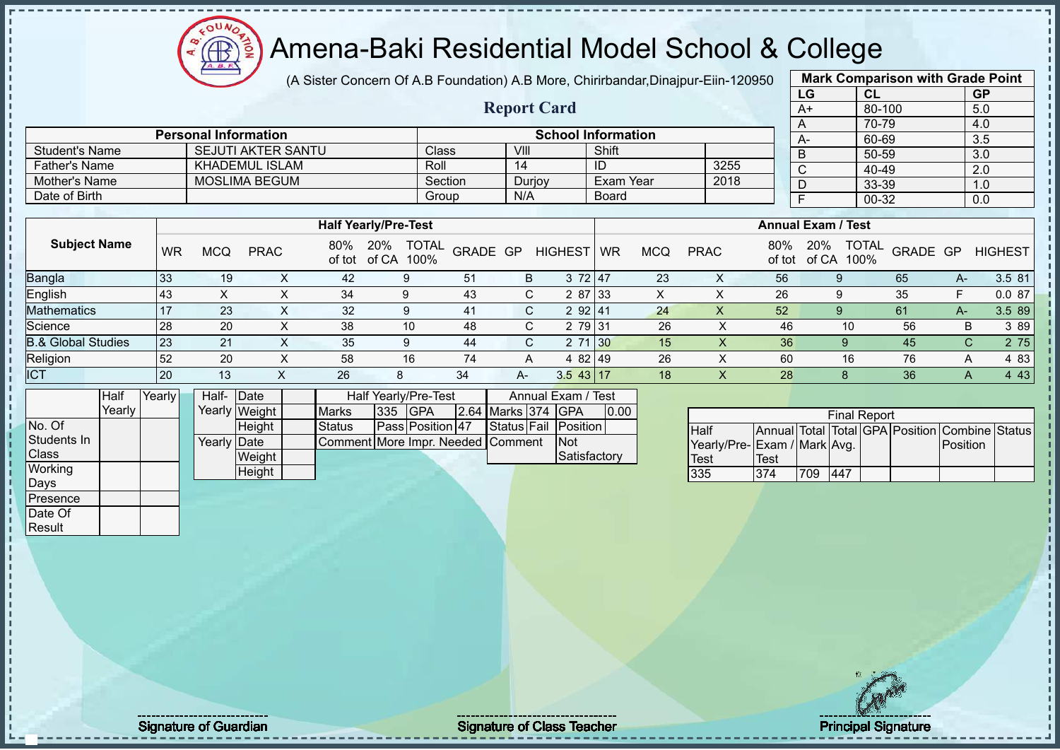(A Sister Concern Of A.B Foundation) A.B More, Chirirbandar,Dinajpur-Eiin-120950

**Report Card**

|      | <b>Mark Comparison with Grade Point</b> |           |
|------|-----------------------------------------|-----------|
| LG   | <b>CL</b>                               | <b>GP</b> |
| $A+$ | 80-100                                  | 5.0       |
| A    | 70-79                                   | 4.0       |
| А-   | 60-69                                   | 3.5       |
| B    | 50-59                                   | 3.0       |
| C    | 40-49                                   | 2.0       |
|      | 33-39                                   | 1.0       |
| F    | 00-32                                   | 0.0       |
|      |                                         |           |

|                       | <b>Personal Information</b> |              |        | <b>School Information</b> |      | A- |
|-----------------------|-----------------------------|--------------|--------|---------------------------|------|----|
| <b>Student's Name</b> | <b>SEJUTI AKTER SANTU</b>   | <b>Class</b> | VIII   | Shift                     |      |    |
| <b>Father's Name</b>  | KHADEMUL ISLAM              | Roll         | 14     | ID                        | 3255 | ◡  |
| Mother's Name         | <b>MOSLIMA BEGUM</b>        | Section      | Durjoy | Exam Year                 | 2018 |    |
| Date of Birth         |                             | Group        | N/A    | <b>Board</b>              |      |    |

|                               |           |            |             |               | <b>Half Yearly/Pre-Test</b>          |          |    |                |           |            |             |     | <b>Annual Exam / Test</b>   |                       |    |                |
|-------------------------------|-----------|------------|-------------|---------------|--------------------------------------|----------|----|----------------|-----------|------------|-------------|-----|-----------------------------|-----------------------|----|----------------|
| <b>Subject Name</b>           | <b>WR</b> | <b>MCQ</b> | <b>PRAC</b> | 80%<br>of tot | <b>TOTAL</b><br>20%<br>100%<br>of CA | GRADE GP |    | <b>HIGHEST</b> | <b>WR</b> | <b>MCQ</b> | <b>PRAC</b> | 80% | 20%<br>100%<br>of tot of CA | <b>TOTAL GRADE GP</b> |    | <b>HIGHEST</b> |
| Bangla                        | 33        | 19         |             | 42            |                                      | -51      | B  | 3 72 47        |           | 23         | ∧           | 56  |                             | 65                    | A- | 3.5 81         |
| English                       | 43        |            |             | 34            | 9                                    | 43       |    | 2 87 33<br>C.  |           |            | ∧           | 26  |                             | 35                    |    | 0.087          |
| <b>Mathematics</b>            | 17        | 23         | $\sim$      | 32            | 9                                    | 41       |    | 2 92 41<br>C.  |           | 24         | х           | 52  |                             | 61                    | A- | 3.5 89         |
| Science                       | 28        | 20         | х           | 38            | 10                                   | 48       |    | 2 79 31<br>C.  |           | 26         |             | 46  | 10                          | 56                    | В  | 3 8 9          |
| <b>3.&amp; Global Studies</b> | 123       | 21         |             | 35            | g                                    | 44       |    | 2 71 30<br>C.  |           | 15         |             | 36  | Q                           | 45                    |    | 2 75<br>C.     |
| Religion                      | 52        | 20         |             | 58            | 16                                   | 74       | A  | 4 82 49        |           | 26         |             | 60  | 16                          | 76                    | А  | 4 83           |
| <b>ICT</b>                    | <b>20</b> | 13         |             | 26            |                                      | 34       | A- | $3.5$ 43 17    |           | 18         |             | 28  |                             | 36                    | A  | 4 4 3          |

|              | Half   | Yearly | Half- Date  |               |                                   |         | Half Yearly/Pre-Test |                    | Annual Exam / Test   |      |
|--------------|--------|--------|-------------|---------------|-----------------------------------|---------|----------------------|--------------------|----------------------|------|
|              | Yearly |        |             | Yearly Weight | <b>Marks</b>                      | 335 GPA |                      | 2.64 Marks 374 GPA |                      | 0.00 |
| No. Of       |        |        |             | <b>Height</b> | Status                            |         | Pass Position 47     |                    | Status Fail Position |      |
| Students In  |        |        | Yearly Date |               | Comment More Impr. Needed Comment |         |                      |                    | <b>INot</b>          |      |
| <b>Class</b> |        |        |             | Weight        |                                   |         |                      |                    | Satisfactory         |      |
| Working      |        |        |             | Height        |                                   |         |                      |                    |                      |      |
| Days         |        |        |             |               |                                   |         |                      |                    |                      |      |
| Presence     |        |        |             |               |                                   |         |                      |                    |                      |      |

 $12\mu\text{V}$ 

| <b>Final Report</b>          |      |     |     |  |  |                                                |  |  |  |  |  |  |  |
|------------------------------|------|-----|-----|--|--|------------------------------------------------|--|--|--|--|--|--|--|
| Half                         |      |     |     |  |  | Annual Total Total GPA Position Combine Status |  |  |  |  |  |  |  |
| Yearly/Pre- Exam / Mark Avg. |      |     |     |  |  | Position                                       |  |  |  |  |  |  |  |
| Test                         | Test |     |     |  |  |                                                |  |  |  |  |  |  |  |
| 335                          | 374  | 709 | 447 |  |  |                                                |  |  |  |  |  |  |  |

Date Of **Result** 

Signature of Guardian Signature of Class Teacher Principal Signature of Class Teacher Principal Signature 17/5<br>
Signature of Class Teacher Principal Signature 17/522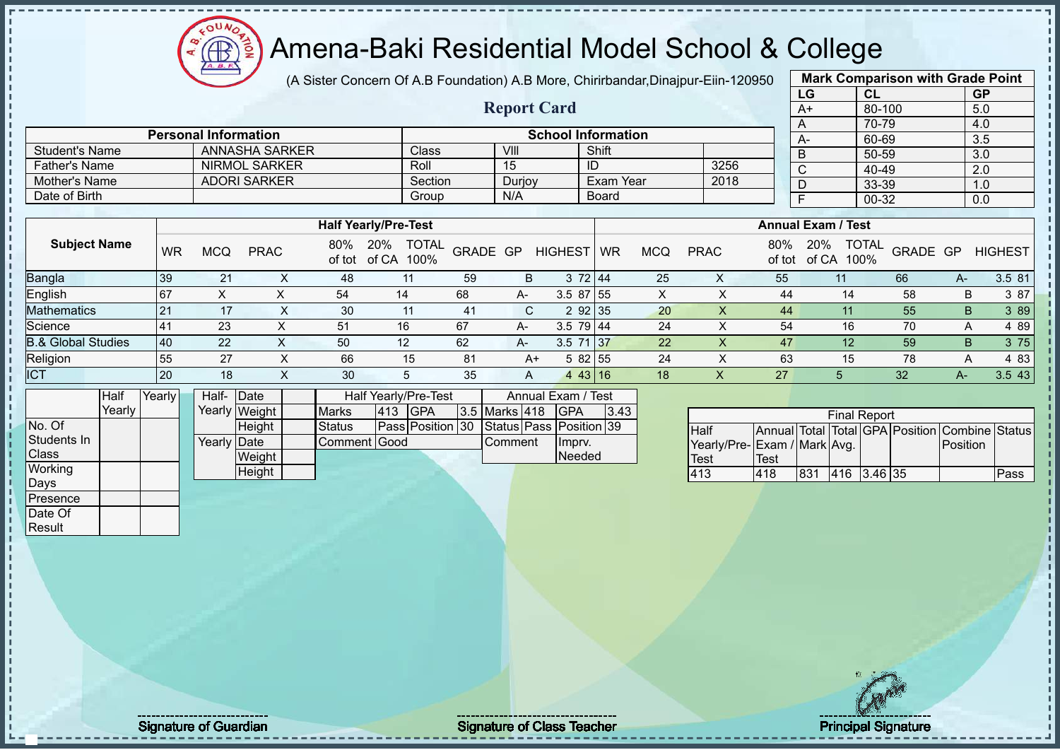# Amena-Baki Residential Model School & College

(A Sister Concern Of A.B Foundation) A.B More, Chirirbandar,Dinajpur-Eiin-120950

**Report Card**

|   |              | <b>Mark Comparison with Grade Point</b> |           |
|---|--------------|-----------------------------------------|-----------|
|   | LG           | <b>CL</b>                               | <b>GP</b> |
|   | $A+$         | 80-100                                  | 5.0       |
|   | A            | 70-79                                   | 4.0       |
|   | A-           | 60-69                                   | 3.5       |
|   | B            | 50-59                                   | 3.0       |
|   | $\mathsf{C}$ | 40-49                                   | 2.0       |
|   | D            | 33-39                                   | 1.0       |
| F |              | 00-32                                   | 0.0       |
|   |              |                                         |           |

|                               |     |     |                      |               |                                      |          |        |                |              |            |             |               |                                      | -- --    |     | - - -          |
|-------------------------------|-----|-----|----------------------|---------------|--------------------------------------|----------|--------|----------------|--------------|------------|-------------|---------------|--------------------------------------|----------|-----|----------------|
| <b>Father's Name</b>          |     |     | <b>NIRMOL SARKER</b> |               | Roll                                 |          | 15     |                | ID           |            | 3256        |               | C                                    | 40-49    |     | 2.0            |
| Mother's Name                 |     |     | <b>ADORI SARKER</b>  |               | Section                              |          | Durjoy |                | Exam Year    |            | 2018        |               | D                                    | 33-39    |     | 1.0            |
| Date of Birth                 |     |     |                      |               | Group                                |          | N/A    |                | <b>Board</b> |            |             |               |                                      | 00-32    |     | 0.0            |
|                               |     |     |                      |               |                                      |          |        |                |              |            |             |               |                                      |          |     |                |
|                               |     |     |                      |               | <b>Half Yearly/Pre-Test</b>          |          |        |                |              |            |             |               | <b>Annual Exam / Test</b>            |          |     |                |
| <b>Subject Name</b>           | WR  | MCQ | <b>PRAC</b>          | 80%<br>of tot | 20%<br><b>TOTAL</b><br>of CA<br>100% | GRADE GP |        | <b>HIGHEST</b> | <b>WR</b>    | <b>MCQ</b> | <b>PRAC</b> | 80%<br>of tot | <b>TOTAL</b><br>20%<br>of CA<br>100% | GRADE GP |     | <b>HIGHEST</b> |
| Bangla                        | 39  | 21  |                      | 48            | 11                                   | 59       | B      |                | 3 72 44      | 25         |             | 55            | 11                                   | 66       | A-  | 3.5 81         |
| English                       | 167 | ⋏   |                      | 54            | 14                                   | 68       | A-     | $3.587$ 55     |              | X          |             | 44            | 14                                   | 58       | B.  | 3 87           |
| <b>Mathematics</b>            | 21  | 17  | X.                   | 30            | 11                                   | 41       | C      |                | 2 92 35      | 20         | x           | 44            |                                      | 55       | B   | 3 89           |
| Science                       | 41  | 23  |                      | 51            | 16                                   | 67       | A-     | $3.5$ 79 44    |              | 24         |             | 54            | 16                                   | 70       | A   | 4 8 9          |
| <b>B.&amp; Global Studies</b> | 40  | 22  | ∧                    | 50            | 12                                   | 62       | A-     | $3.5$ 71 37    |              | 22         |             | 47            | 12                                   | 59       | B.  | 3 75           |
| Religion                      | 55  | 27  | ⋏                    | 66            | 15                                   | 81       | A+     |                | 582 55       | 24         |             | 63            | 15                                   | 78       | A   | 4 8 3          |
| <b>ICT</b>                    | 20  | 18  |                      | 30            | 5                                    | 35       | A      |                | 443 16       | 18         |             | 27            | 5                                    | 32       | A-. | 3.5 43         |

|              | Half   | Yearly | Half- Date  |               |               |     | Half Yearly/Pre-Test                     |                | Annual Exam / Test |      |
|--------------|--------|--------|-------------|---------------|---------------|-----|------------------------------------------|----------------|--------------------|------|
|              | Yearly |        |             | Yearly Weight | <b>Marks</b>  | 413 | <b>IGPA</b>                              | 3.5 Marks 418  | <b>IGPA</b>        | 3.43 |
| No. Of       |        |        |             | <b>Height</b> | <b>Status</b> |     | Pass Position 30 Status Pass Position 39 |                |                    |      |
| Students In  |        |        | Yearly Date |               | Comment Good  |     |                                          | <b>Comment</b> | Impry.             |      |
| <b>Class</b> |        |        |             | Weight        |               |     |                                          |                | Needed             |      |
| Working      |        |        |             | Height        |               |     |                                          |                |                    |      |
| Days         |        |        |             |               |               |     |                                          |                |                    |      |
| Presence     |        |        |             |               |               |     |                                          |                |                    |      |

Student's Name ANNASHA SARKER Class VIII VIII Shift

**Personal Information School Information** 

|                              |      |     | <b>Final Report</b> |  |                                                |      |
|------------------------------|------|-----|---------------------|--|------------------------------------------------|------|
| Half                         |      |     |                     |  | Annual Total Total GPA Position Combine Status |      |
| Yearly/Pre- Exam / Mark Avg. |      |     |                     |  | Position                                       |      |
| Test                         | Test |     |                     |  |                                                |      |
| 413                          | 418  | 831 | 416 3.46 35         |  |                                                | Pass |

Date Of **Result** 

Signature of Guardian Signature of Class Teacher Number of Class Teacher Principal Signature 18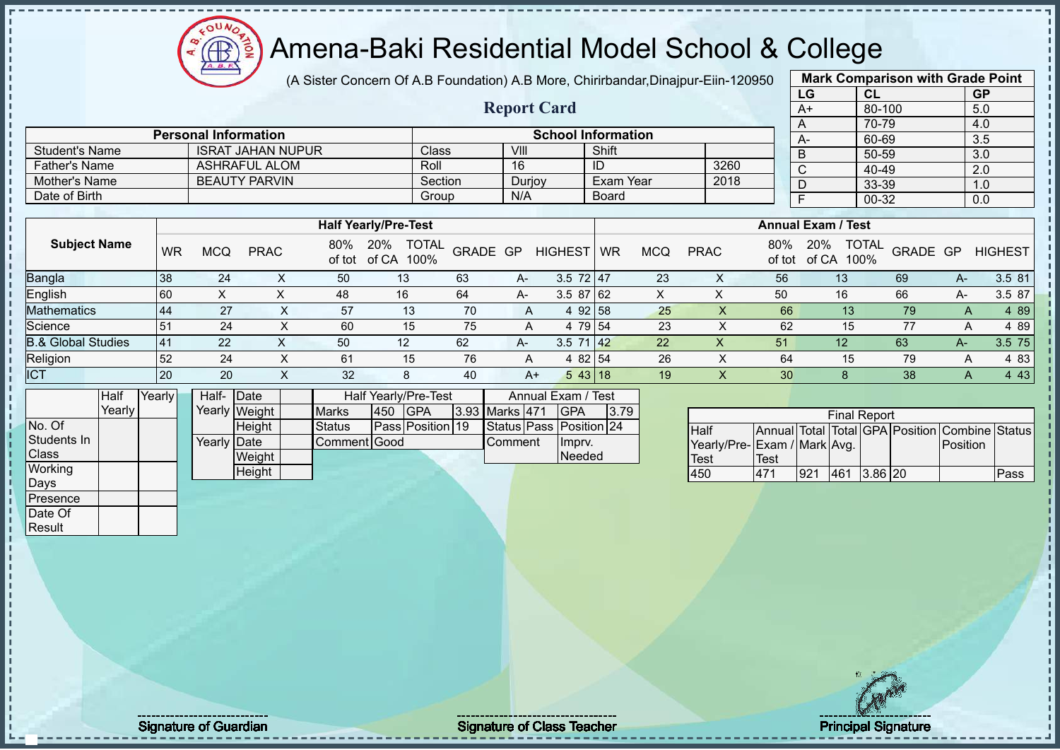$12\mu\text{V}$ **AR** 

# Amena-Baki Residential Model School & College

(A Sister Concern Of A.B Foundation) A.B More, Chirirbandar,Dinajpur-Eiin-120950

**Report Card**

| <b>Mark Comparison with Grade Point</b> |           |     |  |  |  |  |  |  |  |
|-----------------------------------------|-----------|-----|--|--|--|--|--|--|--|
| LG                                      | <b>CL</b> |     |  |  |  |  |  |  |  |
| $A+$                                    | 80-100    | 5.0 |  |  |  |  |  |  |  |
| A                                       | 70-79     | 4.0 |  |  |  |  |  |  |  |
| А-                                      | 60-69     | 3.5 |  |  |  |  |  |  |  |
| B                                       | 50-59     | 3.0 |  |  |  |  |  |  |  |
| C                                       | 40-49     | 2.0 |  |  |  |  |  |  |  |
| n                                       | 33-39     | 1.0 |  |  |  |  |  |  |  |
| F                                       | 0.0       |     |  |  |  |  |  |  |  |
|                                         |           |     |  |  |  |  |  |  |  |

|                       |                             |         |        |                    |      |      | $70-$  |
|-----------------------|-----------------------------|---------|--------|--------------------|------|------|--------|
|                       | <b>Personal Information</b> |         |        | School Information |      | - A- | 60-    |
| <b>Student's Name</b> | <b>ISRAT JAHAN NUPUR</b>    | Class   | VIII   | Shift              |      |      | $50-$  |
| Father's Name         | <b>ASHRAFUL ALOM</b>        | Roll    | 16     | ID                 | 3260 |      | 40-    |
| Mother's Name         | <b>BEAUTY PARVIN</b>        | Section | Durjoy | Exam Year          | 2018 |      | $33-$  |
| Date of Birth         |                             | Group   | N/A    | Board              |      |      | $00 -$ |
|                       |                             |         |        |                    |      |      |        |

|                               |     |     |             |               | <b>Half Yearly/Pre-Test</b>          |          |      |                |           |     |             |               | <b>Annual Exam / Test</b> |                          |              |                |
|-------------------------------|-----|-----|-------------|---------------|--------------------------------------|----------|------|----------------|-----------|-----|-------------|---------------|---------------------------|--------------------------|--------------|----------------|
| <b>Subject Name</b>           | WR  | MCQ | <b>PRAC</b> | 80%<br>of tot | <b>TOTAL</b><br>20%<br>of CA<br>100% | GRADE GP |      | <b>HIGHEST</b> | <b>WR</b> | MCQ | <b>PRAC</b> | 80%<br>of tot | 20%<br>100%<br>of CA      | <b>TOTAL</b><br>GRADE GP |              | <b>HIGHEST</b> |
| <b>Bangla</b>                 | 38  | 24  |             | 50            | 13                                   | 63       | $A-$ | $3.5$ 72 47    |           | 23  | X           | 56            | 13                        | 69                       | А-           | 3.5 81         |
| English                       | 60  | ∧   |             | 48            | 16                                   | 64       | $A-$ | $3.587$ 62     |           |     |             | 50            | 16                        | 66                       | А-           | 3.5 87         |
| <b>Mathematics</b>            | -44 | 27  |             | 57            | 13                                   | 70       | A    | 92158<br>4     |           | 25  |             | 66            | 13 <sup>°</sup>           | 79                       | $\mathsf{A}$ | 4 89           |
| Science                       | 51  | 24  |             | 60            | 15                                   | 75       | A    | 4 79 54        |           | 23  |             | 62            | 15                        | 77                       |              | 4 89           |
| <b>B.&amp; Global Studies</b> | 41  | 22  |             | 50            | 12                                   | 62       | A-   | 3.5<br>71.42   |           | 22  | х           | 51            | 12                        | 63                       | $A-$         | $3.5$ 75       |
| Religion                      | 52  | 24  |             | 61            | 15                                   | 76       | A    | 4 82 54        |           | 26  |             | 64            | 15                        | 79                       | $\mathsf{A}$ | 4 83           |
| <b>ICT</b>                    | 20  | 20  |             | 32            | 8                                    | 40       | $A+$ | 543 18         |           | 19  |             | 30            |                           | 38                       |              | 4 4 3          |

|                | <b>Half</b> | Yearly | Half-       | <b>IDate</b>  | Half Yearly/Pre-Test |     |                  |  |                | Annual Exam / Test      |      |  |
|----------------|-------------|--------|-------------|---------------|----------------------|-----|------------------|--|----------------|-------------------------|------|--|
|                | Yearly      |        |             | Yearly Weight | <b>Marks</b>         | 450 | <b>IGPA</b>      |  | 3.93 Marks 471 | <b>IGPA</b>             | 3.79 |  |
| No. Of         |             |        |             | Height        | <b>Status</b>        |     | Pass Position 19 |  |                | Status Pass Position 24 |      |  |
| Students In    |             |        | Yearly Date |               | Comment Good         |     |                  |  | Comment        | Impry.                  |      |  |
| <b>Class</b>   |             |        |             | Weight        |                      |     |                  |  |                | Needed                  |      |  |
| <b>Working</b> |             |        |             | Height        |                      |     |                  |  |                |                         |      |  |
| Days           |             |        |             |               |                      |     |                  |  |                |                         |      |  |
| Presence       |             |        |             |               |                      |     |                  |  |                |                         |      |  |

| <b>Final Report</b>          |      |     |     |           |  |                                                |      |
|------------------------------|------|-----|-----|-----------|--|------------------------------------------------|------|
| <b>I</b> Half                |      |     |     |           |  | Annual Total Total GPA Position Combine Status |      |
| Yearly/Pre- Exam / Mark Avg. |      |     |     |           |  | Position                                       |      |
| <b>Test</b>                  | Test |     |     |           |  |                                                |      |
| 450                          | 471  | 921 | 461 | $3.86$ 20 |  |                                                | Pass |

Date Of **Result** 

Signature of Guardian Signature of Class Teacher Principal Signature of Class Teacher Principal Signature 19/5<br>
Signature of Class Teacher Principal Signature 19/52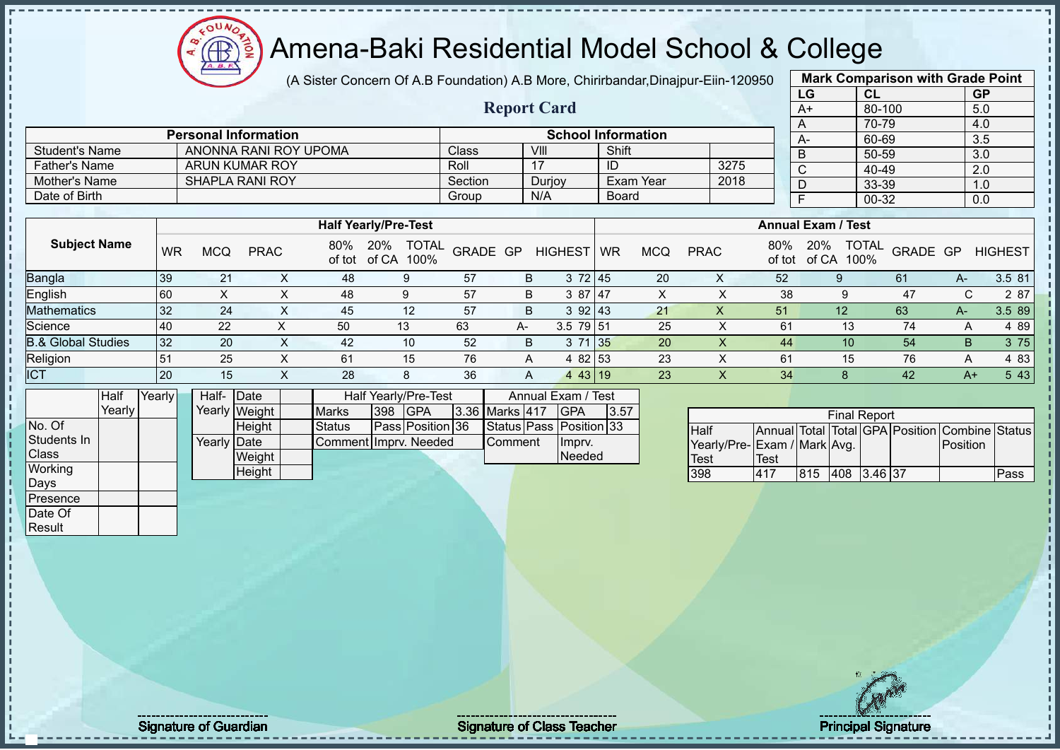(A Sister Concern Of A.B Foundation) A.B More, Chirirbandar,Dinajpur-Eiin-120950

**Report Card**

| <b>Mark Comparison with Grade Point</b> |           |           |  |  |  |  |  |  |  |  |
|-----------------------------------------|-----------|-----------|--|--|--|--|--|--|--|--|
| LG                                      | CL        | <b>GP</b> |  |  |  |  |  |  |  |  |
| $\overline{A+}$                         | 80-100    | 5.0       |  |  |  |  |  |  |  |  |
| A                                       | 70-79     | 4.0       |  |  |  |  |  |  |  |  |
| A-                                      | 60-69     | 3.5       |  |  |  |  |  |  |  |  |
| B                                       | 50-59     | 3.0       |  |  |  |  |  |  |  |  |
| C                                       | $40 - 49$ | 2.0       |  |  |  |  |  |  |  |  |
| D                                       | 33-39     | 1.0       |  |  |  |  |  |  |  |  |
| F                                       | 00-32     | 0.0       |  |  |  |  |  |  |  |  |
|                                         |           |           |  |  |  |  |  |  |  |  |

|                      | <b>Personal Information</b> |         |        | <b>School Information</b> |      | $A-$ |
|----------------------|-----------------------------|---------|--------|---------------------------|------|------|
| Student's Name       | ANONNA RANI ROY UPOMA       | Classi  | VIII   | Shift                     |      |      |
| <b>Father's Name</b> | ARUN KUMAR ROY              | Roll    |        | ID                        | 3275 |      |
| Mother's Name        | <b>SHAPLA RANI ROY</b>      | Section | Durjoy | Exam Year                 | 2018 |      |
| Date of Birth        |                             | Group   | N/A    | <b>Board</b>              |      |      |

|                               |    |     |             |     | <b>Half Yearly/Pre-Test</b> |                          |    |                |           |     |             |               | <b>Annual Exam / Test</b> |                                  |      |                |
|-------------------------------|----|-----|-------------|-----|-----------------------------|--------------------------|----|----------------|-----------|-----|-------------|---------------|---------------------------|----------------------------------|------|----------------|
| <b>Subject Name</b>           | WR | MCQ | <b>PRAC</b> | 80% | 20%<br>of tot of CA<br>100% | <b>TOTAL</b><br>GRADE GP |    | <b>HIGHEST</b> | <b>WR</b> | MCQ | <b>PRAC</b> | 80%<br>of tot | 20%<br>of CA              | <b>TOTAL</b><br>GRADE GP<br>100% |      | <b>HIGHEST</b> |
| <b>Bangla</b>                 | 39 | 21  |             | 48  | 9                           | 57                       | B  | 372 45         |           | 20  | ∧           | 52            |                           | 61                               | A-   | 3.5 81         |
| English                       | 60 |     |             | 48  | 9                           | 57                       | B  | 3 87 47        |           | Ā   |             | 38            |                           | 47                               | C.   | 2 87           |
| <b>Mathematics</b>            | 32 | 24  | ⋏           | 45  | 12                          | 57                       | B  | 392143         |           | 21  | х           | 51            | 12                        | 63                               | A-   | 3.5 89         |
| Science                       | 40 | 22  |             | 50  | 13                          | 63                       | A- | $3.5$ 79 51    |           | 25  |             | 61            | 13                        | 74                               | A    | 4 8 9          |
| <b>B.&amp; Global Studies</b> | 32 | 20  |             | 42  | 10                          | 52                       | B  | 71 35<br>3     |           | 20  |             | 44            | 10                        | 54                               | B    | 3 75           |
| Religion                      | 51 | 25  |             | 61  | 15                          | 76                       | A  | 4 82 53        |           | 23  |             | 61            | 15                        | 76                               | A    | 4 8 3          |
| <b>ICT</b>                    | 20 | 15  |             | 28  | 8                           | 36                       | A  | 443 19         |           | 23  |             | 34            |                           | 42                               | $A+$ | 5 4 3          |

|                | Half     | Yearly | Half- Date  |               | Half Yearly/Pre-Test  |  |                  |  |                       | Annual Exam / Test |                         |      |
|----------------|----------|--------|-------------|---------------|-----------------------|--|------------------|--|-----------------------|--------------------|-------------------------|------|
|                | Yearlv l |        |             | Yearly Weight | <b>Marks</b>          |  | 398 GPA          |  | <b>3.36 Marks 417</b> |                    | <b>IGPA</b>             | 3.57 |
| No. Of         |          |        |             | <b>Height</b> | <b>Status</b>         |  | Pass Position 36 |  |                       |                    | Status Pass Position 33 |      |
| Students In    |          |        | Yearly Date |               | Comment Imprv. Needed |  |                  |  | Comment               |                    | Imprv.                  |      |
| <b>Class</b>   |          |        |             | Weight        |                       |  |                  |  |                       |                    | Needed                  |      |
| <b>Working</b> |          |        |             | Height        |                       |  |                  |  |                       |                    |                         |      |
| Days           |          |        |             |               |                       |  |                  |  |                       |                    |                         |      |
| Presence       |          |        |             |               |                       |  |                  |  |                       |                    |                         |      |

 $12\mu\text{V}$ 

Æ

| <b>Final Report</b>         |      |      |             |  |  |                                                |      |
|-----------------------------|------|------|-------------|--|--|------------------------------------------------|------|
| <b>I</b> Half               |      |      |             |  |  | Annual Total Total GPA Position Combine Status |      |
| Yearly/Pre-Exam / Mark Avg. |      |      |             |  |  | Position                                       |      |
| <b>Test</b>                 | Test |      |             |  |  |                                                |      |
| 398                         | 417  | 1815 | 408 3.46 37 |  |  |                                                | Pass |

Date Of **Result** 

Signature of Guardian Signature of Class Teacher Principal Signature of Class Teacher Principal Signature 2005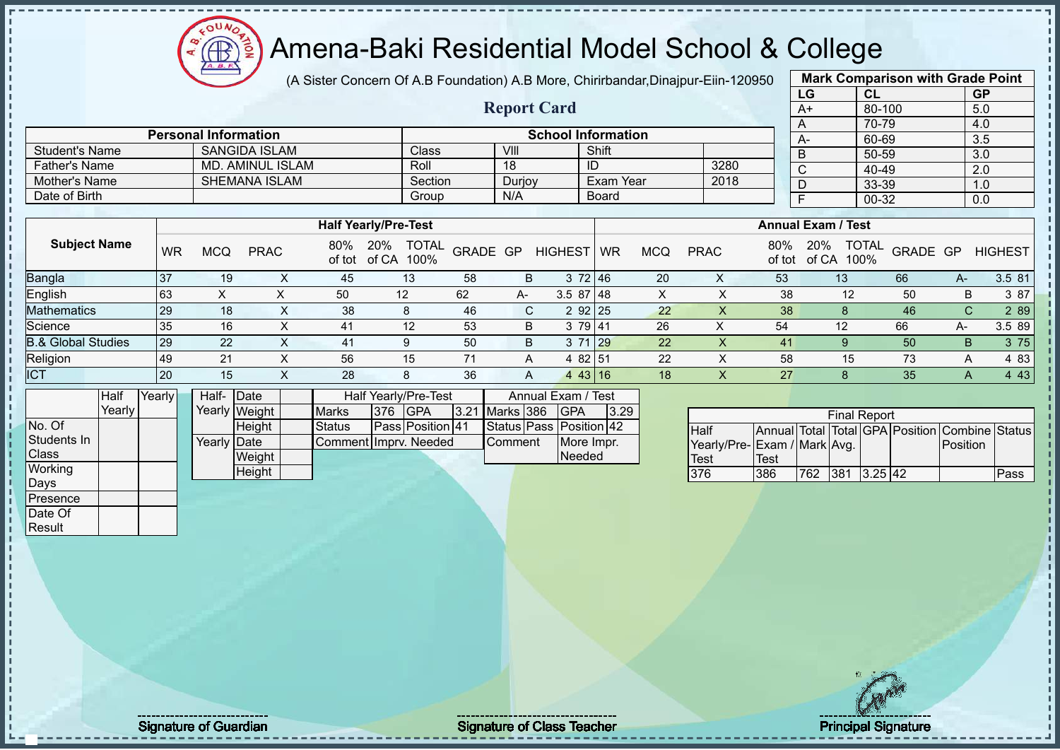# Amena-Baki Residential Model School & College

(A Sister Concern Of A.B Foundation) A.B More, Chirirbandar,Dinajpur-Eiin-120950

**Report Card**

| <b>Mark Comparison with Grade Point</b> |            |           |  |  |  |  |  |  |  |  |
|-----------------------------------------|------------|-----------|--|--|--|--|--|--|--|--|
| LG                                      | CL         | <b>GP</b> |  |  |  |  |  |  |  |  |
| $A+$                                    | $80 - 100$ | 5.0       |  |  |  |  |  |  |  |  |
| A                                       | 70-79      | 4.0       |  |  |  |  |  |  |  |  |
| A-                                      | 60-69      | 3.5       |  |  |  |  |  |  |  |  |
| B                                       | 50-59      | 3.0       |  |  |  |  |  |  |  |  |
| C                                       | 40-49      | 2.0       |  |  |  |  |  |  |  |  |
| D                                       | 33-39      | 1.0       |  |  |  |  |  |  |  |  |
| F                                       | 00-32      | 0.0       |  |  |  |  |  |  |  |  |
|                                         |            |           |  |  |  |  |  |  |  |  |

|                               |    |            |             |     | <b>Half Yearly/Pre-Test</b>                 |          |      |                |           |     |             |               | <b>Annual Exam / Test</b>            |          |    |                |
|-------------------------------|----|------------|-------------|-----|---------------------------------------------|----------|------|----------------|-----------|-----|-------------|---------------|--------------------------------------|----------|----|----------------|
| <b>Subject Name</b>           | WR | <b>MCQ</b> | <b>PRAC</b> | 80% | 20%<br><b>TOTAL</b><br>of tot of CA<br>100% | GRADE GP |      | <b>HIGHEST</b> | <b>WR</b> | MCQ | <b>PRAC</b> | 80%<br>of tot | <b>TOTAL</b><br>20%<br>of CA<br>100% | GRADE GP |    | <b>HIGHEST</b> |
| <b>Bangla</b>                 | 37 | 19         |             | 45  | 13                                          | 58       | B.   | 3 72 46        |           | 20  |             | 53            | 13                                   | 66       | A- | 3.5 81         |
| English                       | 63 | ∧          |             | 50  | 12                                          | 62       | $A-$ | 3.587148       |           |     |             | 38            | 12                                   | 50       | B  | 3 87           |
| <b>Mathematics</b>            | 29 | 18         |             | 38  |                                             | 46       | C.   | 2 92 25        |           | 22  |             | 38            |                                      | 46       | C  | 2 89           |
| Science                       | 35 | 16         |             | 41  | 12                                          | 53       | B    | 3 79 41        |           | 26  |             | 54            | 12                                   | 66       | A- | 3.5 89         |
| <b>B.&amp; Global Studies</b> | 29 | 22         |             | 41  |                                             | 50       | B    | 3 71 29        |           | 22  |             | 41            |                                      | 50       | B. | 3 75           |
| Religion                      | 49 | 21         |             | 56  | 15                                          |          | A    | 4 82 51        |           | 22  |             | 58            | 15                                   | 73       | A  | 4 8 3          |
| <b>ICT</b>                    | 20 | 15         |             | 28  | 8                                           | 36       | A    | 443 16         |           | 18  |             | 27            |                                      | 35       |    | 4 4 3          |

|              | Half     | Yearly | Half- Date           |               |                         | Half Yearly/Pre-Test    |             |                | Annual Exam / Test      |  |
|--------------|----------|--------|----------------------|---------------|-------------------------|-------------------------|-------------|----------------|-------------------------|--|
|              | Yearlv l |        |                      | Yearly Weight | <b>Marks</b><br>376 GPA | 3.21 Marks 386          | <b>IGPA</b> | 3.29           |                         |  |
| No. Of       |          |        |                      | <b>Height</b> | Status                  | <b>Pass Position 41</b> |             |                | Status Pass Position 42 |  |
| Students In  |          |        | Yearlv <b>I</b> Date |               | Comment I mprv. Needed  |                         |             | <b>Comment</b> | More Impr.              |  |
| <b>Class</b> |          |        |                      | Weight        |                         |                         |             |                | <b>Needed</b>           |  |
| Working      |          |        |                      | <b>Height</b> |                         |                         |             |                |                         |  |
| Days         |          |        |                      |               |                         |                         |             |                |                         |  |

Student's Name SANGIDA ISLAM Class VIII Shift<br>
Father's Name MD. AMINUL ISLAM Roll 18 ID

Mother's Name SHEMANA ISLAM Section Durjoy Exam Year Date of Birth Board Group N/A Board

**Personal Information School Information** 

Father's Name MD. AMINUL ISLAM Roll 18 ID 3280<br>
Mother's Name SHEMANA ISLAM Section Duriov Exam Year 2018

|                              | <b>Final Report</b> |      |             |  |  |                                                |      |  |  |  |  |  |  |  |
|------------------------------|---------------------|------|-------------|--|--|------------------------------------------------|------|--|--|--|--|--|--|--|
| <b>Half</b>                  |                     |      |             |  |  | Annual Total Total GPA Position Combine Status |      |  |  |  |  |  |  |  |
| Yearly/Pre- Exam / Mark Avg. |                     |      |             |  |  | Position                                       |      |  |  |  |  |  |  |  |
| Test                         | <b>Test</b>         |      |             |  |  |                                                |      |  |  |  |  |  |  |  |
| 376                          | 386                 | 1762 | 381 3.25 42 |  |  |                                                | Pass |  |  |  |  |  |  |  |

Presence Date Of **Result** 

Signature of Guardian Signature Signature of Class Teacher Principal Signature 21/52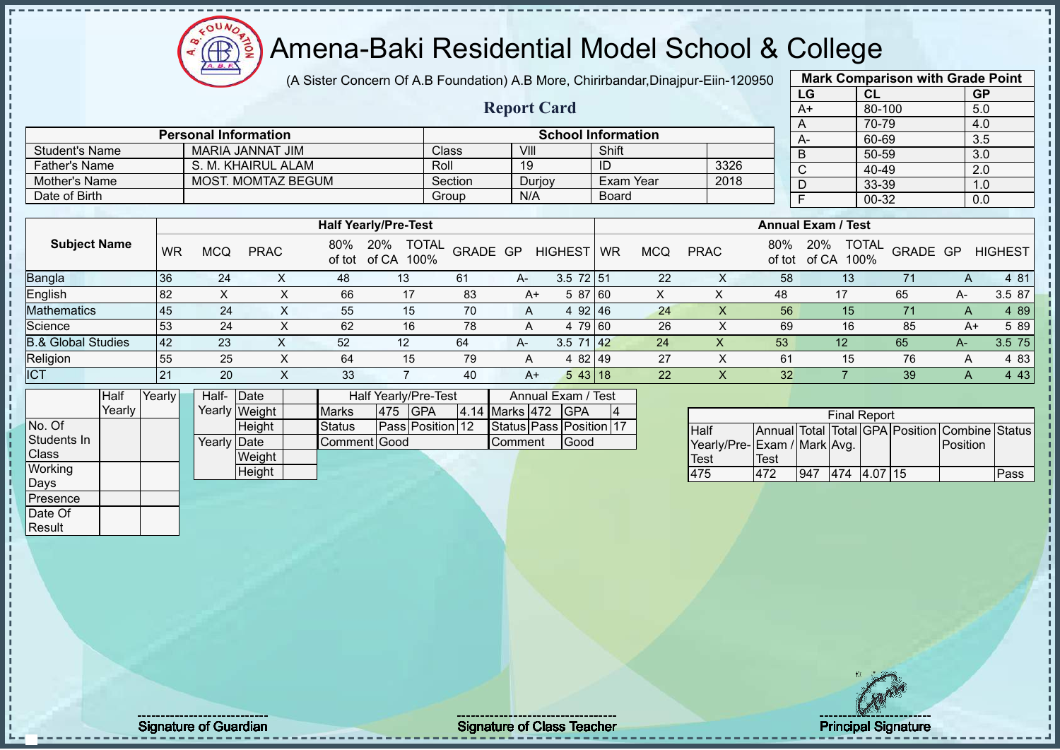(A Sister Concern Of A.B Foundation) A.B More, Chirirbandar,Dinajpur-Eiin-120950

|      | <b>Mark Comparison with Grade Point</b> |           |
|------|-----------------------------------------|-----------|
| LG   | CL                                      | <b>GP</b> |
| $A+$ | 80-100                                  | 5.0       |
| A    | 70-79                                   | 4.0       |
| А-   | 60-69                                   | 3.5       |
| B    | 50-59                                   | 3.0       |
| C    | 40-49                                   | 2.0       |
| D    | 33-39                                   | 1.0       |
| F    | 00-32                                   | 0.0       |
|      |                                         |           |

|                      |                             |         | <b>Report Card</b> |                           |      | --<br>A+ |
|----------------------|-----------------------------|---------|--------------------|---------------------------|------|----------|
|                      |                             |         |                    |                           |      |          |
|                      | <b>Personal Information</b> |         |                    | <b>School Information</b> |      | A-       |
| Student's Name       | MARIA JANNAT JIM            | Class   | VIII               | Shift                     |      |          |
| <b>Father's Name</b> | S. M. KHAIRUL ALAM          | Roll    | 19                 | ID                        | 3326 |          |
| Mother's Name        | <b>MOST. MOMTAZ BEGUM</b>   | Section | Durjoy             | Exam Year                 | 2018 |          |
| Date of Birth        |                             | Group   | N/A                | Board                     |      |          |

|                               |           |     |             |     | <b>Half Yearly/Pre-Test</b>                 |          |      |                 |           |            |             |               | <b>Annual Exam / Test</b>            |          |    |                |
|-------------------------------|-----------|-----|-------------|-----|---------------------------------------------|----------|------|-----------------|-----------|------------|-------------|---------------|--------------------------------------|----------|----|----------------|
| <b>Subject Name</b>           | <b>WR</b> | MCQ | <b>PRAC</b> | 80% | <b>TOTAL</b><br>20%<br>of tot of CA<br>100% | GRADE GP |      | <b>HIGHEST</b>  | <b>WR</b> | <b>MCQ</b> | <b>PRAC</b> | 80%<br>of tot | <b>TOTAL</b><br>20%<br>of CA<br>100% | GRADE GP |    | <b>HIGHEST</b> |
| <b>Bangla</b>                 | 36        | 24  |             | 48  | 13                                          | 61       | A-   | $3.5$ 72 51     |           | 22         |             | 58            | 13                                   |          |    | 4 81           |
| English                       | 82        |     |             | 66  | 17                                          | 83       | A+   | 5 87 60         |           |            | ∧           | 48            | 17                                   | 65       | А- | 3.5 87         |
| <b>Mathematics</b>            | 45        | 24  |             | 55  | 15                                          | 70       | A    | 92 46<br>4      |           | 24         |             | 56            | 15 <sup>°</sup>                      |          | A  | 4 89           |
| Science                       | 53        | 24  |             | 62  | 16                                          | 78       | A    | 4 79 60         |           | 26         |             | 69            | 16                                   | 85       | A+ | 5 89           |
| <b>B.&amp; Global Studies</b> | 42        | 23  | $\sim$      | 52  | 12                                          | 64       | $A-$ | $3.5 \ 71 \ 42$ |           | 24         | ∧           | 53            | 12                                   | 65       | А- | 3.5 75         |
| Religion                      | 55        | 25  |             | 64  | 15                                          | 79       | A    | 4 82 49         |           | 27         |             | 61            | 15                                   | 76       |    | 4 83           |
| <b>ICT</b>                    | 121       | 20  |             | 33  |                                             | 40       | A+   | 543 18          |           | 22         |             | 32            |                                      | 39       | A  | 4 4 3          |

|              | Half   | Yearly | Half- Date  |               |              |     | <b>Half Yearly/Pre-Test</b> |                | Annual Exam / Test      |   |
|--------------|--------|--------|-------------|---------------|--------------|-----|-----------------------------|----------------|-------------------------|---|
|              | Yearlv |        |             | Yearly Weight | <b>Marks</b> | 475 | <b>IGPA</b>                 | 4.14 Marks 472 | <b>IGPA</b>             | 4 |
| No. Of       |        |        |             | Height        | Status       |     | Pass Position 12            |                | Status Pass Position 17 |   |
| Students In  |        |        | Yearly Date |               | Comment Good |     |                             | Comment        | Good                    |   |
| <b>Class</b> |        |        |             | Weight        |              |     |                             |                |                         |   |
| Working      |        |        |             | Height        |              |     |                             |                |                         |   |
| Days         |        |        |             |               |              |     |                             |                |                         |   |
| Presence     |        |        |             |               |              |     |                             |                |                         |   |
| Date Of      |        |        |             |               |              |     |                             |                |                         |   |

 $12\mu\text{V}$ 

|                             |      |     | <b>Final Report</b> |  |                                                |      |
|-----------------------------|------|-----|---------------------|--|------------------------------------------------|------|
| <b>Half</b>                 |      |     |                     |  | Annual Total Total GPA Position Combine Status |      |
| Yearly/Pre-Exam / Mark Avg. |      |     |                     |  | <b>IPosition</b>                               |      |
| <b>Test</b>                 | Test |     |                     |  |                                                |      |
| 475                         | 472  | 947 | 474 4.07 15         |  |                                                | Pass |

Result

Signature of Guardian Signature of Class T Teacher Principal Signature 22/52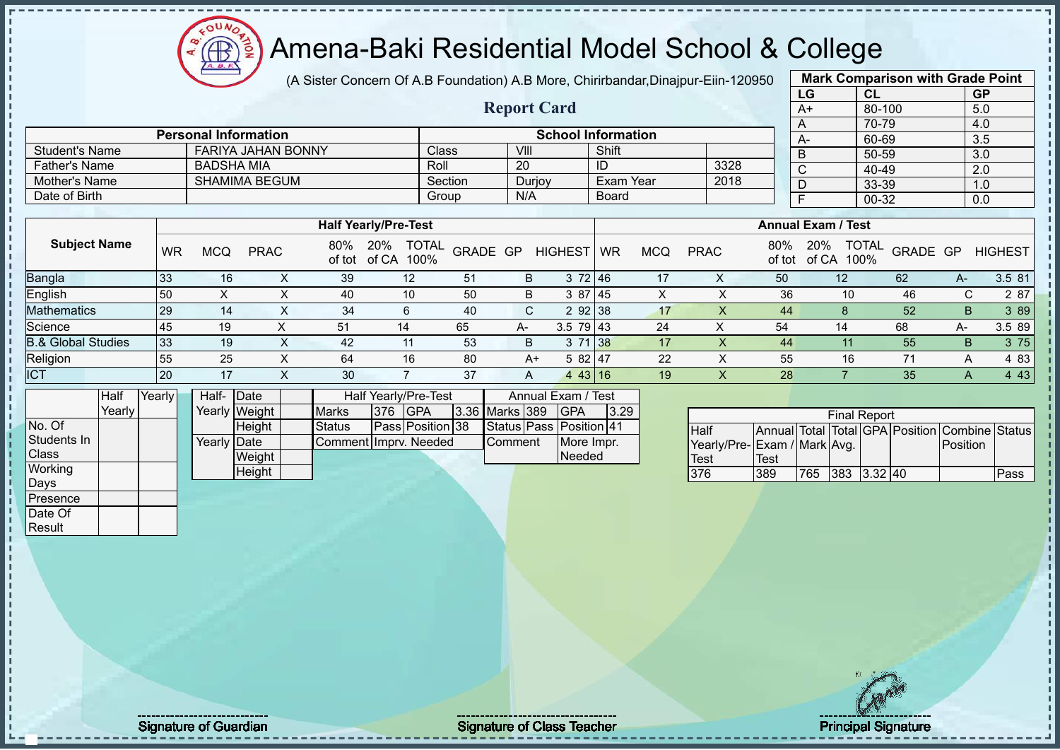(A Sister Concern Of A.B Foundation) A.B More, Chirirbandar,Dinajpur-Eiin-120950

**Report Card**

| <b>Mark Comparison with Grade Point</b> |           |           |  |  |  |  |  |  |  |  |  |
|-----------------------------------------|-----------|-----------|--|--|--|--|--|--|--|--|--|
| LG                                      | <b>CL</b> | <b>GP</b> |  |  |  |  |  |  |  |  |  |
| $A+$                                    | 80-100    | 5.0       |  |  |  |  |  |  |  |  |  |
| A                                       | 70-79     | 4.0       |  |  |  |  |  |  |  |  |  |
| A-                                      | 60-69     | 3.5       |  |  |  |  |  |  |  |  |  |
| B                                       | 50-59     | 3.0       |  |  |  |  |  |  |  |  |  |
| C                                       | 40-49     | 2.0       |  |  |  |  |  |  |  |  |  |
| D                                       | 33-39     | 1.0       |  |  |  |  |  |  |  |  |  |
| F                                       | 0.0       |           |  |  |  |  |  |  |  |  |  |
|                                         |           |           |  |  |  |  |  |  |  |  |  |

|                       | <b>Personal Information</b> |              |        | <b>School Information</b> |      |
|-----------------------|-----------------------------|--------------|--------|---------------------------|------|
| <b>Student's Name</b> | <b>FARIYA JAHAN BONNY</b>   | <b>Class</b> | VIII   | Shift                     |      |
| <b>Father's Name</b>  | BADSHA MIA                  | Roll         | 20     | ID                        | 3328 |
| Mother's Name         | SHAMIMA BEGUM               | Section      | Durjoy | Exam Year                 | 2018 |
| Date of Birth         |                             | Group        | N/A    | Board                     |      |

|                               |           |            |             |               | <b>Half Yearly/Pre-Test</b> |                          |              |                |             |            |             |               | <b>Annual Exam / Test</b> |                          |      |                |
|-------------------------------|-----------|------------|-------------|---------------|-----------------------------|--------------------------|--------------|----------------|-------------|------------|-------------|---------------|---------------------------|--------------------------|------|----------------|
| <b>Subject Name</b>           | <b>WR</b> | <b>MCQ</b> | <b>PRAC</b> | 80%<br>of tot | 20%<br>of CA<br>100%        | <b>TOTAL</b><br>GRADE GP |              | <b>HIGHEST</b> | <b>I</b> WR | <b>MCQ</b> | <b>PRAC</b> | 80%<br>of tot | 20%<br>100%<br>of CA      | <b>TOTAL</b><br>GRADE GP |      | <b>HIGHEST</b> |
| <b>Bangla</b>                 | 33        | 16         |             | 39            | 12                          | -51                      | B            | 372 46         |             | 17         | ∧           | 50            | 12                        | 62                       | $A-$ | 3.5 81         |
| English                       | 50        |            |             | 40            | 10                          | 50                       | B            | 3 87 45        |             | X          |             | 36            | 10                        | 46                       |      | 2 87           |
| <b>Mathematics</b>            | 29        | 14         | X           | 34            | 6                           | 40                       | C.           | 2 92 38        |             | 17         |             | 44            |                           | 52                       | B    | 3 8 9          |
| Science                       | 45        | 19         |             | 51            | 14                          | 65                       | A-           | $3.5$ 79 43    |             | 24         | $\check{ }$ | 54            | 14                        | 68                       | A-   | 3.5 89         |
| <b>B.&amp; Global Studies</b> | 33        | 19         |             | 42            | 11                          | 53                       | B            | 71 38          |             | 17         |             | 44            | 11                        | 55                       | B    | 3 75           |
| Religion                      | 55        | 25         |             | 64            | 16                          | 80                       | A+           | 5 82 47        |             | 22         |             | 55            | 16                        | 71                       | A    | 4 8 3          |
| <b>ICT</b>                    | 20        |            |             | 30            |                             | 37                       | $\mathsf{A}$ | 4 43 16        |             | 19         | $\lambda$   | 28            |                           | 35                       | A    | 4 4 3          |

|                | Half   | Yearly∐ | Half- Date  |               |                       | Half Yearly/Pre-Test |                  | Annual Exam / Test |                         |      |
|----------------|--------|---------|-------------|---------------|-----------------------|----------------------|------------------|--------------------|-------------------------|------|
|                | Yearly |         |             | Yearly Weight | <b>Marks</b>          | 376                  | <b>IGPA</b>      | 3.36 Marks 389     | IGPA                    | 3.29 |
| No. Of         |        |         |             | Height        | <b>Status</b>         |                      | Pass Position 38 |                    | Status Pass Position 41 |      |
| Students In    |        |         | Yearly Date |               | Comment Imprv. Needed |                      |                  | <b>Comment</b>     | More Impr.              |      |
| Class          |        |         |             | Weight        |                       |                      |                  |                    | Needed                  |      |
| <b>Working</b> |        |         |             | Height        |                       |                      |                  |                    |                         |      |
| Days           |        |         |             |               |                       |                      |                  |                    |                         |      |
| Presence       |        |         |             |               |                       |                      |                  |                    |                         |      |

 $12\mu\text{V}$ 

**AR** 

|             | <b>Final Report</b> |                                          |                     |  |  |                                                |      |  |  |  |  |  |  |  |  |
|-------------|---------------------|------------------------------------------|---------------------|--|--|------------------------------------------------|------|--|--|--|--|--|--|--|--|
| <b>Half</b> |                     |                                          |                     |  |  | Annual Total Total GPA Position Combine Status |      |  |  |  |  |  |  |  |  |
|             |                     | Yearly/Pre- Exam / Mark Avg.<br>Position |                     |  |  |                                                |      |  |  |  |  |  |  |  |  |
| Test        | <b>Test</b>         |                                          |                     |  |  |                                                |      |  |  |  |  |  |  |  |  |
| 376         | 389                 | 765                                      | $ 383 $ $ 3.32 $ 40 |  |  |                                                | Pass |  |  |  |  |  |  |  |  |

Date Of **Result** 

Signature of Guardian Signature of Class Teacher Principal Signature of Class Teacher Principal Signature 23/5<br>
23/52/52/52/52/52/52 Signature of Class Teacher Principal Signature 23/52/52 Signature 23/52/52 Signature 23/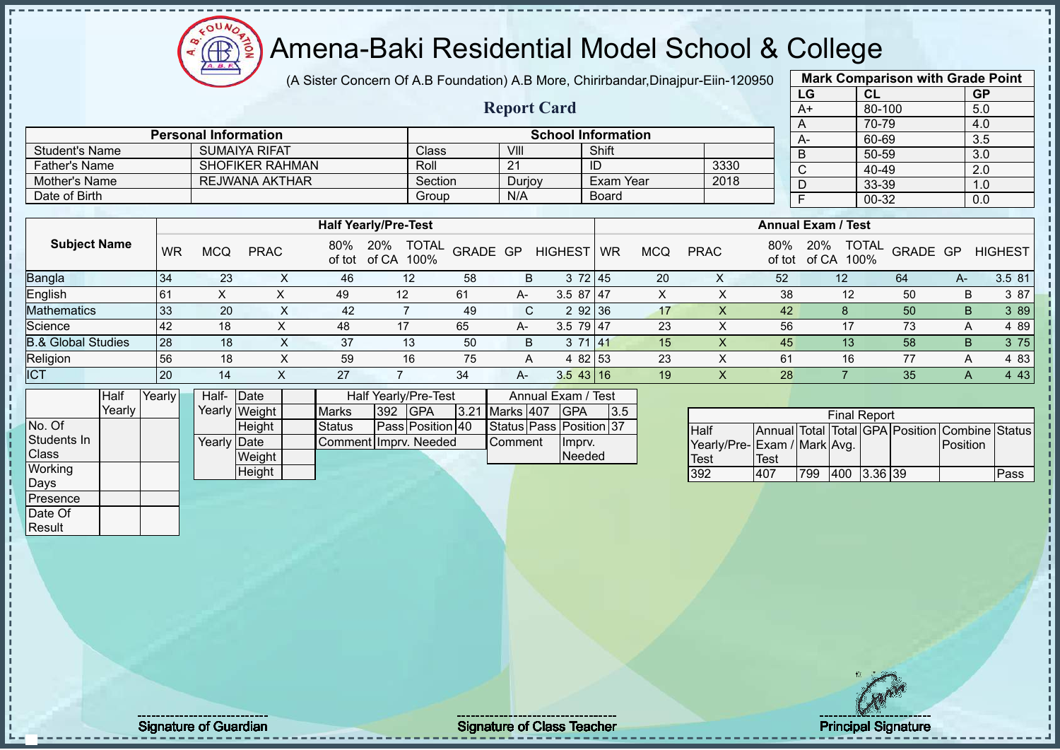# Amena-Baki Residential Model School & College

(A Sister Concern Of A.B Foundation) A.B More, Chirirbandar,Dinajpur-Eiin-120950

**Report Card**

| <b>Mark Comparison with Grade Point</b> |        |           |  |  |  |  |  |  |  |  |  |  |
|-----------------------------------------|--------|-----------|--|--|--|--|--|--|--|--|--|--|
| LG                                      | CL     | <b>GP</b> |  |  |  |  |  |  |  |  |  |  |
| $A+$                                    | 80-100 | 5.0       |  |  |  |  |  |  |  |  |  |  |
| A                                       | 70-79  | 4.0       |  |  |  |  |  |  |  |  |  |  |
| A-                                      | 60-69  | 3.5       |  |  |  |  |  |  |  |  |  |  |
| B                                       | 50-59  | 3.0       |  |  |  |  |  |  |  |  |  |  |
| $\mathsf{C}$                            | 40-49  | 2.0       |  |  |  |  |  |  |  |  |  |  |
| D                                       | 33-39  | 1.0       |  |  |  |  |  |  |  |  |  |  |
| F                                       | 00-32  | 0.0       |  |  |  |  |  |  |  |  |  |  |
|                                         |        |           |  |  |  |  |  |  |  |  |  |  |

| <b>Father's Name</b>          |           |            | <b>SHOFIKER RAHMAN</b> |               | Roll                          |         | 21       |                | ID        |            | 3330        |               | $\mathsf{C}$              | 40-49                |          |    | 2.0            |
|-------------------------------|-----------|------------|------------------------|---------------|-------------------------------|---------|----------|----------------|-----------|------------|-------------|---------------|---------------------------|----------------------|----------|----|----------------|
| Mother's Name                 |           |            | <b>REJWANA AKTHAR</b>  |               |                               | Section | Durjoy   |                | Exam Year |            | 2018        |               |                           | 33-39                |          |    | 1.0            |
| Date of Birth                 |           |            |                        |               |                               | Group   | N/A      |                | Board     |            |             |               |                           | 00-32                |          |    | 0.0            |
|                               |           |            |                        |               |                               |         |          |                |           |            |             |               |                           |                      |          |    |                |
|                               |           |            |                        |               | <b>Half Yearly/Pre-Test</b>   |         |          |                |           |            |             |               | <b>Annual Exam / Test</b> |                      |          |    |                |
| <b>Subject Name</b>           | <b>WR</b> | <b>MCQ</b> | <b>PRAC</b>            | 80%<br>of tot | TOTAL<br>20%<br>of CA<br>100% |         | GRADE GP | <b>HIGHEST</b> | <b>WR</b> | <b>MCQ</b> | <b>PRAC</b> | 80%<br>of tot | 20%<br>of CA              | <b>TOTAL</b><br>100% | GRADE GP |    | <b>HIGHEST</b> |
| <b>Bangla</b>                 | 34        | 23         |                        | 46            | 12                            | 58      | B.       | 372 45         |           | 20         | Χ           | 52            | 12 <sup>°</sup>           |                      | 64       | A- | 3.5 81         |
| English                       | 61        | Χ          |                        | 49            | 12                            | 61      | A-       | $3.587$   47   |           | X.         |             | 38            |                           | 12                   | 50       | B  | 3 87           |
| Mathematics                   | 33        | 20         | ^                      | 42            |                               | 49      |          | 2 92 36<br>C.  |           | 17         |             | 42            |                           | 8                    | 50       | B. | 3 8 9          |
| Science                       | 42        | 18         | $\sim$                 | 48            | 17                            | 65      | A-       | $3.5$ 79 47    |           | 23         |             | 56            |                           | 17                   | 73       | A  | 4 8 9          |
| <b>B.&amp; Global Studies</b> | 28        | 18         | ㅅ                      | 37            | 13                            | 50      | B        | 371 41         |           | 15         |             | 45            |                           | 13                   | 58       | B  | 3 75           |
| Religion                      | 56        | 18         |                        | 59            | 16                            | 75      | A        | 4 82 53        |           | 23         |             | 61            |                           | 16                   | 77       | A  | 4 8 3          |
| <b>ICT</b>                    | 20        | 14         |                        | 27            |                               | 34      | A-       | 3.543 16       |           | 19         |             | 28            |                           |                      | 35       | A  | 4 4 3          |

|              | Half   | Yearly | Half- Date  |               |                                           |  | Half Yearly/Pre-Test |  |  | Annual Exam / Test |                         |     |
|--------------|--------|--------|-------------|---------------|-------------------------------------------|--|----------------------|--|--|--------------------|-------------------------|-----|
|              | Yearlv |        |             | Yearly Weight | 3.21 Marks 407<br>392 GPA<br><b>Marks</b> |  |                      |  |  |                    | <b>IGPA</b>             | 3.5 |
| No. Of       |        |        |             | Height        | Pass Position 40<br><b>Status</b>         |  |                      |  |  |                    | Status Pass Position 37 |     |
| Students In  |        |        | Yearly Date |               | Comment Imprv. Needed                     |  |                      |  |  | Comment            | Imprv.                  |     |
| <b>Class</b> |        |        |             | Weight        |                                           |  |                      |  |  | <b>Needed</b>      |                         |     |
| Working      |        |        |             | Height        |                                           |  |                      |  |  |                    |                         |     |
| Days         |        |        |             |               |                                           |  |                      |  |  |                    |                         |     |

Student's Name SUMAIYA RIFAT Class VIII VIII Shift

**Personal Information CONSIDERITY INCORPORATION School Information** 

|                             |      |     | <b>Final Report</b> |  |                                                |      |
|-----------------------------|------|-----|---------------------|--|------------------------------------------------|------|
| Half                        |      |     |                     |  | Annual Total Total GPA Position Combine Status |      |
| Yearly/Pre-Exam / Mark Avg. |      |     |                     |  | Position                                       |      |
| <b>Test</b>                 | Test |     |                     |  |                                                |      |
| 392                         | 407  | 799 | 400 3.36 39         |  |                                                | Pass |

Presence Date Of **Result** 

Signature of Guardian Signature of Class Teacher Principal Signature 24/52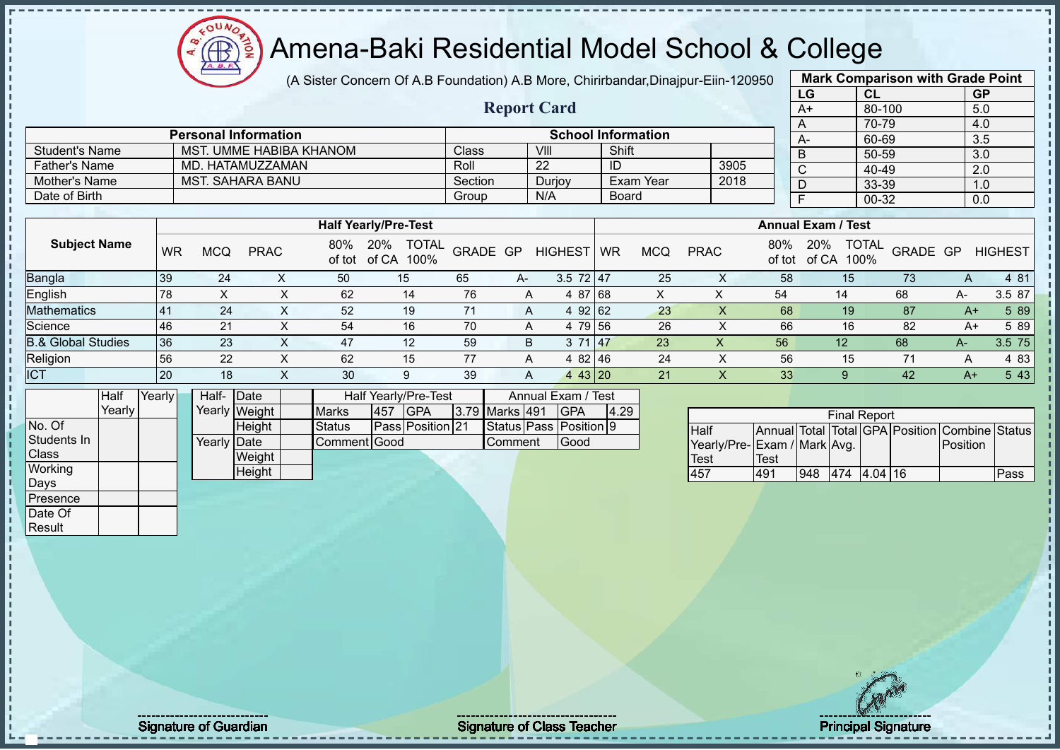(A Sister Concern Of A.B Foundation) A.B More, Chirirbandar,Dinajpur-Eiin-120950 **Mark Comparison with Grade Point**

 $12\mu\text{V}$ 

Æ

|                               |           |                             |               |                |              |                                           |         |          |                |                                  |                 |              |                           |                             |    | LG                                 |                 | CL                  |          |          | GP                                             |
|-------------------------------|-----------|-----------------------------|---------------|----------------|--------------|-------------------------------------------|---------|----------|----------------|----------------------------------|-----------------|--------------|---------------------------|-----------------------------|----|------------------------------------|-----------------|---------------------|----------|----------|------------------------------------------------|
|                               |           |                             |               |                |              |                                           |         |          |                | <b>Report Card</b>               |                 |              |                           |                             |    | $A+$                               |                 | 80-100              |          |          | 5.0                                            |
|                               |           |                             |               |                |              |                                           |         |          |                |                                  |                 |              |                           |                             |    | A                                  |                 | 70-79               |          |          | 4.0                                            |
|                               |           | <b>Personal Information</b> |               |                |              |                                           |         |          |                | <b>School Information</b>        |                 |              |                           |                             |    | $A-$                               |                 | 60-69               |          |          | 3.5                                            |
| <b>Student's Name</b>         |           | MST. UMME HABIBA KHANOM     |               |                |              |                                           | Class   |          |                | VIII                             | Shift           |              |                           |                             |    | $\sf B$                            |                 | $50 - 59$           |          |          | 3.0                                            |
| Father's Name                 |           | MD. HATAMUZZAMAN            |               |                |              |                                           | Roll    |          |                | $\overline{22}$                  | $\overline{ID}$ |              |                           | 3905                        |    | $\mathsf{C}$                       |                 | 40-49               |          |          | 2.0                                            |
| Mother's Name                 |           | <b>MST. SAHARA BANU</b>     |               |                |              |                                           | Section |          |                | Durjoy                           |                 | Exam Year    |                           | 2018                        |    | $\overline{D}$                     |                 | 33-39               |          |          | 1.0                                            |
| Date of Birth                 |           |                             |               |                |              |                                           | Group   |          |                | N/A                              |                 | Board        |                           |                             |    | F                                  |                 | $00 - 32$           |          |          | 0.0                                            |
|                               |           |                             |               |                |              |                                           |         |          |                |                                  |                 |              |                           |                             |    |                                    |                 |                     |          |          |                                                |
|                               |           |                             |               |                |              | <b>Half Yearly/Pre-Test</b>               |         |          |                |                                  |                 |              |                           |                             |    | <b>Annual Exam / Test</b>          |                 |                     |          |          |                                                |
| <b>Subject Name</b>           | <b>WR</b> | <b>MCQ</b>                  | <b>PRAC</b>   |                |              | 80% 20% TOTAL<br>of tot of CA 100%        |         | GRADE GP |                | HIGHEST WR                       |                 | <b>MCQ</b>   | <b>PRAC</b>               |                             |    | 80% 20% TOTAL<br>of tot of CA 100% |                 |                     | GRADE GP |          | <b>HIGHEST</b>                                 |
| Bangla                        | 39        | 24                          |               | X              | 50           | 15                                        | 65      |          | A-             | 3.5 $72 \mid 47$                 |                 | 25           | $\mathsf{X}$              |                             | 58 |                                    | 15              |                     | 73       | A        | 4 81                                           |
| English                       | 78        | $\pmb{\times}$              |               | $\mathsf X$    | 62           | 14                                        | 76      |          | A              | 4 87 68                          |                 | $\mathsf{X}$ | $\mathsf X$               | 54                          |    |                                    | 14              |                     | 68       | A-       | 3.5 87                                         |
| <b>Mathematics</b>            | 41        | 24                          |               | $\pmb{\times}$ | 52           | 19                                        | 71      |          | A              | 4 92 62                          |                 | 23           | $\boldsymbol{\mathsf{X}}$ |                             | 68 |                                    | 19              |                     | 87       | $A+$     | 5 8 9                                          |
| Science                       | 46        | 21                          |               | $\pmb{\times}$ | 54           | 16                                        | 70      |          | Α              | 4 79 56                          |                 | 26           | $\pmb{\times}$            |                             | 66 |                                    | 16              |                     | 82       | $A+$     | 5 89                                           |
| <b>B.&amp; Global Studies</b> | 36        | 23                          |               | $\mathsf{X}$   | 47           | 12                                        | 59      |          | B              | 3 71                             | 47              | 23           | $\boldsymbol{\mathsf{X}}$ |                             | 56 |                                    | 12 <sup>°</sup> |                     | 68       | $A-$     | 3.5 75                                         |
| Religion                      | 56        | 22                          |               | X              | 62           | 15                                        | 77      |          | Α              | 4 82 46                          |                 | 24           | $\pmb{\times}$            |                             | 56 |                                    | 15              |                     | 71       | Α        | 4 8 3                                          |
| <b>ICT</b>                    | 20        | 18                          |               | X              | 30           | 9                                         | 39      |          | A              | 443 20                           |                 | 21           | $\mathsf{X}$              |                             | 33 |                                    | 9 <sup>°</sup>  |                     | 42       | $A+$     | 5 4 3                                          |
| Half<br>Yearly<br>Yearly      |           | Half- Date                  | Yearly Weight |                | <b>Marks</b> | Half Yearly/Pre-Test<br><b>GPA</b><br>457 |         |          | 3.79 Marks 491 | Annual Exam / Test<br><b>GPA</b> | 4.29            |              |                           |                             |    |                                    |                 | <b>Final Report</b> |          |          |                                                |
| No. Of                        |           |                             | Height        |                | Status       | Pass Position 21                          |         |          |                | Status Pass Position 9           |                 |              | Half                      |                             |    |                                    |                 |                     |          |          | Annual Total Total GPA Position Combine Status |
| Students In                   |           | Yearly Date                 |               |                | Comment Good |                                           |         |          | Comment        | Good                             |                 |              |                           | Yearly/Pre-Exam / Mark Avg. |    |                                    |                 |                     |          | Position |                                                |
| Class                         |           |                             | Weight        |                |              |                                           |         |          |                |                                  |                 |              | <b>Test</b>               | <b>Test</b>                 |    |                                    |                 |                     |          |          |                                                |
| Working                       |           |                             | Height        |                |              |                                           |         |          |                |                                  |                 |              | 457                       | 491                         |    |                                    |                 | 948 474 4.04 16     |          |          | Pass                                           |
| Days<br>Presence              |           |                             |               |                |              |                                           |         |          |                |                                  |                 |              |                           |                             |    |                                    |                 |                     |          |          |                                                |
| Date Of                       |           |                             |               |                |              |                                           |         |          |                |                                  |                 |              |                           |                             |    |                                    |                 |                     |          |          |                                                |
| Result                        |           |                             |               |                |              |                                           |         |          |                |                                  |                 |              |                           |                             |    |                                    |                 |                     |          |          |                                                |
|                               |           |                             |               |                |              |                                           |         |          |                |                                  |                 |              |                           |                             |    |                                    |                 | $\frac{1}{2}$       |          |          |                                                |

Signature of Guardian Signature of Class T Teacher Principal Signature 25/52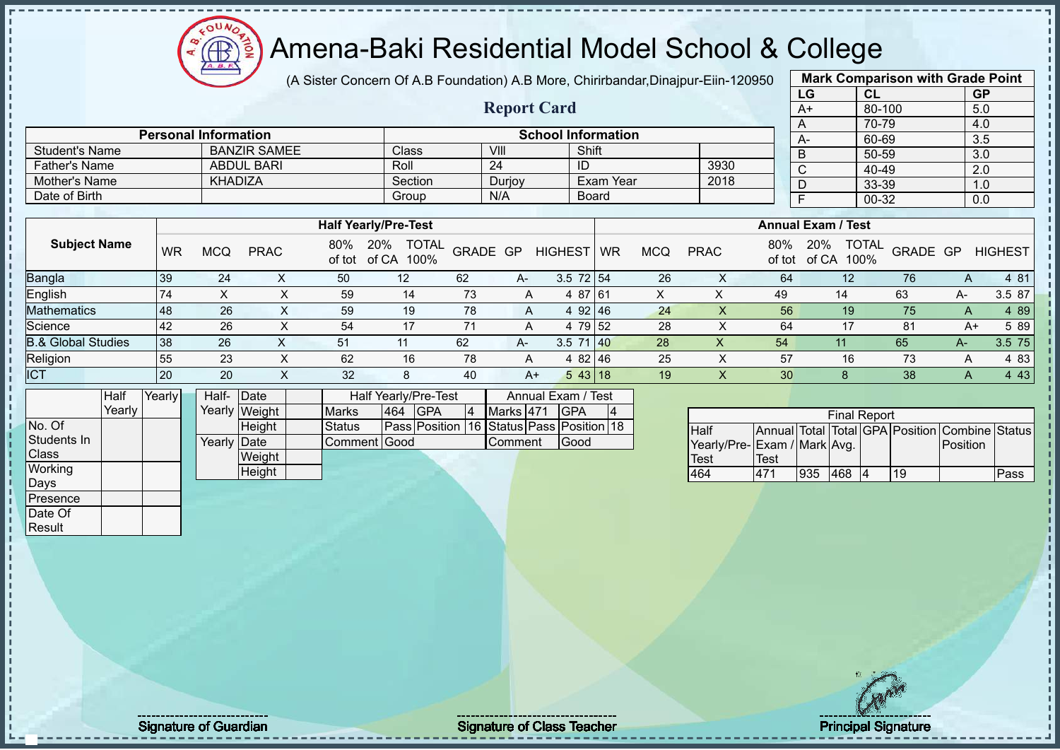# Amena-Baki Residential Model School & College

(A Sister Concern Of A.B Foundation) A.B More, Chirirbandar,Dinajpur-Eiin-120950

**Report Card**

| <b>Mark Comparison with Grade Point</b> |           |           |  |  |  |  |  |  |  |  |  |
|-----------------------------------------|-----------|-----------|--|--|--|--|--|--|--|--|--|
| LG                                      | <b>CL</b> | <b>GP</b> |  |  |  |  |  |  |  |  |  |
| $A+$                                    | 80-100    | 5.0       |  |  |  |  |  |  |  |  |  |
| 70-79<br>4.0<br>A                       |           |           |  |  |  |  |  |  |  |  |  |
| A-                                      | 60-69     | 3.5       |  |  |  |  |  |  |  |  |  |
| B                                       | 50-59     | 3.0       |  |  |  |  |  |  |  |  |  |
| C                                       | 40-49     | 2.0       |  |  |  |  |  |  |  |  |  |
| D                                       | 33-39     | 1.0       |  |  |  |  |  |  |  |  |  |
| F<br>$00-32$<br>0.0                     |           |           |  |  |  |  |  |  |  |  |  |
|                                         |           |           |  |  |  |  |  |  |  |  |  |

| Mother's Name                 | <b>KHADIZA</b> |            |             |               | Section                           |          | Durjoy |                | Exam Year |            | 2018        |               | D                                    | $\cdot$<br>33-39 |      | 1.0            |
|-------------------------------|----------------|------------|-------------|---------------|-----------------------------------|----------|--------|----------------|-----------|------------|-------------|---------------|--------------------------------------|------------------|------|----------------|
| Date of Birth                 |                |            |             |               | Group                             |          | N/A    |                | Board     |            |             |               |                                      | 00-32            |      | 0.0            |
|                               |                |            |             |               |                                   |          |        |                |           |            |             |               |                                      |                  |      |                |
|                               |                |            |             |               | <b>Half Yearly/Pre-Test</b>       |          |        |                |           |            |             |               | <b>Annual Exam / Test</b>            |                  |      |                |
| <b>Subject Name</b>           | <b>WR</b>      | <b>MCQ</b> | <b>PRAC</b> | 80%<br>of tot | 20%<br><b>TOTAL</b><br>of CA 100% | GRADE GP |        | <b>HIGHEST</b> | <b>WR</b> | <b>MCQ</b> | <b>PRAC</b> | 80%<br>of tot | <b>TOTAL</b><br>20%<br>of CA<br>100% | GRADE GP         |      | <b>HIGHEST</b> |
| Bangla                        | 39             | 24         |             | 50            | $12 \overline{ }$                 | 62       | A-     | $3.5$ 72 54    |           | 26         | $\lambda$   | 64            | 12                                   | 76               | А    | 4 81           |
| English                       | 74             | Χ          |             | 59            | 14                                | 73       | A      | 4 87 61        |           |            |             | 49            | 14                                   | 63               | А-   | 3.5 87         |
| Mathematics                   | 48             | 26         | X.          | 59            | 19                                | 78       | A      | 492   46       |           | 24         | $\lambda$   | 56            | 19                                   | 75               | A    | 4 8 9          |
| Science                       | 42             | 26         |             | 54            | 17                                | 71       | A      | 4 79 52        |           | 28         | $\lambda$   | 64            | 17                                   | 81               | A+   | 5 89           |
| <b>3.&amp; Global Studies</b> | 38             | 26         |             | 51            | 11                                | 62       | A-     | $3.5$ 71 40    |           | 28         | $\lambda$   | 54            | 11                                   | 65               | $A-$ | 3.5 75         |
| Religion                      | 55             | 23         | X           | 62            | 16                                | 78       | A      | 4 82 46        |           | 25         | ↗           | 57            | 16                                   | 73               | А    | 4 8 3          |
| <b>ICT</b>                    | 20             | 20         | ∧           | 32            | 8                                 | 40       | $A+$   | 543 18         |           | 19         |             | 30            |                                      | 38               | A    | 4 4 3          |

|              | Half   | Yearly | Half- Date   |               |               |     | Half Yearly/Pre-Test                     |   | Annual Exam / Test |  |             |    |  |  |
|--------------|--------|--------|--------------|---------------|---------------|-----|------------------------------------------|---|--------------------|--|-------------|----|--|--|
|              | Yearly |        |              | Yearly Weight | <b>Marks</b>  | 464 | <b>IGPA</b>                              | 4 | Marks 471          |  | <b>IGPA</b> | 14 |  |  |
| No. Of       |        |        |              | <b>Height</b> | <b>Status</b> |     | Pass Position 16 Status Pass Position 18 |   |                    |  |             |    |  |  |
| Students In  |        |        | Yearly  Date |               | Comment Good  |     | Good<br>Comment                          |   |                    |  |             |    |  |  |
| <b>Class</b> |        |        |              | Weight        |               |     |                                          |   |                    |  |             |    |  |  |
| Working      |        |        |              | Height        |               |     |                                          |   |                    |  |             |    |  |  |
| Days         |        |        |              |               |               |     |                                          |   |                    |  |             |    |  |  |
| Presence     |        |        |              |               |               |     |                                          |   |                    |  |             |    |  |  |

Student's Name BANZIR SAMEE Class VIII Shift<br>
Father's Name ABDUL BARI Roll 24 ID

**Personal Information School Information**

Father's Name ABDUL BARI Roll 24 ID 3930

| <b>Final Report</b>         |      |     |     |  |    |                                                |      |  |  |  |  |  |  |  |
|-----------------------------|------|-----|-----|--|----|------------------------------------------------|------|--|--|--|--|--|--|--|
| <b>Half</b>                 |      |     |     |  |    | Annual Total Total GPA Position Combine Status |      |  |  |  |  |  |  |  |
| Yearly/Pre-Exam / Mark Avg. |      |     |     |  |    | <b>IPosition</b>                               |      |  |  |  |  |  |  |  |
| <b>Test</b>                 | Test |     |     |  |    |                                                |      |  |  |  |  |  |  |  |
| 464                         | 471  | 935 | 468 |  | 19 |                                                | Pass |  |  |  |  |  |  |  |

Date Of **Result** 

Signature of Guardian Signature Signature of Class Teacher Number 2008 2012 2013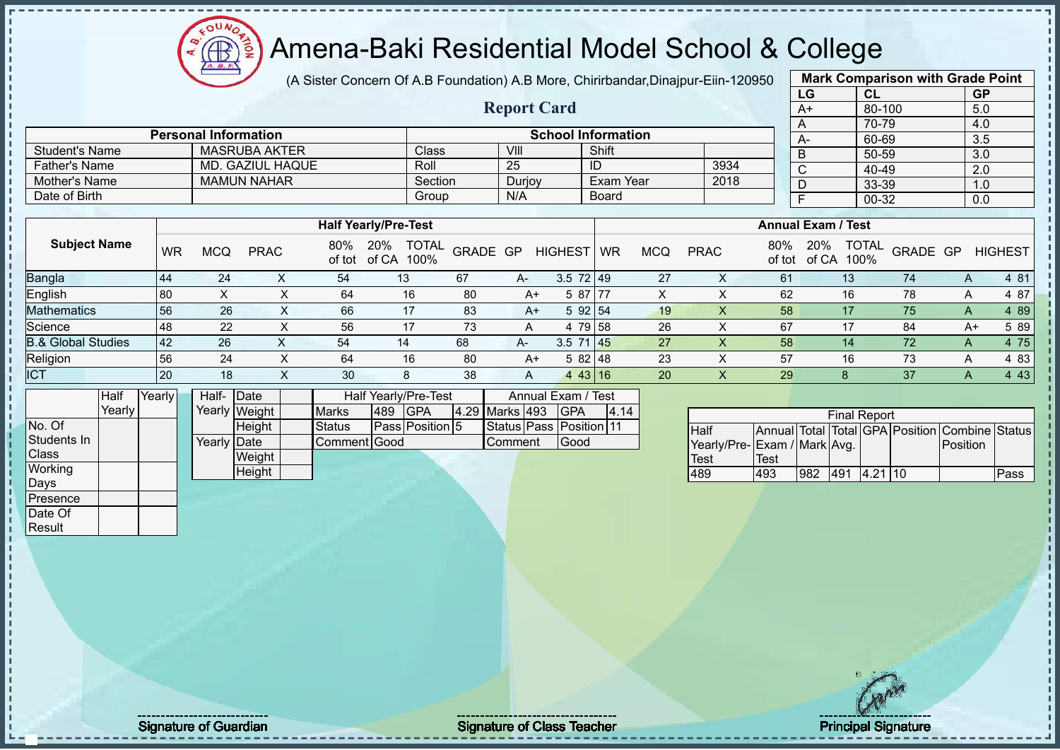$12\mu\text{V}$ **AB** 

# Amena-Baki Residential Model School & College

(A Sister Concern Of A.B Foundation) A.B More, Chirirbandar,Dinajpur-Eiin-120950

**Report Card**

|              | <b>Mark Comparison with Grade Point</b> |           |           |  |  |  |  |  |  |  |  |  |  |
|--------------|-----------------------------------------|-----------|-----------|--|--|--|--|--|--|--|--|--|--|
|              | LG                                      | <b>CL</b> | <b>GP</b> |  |  |  |  |  |  |  |  |  |  |
|              | $A+$                                    | 80-100    | 5.0       |  |  |  |  |  |  |  |  |  |  |
| A            |                                         | 4.0       |           |  |  |  |  |  |  |  |  |  |  |
|              | A-                                      | 60-69     | 3.5       |  |  |  |  |  |  |  |  |  |  |
| B            |                                         | 50-59     | 3.0       |  |  |  |  |  |  |  |  |  |  |
| $\mathsf{C}$ |                                         | 40-49     | 2.0       |  |  |  |  |  |  |  |  |  |  |
|              | D                                       | 33-39     | 1.0       |  |  |  |  |  |  |  |  |  |  |
|              | 00-32<br>F<br>0.0                       |           |           |  |  |  |  |  |  |  |  |  |  |
|              |                                         |           |           |  |  |  |  |  |  |  |  |  |  |

|                       |           |            |                      |    |                              |         |                |        |                    |                           |            |             |      |    |         | - - - -           |                |   | $\ddotsc$      |
|-----------------------|-----------|------------|----------------------|----|------------------------------|---------|----------------|--------|--------------------|---------------------------|------------|-------------|------|----|---------|-------------------|----------------|---|----------------|
| <b>Student's Name</b> |           |            | <b>MASRUBA AKTER</b> |    |                              | Class   |                | VIII   |                    | Shift                     |            |             |      |    | В       | 50-59             |                |   | 3.0            |
| <b>Father's Name</b>  |           |            | MD. GAZIUL HAQUE     |    |                              | Roll    |                | 25     |                    | ID                        |            |             | 3934 |    |         | 40-49             |                |   | 2.0            |
| Mother's Name         |           |            | <b>MAMUN NAHAR</b>   |    |                              | Section |                | Durjoy |                    | Exam Year                 |            |             | 2018 |    |         | 33-39             |                |   | 1.0            |
| Date of Birth         |           |            |                      |    |                              | Group   |                | N/A    |                    | Board                     |            |             |      |    |         | 00-32             |                |   | 0.0            |
|                       |           |            |                      |    |                              |         |                |        |                    |                           |            |             |      |    |         |                   |                |   |                |
|                       |           |            |                      |    |                              |         |                |        |                    | <b>Annual Exam / Test</b> |            |             |      |    |         |                   |                |   |                |
| <b>Subject Name</b>   | <b>WR</b> | <b>MCQ</b> | <b>PRAC</b>          |    | 80% 20%<br>of tot of CA 100% |         | TOTAL GRADE GP |        | <b>HIGHEST</b>     | <b>WR</b>                 | <b>MCQ</b> | <b>PRAC</b> |      |    | 80% 20% | of tot of CA 100% | TOTAL GRADE GP |   | <b>HIGHEST</b> |
| <b>Bangla</b>         | 44        | 24         | ⌒                    | 54 | 13                           |         | 67             | A-     | $3.5 \, 72 \, 149$ |                           | 27         |             |      | 61 |         | 13                | 74             | A | 4 81           |
| English               | 80        |            |                      | 64 |                              | 16      | 80             | A+     | 5 87 77            |                           | X          |             |      | 62 |         | 16                | 78             | A | 4 87           |

| டாராசா                        | 1 U U |                   | ◡╌                  | $\sim$    | ັບບ                      | $\cdots$ | יש ט                 |     |              | $\lambda$ | ັ            | $\sim$ | $\sim$ | $\overline{\phantom{a}}$ | "ט ד            |
|-------------------------------|-------|-------------------|---------------------|-----------|--------------------------|----------|----------------------|-----|--------------|-----------|--------------|--------|--------|--------------------------|-----------------|
| <b>Mathematics</b>            | 56    | $\Omega$<br>∠o    | $\sim$<br><b>bb</b> |           | $\circ$<br>ბა            |          | 。92   54             |     | 19           |           | 58           |        |        |                          | 89 <sub>1</sub> |
| Science                       | 48    | $\sim$<br><u></u> | гe.<br>56           |           | $\overline{\phantom{a}}$ |          | 79 58                |     | 26           |           | <b>^</b>     |        | 84     | ▵                        | 89              |
| <b>B.&amp; Global Studies</b> | 42    | 26                |                     |           | 68                       | $H^-$    | $\rightarrow$<br>ບ.ບ | 145 | $\sim$       |           | 58           |        |        |                          | 75              |
| Religion                      | 56    | $\epsilon$        | 64                  | 1 C<br>ΙO | 80                       |          | 582148               |     | $\sim$<br>ںے |           | --<br>़<br>ິ | 1 C    |        |                          | 83              |
| ICT                           | 20    | 10.<br>١o         | 30                  |           | 38                       |          | 43   16              |     | 20           |           | 29           |        |        |                          | τv              |

|              | Half   | Yearly | Half- Date  |               |               |      | <b>Half Yearly/Pre-Test</b> |                | Annual Exam / Test      |      |
|--------------|--------|--------|-------------|---------------|---------------|------|-----------------------------|----------------|-------------------------|------|
|              | Yearly |        |             | Yearly Weight | <b>Marks</b>  | 1489 | <b>IGPA</b>                 | 4.29 Marks 493 | IGPA                    | 4.14 |
| No. Of       |        |        |             | Height        | <b>Status</b> |      | <b>Pass Position 5</b>      |                | Status Pass Position 11 |      |
| Students In  |        |        | Yearly Date |               | Comment Good  |      |                             | Comment        | Good                    |      |
| <b>Class</b> |        |        |             | Weight        |               |      |                             |                |                         |      |
| Working      |        |        |             | Height        |               |      |                             |                |                         |      |
| Days         |        |        |             |               |               |      |                             |                |                         |      |
| Presence     |        |        |             |               |               |      |                             |                |                         |      |
| Date Of      |        |        |             |               |               |      |                             |                |                         |      |

**Personal Information CONSIDERING INCORPORATION School Information** 

| <b>Final Report</b><br>Annual Total Total GPA Position Combine Status |      |     |                   |  |  |          |      |  |  |  |  |  |  |
|-----------------------------------------------------------------------|------|-----|-------------------|--|--|----------|------|--|--|--|--|--|--|
| <b>Half</b>                                                           |      |     |                   |  |  |          |      |  |  |  |  |  |  |
| Yearly/Pre-Exam / Mark Avg.                                           |      |     |                   |  |  | Position |      |  |  |  |  |  |  |
| <b>Test</b>                                                           | Test |     |                   |  |  |          |      |  |  |  |  |  |  |
| 489                                                                   | 493  | 982 | $1491$ $14.21$ 10 |  |  |          | Pass |  |  |  |  |  |  |

Result

Signature of Guardian Signature of Class Teacher Principal Signature of Class Teacher Principal Signature 27/5<br>
27/52/52 Signature 27/52 Signature 27/52 Signature 27/52 Signature 27/52 Signature 27/52 Signature 27/52 Signa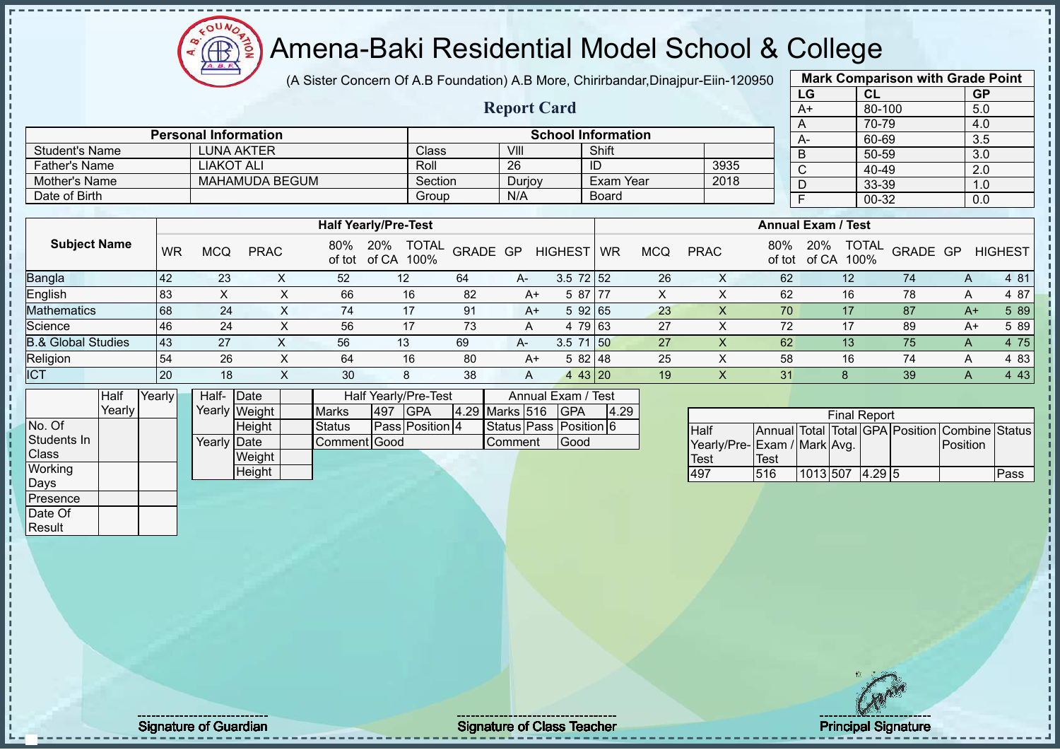$12\mu\text{V}$ **AB** 

# Amena-Baki Residential Model School & College

(A Sister Concern Of A.B Foundation) A.B More, Chirirbandar,Dinajpur-Eiin-120950

**Report Card**

|      | <b>Mark Comparison with Grade Point</b> |                  |
|------|-----------------------------------------|------------------|
| LG   | <b>CL</b>                               | <b>GP</b>        |
| $A+$ | 80-100                                  | 5.0              |
| Α    | 70-79                                   | 4.0              |
| A-   | 60-69                                   | $3.\overline{5}$ |
| B    | 50-59                                   | 3.0              |
| C    | 40-49                                   | 2.0              |
| D    | 33-39                                   | 1.0              |
| F    | 00-32                                   | 0.0              |
|      |                                         |                  |

|                      | <b>Personal Information</b> |         |        | <b>School Information</b> |      | $A-$ |
|----------------------|-----------------------------|---------|--------|---------------------------|------|------|
| Student's Name       | LUNA AKTER                  | Class   | VIII   | Shift                     |      |      |
| <b>Father's Name</b> | LIAKOT ALI                  | Roll    | 26     | ID                        | 3935 |      |
| Mother's Name        | <b>MAHAMUDA BEGUM</b>       | Section | Durjoy | Exam Year                 | 2018 |      |
| Date of Birth        |                             | Group   | N/A    | <b>Board</b>              |      |      |

|                     |           |            |              |               | <b>Half Yearly/Pre-Test</b>          |          |      |                 |    |            |             |               | <b>Annual Exam / Test</b>            |          |   |                |
|---------------------|-----------|------------|--------------|---------------|--------------------------------------|----------|------|-----------------|----|------------|-------------|---------------|--------------------------------------|----------|---|----------------|
| <b>Subject Name</b> | <b>WR</b> | <b>MCQ</b> | <b>PRAC</b>  | 80%<br>of tot | <b>TOTAL</b><br>20%<br>of CA<br>100% | GRADE GP |      | <b>HIGHEST</b>  | WR | <b>MCQ</b> | <b>PRAC</b> | 80%<br>of tot | <b>TOTAL</b><br>20%<br>100%<br>of CA | GRADE GP |   | <b>HIGHEST</b> |
| Bangla              | <b>42</b> | 23         |              | 52            | 12                                   | 64       | $A-$ | $3.5 \ 72 \ 52$ |    | 26         | ∧           | 62            | 12                                   | 74       | A | 4 81           |
| English             | 83        |            |              | 66            | 16                                   | 82       | A+   | 5 87 77         |    | $\sim$     |             | 62            | 16                                   | 78       | A | 4 87           |
| <b>Mathematics</b>  | 68        | 24         | ∧            | 74            | 17                                   | 91       | $A+$ | 5 92 65         |    | 23         |             | 70            | 17                                   | 87       |   | 5 89<br>$A+$   |
| Science             | <b>46</b> | 24         |              | 56            | 17                                   | 73       | A    | 4 79 63         |    | 27         |             | 72            | 17                                   | 89       |   | 5 89<br>$A+$   |
| 3.& Global Studies  | 43        | 27         |              | 56            | 13                                   | 69       | A-   | $3.5$ 71 50     |    | 27         |             | 62            | 13                                   | 75       | A | 4 75           |
| Religion            | 54        | 26         |              | 64            | 16                                   | 80       | $A+$ | 582148          |    | 25         |             | 58            | 16                                   | 74       | A | 4 83           |
| <b>ICT</b>          | <b>20</b> | 18         | $\checkmark$ | 30            | 8                                    | 38       | A    | 443 20          |    | 19         |             | 31            |                                      | 39       | A | 4 4 3          |

|             | Half   | Yearly | Half- Date  |               |               |     | Half Yearly/Pre-Test   |                | Annual Exam / Test     |      |
|-------------|--------|--------|-------------|---------------|---------------|-----|------------------------|----------------|------------------------|------|
|             | Yearly |        |             | Yearly Weight | <b>Marks</b>  | 497 | <b>IGPA</b>            | 4.29 Marks 516 | <b>GPA</b>             | 4.29 |
| No. Of      |        |        |             | Height        | <b>Status</b> |     | <b>Pass Position 4</b> |                | Status Pass Position 6 |      |
| Students In |        |        | Yearly Date |               | Comment Good  |     |                        | Comment        | Good                   |      |
| Class       |        |        |             | Weight        |               |     |                        |                |                        |      |
| Working     |        |        |             | Height        |               |     |                        |                |                        |      |
| Days        |        |        |             |               |               |     |                        |                |                        |      |
| Presence    |        |        |             |               |               |     |                        |                |                        |      |
| Date Of     |        |        |             |               |               |     |                        |                |                        |      |

| <b>Final Report</b>         |             |                 |  |  |  |                                                |      |  |  |  |  |  |  |
|-----------------------------|-------------|-----------------|--|--|--|------------------------------------------------|------|--|--|--|--|--|--|
| <b>Half</b>                 |             |                 |  |  |  | Annual Total Total GPA Position Combine Status |      |  |  |  |  |  |  |
| Yearly/Pre-Exam / Mark Avg. |             |                 |  |  |  | Position                                       |      |  |  |  |  |  |  |
| <b>Test</b>                 | <b>Test</b> |                 |  |  |  |                                                |      |  |  |  |  |  |  |
| 497                         | 516         | 1013 507 4.29 5 |  |  |  |                                                | Pass |  |  |  |  |  |  |

Result

Signature of Guardian Signature of Class Teacher Principal Signature of Class Teacher Principal Signature 28/5<br>
28/52/52/52 12:33 28/52 12:33 28/52 12:33 28/52 12:33 28/52 12:33 28/52 12:33 28/52 12:33 28/52 12:33 28/52 1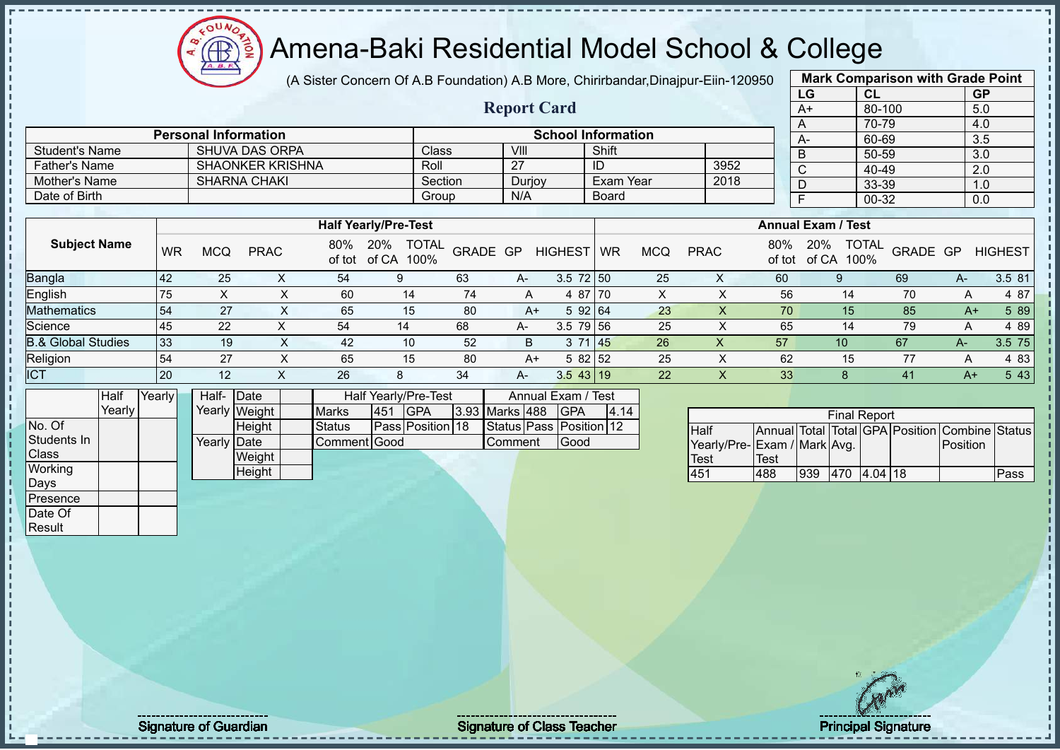$12\mu\text{V}$ **AR** 

### Amena-Baki Residential Model School & College

(A Sister Concern Of A.B Foundation) A.B More, Chirirbandar,Dinajpur-Eiin-120950

**Report Card**

| 950 |                           | <b>Mark Comparison with Grade Point</b> |           |
|-----|---------------------------|-----------------------------------------|-----------|
|     | LG                        | CL                                      | <b>GP</b> |
|     | A+                        | 80-100                                  | 5.0       |
|     | A                         | 70-79                                   | 4.0       |
|     | A-                        | 60-69                                   | 3.5       |
|     | B                         | 50-59                                   | 3.0       |
|     | $\overline{\text{c}}$     | 40-49                                   | 2.0       |
|     | D                         | 33-39                                   | 1.0       |
|     | F                         | 00-32                                   | 0.0       |
|     |                           |                                         |           |
|     | <b>Annual Exam / Test</b> |                                         |           |

|                      |           | <b>Personal Information</b> |                         |                             |                                 |                          |              | <b>School Information</b> |            |             |      |     | $A-$                      | 60-69 |               |  |
|----------------------|-----------|-----------------------------|-------------------------|-----------------------------|---------------------------------|--------------------------|--------------|---------------------------|------------|-------------|------|-----|---------------------------|-------|---------------|--|
| Student's Name       |           |                             | <b>SHUVA DAS ORPA</b>   |                             |                                 | Class                    | VIII         | Shift                     |            |             |      |     |                           | 50-59 |               |  |
| <b>Father's Name</b> |           |                             | <b>SHAONKER KRISHNA</b> |                             |                                 | Roll                     | 27           | ID                        |            |             | 3952 |     |                           | 40-49 |               |  |
| Mother's Name        |           |                             | <b>SHARNA CHAKI</b>     |                             |                                 | Section                  | Durjoy       | Exam Year                 |            |             | 2018 |     |                           | 33-39 |               |  |
| Date of Birth        |           |                             |                         |                             |                                 | Group                    | N/A          | <b>Board</b>              |            |             |      |     |                           | 00-32 |               |  |
|                      |           |                             |                         |                             |                                 |                          |              |                           |            |             |      |     |                           |       |               |  |
|                      |           |                             |                         | <b>Half Yearly/Pre-Test</b> |                                 |                          |              |                           |            |             |      |     | <b>Annual Exam / Test</b> |       |               |  |
| <b>Subject Name</b>  | <b>WR</b> | MCQ                         | <b>PRAC</b>             | 80%                         | 20%<br>$-11 - 1$ $-101$ $-1001$ | <b>TOTAL</b><br>GRADE GP | HIGHEST   WR |                           | <b>MCQ</b> | <b>PRAC</b> |      | 80% | 20%<br>$11.1$ $1000$      |       | OTAL GRADE GP |  |

| <b>OUNIVOL ITUILITY</b>       | WR        | <b>MCQ</b> | <b>PRAC</b> | <b>UU 70</b><br>of tot | 20 / U<br><b>UVINL</b><br>100%<br>of CA | <b>GRADE GP</b> |      | <b>HIGHEST</b> | <b>WR</b> | <b>MCQ</b> | <b>PRAC</b> | 0070<br>of tot | 20/0<br><b>UUINL</b><br>100%<br>of CA | <b>GRADE GP</b> |    | <b>HIGHEST</b> |
|-------------------------------|-----------|------------|-------------|------------------------|-----------------------------------------|-----------------|------|----------------|-----------|------------|-------------|----------------|---------------------------------------|-----------------|----|----------------|
| Bangla                        | 142       | 25         |             | 54                     |                                         | 63              | A-   | $3.5$ 72 50    |           | 25         | ∧           | 60             |                                       | 69              | A- | 3.5 81         |
| English                       | 75        |            |             | 60                     | 14                                      |                 | A    | 4 87 70        |           | $\lambda$  |             | 56             | 14                                    | 70              |    | 4 87           |
| <b>Mathematics</b>            | 54        | 27         |             | 65                     | 15                                      | 80              | A+   | 592 64         |           | 23         |             | 70             | 15 <sub>1</sub>                       | 85              | A+ | 5 89           |
| Science                       | '45       | 22         |             | 54                     |                                         | 68              | $A-$ | $3.5$ 79 56    |           | 25         |             | 65             | 14                                    | 79              |    | 489            |
| <b>B.&amp; Global Studies</b> | l 33      | 19         |             | 42                     | 10                                      | 52              |      | 3 71 45        |           | 26         | ∧           | 57             | 10                                    | 67              | А- | 3.5 75         |
| Religion                      | 54        | 27         |             | 65                     | 15                                      | 80              | A+   | 5 82 52        |           | 25         |             | 62             | 15                                    | 77              |    | 4 83           |
| <b>ICT</b>                    | <b>20</b> | 12         |             | 26                     |                                         | 34              | A-   | $3.5$ 43 19    |           | 22         |             | 33             |                                       | 41              | A+ | 5 4 3          |

|              | Half   | Yearly | Half- Date  |               |               |      | Half Yearly/Pre-Test    |                | Annual Exam / Test      |      |
|--------------|--------|--------|-------------|---------------|---------------|------|-------------------------|----------------|-------------------------|------|
|              | Yearly |        |             | Yearly Weight | <b>Marks</b>  | 1451 | <b>IGPA</b>             | 3.93 Marks 488 | <b>IGPA</b>             | 4.14 |
| No. Of       |        |        |             | <b>Height</b> | <b>Status</b> |      | <b>Pass Position 18</b> |                | Status Pass Position 12 |      |
| Students In  |        |        | Yearly Date |               | Comment Good  |      |                         | Comment        | Good                    |      |
| <b>Class</b> |        |        |             | Weight        |               |      |                         |                |                         |      |
| Working      |        |        |             | Height        |               |      |                         |                |                         |      |
| Days         |        |        |             |               |               |      |                         |                |                         |      |
| Presence     |        |        |             |               |               |      |                         |                |                         |      |

| <b>Final Report</b>         |      |     |     |           |  |                                                |      |  |  |  |  |  |  |
|-----------------------------|------|-----|-----|-----------|--|------------------------------------------------|------|--|--|--|--|--|--|
| <b>Half</b>                 |      |     |     |           |  | Annual Total Total GPA Position Combine Status |      |  |  |  |  |  |  |
| Yearly/Pre-Exam / Mark Avg. |      |     |     |           |  | Position                                       |      |  |  |  |  |  |  |
| <b>Test</b>                 | Test |     |     |           |  |                                                |      |  |  |  |  |  |  |
| 451                         | 488  | 939 | 470 | $4.04$ 18 |  |                                                | Pass |  |  |  |  |  |  |

Date Of **Result** 

Signature of Guardian Signature of Class Teacher Principal Signature of Class Teacher Principal Signature 2015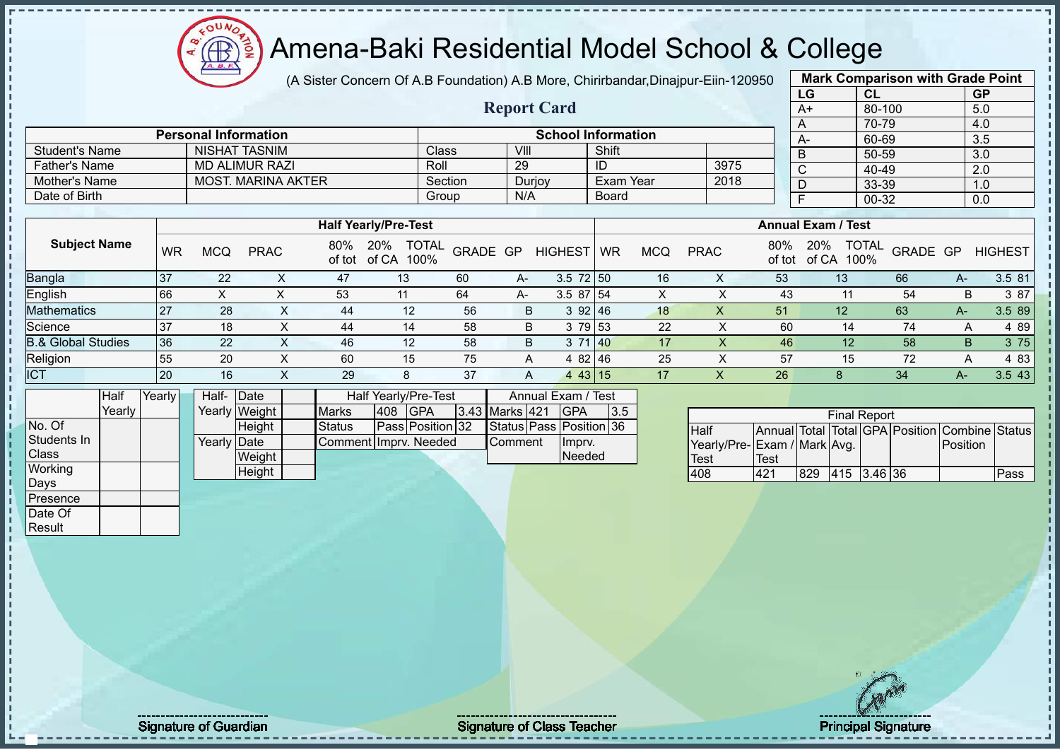## Amena-Baki Residential Model School & College

(A Sister Concern Of A.B Foundation) A.B More, Chirirbandar,Dinajpur-Eiin-120950

**Report Card**

**Personal Information School Information** 

| <b>Mark Comparison with Grade Point</b> |           |           |  |  |  |  |  |  |  |  |  |  |
|-----------------------------------------|-----------|-----------|--|--|--|--|--|--|--|--|--|--|
| LG                                      | <b>CL</b> | <b>GP</b> |  |  |  |  |  |  |  |  |  |  |
| $A+$                                    | 80-100    | 5.0       |  |  |  |  |  |  |  |  |  |  |
| 70-79<br>4.0<br>$\overline{A}$          |           |           |  |  |  |  |  |  |  |  |  |  |
| А-                                      | 60-69     | 3.5       |  |  |  |  |  |  |  |  |  |  |
| B                                       | 50-59     | 3.0       |  |  |  |  |  |  |  |  |  |  |
| $\mathsf{C}$                            | 40-49     | 2.0       |  |  |  |  |  |  |  |  |  |  |
| D                                       | 33-39     | 1.0       |  |  |  |  |  |  |  |  |  |  |
| F<br>00-32<br>0.0                       |           |           |  |  |  |  |  |  |  |  |  |  |
|                                         |           |           |  |  |  |  |  |  |  |  |  |  |

|                               |           |            |                           |               |                                      |          |     |                |           |            |             |               |                           | <u>oo oo </u>            |      | $\ddotsc$      |
|-------------------------------|-----------|------------|---------------------------|---------------|--------------------------------------|----------|-----|----------------|-----------|------------|-------------|---------------|---------------------------|--------------------------|------|----------------|
| <b>Father's Name</b>          |           |            | <b>MD ALIMUR RAZI</b>     |               |                                      | Roll     | 29  |                | ID        |            | 3975        |               | $\sim$                    | 40-49                    |      | 2.0            |
| Mother's Name                 |           |            | <b>MOST. MARINA AKTER</b> |               |                                      | Section  |     | Durjoy         | Exam Year |            | 2018        |               | D                         | 33-39                    |      | 1.0            |
| Date of Birth                 |           |            |                           |               |                                      | Group    | N/A |                | Board     |            |             |               |                           | 00-32                    |      | 0.0            |
|                               |           |            |                           |               |                                      |          |     |                |           |            |             |               |                           |                          |      |                |
|                               |           |            |                           |               | <b>Half Yearly/Pre-Test</b>          |          |     |                |           |            |             |               | <b>Annual Exam / Test</b> |                          |      |                |
| <b>Subject Name</b>           | <b>WR</b> | <b>MCQ</b> | <b>PRAC</b>               | 80%<br>of tot | <b>TOTAL</b><br>20%<br>of CA<br>100% | GRADE GP |     | <b>HIGHEST</b> | <b>WR</b> | <b>MCQ</b> | <b>PRAC</b> | 80%<br>of tot | 20%<br>100%<br>of CA      | <b>TOTAL</b><br>GRADE GP |      | <b>HIGHEST</b> |
| <b>Bangla</b>                 | 37        | 22         |                           | 47            | 13                                   | 60       | A-  | $3.5$ 72 50    |           | 16         | X           | 53            | 13                        | 66                       | A-   | 3.5 81         |
| English                       | 66        | X          | x                         | 53            | 11                                   | 64       | A-  | 3.587154       |           | X          | X           | 43            |                           | 54                       | B    | 3 87           |
| Mathematics                   | 27        | 28         | X                         | 44            | 12                                   | 56       | B   | 392 46         |           | 18         | X           | 51            | 12                        | 63                       | A-   | 3.5 89         |
| Science                       | 37        | 18         | ᄉ                         | 44            | 14                                   | 58       | B   | 3 79 53        |           | 22         | X           | 60            | 14                        | 74                       | A    | 4 8 9          |
| <b>B.&amp; Global Studies</b> | 36        | 22         | X.                        | 46            | 12                                   | 58       | B.  | 3 71 40        |           | 17         | X           | 46            | 12                        | 58                       | B    | 3 75           |
| Religion<br>ICT               | 55        | 20         | X                         | 60            | 15                                   | 75       | A   | 4 82 46        |           | 25         | X           | 57            | 15                        | 72                       | A    | 4 8 3          |
|                               | 20        | 16         |                           | 29            | 8                                    | 37       | A   | 443 15         |           | 17         |             | 26            | 8                         | 34                       | A- 1 | 3.5 43         |

|                | Half   | Yearly <mark>l</mark> | Half-Date   |               |                       |     | Half Yearly/Pre-Test | Annual Exam / Test |                |         |                         |     |
|----------------|--------|-----------------------|-------------|---------------|-----------------------|-----|----------------------|--------------------|----------------|---------|-------------------------|-----|
|                | Yearlv |                       |             | Yearly Weight | <b>Marks</b>          | 408 | <b>IGPA</b>          |                    | 3.43 Marks 421 |         | <b>IGPA</b>             | 3.5 |
| No. Of         |        |                       |             | <b>Height</b> | <b>Status</b>         |     | Pass Position 32     |                    |                |         | Status Pass Position 36 |     |
| Students In    |        |                       | Yearly Date |               | Comment Imprv. Needed |     |                      | <b>Comment</b>     |                | Ilmpry. |                         |     |
| <b>Class</b>   |        |                       |             | Weight        |                       |     |                      |                    |                |         | Needed                  |     |
| <b>Working</b> |        |                       |             | Height        |                       |     |                      |                    |                |         |                         |     |
| Days           |        |                       |             |               |                       |     |                      |                    |                |         |                         |     |

Student's Name NISHAT TASNIM Class VIII Shift<br>
Father's Name MD ALIMUR RAZI Roll 29 ID

| <b>Final Report</b>         |      |     |                 |  |  |                                                |      |  |  |  |  |  |  |
|-----------------------------|------|-----|-----------------|--|--|------------------------------------------------|------|--|--|--|--|--|--|
| <b>Half</b>                 |      |     |                 |  |  | Annual Total Total GPA Position Combine Status |      |  |  |  |  |  |  |
| Yearly/Pre-Exam / Mark Avg. |      |     |                 |  |  | <b>IPosition</b>                               |      |  |  |  |  |  |  |
| Test                        | Test |     |                 |  |  |                                                |      |  |  |  |  |  |  |
| 408                         | 421  | 829 | $ 415 $ 3.46 36 |  |  |                                                | Pass |  |  |  |  |  |  |

Presence Date Of **Result** 

Signature of Guardian Signature Signature of Class Teacher New York Network Principal Signature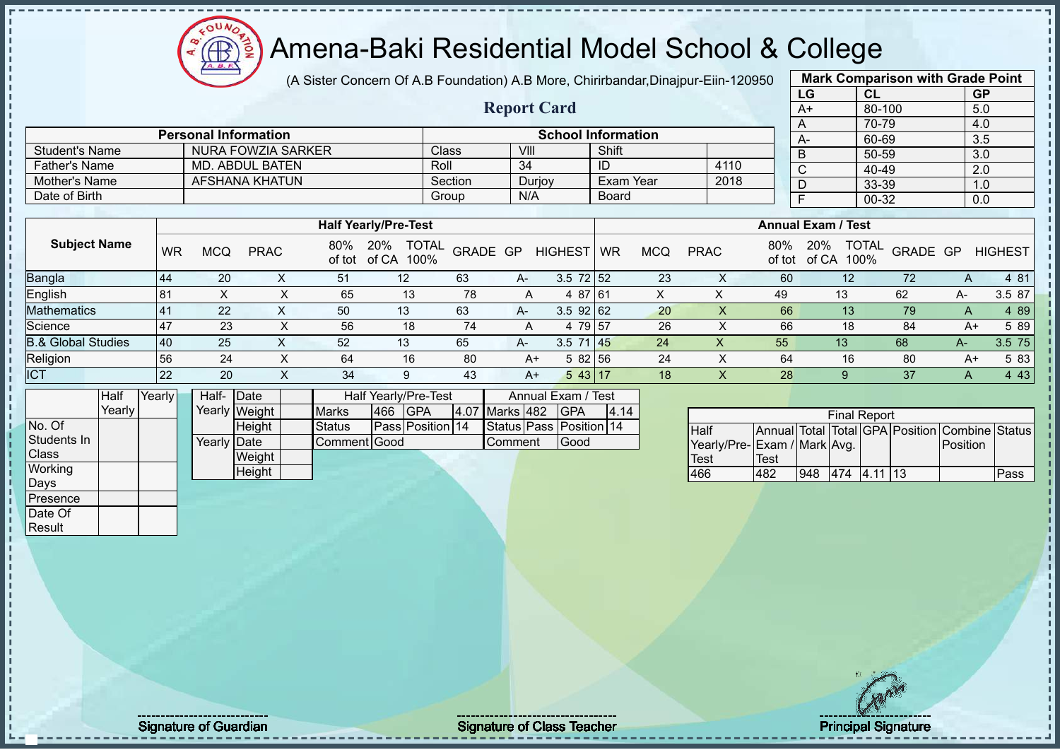$12\mu\text{V}$ **AR** 

# Amena-Baki Residential Model School & College

(A Sister Concern Of A.B Foundation) A.B More, Chirirbandar,Dinajpur-Eiin-120950

**Report Card**

| <b>Mark Comparison with Grade Point</b> |           |           |  |  |  |  |  |  |  |  |  |  |
|-----------------------------------------|-----------|-----------|--|--|--|--|--|--|--|--|--|--|
| LG                                      | <b>CL</b> | <b>GP</b> |  |  |  |  |  |  |  |  |  |  |
| $A+$                                    | 80-100    | 5.0       |  |  |  |  |  |  |  |  |  |  |
| 70-79<br>4.0<br>A                       |           |           |  |  |  |  |  |  |  |  |  |  |
| A-                                      | 60-69     | 3.5       |  |  |  |  |  |  |  |  |  |  |
| B                                       | 50-59     | 3.0       |  |  |  |  |  |  |  |  |  |  |
| $\overline{\text{c}}$                   | 40-49     | 2.0       |  |  |  |  |  |  |  |  |  |  |
| D                                       | 33-39     | 1.0       |  |  |  |  |  |  |  |  |  |  |
| F<br>00-32<br>0.0                       |           |           |  |  |  |  |  |  |  |  |  |  |
|                                         |           |           |  |  |  |  |  |  |  |  |  |  |

|                       | <b>Personal Information</b> |         | <b>School Information</b> |              |      |  |  |  |  |  |  |  |
|-----------------------|-----------------------------|---------|---------------------------|--------------|------|--|--|--|--|--|--|--|
| <b>Student's Name</b> | NURA FOWZIA SARKER          | Class   | VIII                      | Shift        |      |  |  |  |  |  |  |  |
| Father's Name         | MD. ABDUL BATEN             | Roll    | -34                       | ID           | 4110 |  |  |  |  |  |  |  |
| Mother's Name         | AFSHANA KHATUN              | Section | Durjoy                    | Exam Year    | 2018 |  |  |  |  |  |  |  |
| Date of Birth         |                             | Group   | N/A                       | <b>Board</b> |      |  |  |  |  |  |  |  |
|                       |                             |         |                           |              |      |  |  |  |  |  |  |  |

|                               |           |     |             |               | <b>Half Yearly/Pre-Test</b>          |          |      | <b>Annual Exam / Test</b> |    |     |             |               |                                      |          |    |                |
|-------------------------------|-----------|-----|-------------|---------------|--------------------------------------|----------|------|---------------------------|----|-----|-------------|---------------|--------------------------------------|----------|----|----------------|
| <b>Subject Name</b>           | WR        | MCQ | <b>PRAC</b> | 80%<br>of tot | <b>TOTAL</b><br>20%<br>of CA<br>100% | GRADE GP |      | <b>HIGHEST</b>            | WR | MCQ | <b>PRAC</b> | 80%<br>of tot | <b>TOTAL</b><br>20%<br>100%<br>of CA | GRADE GP |    | <b>HIGHEST</b> |
| <b>Bangla</b>                 | 44        | 20  |             | 51            | 12                                   | 63       | $A-$ | $3.5 \ 72 \ 52$           |    | 23  |             | 60            | 12                                   | 72       |    | 4 81           |
| English                       | <b>81</b> |     |             | 65            | 13                                   | 78       | A    | 4 87 61                   |    |     |             | 49            | 13                                   | 62       | А- | 3.5 87         |
| <b>Mathematics</b>            | l 41      | 22  |             | 50            | 13                                   | 63       | $A-$ | $3.5$ 92 62               |    | 20  |             | 66            | 13 <sup>°</sup>                      | 79       | A  | 4 8 9          |
| Science                       | -47       | 23  |             | 56            | 18                                   | 74       | A    | 4 79 57                   |    | 26  |             | 66            | 18                                   | 84       | A+ | 5 89           |
| <b>B.&amp; Global Studies</b> | 40        | 25  |             | 52            | 13                                   | 65       | $A-$ | $3.5$ 71 45               |    | 24  | Х           | 55            | 13                                   | 68       | A- | 3.5 75         |
| Religion                      | 56        | 24  |             | 64            | 16                                   | 80       | A+   | 5 82 56                   |    | 24  |             | 64            | 16                                   | 80       | A+ | 5 83           |
| <b>ICT</b>                    | 22        | 20  |             | 34            | 9                                    | 43       | $A+$ | $543$   17                |    | 18  |             | 28            |                                      | 37       |    | 4 4 3          |

|              | Half   | Yearly | Half-       | Date          |               |                   | Half Yearly/Pre-Test |         |                | Annual Exam / Test      |      |  |
|--------------|--------|--------|-------------|---------------|---------------|-------------------|----------------------|---------|----------------|-------------------------|------|--|
|              | Yearly |        |             | Yearly Weight | <b>Marks</b>  | 466<br><b>GPA</b> |                      |         | 4.07 Marks 482 | <b>IGPA</b>             | 4.14 |  |
| No. Of       |        |        |             | Height        | <b>Status</b> |                   | Pass Position 14     |         |                | Status Pass Position 14 |      |  |
| Students In  |        |        | Yearly Date |               | Comment Good  |                   |                      | Comment | Good           |                         |      |  |
| <b>Class</b> |        |        |             | Weight        |               |                   |                      |         |                |                         |      |  |
| Working      |        |        |             | Height        |               |                   |                      |         |                |                         |      |  |
| Days         |        |        |             |               |               |                   |                      |         |                |                         |      |  |
| Presence     |        |        |             |               |               |                   |                      |         |                |                         |      |  |
| Date Of      |        |        |             |               |               |                   |                      |         |                |                         |      |  |

| <b>Final Report</b>         |      |     |     |           |  |                                                |      |  |  |  |  |  |  |
|-----------------------------|------|-----|-----|-----------|--|------------------------------------------------|------|--|--|--|--|--|--|
| Half                        |      |     |     |           |  | Annual Total Total GPA Position Combine Status |      |  |  |  |  |  |  |
| Yearly/Pre-Exam / Mark Avg. |      |     |     |           |  | Position                                       |      |  |  |  |  |  |  |
| <b>Test</b>                 | Test |     |     |           |  |                                                |      |  |  |  |  |  |  |
| 466                         | 482  | 948 | 474 | $4.11$ 13 |  |                                                | Pass |  |  |  |  |  |  |

Result

Signature of Guardian Signature of Class Teacher Principal Signature of Class Teacher Principal Signature 31/5<br>
Signature 31/522 and 21/52 and 31/52 and 31/52 and 31/52 and 31/52 and 31/52 and 31/52 and 31/52 and 31/52 an<br>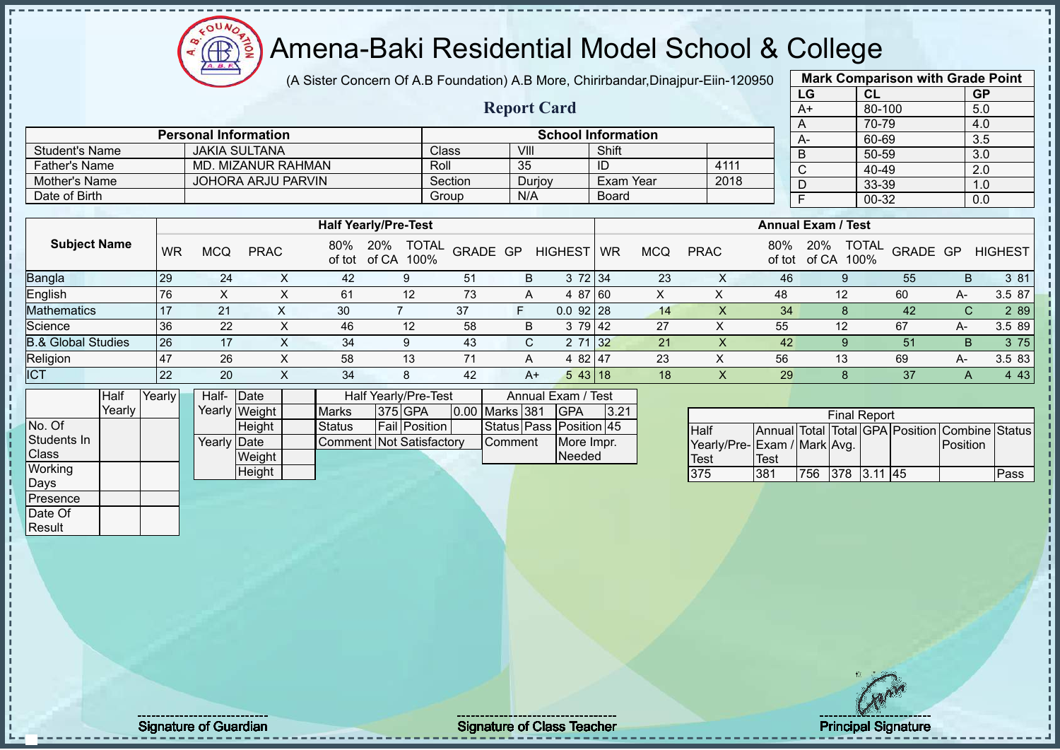# Amena-Baki Residential Model School & College

(A Sister Concern Of A.B Foundation) A.B More, Chirirbandar,Dinajpur-Eiin-120950

**Report Card**

**Personal Information School Information** 

Father's Name MD. MIZANUR RAHMAN ROLL 2018<br>
Mother's Name JOHORA ARJU PARVIN Section Duriov Exam Year 2018

|                   | <b>Mark Comparison with Grade Point</b> |           |  |  |  |  |  |  |  |  |  |  |  |
|-------------------|-----------------------------------------|-----------|--|--|--|--|--|--|--|--|--|--|--|
| LG                | CL                                      | <b>GP</b> |  |  |  |  |  |  |  |  |  |  |  |
| $A+$              | 80-100                                  | 5.0       |  |  |  |  |  |  |  |  |  |  |  |
| 70-79<br>4.0<br>A |                                         |           |  |  |  |  |  |  |  |  |  |  |  |
| A-                | 60-69                                   | 3.5       |  |  |  |  |  |  |  |  |  |  |  |
| B                 | 50-59                                   | 3.0       |  |  |  |  |  |  |  |  |  |  |  |
| $\mathsf{C}$      | 40-49                                   | 2.0       |  |  |  |  |  |  |  |  |  |  |  |
| D                 | 33-39                                   | 1.0       |  |  |  |  |  |  |  |  |  |  |  |
| F<br>00-32<br>0.0 |                                         |           |  |  |  |  |  |  |  |  |  |  |  |
|                   |                                         |           |  |  |  |  |  |  |  |  |  |  |  |

|                               |           |            |             |     |                             |                      |          |      |                | Board                     |            |             |               |              | $\sim$ $\sim$ $\sim$ |          |    | $\cdot\cdot\cdot$ |  |  |
|-------------------------------|-----------|------------|-------------|-----|-----------------------------|----------------------|----------|------|----------------|---------------------------|------------|-------------|---------------|--------------|----------------------|----------|----|-------------------|--|--|
| Date of Birth                 |           |            |             |     |                             | Group<br>N/A         |          |      |                |                           |            |             |               |              | 00-32                |          |    | 0.0               |  |  |
|                               |           |            |             |     |                             |                      |          |      |                |                           |            |             |               |              |                      |          |    |                   |  |  |
|                               |           |            |             |     | <b>Half Yearly/Pre-Test</b> |                      |          |      |                | <b>Annual Exam / Test</b> |            |             |               |              |                      |          |    |                   |  |  |
| <b>Subject Name</b>           | <b>WR</b> | <b>MCQ</b> | <b>PRAC</b> | 80% | 20%<br>of tot of CA         | <b>TOTAL</b><br>100% | GRADE GP |      | <b>HIGHEST</b> | <b>WR</b>                 | <b>MCQ</b> | <b>PRAC</b> | 80%<br>of tot | 20%<br>of CA | <b>TOTAL</b><br>100% | GRADE GP |    | <b>HIGHEST</b>    |  |  |
| Bangla                        | 29        | 24         | $\lambda$   | 42  | 9                           | 51                   |          | B    | 3 72 34        |                           | 23         |             | 46            |              |                      | 55       | B. | 3 81              |  |  |
| English                       | 76        |            | $\sim$      | 61  | 12                          |                      | 73       | A    | 4 87 60        |                           |            | ⋏           | 48            |              | 12                   | 60       | A- | 3.5 87            |  |  |
| <b>Mathematics</b>            |           | 21         |             | 30  |                             | 37                   |          | F    | $0.0$ 92 28    |                           | 14         |             | 34            |              |                      | 42       | C. | 2 8 9             |  |  |
| Science                       | 36        | 22         | ∧           | 46  | 12                          | 58                   |          | B    | 3 79 42        |                           | 27         |             | 55            |              | 12                   | 67       | A- | 3.5 89            |  |  |
| <b>B.&amp; Global Studies</b> | 26        | 17         |             | 34  | 9                           | 43                   |          | C.   | 2 71 32        |                           | 21         |             | 42            |              |                      | 51       | B. | 3 75              |  |  |
| Religion                      | 147       | 26         | $\sim$      | 58  | 13                          |                      |          | A    | 4 82 47        |                           | 23         | $\lambda$   | 56            |              | 13                   | 69       | A- | 3.5 83            |  |  |
| <b>ICT</b>                    | 22        | 20         |             | 34  | 8                           | 42                   |          | $A+$ | 543 18         |                           | 18         |             | 29            |              |                      | 37       | A  | 4 4 3             |  |  |

|              | Half   | Yearly∐ | Half- Date  |               |                          | Half Yearly/Pre-Test | Annual Exam / Test   |  |                       |  |                         |      |
|--------------|--------|---------|-------------|---------------|--------------------------|----------------------|----------------------|--|-----------------------|--|-------------------------|------|
|              | Yearly |         |             | Yearly Weight | <b>Marks</b>             |                      | 375 GPA              |  | <b>0.00 Marks 381</b> |  | <b>IGPA</b>             | 3.21 |
| No. Of       |        |         |             | <b>Height</b> | Status                   |                      | <b>Fail Position</b> |  |                       |  | Status Pass Position 45 |      |
| Students In  |        |         | Yearly Date |               | Comment Not Satisfactory |                      |                      |  | <b>Comment</b>        |  | More Impr.              |      |
| <b>Class</b> |        |         |             | Weight        |                          |                      |                      |  |                       |  | <b>Needed</b>           |      |
| Working      |        |         |             | Height        |                          |                      |                      |  |                       |  |                         |      |
| Days         |        |         |             |               |                          |                      |                      |  |                       |  |                         |      |

Student's Name JAKIA SULTANA Class VIII Shift<br>Father's Name MD. MIZANUR RAHMAN Roll 35 ID

Mother's Name JOHORA ARJU PARVIN Section Durjoy Exam Year<br>Date of Birth Board

| <b>Final Report</b>         |      |                 |  |  |  |                                                |      |  |  |  |  |  |
|-----------------------------|------|-----------------|--|--|--|------------------------------------------------|------|--|--|--|--|--|
| <b>Half</b>                 |      |                 |  |  |  | Annual Total Total GPA Position Combine Status |      |  |  |  |  |  |
| Yearly/Pre-Exam / Mark Avg. |      |                 |  |  |  | Position                                       |      |  |  |  |  |  |
| Test                        | Test |                 |  |  |  |                                                |      |  |  |  |  |  |
| 375                         | 381  | 756 378 3.11 45 |  |  |  |                                                | Pass |  |  |  |  |  |

Presence Date Of Result

Signature of Guardian Signature Signature of Class Teacher Number 2008 2012 12:00 Principal Signature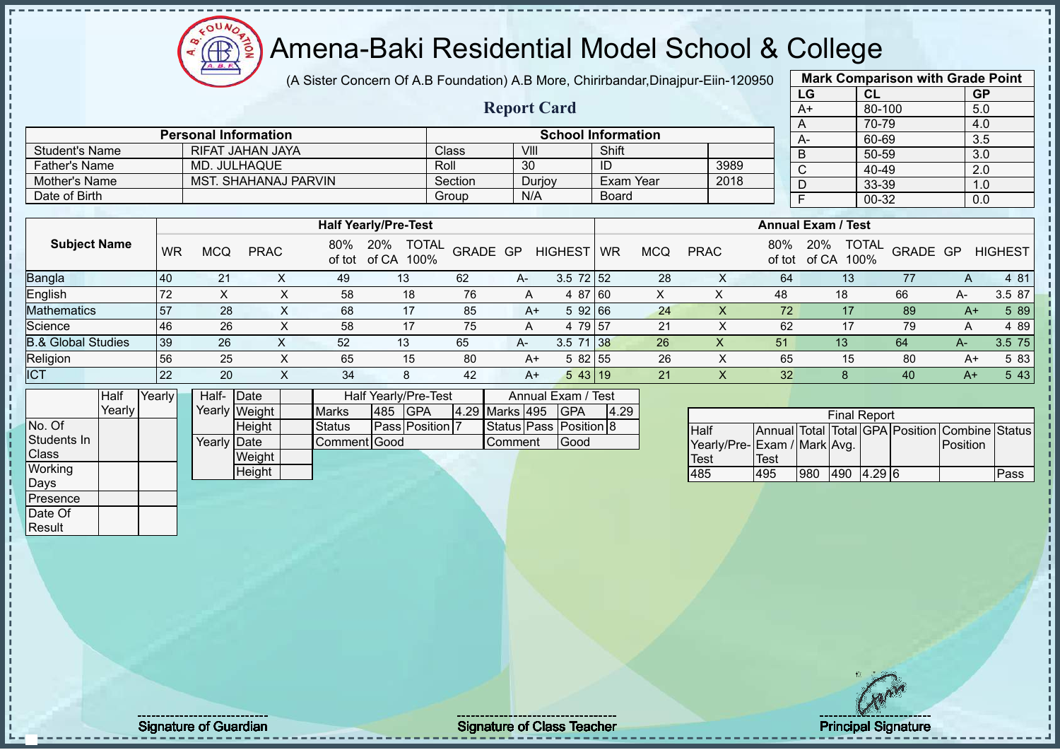(A Sister Concern Of A.B Foundation) A.B More, Chirirbandar,Dinajpur-Eiin-120950

**Report Card**

|                       | <b>Mark Comparison with Grade Point</b> |           |
|-----------------------|-----------------------------------------|-----------|
| LG                    | CL                                      | <b>GP</b> |
| $\overline{A+}$       | 80-100                                  | 5.0       |
| Α                     | 70-79                                   | 4.0       |
| A-                    | 60-69                                   | 3.5       |
| B                     | 50-59                                   | 3.0       |
| $\overline{\text{c}}$ | 40-49                                   | 2.0       |
| D                     | 33-39                                   | 1.0       |
| F                     | 00-32                                   | 0.0       |
|                       |                                         |           |

|                       | <b>Personal Information</b> |         |        | <b>School Information</b> |      |  |
|-----------------------|-----------------------------|---------|--------|---------------------------|------|--|
| <b>Student's Name</b> | RIFAT JAHAN JAYA            | Class   | VIII   | Shift                     |      |  |
| <b>Father's Name</b>  | MD. JULHAQUE                | Roll    | 30     | ID                        | 3989 |  |
| Mother's Name         | <b>MST. SHAHANAJ PARVIN</b> | Section | Durjoy | Exam Year                 | 2018 |  |
| Date of Birth         |                             | Group   | N/A    | Board                     |      |  |

|                               |     |            |             |               | <b>Half Yearly/Pre-Test</b>          |          |      |                 |    |            |             |               | <b>Annual Exam / Test</b>            |          |         |                |
|-------------------------------|-----|------------|-------------|---------------|--------------------------------------|----------|------|-----------------|----|------------|-------------|---------------|--------------------------------------|----------|---------|----------------|
| <b>Subject Name</b>           | WR  | <b>MCQ</b> | <b>PRAC</b> | 80%<br>of tot | <b>TOTAL</b><br>20%<br>of CA<br>100% | GRADE GP |      | <b>HIGHEST</b>  | WR | <b>MCQ</b> | <b>PRAC</b> | 80%<br>of tot | <b>TOTAL</b><br>20%<br>of CA<br>100% | GRADE GP |         | <b>HIGHEST</b> |
| <b>Bangla</b>                 | 140 | 21         |             | 49            | 13 <sup>°</sup>                      | 62       | A-   | $3.5 \ 72 \ 52$ |    | 28         |             | 64            | 13                                   |          | A       | 4 81           |
| English                       | 72  | $\sim$     | ⌒           | 58            | 18                                   | 76       | A    | 4 87 60         |    | ∧          | ∧           | 48            | 18                                   | 66       | A-      | 3.5 87         |
| <b>Mathematics</b>            | 57  | 28         | X.          | 68            | 17                                   | 85       | $A+$ | 592 66          |    | 24         |             | 72            | 17                                   | 89       | A+      | 5 89           |
| Science                       | 46  | 26         |             | 58            | 17                                   | 75       |      | 79 57<br>4      |    | 21         |             | 62            |                                      | 79       | A       | 4 89           |
| <b>B.&amp; Global Studies</b> | 39  | 26         | $\Lambda$   | 52            | 13                                   | 65       | $A-$ | $3.5$ 71 38     |    | 26         | $\Lambda$   | 51            | 13                                   | 64       | $A^{-}$ | 3.5 75         |
| Religion                      | 56  | 25         | ∧           | 65            | 15                                   | 80       | A+   | 5 82 55         |    | 26         |             | 65            | 15                                   | 80       | A+      | 5 83           |
| ICT                           | 122 | 20         | х           | 34            | 8                                    | 42       | A+   | 543 19          |    | 21         | ∧           | 32            |                                      | 40       | $A+$    | 5 4 3          |

|              | Half   | Yearly | Half-       | Date          | Half Yearly/Pre-Test | Annual Exam / Test |                        |  |                |  |                        |      |
|--------------|--------|--------|-------------|---------------|----------------------|--------------------|------------------------|--|----------------|--|------------------------|------|
|              | Yearly |        |             | Yearly Weight | <b>Marks</b>         | 485                | <b>IGPA</b>            |  | 4.29 Marks 495 |  | IGPA                   | 4.29 |
| No. Of       |        |        |             | Height        | Status               |                    | <b>Pass Position 7</b> |  |                |  | Status Pass Position 8 |      |
| Students In  |        |        | Yearly Date |               | Comment Good         |                    |                        |  | Comment        |  | Good                   |      |
| <b>Class</b> |        |        |             | Weight        |                      |                    |                        |  |                |  |                        |      |
| Working      |        |        |             | Height        |                      |                    |                        |  |                |  |                        |      |
| Days         |        |        |             |               |                      |                    |                        |  |                |  |                        |      |
| Presence     |        |        |             |               |                      |                    |                        |  |                |  |                        |      |
| Date Of      |        |        |             |               |                      |                    |                        |  |                |  |                        |      |

 $12\mu\text{V}$ 

**AB** 

|                              | <b>Final Report</b> |     |     |          |  |                                                |      |  |  |  |  |  |  |
|------------------------------|---------------------|-----|-----|----------|--|------------------------------------------------|------|--|--|--|--|--|--|
| <b>I</b> Half                |                     |     |     |          |  | Annual Total Total GPA Position Combine Status |      |  |  |  |  |  |  |
| Yearly/Pre- Exam / Mark Avg. |                     |     |     |          |  | Position                                       |      |  |  |  |  |  |  |
| <b>Test</b>                  | Test                |     |     |          |  |                                                |      |  |  |  |  |  |  |
| 485                          | 495                 | 980 | 490 | $4.29$ 6 |  |                                                | Pass |  |  |  |  |  |  |

Result

Signature of Guardian Signature of Class T Teacher Principal Signature 33/52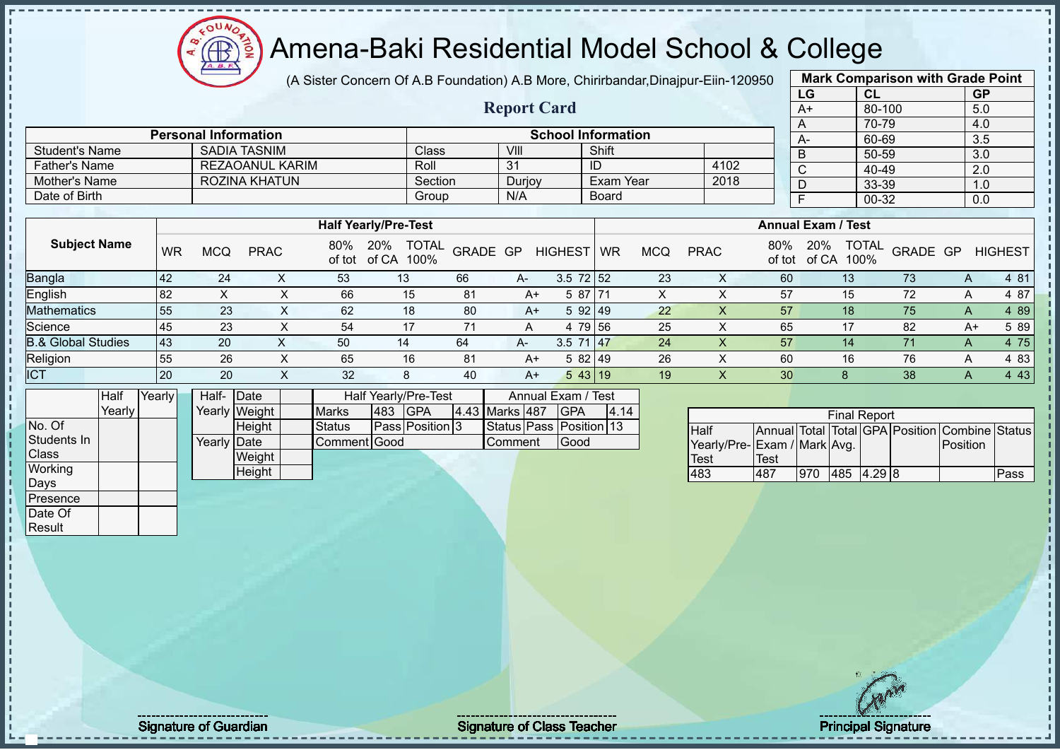# Amena-Baki Residential Model School & College

(A Sister Concern Of A.B Foundation) A.B More, Chirirbandar,Dinajpur-Eiin-120950

**Report Card**

|              | <b>Mark Comparison with Grade Point</b> |           |
|--------------|-----------------------------------------|-----------|
| LG           | <b>CL</b>                               | <b>GP</b> |
| $A+$         | 80-100                                  | 5.0       |
| A            | 70-79                                   | 4.0       |
| $A -$        | 60-69                                   | 3.5       |
| B            | 50-59                                   | 3.0       |
| $\mathsf{C}$ | 40-49                                   | 2.0       |
| D            | 33-39                                   | 1.0       |
| F            | 00-32                                   | 0.0       |
|              |                                         |           |

|                       | <b>Personal Information</b> |         |        | <b>School Information</b> |      | $A-$ |
|-----------------------|-----------------------------|---------|--------|---------------------------|------|------|
| <b>Student's Name</b> | SADIA TASNIM                | Class   | VIII   | Shift                     |      | D    |
| <b>Father's Name</b>  | REZAOANUL KARIM             | Roll    | 31     | ID                        | 4102 | ◡    |
| Mother's Name         | ROZINA KHATUN               | Section | Durjoy | Exam Year                 | 2018 | └    |
| Date of Birth         |                             | Group   | N/A    | Board                     |      |      |

|                               |           |     |             |               | <b>Half Yearly/Pre-Test</b>          |          |      |                 |           |            |             |               | <b>Annual Exam / Test</b>            |          |   |                |
|-------------------------------|-----------|-----|-------------|---------------|--------------------------------------|----------|------|-----------------|-----------|------------|-------------|---------------|--------------------------------------|----------|---|----------------|
| <b>Subject Name</b>           | <b>WR</b> | MCQ | <b>PRAC</b> | 80%<br>of tot | <b>TOTAL</b><br>20%<br>of CA<br>100% | GRADE GP |      | <b>HIGHEST</b>  | <b>WR</b> | <b>MCQ</b> | <b>PRAC</b> | 80%<br>of tot | 20%<br><b>TOTAL</b><br>100%<br>of CA | GRADE GP |   | <b>HIGHEST</b> |
| <b>Bangla</b>                 | 42        | 24  |             | 53            | 13                                   | 66       | $A-$ | $3.5 \ 72 \ 52$ |           | 23         |             | 60            | 13                                   | 73       | A | 4 81           |
| <b>English</b>                | 82        |     |             | 66            | 15                                   | 81       | A+   | 5 87 71         |           | х          |             | 57            | 15                                   | 72       | A | 4 87           |
| <b>Mathematics</b>            | 55        | 23  |             | 62            | 18                                   | 80       | $A+$ | 5 92 49         |           | 22         |             | 57            | 18                                   | 75       | A | 4 8 9          |
| Science                       | 45        | 23  |             | 54            | 17                                   | 71       | A    | 79 56<br>4      |           | 25         |             | 65            |                                      | 82       |   | 5 89<br>A+     |
| <b>B.&amp; Global Studies</b> | <b>43</b> | 20  |             | 50            | 14                                   | 64       | $A-$ | $3.5$ 71 47     |           | 24         |             | 57            | 14                                   | 71       | А | 4 75           |
| Religion                      | 55        | 26  |             | 65            | 16                                   | 81       | $A+$ | 582 49          |           | 26         |             | 60            | 16                                   | 76       | A | 4 83           |
| <b>ICT</b>                    | 20        | 20  |             | 32            | 8                                    | 40       | $A+$ | 543 19          |           | 19         |             | 30            |                                      | 38       | Α | 4 4 3          |

|                | Half   | Yearly | Half- Date  |               | Half Yearly/Pre-Test | Annual Exam / Test |                        |  |                |  |                         |      |
|----------------|--------|--------|-------------|---------------|----------------------|--------------------|------------------------|--|----------------|--|-------------------------|------|
|                | Yearlv |        |             | Yearly Weight | <b>Marks</b>         | 483                | <b>IGPA</b>            |  | 4.43 Marks 487 |  | <b>IGPA</b>             | 4.14 |
| No. Of         |        |        |             | <b>Height</b> | Status               |                    | <b>Pass Position 3</b> |  |                |  | Status Pass Position 13 |      |
| Students In    |        |        | Yearly Date |               | Comment Good         |                    |                        |  | Comment        |  | Good                    |      |
| <b>Class</b>   |        |        |             | Weight        |                      |                    |                        |  |                |  |                         |      |
| <b>Working</b> |        |        |             | Height        |                      |                    |                        |  |                |  |                         |      |
| Days           |        |        |             |               |                      |                    |                        |  |                |  |                         |      |
| Presence       |        |        |             |               |                      |                    |                        |  |                |  |                         |      |

| <b>Final Report</b>         |      |     |            |  |  |                                                |      |  |  |  |  |  |
|-----------------------------|------|-----|------------|--|--|------------------------------------------------|------|--|--|--|--|--|
| Half                        |      |     |            |  |  | Annual Total Total GPA Position Combine Status |      |  |  |  |  |  |
| Yearly/Pre-Exam / Mark Avg. |      |     |            |  |  | <b>IPosition</b>                               |      |  |  |  |  |  |
| <b>Test</b>                 | Test |     |            |  |  |                                                |      |  |  |  |  |  |
| 483                         | 487  | 970 | 485 4.29 8 |  |  |                                                | Pass |  |  |  |  |  |

Date Of Result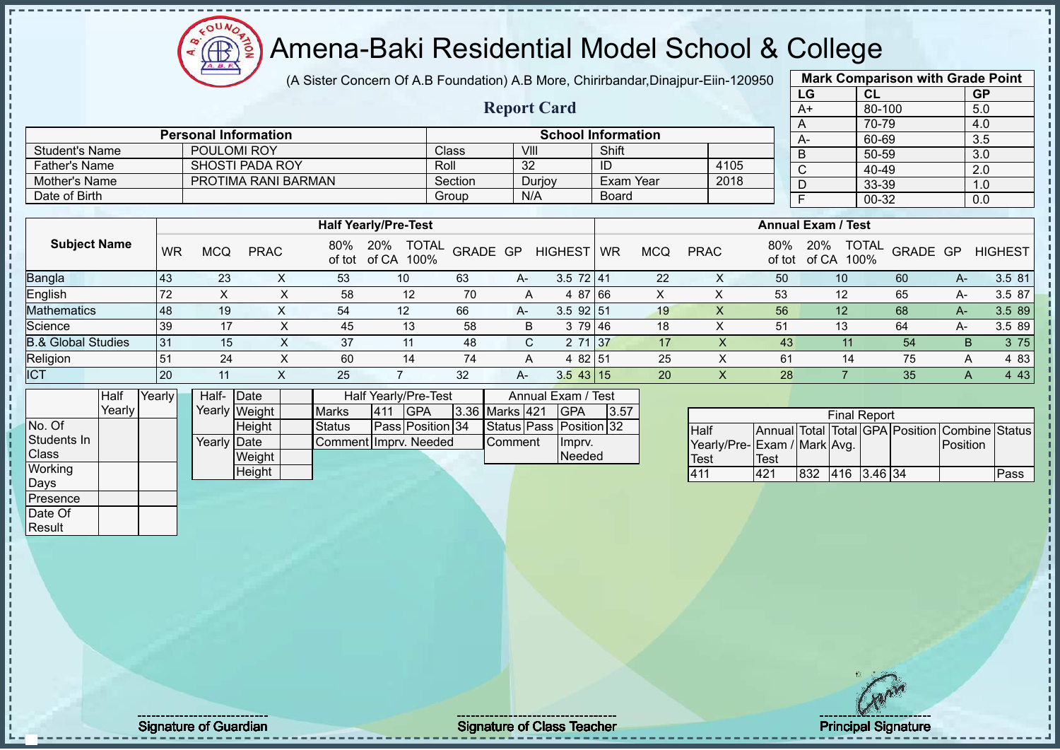(A Sister Concern Of A.B Foundation) A.B More, Chirirbandar,Dinajpur-Eiin-120950

 $12\mu\text{V}$ 

Æ

|                                |           |             |                             |               |                                           |         |                    |                                             |              |            |                                             |               | LG                        | CL                         |                                                | <b>GP</b>    |                |
|--------------------------------|-----------|-------------|-----------------------------|---------------|-------------------------------------------|---------|--------------------|---------------------------------------------|--------------|------------|---------------------------------------------|---------------|---------------------------|----------------------------|------------------------------------------------|--------------|----------------|
|                                |           |             |                             |               |                                           |         | <b>Report Card</b> |                                             |              |            |                                             |               | $A+$                      | 80-100                     |                                                | 5.0          |                |
|                                |           |             |                             |               |                                           |         |                    |                                             |              |            |                                             |               | A                         | 70-79                      |                                                | 4.0          |                |
|                                |           |             | <b>Personal Information</b> |               |                                           |         |                    | <b>School Information</b>                   |              |            |                                             |               | $A -$                     | 60-69                      |                                                | 3.5          |                |
| <b>Student's Name</b>          |           | POULOMI ROY |                             |               |                                           | Class   | VIII               |                                             | Shift        |            |                                             |               | B                         | 50-59                      |                                                | 3.0          |                |
| <b>Father's Name</b>           |           |             | <b>SHOSTI PADA ROY</b>      |               |                                           | Roll    | 32                 |                                             | ID           |            | 4105                                        |               | $\mathsf C$               | 40-49                      |                                                | 2.0          |                |
| Mother's Name                  |           |             | PROTIMA RANI BARMAN         |               |                                           | Section |                    | Durjoy                                      |              | Exam Year  | 2018                                        |               | D                         | 33-39                      |                                                | 1.0          |                |
| Date of Birth                  |           |             |                             |               |                                           | Group   | N/A                |                                             | <b>Board</b> |            |                                             |               | $\overline{F}$            | $00 - 32$                  |                                                | 0.0          |                |
|                                |           |             |                             |               | <b>Half Yearly/Pre-Test</b>               |         |                    |                                             |              |            |                                             |               | <b>Annual Exam / Test</b> |                            |                                                |              |                |
| <b>Subject Name</b>            | <b>WR</b> | <b>MCQ</b>  | <b>PRAC</b>                 | 80%<br>of tot | 20% TOTAL<br>of CA 100%                   |         | GRADE GP           | <b>HIGHEST</b>                              | <b>WR</b>    | <b>MCQ</b> | <b>PRAC</b>                                 | 80%<br>of tot | 20%                       | <b>TOTAL</b><br>of CA 100% | GRADE GP                                       |              | <b>HIGHEST</b> |
| Bangla                         | 43        | 23          | $\mathsf{X}$                | 53            | 10                                        | 63      | A-                 | $3.5$ 72 41                                 |              | 22         | X                                           | 50            |                           | 10                         | 60                                             | $A-$         | 3.5 81         |
| English                        | 72        | $\sf X$     | $\pmb{\times}$              | 58            | 12                                        | 70      | A                  | 4 87 66                                     |              | X          | $\mathsf X$                                 | 53            |                           | 12                         | 65                                             | A-           | 3.5 87         |
| <b>Mathematics</b>             | 48        | 19          | X                           | 54            | 12                                        | 66      | A-                 | $3.5$ 92 51                                 |              | 19         | $\mathsf{X}$                                | 56            |                           | 12                         | 68                                             | $A-$         | 3.5 89         |
| Science                        | 39        | 17          | $\pmb{\times}$              | 45            | 13                                        | 58      | B                  | 3 79                                        | 46           | 18         | $\mathsf X$                                 | 51            |                           | 13                         | 64                                             | A-           | 3.5 89         |
| <b>B.&amp; Global Studies</b>  | 31        | 15          | $\times$                    | 37            | 11                                        | 48      | $\mathsf{C}$       | 2 71                                        | 37           | 17         | $\times$                                    | 43            |                           | 11                         | 54                                             | B            | 3 75           |
| Religion                       | 51        | 24          | X                           | 60            | 14                                        | 74      | A                  | 4 82 51                                     |              | 25         | $\pmb{\times}$                              | 61            |                           | 14                         | 75                                             | Α            | 4 8 3          |
| <b>ICT</b>                     | 20        | 11          | $\mathsf{X}$                | 25            | $\overline{7}$                            | 32      | $A-$               | $3.543$ 15                                  |              | 20         | X                                           | 28            |                           | $\overline{7}$             | 35                                             | $\mathsf{A}$ | 4 4 3          |
| Half                           | Yearly    | Half-       | Date                        |               | Half Yearly/Pre-Test                      |         |                    | Annual Exam / Test                          |              |            |                                             |               |                           |                            |                                                |              |                |
| Yearly                         |           |             | Yearly Weight               | <b>Marks</b>  | <b>GPA</b><br>411                         |         | 3.36 Marks 421     | <b>GPA</b>                                  | 3.57         |            |                                             |               |                           | <b>Final Report</b>        |                                                |              |                |
| No. Of<br>Students In<br>Class |           | Yearly Date | Height<br>Weight            | <b>Status</b> | Pass Position 34<br>Comment Imprv. Needed |         | Comment            | Status Pass Position 32<br>Imprv.<br>Needed |              |            | Half<br>Yearly/Pre-Exam / Mark Avg.<br>Test | <b>Test</b>   |                           |                            | Annual Total Total GPA Position Combine Status | Position     |                |
| Working<br>Days                |           |             | Height                      |               |                                           |         |                    |                                             |              |            | 411                                         | 421           |                           | 832 416 3.46 34            |                                                |              | Pass           |
| Presence                       |           |             |                             |               |                                           |         |                    |                                             |              |            |                                             |               |                           |                            |                                                |              |                |
| Date Of                        |           |             |                             |               |                                           |         |                    |                                             |              |            |                                             |               |                           |                            |                                                |              |                |
| Result                         |           |             |                             |               |                                           |         |                    |                                             |              |            |                                             |               |                           |                            |                                                |              |                |
|                                |           |             |                             |               |                                           |         |                    |                                             |              |            |                                             |               |                           |                            |                                                |              |                |

**Mark Comparison with Grade Point**

out the contract of Guardian Signature of Class Teacher Principal Signature of Guardian Signature 35/522 and Si<br>Signature 35/522 and Signature 35/522 and Signature 35/522 and Signature 35/52 and Signature 35/52 and Signatu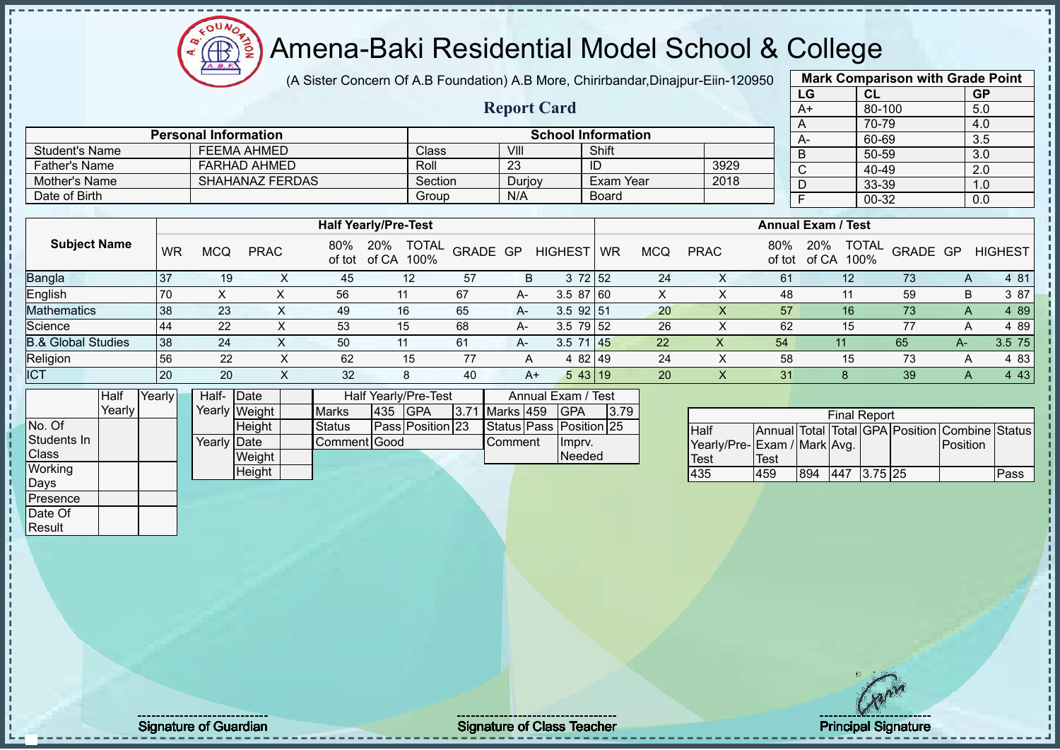$12\mu\text{V}$ **AR** 

# Amena-Baki Residential Model School & College

(A Sister Concern Of A.B Foundation) A.B More, Chirirbandar,Dinajpur-Eiin-120950

**Report Card**

| <b>Mark Comparison with Grade Point</b> |           |                  |  |  |  |  |  |  |  |  |  |
|-----------------------------------------|-----------|------------------|--|--|--|--|--|--|--|--|--|
| LG                                      | <b>CL</b> | <b>GP</b>        |  |  |  |  |  |  |  |  |  |
| $A+$                                    | 80-100    | 5.0              |  |  |  |  |  |  |  |  |  |
| A                                       | 70-79     | 4.0              |  |  |  |  |  |  |  |  |  |
| A-                                      | 60-69     | $\overline{3.5}$ |  |  |  |  |  |  |  |  |  |
| B                                       | 50-59     | 3.0              |  |  |  |  |  |  |  |  |  |
| C                                       | 40-49     | 2.0              |  |  |  |  |  |  |  |  |  |
| D                                       | 33-39     | 1.0              |  |  |  |  |  |  |  |  |  |
| F                                       | 00-32     | 0.0              |  |  |  |  |  |  |  |  |  |
|                                         |           |                  |  |  |  |  |  |  |  |  |  |

|                       | <b>Personal Information</b> |         |        | <b>School Information</b> |      |  |
|-----------------------|-----------------------------|---------|--------|---------------------------|------|--|
| <b>Student's Name</b> | FEEMA AHMED                 | Class   | VIII   | Shift                     |      |  |
| Father's Name         | FARHAD AHMED                | Roll    | -23    | ID                        | 3929 |  |
| Mother's Name         | SHAHANAZ FERDAS             | Section | Durjoy | Exam Year                 | 2018 |  |
| Date of Birth         |                             | Group   | N/A    | <b>Board</b>              |      |  |

|                               |           |            |             |               | <b>Half Yearly/Pre-Test</b>       |          |      | <b>Annual Exam / Test</b> |           |            |             |               |                                      |          |    |                |
|-------------------------------|-----------|------------|-------------|---------------|-----------------------------------|----------|------|---------------------------|-----------|------------|-------------|---------------|--------------------------------------|----------|----|----------------|
| <b>Subject Name</b>           | <b>WR</b> | <b>MCQ</b> | <b>PRAC</b> | 80%<br>of tot | <b>TOTAL</b><br>20%<br>of CA 100% | GRADE GP |      | <b>HIGHEST</b>            | <b>WR</b> | <b>MCQ</b> | <b>PRAC</b> | 80%<br>of tot | <b>TOTAL</b><br>20%<br>100%<br>of CA | GRADE GP |    | <b>HIGHEST</b> |
| Bangla                        | 37        | 19         |             | 45            | 12                                | 57       | В    | 3 72 52                   |           | 24         |             | 61            | 12                                   | 73       | A  | 4 8 1          |
| English                       | 70        | ⌒          |             | 56            |                                   | 67       | $A-$ | $3.587$ 60                |           | X          |             | 48            |                                      | 59       | B  | 3 87           |
| <b>Mathematics</b>            | 38        | 23         | $\sim$      | 49            | 16                                | 65       | A-   | $3.5$ 92 51               |           | 20         | $\lambda$   | 57            | 16                                   | 73       | A  | 4 8 9          |
| Science                       | 44        | 22         |             | 53            | 15                                | 68       | A-   | $3.5$ 79 52               |           | 26         |             | 62            | 15                                   | 77       | Α  | 4 8 9          |
| <b>B.&amp; Global Studies</b> | 38        | 24         |             | 50            | 11                                | 61       | $A-$ | $3.5$ 71 45               |           | 22         | Х           | 54            | 11                                   | 65       | A- | 3.5 75         |
| Religion                      | 56        | 22         |             | 62            | 15                                |          | A    | 4 82 49                   |           | 24         |             | 58            | 15                                   | 73       | A  | 4 83           |
| <b>ICT</b>                    | 20        | 20         |             | 32            | 8                                 | 40       | A+   | 543 19                    |           | 20         | ∧           | 31            |                                      | 39       | A  | 4 4 3          |

|                | <b>Half</b> | Yearly | Half- Date  |               |               |         | Half Yearly/Pre-Test |                | Annual Exam / Test      |       |  |
|----------------|-------------|--------|-------------|---------------|---------------|---------|----------------------|----------------|-------------------------|-------|--|
|                | Yearly      |        |             | Yearly Weight | <b>Marks</b>  | 435 GPA |                      | 3.71 Marks 459 | <b>IGPA</b>             | 13.79 |  |
| No. Of         |             |        |             | <b>Height</b> | <b>Status</b> |         | Pass Position 23     |                | Status Pass Position 25 |       |  |
| Students In    |             |        | Yearly Date |               | Comment Good  |         |                      | Comment        | Imprv.                  |       |  |
| <b>I</b> Class |             |        |             | Weight        |               |         |                      |                | <b>Needed</b>           |       |  |
| Working        |             |        |             | Height        |               |         |                      |                |                         |       |  |
| Days           |             |        |             |               |               |         |                      |                |                         |       |  |
| Presence       |             |        |             |               |               |         |                      |                |                         |       |  |

| <b>Final Report</b>         |      |     |     |           |  |                                                |      |  |  |  |  |  |  |  |
|-----------------------------|------|-----|-----|-----------|--|------------------------------------------------|------|--|--|--|--|--|--|--|
| <b>I</b> Half               |      |     |     |           |  | Annual Total Total GPA Position Combine Status |      |  |  |  |  |  |  |  |
| Yearly/Pre-Exam / Mark Avg. |      |     |     |           |  | Position                                       |      |  |  |  |  |  |  |  |
| <b>Test</b>                 | Test |     |     |           |  |                                                |      |  |  |  |  |  |  |  |
| 435                         | 459  | 894 | 447 | $3.75$ 25 |  |                                                | Pass |  |  |  |  |  |  |  |

Date Of **Result** 

Signature of Guardian Signature of Class Teacher Signature of Class Teacher Principal Signature 36-422 (1990)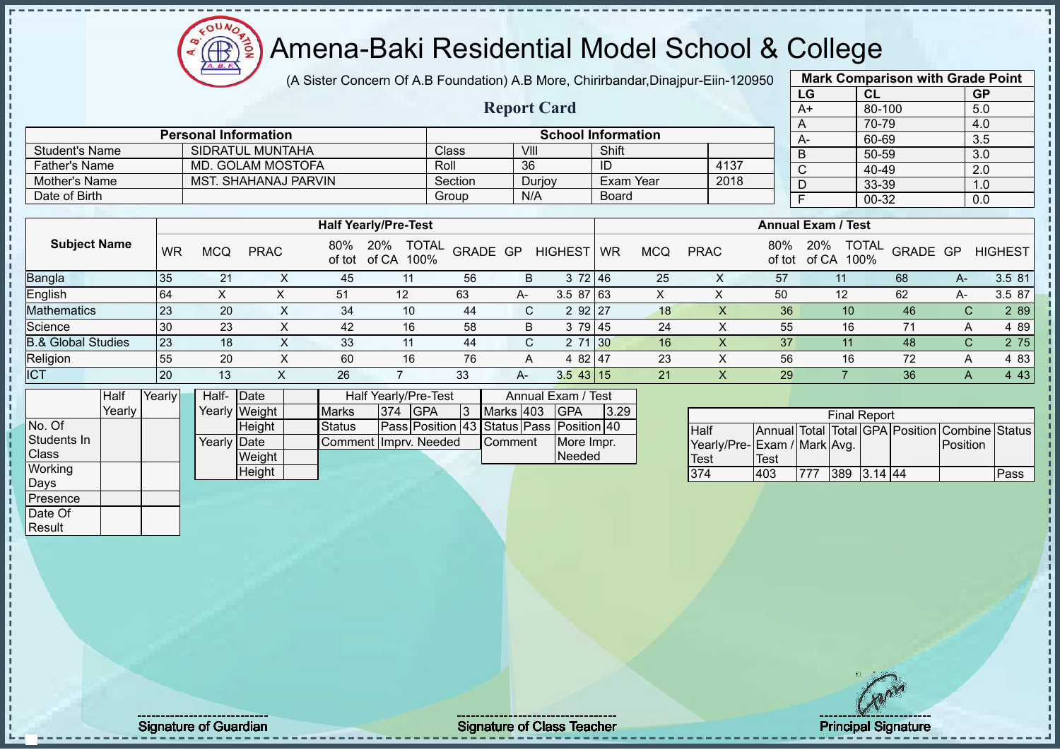# Amena-Baki Residential Model School & College

(A Sister Concern Of A.B Foundation) A.B More, Chirirbandar,Dinajpur-Eiin-120950

**Report Card**

|      | <b>Mark Comparison with Grade Point</b> |                  |
|------|-----------------------------------------|------------------|
| LG   | <b>CL</b>                               | <b>GP</b>        |
| $A+$ | 80-100                                  | 5.0              |
| A    | 70-79                                   | 4.0              |
| А-   | 60-69                                   | $3.\overline{5}$ |
| B    | 50-59                                   | 3.0              |
| C    | 40-49                                   | 2.0              |
| D    | 33-39                                   | 1.0              |
| F    | 00-32                                   | 0.0              |
|      |                                         |                  |

|                       | <b>Personal Information</b> |              |        | <b>School Information</b> |      | $A-$ |
|-----------------------|-----------------------------|--------------|--------|---------------------------|------|------|
| <b>Student's Name</b> | SIDRATUL MUNTAHA            | <b>Class</b> | VIII   | Shift                     |      |      |
| <b>Father's Name</b>  | MD. GOLAM MOSTOFA           | Roll         | 36     | ID                        | 4137 |      |
| Mother's Name         | MST. SHAHANAJ PARVIN        | Section      | Duriov | Exam Year                 | 2018 |      |
| Date of Birth         |                             | Group        | N/A    | Board                     |      |      |

|                               |           |     |             |     | <b>Half Yearly/Pre-Test</b>              |          |      |                |           |     |             |               | <b>Annual Exam / Test</b>            |          |    |                |
|-------------------------------|-----------|-----|-------------|-----|------------------------------------------|----------|------|----------------|-----------|-----|-------------|---------------|--------------------------------------|----------|----|----------------|
| <b>Subject Name</b>           | <b>WR</b> | MCQ | <b>PRAC</b> | 80% | 20%<br><b>TOTAL</b><br>of tot of CA 100% | GRADE GP |      | <b>HIGHEST</b> | <b>WR</b> | MCQ | <b>PRAC</b> | 80%<br>of tot | <b>TOTAL</b><br>20%<br>of CA<br>100% | GRADE GP |    | <b>HIGHEST</b> |
| Bangla                        | 35        | 21  | ⌒           | 45  |                                          | 56       | B    | 372 46         |           | 25  | ∧           | 57            |                                      | 68       | A- | 3.5 81         |
| English                       | 64        | ⌒   |             | 51  | 12 <sup>°</sup>                          | 63       | A-   | $3.587$ 63     |           |     |             | 50            | 12                                   | 62       | A- | 3.5 87         |
| <b>Mathematics</b>            | 23        | 20  |             | 34  | 10                                       | 44       | C.   | 2 92 27        |           | 18  |             | 36            | 10 <sup>°</sup>                      | 46       | C. | 2 8 9          |
| Science                       | 30        | 23  |             | 42  | 16                                       | 58       | B    | 3 79 45        |           | 24  |             | 55            | 16                                   | 71       | А  | 4 8 9          |
| <b>B.&amp; Global Studies</b> | 23        | 18  |             | 33  | 11                                       | 44       | С    | 71 30          |           | 16  |             | 37            |                                      | 48       |    | 2 75<br>C.     |
| Religion                      | 55        | 20  |             | 60  | 16                                       | 76       |      | 4 82 47        |           | 23  |             | 56            | 16                                   | 72       | A  | 4 83           |
| <b>ICT</b>                    | <b>20</b> | 13  | ⌒           | 26  |                                          | 33       | $A-$ | $3.5$ 43 15    |           | 21  |             | 29            |                                      | 36       |    | 4 4 3          |

|                | Half   | Yearly | Half- Date  |               |                                     |  | Half Yearly/Pre-Test                     |  |                | Annual Exam / Test |      |  |
|----------------|--------|--------|-------------|---------------|-------------------------------------|--|------------------------------------------|--|----------------|--------------------|------|--|
|                | Yearlv |        |             | Yearly Weight | <b>Marks</b><br>1374<br><b>IGPA</b> |  |                                          |  | Marks 403      | <b>IGPA</b>        | 3.29 |  |
| No. Of         |        |        |             | Height        | <b>Status</b>                       |  | Pass Position 43 Status Pass Position 40 |  |                |                    |      |  |
| Students In    |        |        | Yearly Date |               | Comment Imprv. Needed               |  |                                          |  | <b>Comment</b> | More Impr.         |      |  |
| <b>I</b> Class |        |        |             | Weight        |                                     |  |                                          |  |                | <b>Needed</b>      |      |  |
| Working        |        |        |             | Height        |                                     |  |                                          |  |                |                    |      |  |
| Days           |        |        |             |               |                                     |  |                                          |  |                |                    |      |  |

| <b>Final Report</b>         |             |      |     |           |  |                                                |      |  |  |  |  |  |  |
|-----------------------------|-------------|------|-----|-----------|--|------------------------------------------------|------|--|--|--|--|--|--|
| Half                        |             |      |     |           |  | Annual Total Total GPA Position Combine Status |      |  |  |  |  |  |  |
| Yearly/Pre-Exam / Mark Avg. |             |      |     |           |  | Position                                       |      |  |  |  |  |  |  |
| <b>Test</b>                 | <b>Test</b> |      |     |           |  |                                                |      |  |  |  |  |  |  |
| 374                         | 403         | 1777 | 389 | $3.14$ 44 |  |                                                | Pass |  |  |  |  |  |  |

Presence Date Of Result

Signature of Guardian Signature of Class Teacher Principal Signature of Class Teacher Principal Signature 37/5<br>
Signature 37/522 and Signature 37/52 and Signature 37/52 and Signature 37/52 and Signature 37/52 and Signature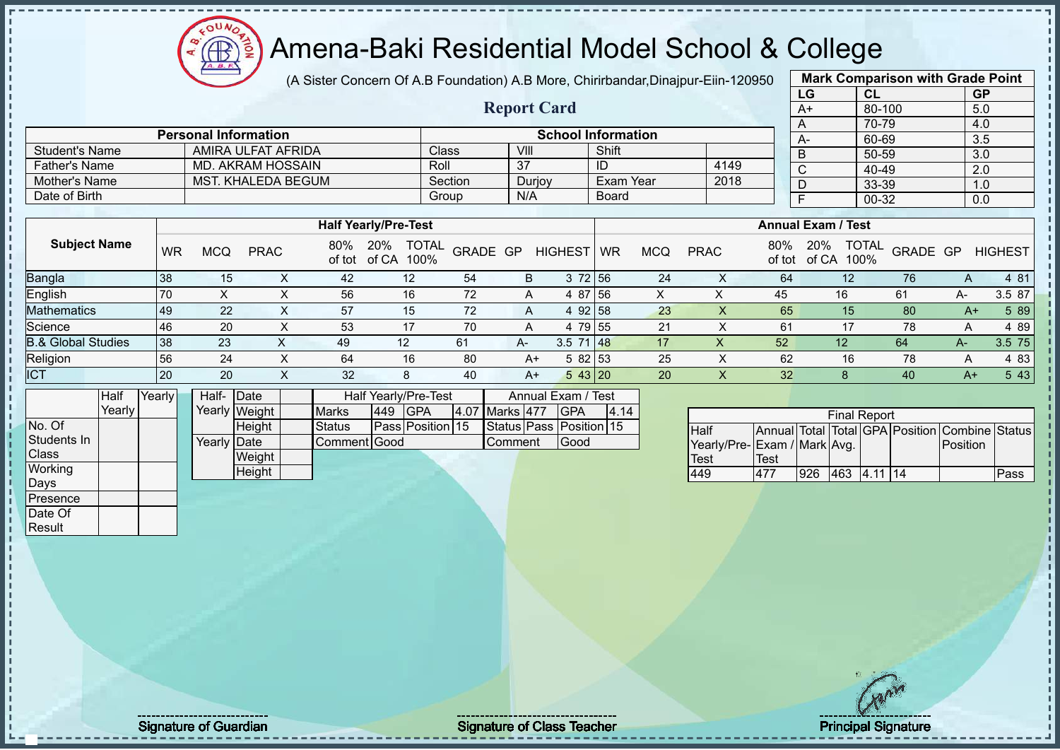$12\mu\text{V}$  $\bigoplus_{\Delta B}$ ion

# Amena-Baki Residential Model School & College

|                               |           |                             |                    |                    |                                |                  |                         |                           |              |            | (A Sister Concern Of A.B Foundation) A.B More, Chirirbandar, Dinajpur-Eiin-120950 |             |                           |                     |          | <b>Mark Comparison with Grade Point</b>        |                |
|-------------------------------|-----------|-----------------------------|--------------------|--------------------|--------------------------------|------------------|-------------------------|---------------------------|--------------|------------|-----------------------------------------------------------------------------------|-------------|---------------------------|---------------------|----------|------------------------------------------------|----------------|
|                               |           |                             |                    |                    |                                |                  |                         |                           |              |            |                                                                                   |             | LG                        | CL                  |          | <b>GP</b>                                      |                |
|                               |           |                             |                    |                    |                                |                  | <b>Report Card</b>      |                           |              |            |                                                                                   |             | $A+$                      | 80-100              |          | 5.0                                            |                |
|                               |           |                             |                    |                    |                                |                  |                         |                           |              |            |                                                                                   |             | $\overline{A}$            | 70-79               |          | 4.0                                            |                |
|                               |           | <b>Personal Information</b> |                    |                    |                                |                  |                         | <b>School Information</b> |              |            |                                                                                   |             | $A-$                      | 60-69               |          | 3.5                                            |                |
| <b>Student's Name</b>         |           |                             | AMIRA ULFAT AFRIDA |                    |                                | Class            | VIII                    |                           | Shift        |            |                                                                                   |             | $\overline{B}$            | $50 - 59$           |          | $\overline{3.0}$                               |                |
| <b>Father's Name</b>          |           |                             | MD. AKRAM HOSSAIN  |                    |                                | Roll             | $\overline{37}$         |                           | ID           |            | 4149                                                                              |             | $\overline{C}$            | 40-49               |          | 2.0                                            |                |
| Mother's Name                 |           |                             | MST. KHALEDA BEGUM |                    |                                | Section          | Durjoy                  |                           | Exam Year    |            | 2018                                                                              |             | $\overline{D}$            | 33-39               |          | 1.0                                            |                |
| Date of Birth                 |           |                             |                    |                    |                                | Group            | N/A                     |                           | <b>Board</b> |            |                                                                                   |             | $\overline{F}$            | $00 - 32$           |          | 0.0                                            |                |
|                               |           |                             |                    |                    | <b>Half Yearly/Pre-Test</b>    |                  |                         |                           |              |            |                                                                                   |             | <b>Annual Exam / Test</b> |                     |          |                                                |                |
| <b>Subject Name</b>           | <b>WR</b> | <b>MCQ</b>                  | <b>PRAC</b>        | 80%                | 20% TOTAL<br>of tot of CA 100% |                  | GRADE GP                | HIGHEST   WR              |              | <b>MCQ</b> | <b>PRAC</b>                                                                       | 80%         | of tot of CA 100%         | 20% TOTAL           | GRADE GP |                                                | <b>HIGHEST</b> |
| Bangla                        | 38        | 15                          | X                  | 42                 | 12                             | 54               | $\sf B$                 | 3 72 56                   |              | 24         | $\mathsf{X}$                                                                      | 64          |                           | 12                  | 76       | A                                              | 4 81           |
| English                       | 70        | X                           | X                  | 56                 | 16                             | 72               | A                       |                           | 4 87 56      | X          | X                                                                                 | 45          |                           | 16                  | 61       | A-                                             | 3.5 87         |
| <b>Mathematics</b>            | 49        | 22                          | $\mathsf{X}$       | 57                 | 15                             | 72               | $\overline{A}$          | 4 92 58                   |              | 23         | $\mathsf X$                                                                       | 65          |                           | 15                  | 80       | $A+$                                           | 5 89           |
| Science                       | 46        | 20                          | X                  | 53                 | 17                             | 70               | A                       | 4 79 55                   |              | 21         | $\pmb{\times}$                                                                    | 61          |                           | 17                  | 78       | Α                                              | 4 8 9          |
| <b>B.&amp; Global Studies</b> | 38        | 23                          | $\mathsf{X}$       | 49                 | 12                             | 61               | A-                      | 3.5 71 48                 |              | 17         | $\mathsf{X}$                                                                      | 52          |                           | 12                  | 64       | $A-$                                           | 3.5 75         |
| Religion                      | 56        | 24                          | X                  | 64                 | 16                             | 80               | $A+$                    | 5 82 53                   |              | 25         | $\pmb{\times}$                                                                    | 62          |                           | 16                  | 78       | A                                              | 4 8 3          |
| <b>ICT</b>                    | 20        | 20                          |                    | $\mathsf{X}$<br>32 | 8                              | 40               | $A+$                    | 5 43 20                   |              | 20         | $\mathsf X$                                                                       | 32          |                           | 8                   | 40       | $A+$                                           | 5 4 3          |
| Half                          | Yearly    | Half- Date                  |                    |                    | Half Yearly/Pre-Test           |                  |                         | Annual Exam / Test        |              |            |                                                                                   |             |                           |                     |          |                                                |                |
| Yearly                        |           |                             | Yearly Weight      | <b>Marks</b>       | <b>GPA</b><br>449              |                  | 4.07 Marks 477          | <b>GPA</b>                | 4.14         |            |                                                                                   |             |                           | <b>Final Report</b> |          |                                                |                |
| No. Of                        |           |                             | Height             | <b>Status</b>      |                                | Pass Position 15 | Status Pass Position 15 |                           |              |            | Half                                                                              |             |                           |                     |          | Annual Total Total GPA Position Combine Status |                |
| Students In                   |           | Yearly Date                 |                    |                    | Comment Good                   |                  | Comment                 | Good                      |              |            | Yearly/Pre- Exam / Mark Avg.                                                      |             |                           |                     |          | Position                                       |                |
| Class                         |           |                             | Weight             |                    |                                |                  |                         |                           |              |            | Test                                                                              | <b>Test</b> |                           |                     |          |                                                |                |
| Working                       |           |                             | <b>Height</b>      |                    |                                |                  |                         |                           |              |            | 449                                                                               | 477         |                           | 926 463 4.11 14     |          |                                                | Pass           |
| Days<br>Presence              |           |                             |                    |                    |                                |                  |                         |                           |              |            |                                                                                   |             |                           |                     |          |                                                |                |
| Date Of                       |           |                             |                    |                    |                                |                  |                         |                           |              |            |                                                                                   |             |                           |                     |          |                                                |                |
| Result                        |           |                             |                    |                    |                                |                  |                         |                           |              |            |                                                                                   |             |                           |                     |          |                                                |                |
|                               |           |                             |                    |                    |                                |                  |                         |                           |              |            |                                                                                   |             |                           |                     |          |                                                |                |

Signature of Guardian Signature of Class Teacher Principal Signature of Class Teacher Principal Signature 3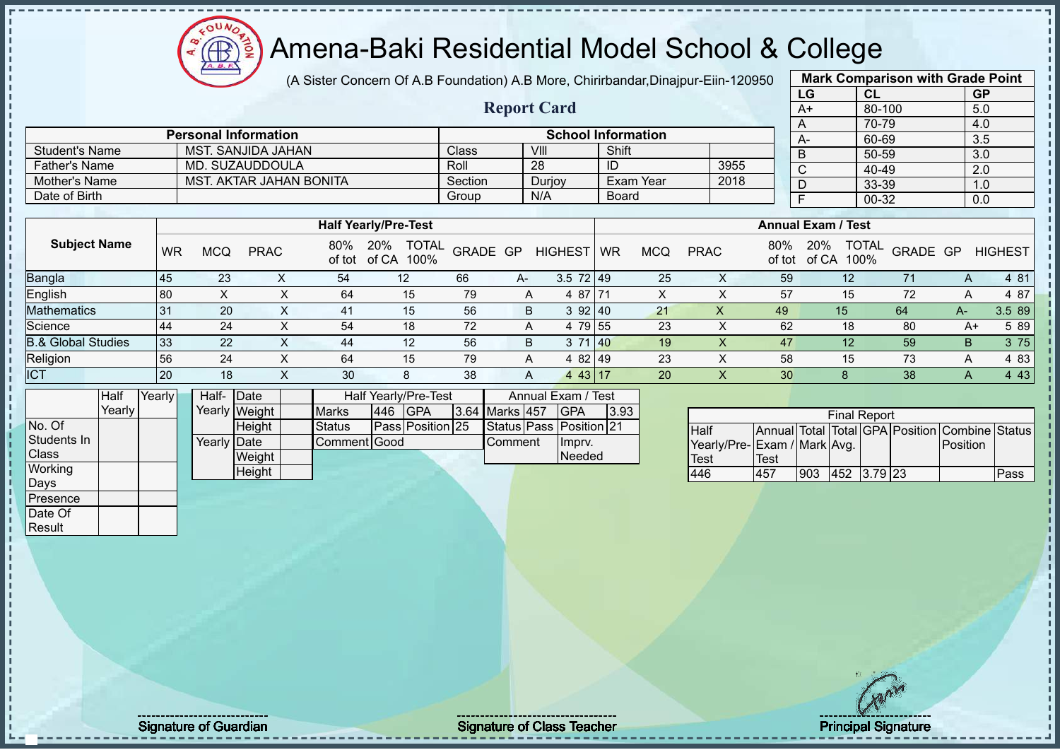(A Sister Concern Of A.B Foundation) A.B More, Chirirbandar,Dinajpur-Eiin-120950

**Report Card**

| <b>Mark Comparison with Grade Point</b> |           |           |  |  |  |  |  |  |  |  |
|-----------------------------------------|-----------|-----------|--|--|--|--|--|--|--|--|
| LG                                      | <b>CL</b> | <b>GP</b> |  |  |  |  |  |  |  |  |
| $A+$                                    | 80-100    | 5.0       |  |  |  |  |  |  |  |  |
| A                                       | 70-79     | 4.0       |  |  |  |  |  |  |  |  |
| А-                                      | 60-69     | 3.5       |  |  |  |  |  |  |  |  |
| B                                       | 50-59     | 3.0       |  |  |  |  |  |  |  |  |
| C                                       | 40-49     | 2.0       |  |  |  |  |  |  |  |  |
| D                                       | 33-39     | 1.0       |  |  |  |  |  |  |  |  |
| F                                       | 00-32     |           |  |  |  |  |  |  |  |  |
|                                         |           |           |  |  |  |  |  |  |  |  |

|                      | <b>Personal Information</b> |                    |        | <b>School Information</b> |      | $A-$ |
|----------------------|-----------------------------|--------------------|--------|---------------------------|------|------|
| Student's Name       | MST. SANJIDA JAHAN          | Class <sup>®</sup> | VIII   | Shift                     |      |      |
| <b>Father's Name</b> | MD. SUZAUDDOULA             | Roll               | 28     | ID                        | 3955 |      |
| Mother's Name        | MST. AKTAR JAHAN BONITA     | Section            | Durjoy | Exam Year                 | 2018 |      |
| Date of Birth        |                             | Group              | N/A    | Board                     |      |      |

|                               |           |            |             |     | <b>Half Yearly/Pre-Test</b>              |          |      |                           | <b>Annual Exam / Test</b> |            |             |                 |                                             |          |    |                |  |
|-------------------------------|-----------|------------|-------------|-----|------------------------------------------|----------|------|---------------------------|---------------------------|------------|-------------|-----------------|---------------------------------------------|----------|----|----------------|--|
| <b>Subject Name</b>           | <b>WR</b> | <b>MCQ</b> | <b>PRAC</b> | 80% | <b>TOTAL</b><br>20%<br>of tot of CA 100% | GRADE GP |      | <b>HIGHEST</b>            | <b>WR</b>                 | <b>MCQ</b> | <b>PRAC</b> | 80%             | <b>TOTAL</b><br>20%<br>of tot of CA<br>100% | GRADE GP |    | <b>HIGHEST</b> |  |
| <b>Bangla</b>                 | 45        | 23         |             | 54  | 12                                       | 66       | $A-$ | $3.5 \ 72 \ 49$           |                           | 25         |             | 59              | 12                                          | 71       | A  | 4 81           |  |
| English                       | 80        |            |             | 64  | 15                                       | 79       | A    | 4 87 71                   |                           | v          |             | 57              | 15                                          | 72       |    | 4 87           |  |
| <b>Mathematics</b>            | 31        | 20         |             | 41  | 15                                       | 56       | B    | 392 40                    |                           | 21         |             | 49              | 15                                          | 64       | A- | 3.5 89         |  |
| Science                       | 44        | 24         |             | 54  | 18                                       | 72       | A    | 4 79 55                   |                           | 23         |             | 62              | 18                                          | 80       | A+ | 5 89           |  |
| <b>B.&amp; Global Studies</b> | 33        | 22         |             | 44  | 12                                       | 56       | B.   | 71140<br>3                |                           | 19         |             | 47              | 12                                          | 59       | B. | 3 75           |  |
| Religion                      | 56        | 24         |             | 64  | 15                                       | 79       | A    | 4 82 49                   |                           | 23         |             | 58              | 15                                          | 73       | A  | 4 8 3          |  |
| <b>ICT</b>                    | 20        | 18         |             | 30  | 8                                        | 38       | A    | 43   17<br>$\overline{4}$ |                           | 20         |             | 30 <sup>°</sup> | 8                                           | 38       | Α  | 4 4 3          |  |

|              | <b>Half</b> | Yearly <b>I</b> | Half- Date  |               |              |         | <b>Half Yearly/Pre-Test</b> |                | Annual Exam / Test      |      |
|--------------|-------------|-----------------|-------------|---------------|--------------|---------|-----------------------------|----------------|-------------------------|------|
|              | Yearly      |                 |             | Yearly Weight | <b>Marks</b> | 446 GPA |                             | 3.64 Marks 457 | <b>IGPA</b>             | 3.93 |
| No. Of       |             |                 |             | <b>Height</b> | Status       |         | Pass Position 25            |                | Status Pass Position 21 |      |
| Students In  |             |                 | Yearly Date |               | Comment Good |         |                             | Comment        | Imprv.                  |      |
| <b>Class</b> |             |                 |             | Weight        |              |         |                             |                | <b>Needed</b>           |      |
| Working      |             |                 |             | Height        |              |         |                             |                |                         |      |
| Days         |             |                 |             |               |              |         |                             |                |                         |      |
| Presence     |             |                 |             |               |              |         |                             |                |                         |      |

 $12\mu\text{V}$ 

**AR** 

| <b>Final Report</b>         |      |     |                 |  |  |                                                |      |  |  |  |  |  |
|-----------------------------|------|-----|-----------------|--|--|------------------------------------------------|------|--|--|--|--|--|
| <b>Half</b>                 |      |     |                 |  |  | Annual Total Total GPA Position Combine Status |      |  |  |  |  |  |
| Yearly/Pre-Exam / Mark Avg. |      |     |                 |  |  | Position                                       |      |  |  |  |  |  |
| <b>Test</b>                 | Test |     |                 |  |  |                                                |      |  |  |  |  |  |
| 446                         | 457  | 903 | $ 452 $ 3.79 23 |  |  |                                                | Pass |  |  |  |  |  |

Date Of **Result** 

Signature of Guardian Signature of Class Teacher Principal Signature of Class Teacher Principal Signature 3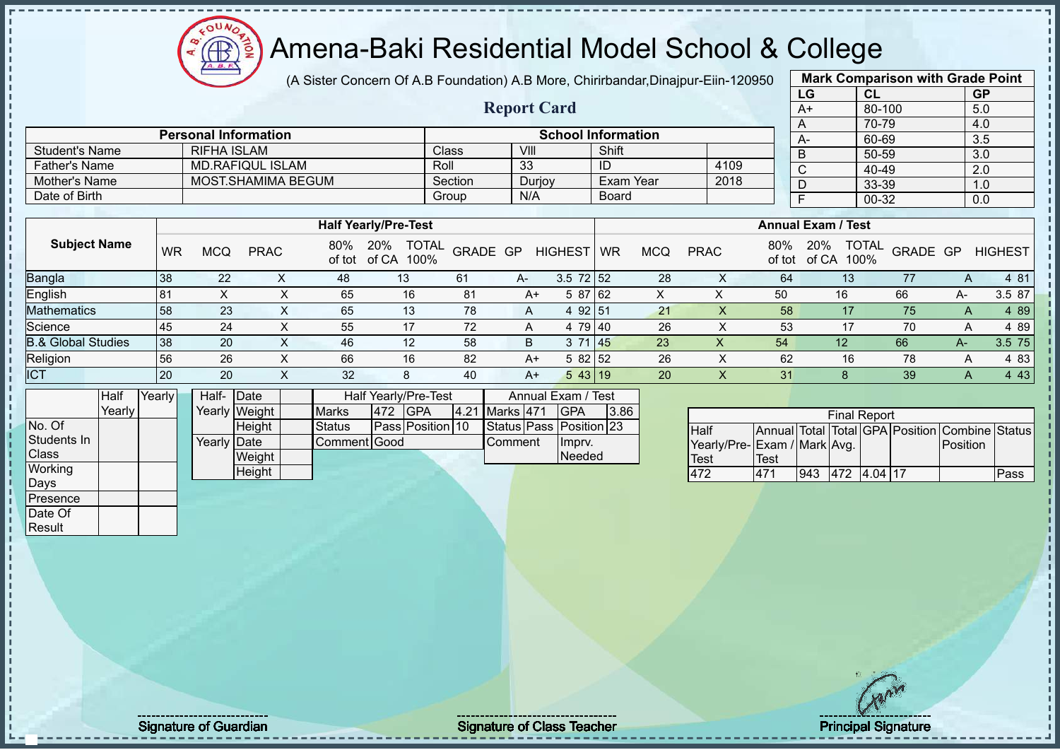(A Sister Concern Of A.B Foundation) A.B More, Chirirbandar,Dinajpur-Eiin-120950

**Report Card**

| 950 |                                                                                                                |           |                  |  |  |  |  |  |  |  |  |  |
|-----|----------------------------------------------------------------------------------------------------------------|-----------|------------------|--|--|--|--|--|--|--|--|--|
|     | LG                                                                                                             | <b>CL</b> | <b>GP</b>        |  |  |  |  |  |  |  |  |  |
|     | A+                                                                                                             | 80-100    | 5.0              |  |  |  |  |  |  |  |  |  |
|     | A                                                                                                              | 70-79     | 4.0              |  |  |  |  |  |  |  |  |  |
|     | А-                                                                                                             | 60-69     | $\overline{3.5}$ |  |  |  |  |  |  |  |  |  |
|     | B                                                                                                              | 50-59     | 3.0              |  |  |  |  |  |  |  |  |  |
|     | $\overline{\text{c}}$                                                                                          | 40-49     | 2.0              |  |  |  |  |  |  |  |  |  |
|     | <b>Mark Comparison with Grade Point</b><br>33-39<br>D<br>1.0<br>F<br>00-32<br>0.0<br><b>Annual Exam / Test</b> |           |                  |  |  |  |  |  |  |  |  |  |
|     |                                                                                                                |           |                  |  |  |  |  |  |  |  |  |  |
|     |                                                                                                                |           |                  |  |  |  |  |  |  |  |  |  |
|     |                                                                                                                |           |                  |  |  |  |  |  |  |  |  |  |

| <b>Student's Name</b> |      | RIFHA ISLAM |                         |                             |                          |      | <b>Class</b>   |    | VIII         | Shift        |            |              |      |       | B                         | 50-59           |    | 3.0                    |
|-----------------------|------|-------------|-------------------------|-----------------------------|--------------------------|------|----------------|----|--------------|--------------|------------|--------------|------|-------|---------------------------|-----------------|----|------------------------|
| <b>Father's Name</b>  |      |             | <b>MD.RAFIQUL ISLAM</b> |                             |                          | Roll |                | 33 |              | ID           |            |              | 4109 |       | ഄ                         | 40-49           |    | 2.0                    |
| Mother's Name         |      |             | MOST.SHAMIMA BEGUM      |                             |                          |      | Section        |    | Durjoy       | Exam Year    |            |              | 2018 |       |                           | 33-39           |    | 1.0                    |
| Date of Birth         |      |             |                         |                             |                          |      | Group          |    | N/A          | <b>Board</b> |            |              |      |       |                           | 00-32           |    | 0.0                    |
|                       |      |             |                         |                             |                          |      |                |    |              |              |            |              |      |       |                           |                 |    |                        |
|                       |      |             |                         | <b>Half Yearly/Pre-Test</b> |                          |      |                |    |              |              |            |              |      |       | <b>Annual Exam / Test</b> |                 |    |                        |
| <b>Subject Name</b>   | WR   | <b>MCQ</b>  | <b>PRAC</b>             | 80%                         | 20%<br>of tot of CA 100% |      | TOTAL GRADE GP |    | HIGHEST WR   |              | <b>MCQ</b> | <b>PRAC</b>  |      | 80%   | 20%<br>of tot of CA 100%  |                 |    | TOTAL GRADE GP HIGHEST |
| $D_{\text{onolo}}$    | ٥٥ ا | ററ          | $\checkmark$            | $\Lambda$ O                 | $\overline{4}$           |      | C <sub>4</sub> |    | $2.572$ $52$ |              | ററ         | $\checkmark$ |      | $C_A$ |                           | $\overline{42}$ | 77 | $A$ $04$               |

| <b>Bangla</b>                 | 38        | 22         | 48 | $\overline{A}$<br>∪ו | 61             | $A-$  | 3.5<br>72152 |            | 28 | ↗ | 64 | ∪ו |    | 4 81      |
|-------------------------------|-----------|------------|----|----------------------|----------------|-------|--------------|------------|----|---|----|----|----|-----------|
| English                       | l 81      |            | 65 | 16                   | 8 <sup>1</sup> | $A^+$ | 5 87 62      |            |    |   | 50 | 16 | 66 | 87<br>3.5 |
| <b>Mathematics</b>            | 58        | nn.<br>ں ے | 65 | ن.                   | 78             |       | $92 \, 15'$  |            | 21 |   | 58 |    |    | 89        |
| Science                       | $-45$     | 24         | 55 |                      | 70             |       | 79 40        |            | 26 |   | 53 |    |    | 4 89      |
| <b>B.&amp; Global Studies</b> | 38        | 20         | 46 | 10<br>L              | 58             |       |              | <b>145</b> | 23 |   | 54 | 12 | 66 | 75.       |
| Religion                      | 56        | 26         | 66 | 16                   | 82             | $A^+$ | 5 82 52      |            | 26 |   | 62 | 16 | 78 | 4 83      |
| <b>ICT</b>                    | <b>20</b> | 20         | 32 |                      | 40             | A+    |              |            | 20 |   | 31 |    | 39 | 43        |

|             | Half     | Yearly | Half- Date  |               | Half Yearly/Pre-Test<br>Annual Exam / Test |               |     |                  |  |                  |  |                         |      |  |
|-------------|----------|--------|-------------|---------------|--------------------------------------------|---------------|-----|------------------|--|------------------|--|-------------------------|------|--|
|             | Yearlv l |        |             | Yearly Weight |                                            | <b>Marks</b>  | 472 | <b>IGPA</b>      |  | 4.21 Marks 471   |  | <b>GPA</b>              | 3.86 |  |
| No. Of      |          |        |             | Height        |                                            | <b>Status</b> |     | Pass Position 10 |  |                  |  | Status Pass Position 23 |      |  |
| Students In |          |        | Yearly Date |               |                                            | Comment Good  |     |                  |  | <b>I</b> Comment |  | Imprv.                  |      |  |
| Class       |          |        |             | Weight        |                                            |               |     |                  |  |                  |  | Needed                  |      |  |
| Working     |          |        |             | Height        |                                            |               |     |                  |  |                  |  |                         |      |  |
| Days        |          |        |             |               |                                            |               |     |                  |  |                  |  |                         |      |  |
| Presence    |          |        |             |               |                                            |               |     |                  |  |                  |  |                         |      |  |

 $12\mu\text{V}$ 

Æ

**Personal Information School Information** 

|                             |      |     | <b>Final Report</b> |  |                                                |      |
|-----------------------------|------|-----|---------------------|--|------------------------------------------------|------|
| Half                        |      |     |                     |  | Annual Total Total GPA Position Combine Status |      |
| Yearly/Pre-Exam / Mark Avg. |      |     |                     |  | Position                                       |      |
| Test                        | Test |     |                     |  |                                                |      |
| 472                         | 471  | 943 | 472 4.04 17         |  |                                                | Pass |

Date Of Result

Signature of Guardian Signature of Class Teacher Number of Class Teacher Principal Signature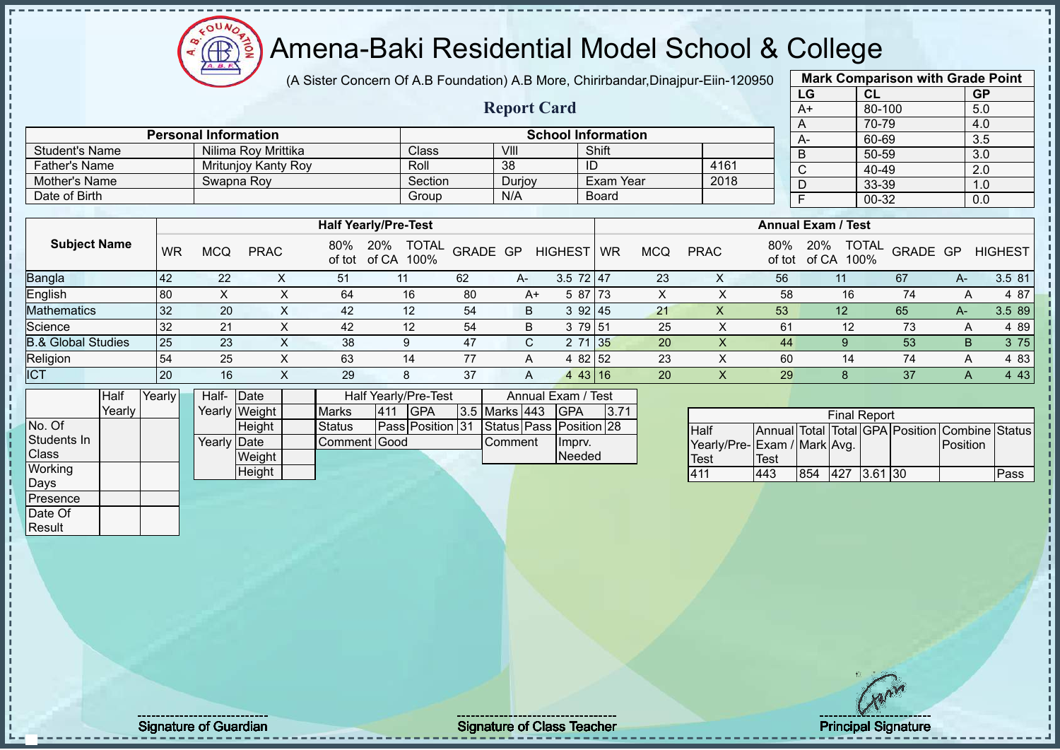# Amena-Baki Residential Model School & College

(A Sister Concern Of A.B Foundation) A.B More, Chirirbandar,Dinajpur-Eiin-120950

**Report Card**

|      | <b>Mark Comparison with Grade Point</b> |           |  |  |  |  |  |  |  |  |  |
|------|-----------------------------------------|-----------|--|--|--|--|--|--|--|--|--|
| LG   | <b>CL</b>                               | <b>GP</b> |  |  |  |  |  |  |  |  |  |
| $A+$ | 80-100                                  | 5.0       |  |  |  |  |  |  |  |  |  |
| A    | 70-79                                   | 4.0       |  |  |  |  |  |  |  |  |  |
| A-   | 60-69                                   | 3.5       |  |  |  |  |  |  |  |  |  |
| B    | 50-59                                   | 3.0       |  |  |  |  |  |  |  |  |  |
| C    | 40-49                                   | 2.0       |  |  |  |  |  |  |  |  |  |
| D    | 33-39                                   | 1.0       |  |  |  |  |  |  |  |  |  |
| F    | 00-32                                   | 0.0       |  |  |  |  |  |  |  |  |  |
|      |                                         |           |  |  |  |  |  |  |  |  |  |

|                       | <b>Personal Information</b> |         | <b>School Information</b> |              |      |  |      |  |  |  |
|-----------------------|-----------------------------|---------|---------------------------|--------------|------|--|------|--|--|--|
| <b>Student's Name</b> | Nilima Rov Mrittika         | Class   | VIII                      | Shift        |      |  | $A-$ |  |  |  |
| <b>Father's Name</b>  | Mrituniov Kanty Roy         | Roll    | -38                       | ID           | 4161 |  |      |  |  |  |
| Mother's Name         | Swapna Rov                  | Section | Duriov                    | Exam Year    | 2018 |  |      |  |  |  |
| Date of Birth         |                             | Group   | N/A                       | <b>Board</b> |      |  |      |  |  |  |

|                               |           |            |             |               | <b>Half Yearly/Pre-Test</b>          |          |      |                           |           |            |             |               | <b>Annual Exam / Test</b>            |          |      |                |
|-------------------------------|-----------|------------|-------------|---------------|--------------------------------------|----------|------|---------------------------|-----------|------------|-------------|---------------|--------------------------------------|----------|------|----------------|
| <b>Subject Name</b>           | <b>WR</b> | <b>MCQ</b> | <b>PRAC</b> | 80%<br>of tot | <b>TOTAL</b><br>20%<br>of CA<br>100% | GRADE GP |      | <b>HIGHEST</b>            | <b>WR</b> | <b>MCQ</b> | <b>PRAC</b> | 80%<br>of tot | 20%<br><b>TOTAL</b><br>100%<br>of CA | GRADE GP |      | <b>HIGHEST</b> |
| <b>Bangla</b>                 | 42        | 22         |             | 51            |                                      | 62       | $A-$ | $3.5$ 72 47               |           | 23         | ∧           | 56            |                                      | 67       | A-   | 3.5 81         |
| English                       | 80        |            |             | 64            | 16                                   | 80       | A+   | 5 87 73                   |           | х          |             | 58            | 16                                   | 74       | A    | 4 87           |
| <b>Mathematics</b>            | 32        | 20         |             | 42            | 12                                   | -54      | B    | 392 45                    |           | 21         | X           | 53            | 12                                   | 65       | $A-$ | 3.5 89         |
| Science                       | 32        | 21         |             | 42            | 12                                   | -54      | B    | 3 79 51                   |           | 25         |             | 61            | 12                                   | 73       | A    | 4 8 9          |
| <b>B.&amp; Global Studies</b> | 25        | 23         |             | 38            | 9                                    | 47       | C.   | 71 35                     |           | 20         |             | 44            |                                      | 53       | B    | 3 75           |
| Religion                      | 54        | 25         |             | 63            | 14                                   |          | A    | 4 82 52                   |           | 23         |             | 60            | 14                                   | 74       | A    | 4 83           |
| <b>ICT</b>                    | 20        | 16         |             | 29            | 8                                    | 37       | Α    | 43   16<br>$\overline{4}$ |           | 20         | ∧           | 29            |                                      | 37       | A    | 4 4 3          |

|                | <b>Half</b> | Yearly | Half- Date  |               |              |     | <b>Half Yearly/Pre-Test</b> |                | Annual Exam / Test      |      |
|----------------|-------------|--------|-------------|---------------|--------------|-----|-----------------------------|----------------|-------------------------|------|
|                | Yearly      |        |             | Yearly Weight | <b>Marks</b> | 411 | IGPA                        | 3.5 Marks 443  | <b>IGPA</b>             | 3.71 |
| No. Of         |             |        |             | Height        | Status       |     | <b>Pass Position 31</b>     |                | Status Pass Position 28 |      |
| Students In    |             |        | Yearly Date |               | Comment Good |     |                             | <b>Comment</b> | Impry.                  |      |
| <b>Class</b>   |             |        |             | Weight        |              |     |                             |                | Needed                  |      |
| <b>Working</b> |             |        |             | Height        |              |     |                             |                |                         |      |
| Days           |             |        |             |               |              |     |                             |                |                         |      |

|                             |      |     | <b>Final Report</b> |           |                                                |      |
|-----------------------------|------|-----|---------------------|-----------|------------------------------------------------|------|
| <b>Half</b>                 |      |     |                     |           | Annual Total Total GPA Position Combine Status |      |
| Yearly/Pre-Exam / Mark Avg. |      |     |                     |           | <b>IPosition</b>                               |      |
| <b>Test</b>                 | Test |     |                     |           |                                                |      |
| 411                         | 443  | 854 | 427                 | $3.61$ 30 |                                                | Pass |

Presence Date Of **Result** 

Signature of Guardian Andrea Signature of Class Teacher And Teacher Principal Signature 41/52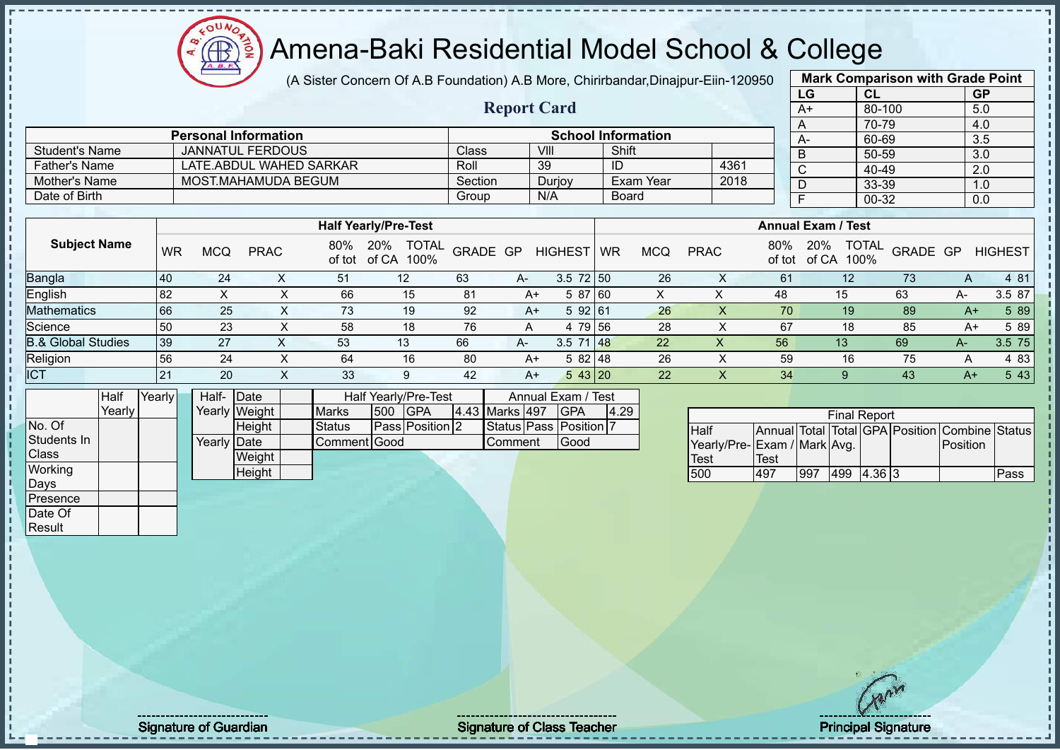$12\mu\text{V}$ **AR** 

# Amena-Baki Residential Model School & College

(A Sister Concern Of A.B Foundation) A.B More, Chirirbandar,Dinajpur-Eiin-120950

**Report Card**

|      | <b>Mark Comparison with Grade Point</b> |           |
|------|-----------------------------------------|-----------|
| LG   | <b>CL</b>                               | <b>GP</b> |
| $A+$ | 80-100                                  | 5.0       |
| A    | 70-79                                   | 4.0       |
| A-   | 60-69                                   | 3.5       |
| B    | 50-59                                   | 3.0       |
| C    | 40-49                                   | 2.0       |
| D    | 33-39                                   | 1.0       |
| F    | 00-32                                   | 0.0       |
|      |                                         |           |

|                       | <b>Personal Information</b> |         |        | <b>School Information</b> |      |
|-----------------------|-----------------------------|---------|--------|---------------------------|------|
| <b>Student's Name</b> | JANNATUL FERDOUS            | Class   | VIII   | Shift                     |      |
| <b>Father's Name</b>  | LATE ABDUL WAHED SARKAR     | Roll    | 39     | ID                        | 4361 |
| Mother's Name         | MOST.MAHAMUDA BEGUM         | Section | Duriov | Exam Year                 | 2018 |
| Date of Birth         |                             | Group   | N/A    | <b>Board</b>              |      |

|                               |     |            |             |               | <b>Half Yearly/Pre-Test</b>       |          |      |                |           |            |             |               | <b>Annual Exam / Test</b>            |          |      |                |
|-------------------------------|-----|------------|-------------|---------------|-----------------------------------|----------|------|----------------|-----------|------------|-------------|---------------|--------------------------------------|----------|------|----------------|
| <b>Subject Name</b>           | WR  | <b>MCQ</b> | <b>PRAC</b> | 80%<br>of tot | 20%<br><b>TOTAL</b><br>of CA 100% | GRADE GP |      | <b>HIGHEST</b> | <b>WR</b> | <b>MCQ</b> | <b>PRAC</b> | 80%<br>of tot | <b>TOTAL</b><br>20%<br>100%<br>of CA | GRADE GP |      | <b>HIGHEST</b> |
| <b>Bangla</b>                 | 40  | 24         |             | 51            | 12                                | 63       | $A-$ | $3.5$ 72 50    |           | 26         |             | 61            | 12                                   | 73       | A    | 4 81           |
| English                       | 82  |            |             | 66            | 15                                | 81       | $A+$ | 5 87 60        |           |            |             | 48            | 15                                   | 63       | A-   | 3.5 87         |
| <b>Mathematics</b>            | 166 | 25         |             | 73            | 19                                | 92       | A+   | 5 92 61        |           | 26         | $\sim$      | 70            | 19                                   | 89       | A+   | 5 89           |
| Science                       | 50  | 23         |             | 58            | 18                                | 76       |      | 4 79 56        |           | 28         |             | 67            | 18                                   | 85       | A+   | 5 89           |
| <b>B.&amp; Global Studies</b> | 39  | 27         |             | 53            | 13                                | 66       | A-   | $3.5$ 71 48    |           | 22         |             | 56            | 13                                   | 69       | $A-$ | 3.5 75         |
| Religion                      | 56  | 24         |             | 64            | 16                                | 80       | A+   | $582$ 48       |           | 26         |             | 59            | 16                                   | 75       | A    | 4 83           |
| <b>ICT</b>                    | 21  | 20         | $\lambda$   | 33            | 9                                 | 42       | $A+$ | 543 20         |           | 22         | ∧           | 34            |                                      | 43       | A+   | 5 4 3          |

|              | Half   | Yearly | Half- Date  |               |              |     | Half Yearly/Pre-Test |                | Annual Exam / Test     |      |
|--------------|--------|--------|-------------|---------------|--------------|-----|----------------------|----------------|------------------------|------|
|              | Yearly |        |             | Yearly Weight | <b>Marks</b> | 500 | <b>IGPA</b>          | 4.43 Marks 497 | <b>IGPA</b>            | 4.29 |
| No. Of       |        |        |             | Height        | Status       |     | Pass Position 2      |                | Status Pass Position 7 |      |
| Students In  |        |        | Yearly Date |               | Comment Good |     |                      | Comment        | Good                   |      |
| <b>Class</b> |        |        |             | Weight        |              |     |                      |                |                        |      |
| Working      |        |        |             | Height        |              |     |                      |                |                        |      |
| Days         |        |        |             |               |              |     |                      |                |                        |      |
| Presence     |        |        |             |               |              |     |                      |                |                        |      |
| Date Of      |        |        |             |               |              |     |                      |                |                        |      |

|                              |      |     | <b>Final Report</b> |        |                                                |      |
|------------------------------|------|-----|---------------------|--------|------------------------------------------------|------|
| <b>Half</b>                  |      |     |                     |        | Annual Total Total GPA Position Combine Status |      |
| Yearly/Pre- Exam / Mark Avg. |      |     |                     |        | <b>IPosition</b>                               |      |
| <b>Test</b>                  | Test |     |                     |        |                                                |      |
| 500                          | 497  | 997 | 499                 | 4.3613 |                                                | Pass |

Result

Signature of Guardian Signature of Class Teacher Principal Signature of Class Teacher Principal Signature of Class Teacher Principal Signature of Class Teacher Principal Signature of Class Teacher Principal Signature of Cl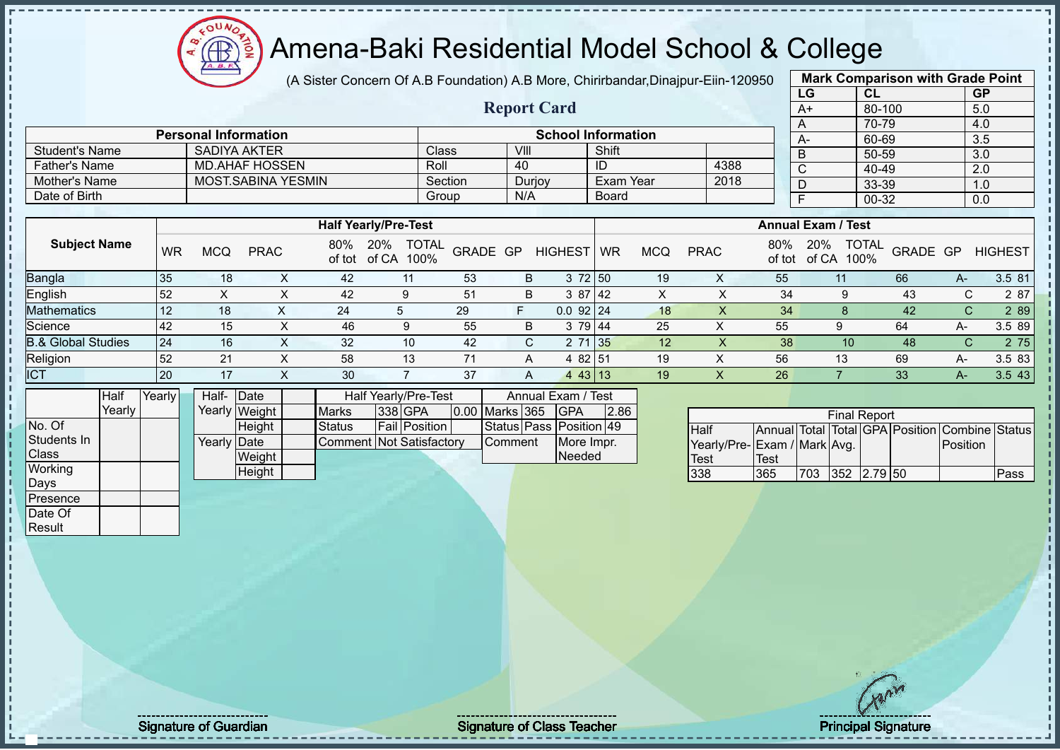(A Sister Concern Of A.B Foundation) A.B More, Chirirbandar,Dinajpur-Eiin-120950

**Report Card**

|      | <b>Mark Comparison with Grade Point</b> |           |  |  |  |  |  |  |  |  |
|------|-----------------------------------------|-----------|--|--|--|--|--|--|--|--|
| LG   | <b>CL</b>                               | <b>GP</b> |  |  |  |  |  |  |  |  |
| $A+$ | 80-100                                  | 5.0       |  |  |  |  |  |  |  |  |
| A    | 70-79                                   | 4.0       |  |  |  |  |  |  |  |  |
| A-   | 60-69                                   | 3.5       |  |  |  |  |  |  |  |  |
| B    | 50-59                                   | 3.0       |  |  |  |  |  |  |  |  |
| C    | 40-49                                   | 2.0       |  |  |  |  |  |  |  |  |
| D    | 33-39                                   | 1.0       |  |  |  |  |  |  |  |  |
| F    | $00 - 32$                               |           |  |  |  |  |  |  |  |  |
|      |                                         |           |  |  |  |  |  |  |  |  |

|                       | <b>Personal Information</b> |              |        | <b>School Information</b> |      | A- |
|-----------------------|-----------------------------|--------------|--------|---------------------------|------|----|
| <b>Student's Name</b> | SADIYA AKTER                | <b>Class</b> | VIII   | Shift                     |      |    |
| <b>Father's Name</b>  | MD.AHAF HOSSEN              | Roll         | 40     | ID                        | 4388 |    |
| Mother's Name         | MOST.SABINA YESMIN          | Section      | Durjoy | Exam Year                 | 2018 |    |
| Date of Birth         |                             | Group        | N/A    | <b>Board</b>              |      |    |

|                               |    |            |             |               | <b>Half Yearly/Pre-Test</b>          |          |   |                |           |            |             |               | <b>Annual Exam / Test</b> |                          |    |                |
|-------------------------------|----|------------|-------------|---------------|--------------------------------------|----------|---|----------------|-----------|------------|-------------|---------------|---------------------------|--------------------------|----|----------------|
| <b>Subject Name</b>           | WR | <b>MCQ</b> | <b>PRAC</b> | 80%<br>of tot | <b>TOTAL</b><br>20%<br>of CA<br>100% | GRADE GP |   | <b>HIGHEST</b> | <b>WR</b> | <b>MCQ</b> | <b>PRAC</b> | 80%<br>of tot | 20%<br>100%<br>of CA      | <b>TOTAL</b><br>GRADE GP |    | <b>HIGHEST</b> |
| <b>Bangla</b>                 | 35 | 18         |             | 42            | 11                                   | 53       | B | 3 72 50        |           | 19         | ∧           | 55            |                           | 66                       | A- | 3.5 81         |
| English                       | 52 |            |             | 42            |                                      | 51       | B | 3 87 42        |           | ∧          |             | 34            |                           | 43                       | ⌒  | 2 87           |
| <b>Mathematics</b>            | 12 | 18         |             | 24            |                                      | 29       |   | $0.0$ 92 24    |           | 18         |             | 34            |                           | 42                       | C  | 2 8 9          |
| Science                       | 42 | 15         |             | 46            | 9                                    | 55       | B | 3 79 44        |           | 25         | v<br>∧      | 55            |                           | 64                       | А- | 3.5 89         |
| <b>B.&amp; Global Studies</b> | 24 | 16         |             | 32            | 10                                   | 42       |   | 2 71 35        |           | 12         |             | 38            | 10                        | 48                       |    | 2 75           |
| Religion                      | 52 | 21         |             | 58            | 13                                   | 71       | A | 4 82 51        |           | 19         | ∧           | 56            | 13                        | 69                       | А- | 3.5 83         |
| <b>ICT</b>                    | 20 |            |             | 30            |                                      | 37       | A | 443 13         |           | 19         | $\sqrt{ }$  | 26            |                           | 33                       |    | 3.543          |

|              | Half   | Yearly | Half-       | Date          |                                 | Half Yearly/Pre-Test |                  | Annual Exam / Test      |      |
|--------------|--------|--------|-------------|---------------|---------------------------------|----------------------|------------------|-------------------------|------|
|              | Yearly |        |             | Yearly Weight | <b>Marks</b>                    | 338 GPA              | 0.00 Marks 365   | <b>IGPA</b>             | 2.86 |
| No. Of       |        |        |             | Height        | <b>Status</b>                   | <b>Fail Position</b> |                  | Status Pass Position 49 |      |
| Students In  |        |        | Yearly Date |               | <b>Comment Not Satisfactory</b> |                      | <b>I</b> Comment | More Impr.              |      |
| <b>Class</b> |        |        |             | Weight        |                                 |                      |                  | <b>Needed</b>           |      |
| Working      |        |        |             | Height        |                                 |                      |                  |                         |      |
| Days         |        |        |             |               |                                 |                      |                  |                         |      |
| Presence     |        |        |             |               |                                 |                      |                  |                         |      |

 $12\mu\text{V}$ 

| <b>Final Report</b>         |      |     |             |  |  |                                                |      |  |  |
|-----------------------------|------|-----|-------------|--|--|------------------------------------------------|------|--|--|
| <b>Half</b>                 |      |     |             |  |  | Annual Total Total GPA Position Combine Status |      |  |  |
| Yearly/Pre-Exam / Mark Avg. |      |     |             |  |  | <b>Position</b>                                |      |  |  |
| <b>Test</b>                 | Test |     |             |  |  |                                                |      |  |  |
| 338                         | 365  | 703 | 352 2.79 50 |  |  |                                                | Pass |  |  |

Date Of **Result** 

Signature of Guardian Signature of Class Teacher All the Signature of Class Teacher Principal Signature 43/52<br>
Signature of Class Teacher All the Principal Signature 43/522 and the Signature of Class Teacher All the Princi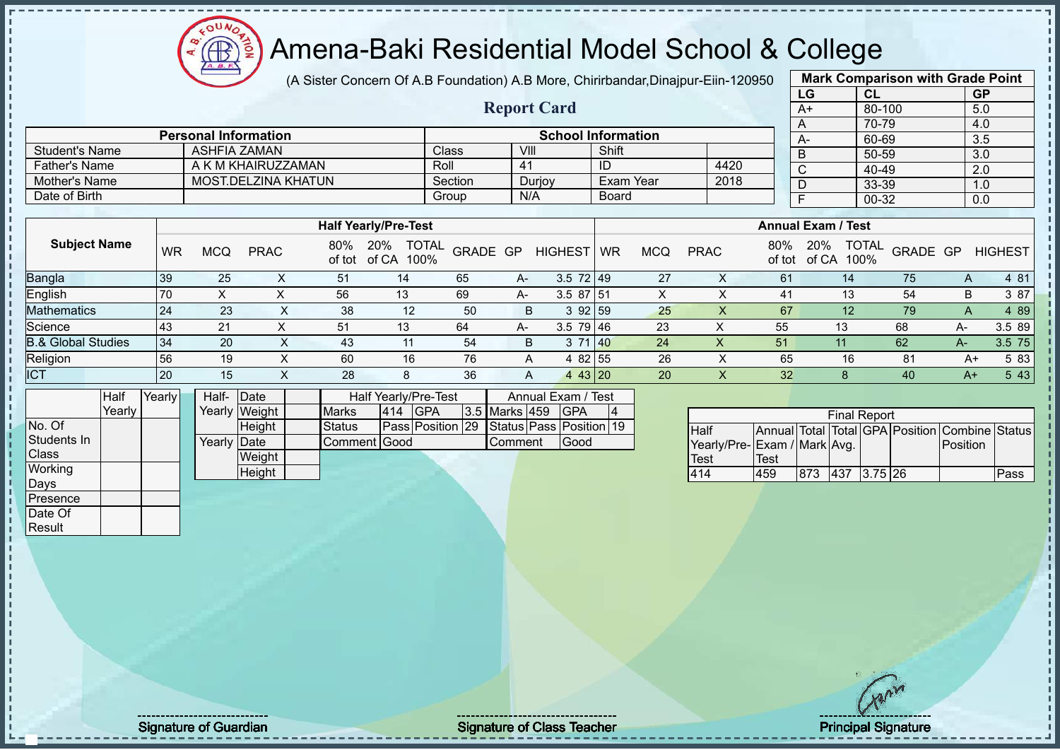(A Sister Concern Of A.B Foundation) A.B More, Chirirbandar,Dinajpur-Eiin-120950

|      | <b>Mark Comparison with Grade Point</b> |           |  |  |  |  |  |  |  |
|------|-----------------------------------------|-----------|--|--|--|--|--|--|--|
| LG   | <b>CL</b>                               | <b>GP</b> |  |  |  |  |  |  |  |
| $A+$ | 80-100                                  | 5.0       |  |  |  |  |  |  |  |
| A    | 70-79                                   | 4.0       |  |  |  |  |  |  |  |
| A-   | 60-69                                   | 3.5       |  |  |  |  |  |  |  |
| B    | 50-59                                   | 3.0       |  |  |  |  |  |  |  |
| C    | 40-49                                   | 2.0       |  |  |  |  |  |  |  |
| D    | 33-39                                   | 1.0       |  |  |  |  |  |  |  |
| F    | 0.0                                     |           |  |  |  |  |  |  |  |
|      |                                         |           |  |  |  |  |  |  |  |

|                      |                             |         | <b>Report Card</b> |                           |      | --<br>$A+$<br>$\overline{A}$ |
|----------------------|-----------------------------|---------|--------------------|---------------------------|------|------------------------------|
|                      | <b>Personal Information</b> |         |                    | <b>School Information</b> |      | A-                           |
| Student's Name       | ASHFIA ZAMAN                | Class   | VIII               | Shift                     |      | $\overline{B}$               |
| <b>Father's Name</b> | A K M KHAIRUZZAMAN          | Roll    | 41                 | ID                        | 4420 | $\sim$                       |
| Mother's Name        | MOST.DELZINA KHATUN         | Section | Durjoy             | Exam Year                 | 2018 | D                            |
| Date of Birth        |                             | Group   | N/A                | <b>Board</b>              |      |                              |

|                               |    | <b>Half Yearly/Pre-Test</b> |             |     |                                          |          |      |                |           |            | <b>Annual Exam / Test</b> |     |                             |                  |      |                |
|-------------------------------|----|-----------------------------|-------------|-----|------------------------------------------|----------|------|----------------|-----------|------------|---------------------------|-----|-----------------------------|------------------|------|----------------|
| <b>Subject Name</b>           | WR | MCQ                         | <b>PRAC</b> | 80% | 20%<br><b>TOTAL</b><br>of tot of CA 100% | GRADE GP |      | <b>HIGHEST</b> | <b>WR</b> | <b>MCQ</b> | <b>PRAC</b>               | 80% | 20%<br>of tot of CA<br>100% | J TOTAL GRADE GP |      | <b>HIGHEST</b> |
| Bangla                        | 39 | 25                          |             | 51  | 14                                       | 65       | $A-$ | $3.5$ 72 49    |           | 27         |                           | 61  | 14.                         | 75               | A    | 4 81           |
| English                       |    | ⌒                           |             | 56  | 13                                       | 69       | A-   | $3.587$ 51     |           |            |                           | 41  | 13                          | 54               | В    | 3 87           |
| <b>Mathematics</b>            | 24 | 23                          |             | 38  | 12                                       | 50       | B    | 392159         |           | 25         |                           | 67  | 12                          | 79               | А    | 4 8 9          |
| Science                       |    | 21                          |             | 51  | 13                                       | 64       | $A-$ | $3.5$ 79 46    |           | 23         | 丷<br>↗                    | 55  | 13                          | 68               | A-   | 3.5 89         |
| <b>B.&amp; Global Studies</b> | 34 | 20                          |             | 43  | 11                                       | 54       | B    |                | 71 40     | 24         | ∧                         | 51  |                             | 62               | A-   | 3.5 75         |
| Religion                      | 56 | 19                          |             | 60  | 16                                       | 76       | A    | 4 82 55        |           | 26         |                           | 65  | 16                          | 81               | A+   | 5 83           |
| <b>ICT</b>                    | 20 | 15                          |             | 28  | 8                                        | 36       | A    | 4 43 20        |           | 20         |                           | 32  |                             | 40               | $A+$ | 5 43           |

|              | Half   | Yearly | Half-       | Date          | Half Yearly/Pre-Test |         |                  | Annual Exam / Test |               |  |                         |  |
|--------------|--------|--------|-------------|---------------|----------------------|---------|------------------|--------------------|---------------|--|-------------------------|--|
|              | Yearly |        |             | Yearly Weight | <b>Marks</b>         | 414 GPA |                  |                    | 3.5 Marks 459 |  | <b>IGPA</b>             |  |
| No. Of       |        |        |             | <b>Height</b> | Status               |         | Pass Position 29 |                    |               |  | Status Pass Position 19 |  |
| Students In  |        |        | Yearly Date |               | Comment Good         |         |                  |                    | lComment      |  | Good                    |  |
| <b>Class</b> |        |        |             | Weight        |                      |         |                  |                    |               |  |                         |  |
| Working      |        |        |             | Height        |                      |         |                  |                    |               |  |                         |  |
| Days         |        |        |             |               |                      |         |                  |                    |               |  |                         |  |
| IPresence    |        |        |             |               |                      |         |                  |                    |               |  |                         |  |

 $12\mu\text{V}$ 

| <b>Final Report</b>         |             |     |             |  |  |                                                |      |  |  |
|-----------------------------|-------------|-----|-------------|--|--|------------------------------------------------|------|--|--|
| <b>Half</b>                 |             |     |             |  |  | Annual Total Total GPA Position Combine Status |      |  |  |
| Yearly/Pre-Exam / Mark Avg. |             |     |             |  |  | Position                                       |      |  |  |
| Test                        | <b>Test</b> |     |             |  |  |                                                |      |  |  |
| 414                         | 459         | 873 | 437 3.75 26 |  |  |                                                | Pass |  |  |

Date Of Result

Signature of Guardian Signature of Class Teacher Principal Signature of Class Teacher Principal Signature 44/5<br>Alternative of Class Teacher Principal Signature 44/522 million of Class Teacher Principal Signature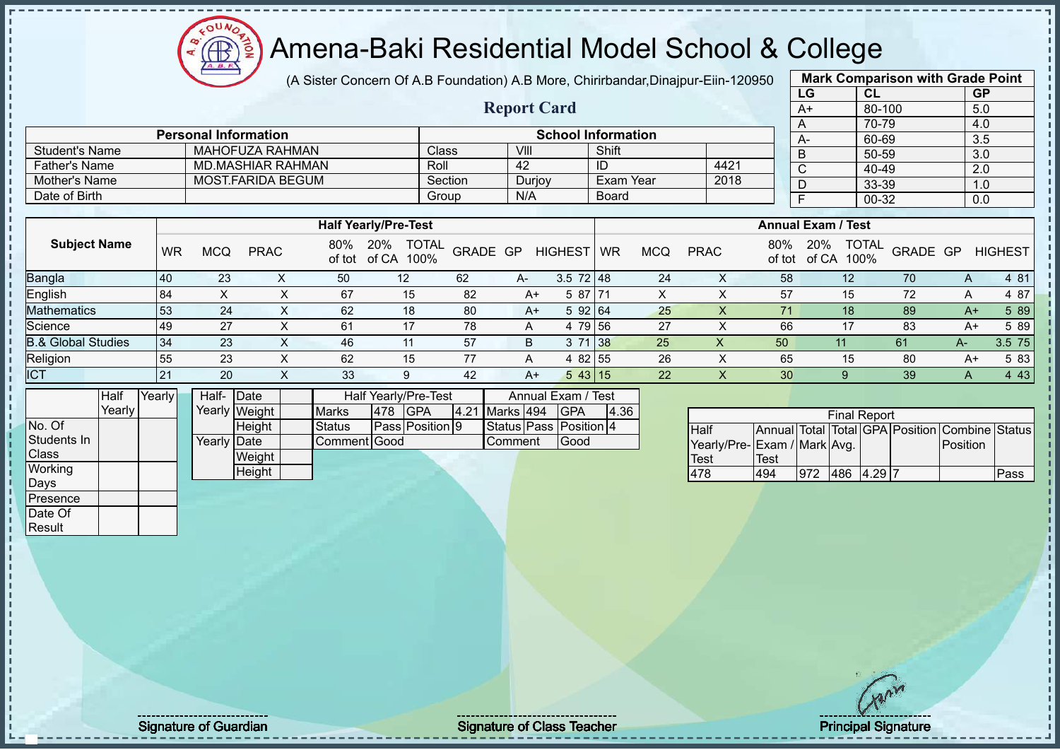(A Sister Concern Of A.B Foundation) A.B More, Chirirbandar,Dinajpur-Eiin-120950

**Report Card**

|      | <b>Mark Comparison with Grade Point</b> |           |  |  |  |  |  |  |  |
|------|-----------------------------------------|-----------|--|--|--|--|--|--|--|
| LG   | <b>CL</b>                               | <b>GP</b> |  |  |  |  |  |  |  |
| $A+$ | 80-100                                  |           |  |  |  |  |  |  |  |
| A    | 70-79                                   |           |  |  |  |  |  |  |  |
| А-   | 60-69                                   | 3.5       |  |  |  |  |  |  |  |
| B    | 50-59                                   | 3.0       |  |  |  |  |  |  |  |
| C    | 40-49                                   | 2.0       |  |  |  |  |  |  |  |
| D    | 33-39                                   | 1.0       |  |  |  |  |  |  |  |
| F    | 0.0                                     |           |  |  |  |  |  |  |  |
|      |                                         |           |  |  |  |  |  |  |  |

|                      | <b>Personal Information</b> | <b>School Information</b> |        |            |      |  |  |
|----------------------|-----------------------------|---------------------------|--------|------------|------|--|--|
| Student's Name       | MAHOFUZA RAHMAN             | Class                     | VIII   | Shift      |      |  |  |
| <b>Father's Name</b> | <b>MD.MASHIAR RAHMAN</b>    | Roll                      | 42     | ID         | 4421 |  |  |
| Mother's Name        | MOST FARIDA BEGUM           | Section                   | Durjoy | ⊺Exam Year | 2018 |  |  |
| Date of Birth        |                             | Group                     | N/A    | Board      |      |  |  |

|                               |    | <b>Half Yearly/Pre-Test</b> |             |               |                                      |          |      |                  |    |            | <b>Annual Exam / Test</b> |               |                                      |                 |      |                |
|-------------------------------|----|-----------------------------|-------------|---------------|--------------------------------------|----------|------|------------------|----|------------|---------------------------|---------------|--------------------------------------|-----------------|------|----------------|
| <b>Subject Name</b>           | WR | <b>MCQ</b>                  | <b>PRAC</b> | 80%<br>of tot | <b>TOTAL</b><br>20%<br>of CA<br>100% | GRADE GP |      | <b>HIGHEST</b>   | WR | <b>MCQ</b> | <b>PRAC</b>               | 80%<br>of tot | 20%<br><b>TOTAL</b><br>100%<br>of CA | GRADE GP        |      | <b>HIGHEST</b> |
| <b>Bangla</b>                 | 40 | 23                          |             | 50            | 12                                   | 62       | $A-$ | $3.5 \ 72 \ 148$ |    | 24         |                           | 58            | 12                                   | 70              | A    | 4 81           |
| English                       | 84 |                             |             | 67            | 15                                   | 82       | $A+$ | 5 87 71          |    | ∧          |                           | 57            | 15                                   | 72              |      | 4 87           |
| <b>Mathematics</b>            | 53 | 24                          | ∧           | 62            | 18                                   | 80       | $A+$ | 5 92 64          |    | 25         |                           | 71            | 18                                   | 89              | $A+$ | 5 89           |
| Science                       | 49 | 27                          |             | 61            | 17                                   | 78       | A    | 4 79 56          |    | 27         |                           | 66            |                                      | 83              | A+   | 5 89           |
| <b>B.&amp; Global Studies</b> | 34 | 23                          | х           | 46            | 11                                   | 57       | B    | 3 71 38          |    | 25         | ∧                         | 50            | 11                                   | 61              | А-   | 3.5 75         |
| Religion                      | 55 | 23                          |             | 62            | 15                                   |          | Α    | 4 82 55          |    | 26         |                           | 65            | 15                                   | 80              | A+   | 5 83           |
| <b>ICT</b>                    | 21 | 20                          | ∧           | 33            | 9                                    | 42       | A+   | 543 15           |    | 22         | $\Lambda$                 | 30            |                                      | 39 <sub>1</sub> | A    | 4 4 3          |

|              | Half   | ∕earlv <b>I</b> | Half-               | $\vert$ Date  |               | Half Yearly/Pre-Test |                 |  | Annual Exam / Test |  |                        |      |
|--------------|--------|-----------------|---------------------|---------------|---------------|----------------------|-----------------|--|--------------------|--|------------------------|------|
|              | Yearlv |                 |                     | Yearly Weight | <b>Marks</b>  | 478                  | <b>IGPA</b>     |  | 4.21 Marks 494     |  | <b>IGPA</b>            | 4.36 |
| No. Of       |        |                 |                     | Height        | <b>Status</b> |                      | Pass Position 9 |  |                    |  | Status Pass Position 4 |      |
| Students In  |        |                 | Yearly <b>IDate</b> |               | Comment Good  |                      |                 |  | Comment            |  | Good                   |      |
| <b>Class</b> |        |                 |                     | Weight        |               |                      |                 |  |                    |  |                        |      |
| Working      |        |                 |                     | Height        |               |                      |                 |  |                    |  |                        |      |
| Days         |        |                 |                     |               |               |                      |                 |  |                    |  |                        |      |
| Presence     |        |                 |                     |               |               |                      |                 |  |                    |  |                        |      |
| Date Of      |        |                 |                     |               |               |                      |                 |  |                    |  |                        |      |

 $12\mu\text{V}$ 

| <b>Final Report</b>          |      |                |  |  |  |                                                |      |  |  |
|------------------------------|------|----------------|--|--|--|------------------------------------------------|------|--|--|
| Half                         |      |                |  |  |  | Annual Total Total GPA Position Combine Status |      |  |  |
| Yearly/Pre- Exam / Mark Avg. |      |                |  |  |  | <b>IPosition</b>                               |      |  |  |
| <b>Test</b>                  | Test |                |  |  |  |                                                |      |  |  |
| 478                          | 494  | 972 486 4.29 7 |  |  |  |                                                | Pass |  |  |

Result

Signature of Guardian Signature of Class Teacher Principal Signature of Class Teacher Principal Signature 45/5<br>
Alternative of Class Teacher Principal Signature 45/522 million of Class Teacher Principal Signature 2014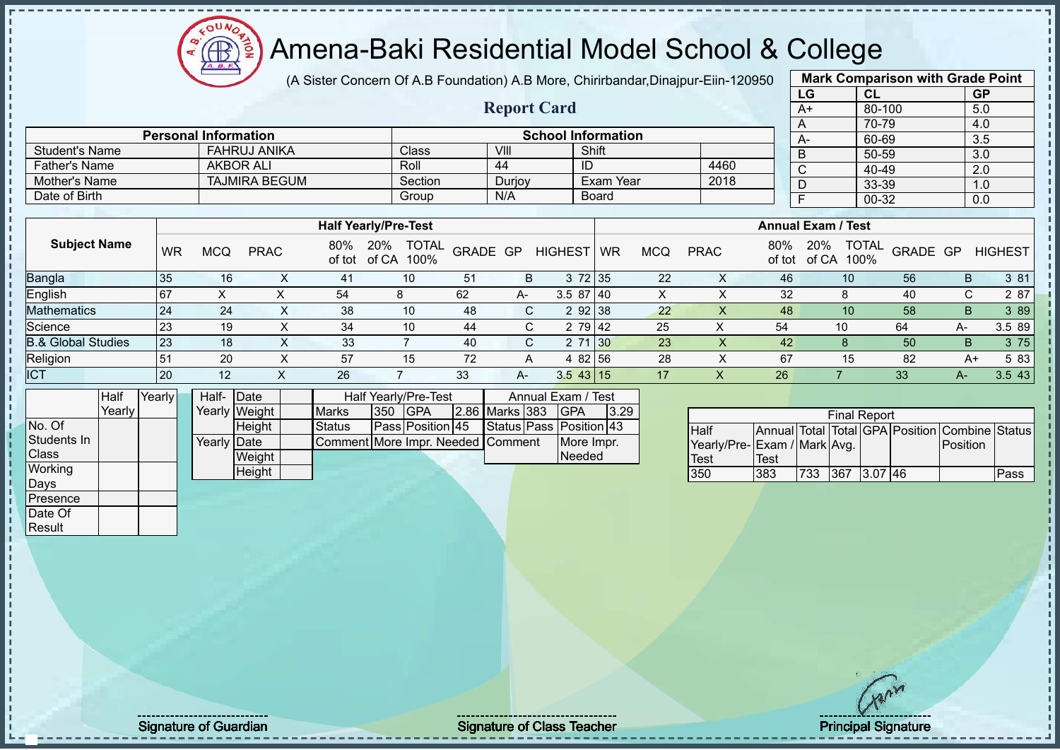

(A Sister Concern Of A.B Foundation) A.B More, Chirirbandar,Dinajpur-Eiin-120950

**Report Card**

| <b>Mark Comparison with Grade Point</b> |        |           |  |  |  |  |  |  |  |
|-----------------------------------------|--------|-----------|--|--|--|--|--|--|--|
| LG                                      | CL     | <b>GP</b> |  |  |  |  |  |  |  |
| $A+$                                    | 80-100 | 5.0       |  |  |  |  |  |  |  |
| Α                                       | 70-79  | 4.0       |  |  |  |  |  |  |  |
| A-                                      | 60-69  | 3.5       |  |  |  |  |  |  |  |
| B                                       | 50-59  | 3.0       |  |  |  |  |  |  |  |
| $\overline{\text{c}}$                   | 40-49  | 2.0       |  |  |  |  |  |  |  |
| D                                       | 33-39  | 1.0       |  |  |  |  |  |  |  |
| F                                       | 0.0    |           |  |  |  |  |  |  |  |
|                                         |        |           |  |  |  |  |  |  |  |

|                               |           |            |             |     | <b>Half Yearly/Pre-Test</b>          |          |    |                |    |            |             |               | <b>Annual Exam / Test</b>            |                 |      |                |
|-------------------------------|-----------|------------|-------------|-----|--------------------------------------|----------|----|----------------|----|------------|-------------|---------------|--------------------------------------|-----------------|------|----------------|
| <b>Subject Name</b>           | <b>WR</b> | <b>MCQ</b> | <b>PRAC</b> | 80% | TOTAL<br>20%<br>of tot of CA<br>100% | GRADE GP |    | <b>HIGHEST</b> | WR | <b>MCQ</b> | <b>PRAC</b> | 80%<br>of tot | <b>TOTAL</b><br>20%<br>of CA<br>100% | <b>GRADE GP</b> |      | <b>HIGHEST</b> |
| <b>Bangla</b>                 | 35        | 16         |             | 41  | 10                                   | 51       | B. | $3\,72$ 35     |    | 22         |             | 46            | 10                                   | 56              | B    | 3 81           |
| <b>English</b>                | 167       | ∧          |             | 54  | 8                                    | 62       | A- | $3.587$   40   |    | ∧          |             | 32            |                                      | 40              | C.   | 2 87           |
| Mathematics                   | 24        | 24         |             | 38  | 10                                   | 48       | C. | 2 92 38        |    | 22         |             | 48            | 10                                   | 58              | B.   | 3 89           |
| Science                       | 23        | 19         |             | 34  | 10                                   | -44      | C. | 2 79 42        |    | 25         |             | 54            | 10                                   | 64              | А-   | 3.5 89         |
| <b>B.&amp; Global Studies</b> | 23        | 18         |             | 33  |                                      | 40       | C. | 2 71 30        |    | 23         |             | 42            |                                      | 50              | B.   | 3 75           |
| Religion                      | 51        | 20         |             | 57  | 15                                   | 72       | A  | 4 82 56        |    | 28         |             | 67            | 15                                   | 82              | $A+$ | 5 83           |
| <b>ICT</b>                    | <b>20</b> | 12         |             | 26  |                                      | 33       | A- | $3.5$ 43 15    |    | 17         |             | 26            |                                      | 33              | A-   | 3.543          |

|              | <b>Half</b> | Yearly | Half- Date  |               |                                   |     | Half Yearly/Pre-Test |                | Annual Exam / Test      |      |
|--------------|-------------|--------|-------------|---------------|-----------------------------------|-----|----------------------|----------------|-------------------------|------|
|              | Yearly      |        |             | Yearly Weight | <b>Marks</b>                      | 350 | <b>IGPA</b>          | 2.86 Marks 383 | <b>IGPA</b>             | 3.29 |
| No. Of       |             |        |             | Height        | Status                            |     | Pass Position 45     |                | Status Pass Position 43 |      |
| Students In  |             |        | Yearly Date |               | Comment More Impr. Needed Comment |     |                      |                | More Impr.              |      |
| <b>Class</b> |             |        |             | Weight        |                                   |     |                      |                | Needed                  |      |
| Working      |             |        |             | Height        |                                   |     |                      |                |                         |      |
| Days         |             |        |             |               |                                   |     |                      |                |                         |      |
| Presence     |             |        |             |               |                                   |     |                      |                |                         |      |

Student's Name FAHRUJ ANIKA Class VIII Shift Shift Shift Shift Shift Shift Shift Shift Shift Shift Shift Shift Shift Shift Shift Shift Shift Shift Shift Shift Shift Shift Shift Shift Shift Shift Shift Shift Shift Shift Shi

Date of Birth Board

**Personal Information**<br> **Personal Information**<br> **PEAHRUJ ANIKA**<br> **Class**<br> **Class**<br> **Class**<br> **School Information**<br> **School Information** 

Father's Name | AKBOR ALI | Roll | 44 | ID | 4460 Mother's Name TAJMIRA BEGUM Section Durjoy Exam Year 2018<br>
Date of Birth Group N/A Board

|                             |      |      | <b>Final Report</b> |  |                                                |      |
|-----------------------------|------|------|---------------------|--|------------------------------------------------|------|
| Half                        |      |      |                     |  | Annual Total Total GPA Position Combine Status |      |
| Yearly/Pre-Exam / Mark Avg. |      |      |                     |  | Position                                       |      |
| <b>Test</b>                 | Test |      |                     |  |                                                |      |
| 350                         | 383  | 1733 | 367 3.07 46         |  |                                                | Pass |

Date Of **Result** 

Signature of Guardian Signature of Class Teacher New York Class Teacher Principal Signature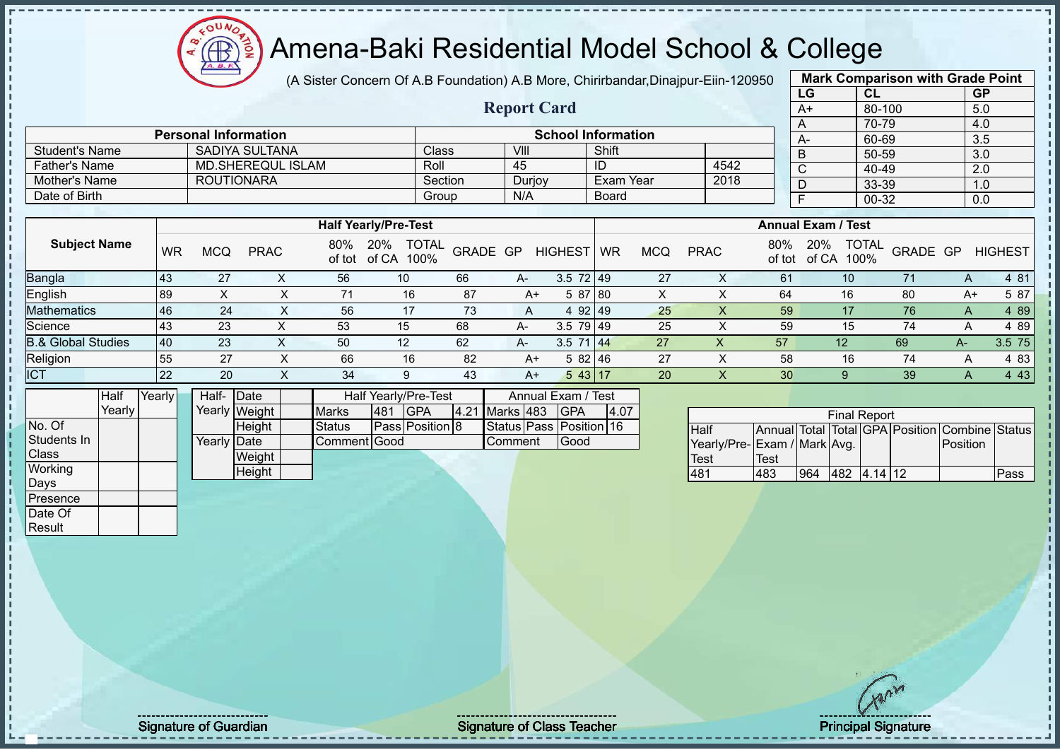# Amena-Baki Residential Model School & College

(A Sister Concern Of A.B Foundation) A.B More, Chirirbandar,Dinajpur-Eiin-120950

**Report Card**

|                   | <b>Mark Comparison with Grade Point</b> |           |  |  |  |  |  |  |  |  |
|-------------------|-----------------------------------------|-----------|--|--|--|--|--|--|--|--|
| LG                | CL                                      | <b>GP</b> |  |  |  |  |  |  |  |  |
| $A+$              | 80-100                                  | 5.0       |  |  |  |  |  |  |  |  |
| A                 | 70-79                                   | 4.0       |  |  |  |  |  |  |  |  |
| А-                | 60-69                                   | 3.5       |  |  |  |  |  |  |  |  |
| B                 | 50-59                                   | 3.0       |  |  |  |  |  |  |  |  |
| C                 | 40-49                                   | 2.0       |  |  |  |  |  |  |  |  |
| D                 | 33-39                                   | 1.0       |  |  |  |  |  |  |  |  |
| 00-32<br>F<br>0.0 |                                         |           |  |  |  |  |  |  |  |  |
|                   |                                         |           |  |  |  |  |  |  |  |  |

|                      | <b>Personal Information</b> |         |        | <b>School Information</b> |      | $A-$       |
|----------------------|-----------------------------|---------|--------|---------------------------|------|------------|
| Student's Name       | SADIYA SULTANA              | Class   | VIII   | Shift                     |      | B          |
| <b>Father's Name</b> | MD.SHEREQUL ISLAM           | Roll    | 45     | ID                        | 4542 | $\sqrt{2}$ |
| Mother's Name        | <b>ROUTIONARA</b>           | Section | Durjoy | Exam Year                 | 2018 |            |
| Date of Birth        |                             | Group   | N/A    | <b>Board</b>              |      |            |

|                               |     |     |             |               | <b>Half Yearly/Pre-Test</b>          |          |           |                |           |            |             |               | <b>Annual Exam / Test</b>            |          |      |                |
|-------------------------------|-----|-----|-------------|---------------|--------------------------------------|----------|-----------|----------------|-----------|------------|-------------|---------------|--------------------------------------|----------|------|----------------|
| <b>Subject Name</b>           | WR  | MCQ | <b>PRAC</b> | 80%<br>of tot | <b>TOTAL</b><br>20%<br>of CA<br>100% | GRADE GP |           | <b>HIGHEST</b> | <b>WR</b> | <b>MCQ</b> | <b>PRAC</b> | 80%<br>of tot | <b>TOTAL</b><br>20%<br>100%<br>of CA | GRADE GP |      | <b>HIGHEST</b> |
| <b>Bangla</b>                 | 43  | 27  |             | 56            | 10                                   | 66       | $A-$      | $3.5$ 72 49    |           | 27         |             | 61            | 10                                   |          | A    | 4 8 1          |
| <b>English</b>                | 89  |     |             |               | 16                                   | 87       | $A+$      | 5 87 80        |           |            |             | 64            | 16                                   | 80       | A+   | 5 87           |
| <b>Mathematics</b>            | 46  | 24  |             | 56            |                                      | 73       | A         | 92149<br>4     |           | 25         |             | 59            |                                      | 76       | A    | 4 8 9          |
| Science                       | 43  | 23  |             | 53            | 15                                   | 68       | $A-$      | $3.5$ 79 49    |           | 25         |             | 59            | 15                                   | 74       | A    | 4 89           |
| <b>B.&amp; Global Studies</b> | 140 | 23  |             | 50            | 12                                   | 62       | <b>A-</b> | 3.5            | -144      | 27         | х           | 57            | $12 \overline{ }$                    | 69       | $A-$ | 3.5 75         |
| Religion                      | 55  | 27  |             | 66            | 16                                   | 82       | $A+$      | 582146         |           | 27         |             | 58            | 16                                   | 74       | A    | 4 8 3          |
| <b>ICT</b>                    | 22  | 20  |             | 34            | 9                                    | 43       | $A+$      | 543 17         |           | 20         |             | 30            | 9                                    | 39       | A    | 4 4 3          |

|                  | Half   | Yearly∐ | Half- Date  |               |               |     | Half Yearly/Pre-Test |                | Annual Exam / Test      |      |
|------------------|--------|---------|-------------|---------------|---------------|-----|----------------------|----------------|-------------------------|------|
|                  | Yearly |         |             | Yearly Weight | <b>Marks</b>  | 481 | <b>IGPA</b>          | 4.21 Marks 483 | <b>IGPA</b>             | 4.07 |
| No. Of           |        |         |             | Height        | <b>Status</b> |     | Pass Position 8      |                | Status Pass Position 16 |      |
| Students In      |        |         | Yearly Date |               | Comment Good  |     |                      | Comment        | <b>IGood</b>            |      |
| <b>Class</b>     |        |         |             | Weight        |               |     |                      |                |                         |      |
| Working          |        |         |             | Height        |               |     |                      |                |                         |      |
| Days             |        |         |             |               |               |     |                      |                |                         |      |
| <b>IPresence</b> |        |         |             |               |               |     |                      |                |                         |      |
| Date Of          |        |         |             |               |               |     |                      |                |                         |      |

|                             |      |     | <b>Final Report</b> |  |                                                |      |
|-----------------------------|------|-----|---------------------|--|------------------------------------------------|------|
| <b>I</b> Half               |      |     |                     |  | Annual Total Total GPA Position Combine Status |      |
| Yearly/Pre-Exam / Mark Avg. |      |     |                     |  | Position                                       |      |
| Test                        | Test |     |                     |  |                                                |      |
| 481                         | 483  | 964 | 482 4.14 12         |  |                                                | Pass |

**Result** 

Signature of Guardian Signature Signature of Class Teacher Number of Class Teacher Principal Signature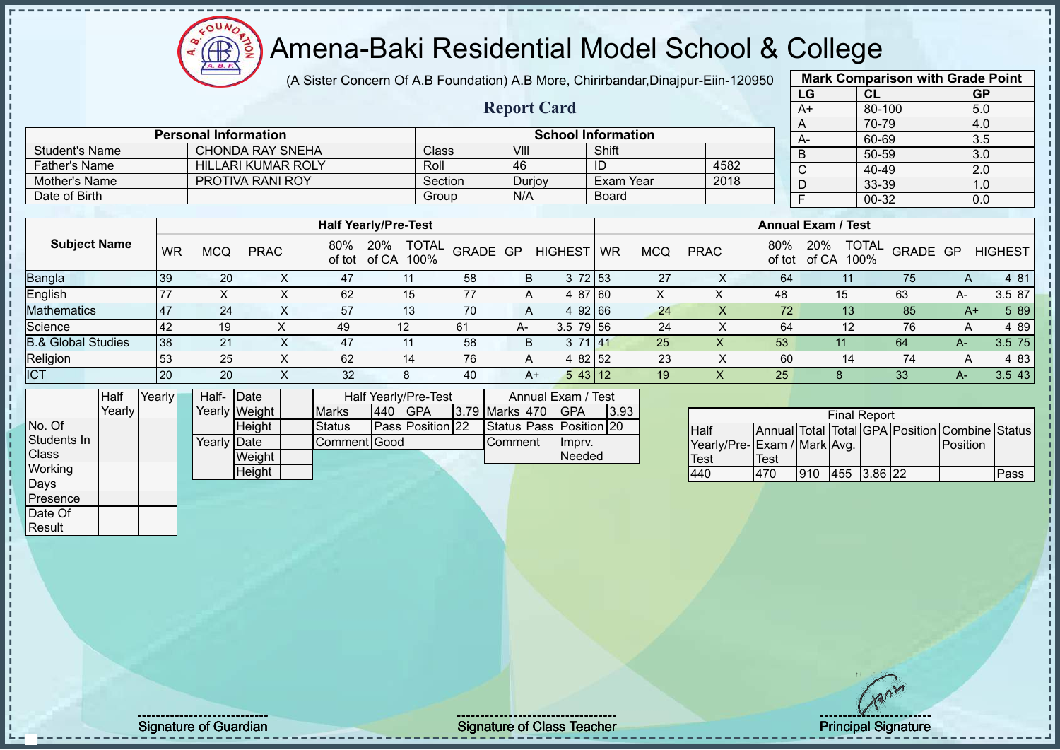# Amena-Baki Residential Model School & College

(A Sister Concern Of A.B Foundation) A.B More, Chirirbandar,Dinajpur-Eiin-120950

**Report Card**

**Personal Information School Information** 

Father's Name Father's Name HILLARI KUMAR ROLY Roll Roll 46 ID 4582<br>
Mother's Name PROTIVA RANI ROY Section Durioy Exam Year 2018

|                   | <b>Mark Comparison with Grade Point</b> |           |  |  |  |  |  |  |  |  |  |
|-------------------|-----------------------------------------|-----------|--|--|--|--|--|--|--|--|--|
| LG                | <b>CL</b>                               | <b>GP</b> |  |  |  |  |  |  |  |  |  |
| $A+$              | 80-100                                  | 5.0       |  |  |  |  |  |  |  |  |  |
| A                 | 70-79                                   | 4.0       |  |  |  |  |  |  |  |  |  |
| A-                | 60-69                                   | 3.5       |  |  |  |  |  |  |  |  |  |
| B                 | 50-59                                   | 3.0       |  |  |  |  |  |  |  |  |  |
| C                 | 40-49                                   | 2.0       |  |  |  |  |  |  |  |  |  |
| D                 | 33-39                                   | 1.0       |  |  |  |  |  |  |  |  |  |
| F<br>00-32<br>0.0 |                                         |           |  |  |  |  |  |  |  |  |  |
|                   |                                         |           |  |  |  |  |  |  |  |  |  |

|                               |    |     |             |     | <b>Half Yearly/Pre-Test</b>                 |          |    |                 |    |            |             |     | <b>Annual Exam / Test</b>                   |          |              |                |
|-------------------------------|----|-----|-------------|-----|---------------------------------------------|----------|----|-----------------|----|------------|-------------|-----|---------------------------------------------|----------|--------------|----------------|
| <b>Subject Name</b>           | WR | MCQ | <b>PRAC</b> | 80% | <b>TOTAL</b><br>20%<br>of tot of CA<br>100% | GRADE GP |    | <b>HIGHEST</b>  | WR | <b>MCQ</b> | <b>PRAC</b> | 80% | <b>TOTAL</b><br>20%<br>of tot of CA<br>100% | GRADE GP |              | <b>HIGHEST</b> |
| Bangla                        | 39 | 20  |             | 47  | 11                                          | 58       | B  | 3 72 53         |    | 27         |             | 64  | 11                                          | 75       | Α            | 4 81           |
| <b>English</b>                |    |     |             | 62  | 15                                          | 77       | A  | 4 87 60         |    | Χ          | ↗           | 48  | 15                                          | 63       | A-           | 3.5 87         |
| <b>Mathematics</b>            | 47 | 24  |             | 57  | 13                                          | 70       | A  | 92 66<br>4      |    | 24         |             | 72  | 13 <sup>°</sup>                             | 85       | A+           | 5 89           |
| Science                       | 42 | 19  |             | 49  | 12                                          | 61       | A- | $3.5$ 79 56     |    | 24         |             | 64  | 12                                          | 76       | A            | 4 8 9          |
| <b>B.&amp; Global Studies</b> | 38 | 21  |             | 47  | 11                                          | 58       | B  | 3 71 41         |    | 25         | х           | 53  | 11                                          | 64       | $A-$         | 3.5 75         |
| Religion                      | 53 | 25  |             | 62  | 14                                          | 76       | A  | 4 82 52         |    | 23         |             | 60  | 14                                          | 74       | $\mathsf{A}$ | 4 8 3          |
| <b>ICT</b>                    | 20 | 20  |             | 32  | 8                                           | 40       | A+ | $5 \, 43 \, 12$ |    | 19         |             | 25  |                                             | 33       | $A-$         | 3.5 43         |

|              | Half   | Yearly I | Half- Date  |               |               |     | Half Yearly/Pre-Test |                | Annual Exam / Test      |      |
|--------------|--------|----------|-------------|---------------|---------------|-----|----------------------|----------------|-------------------------|------|
|              | Yearly |          |             | Yearly Weight | <b>Marks</b>  | 440 | <b>IGPA</b>          | 3.79 Marks 470 | <b>IGPA</b>             | 3.93 |
| No. Of       |        |          |             | <b>Height</b> | <b>Status</b> |     | Pass Position 22     |                | Status Pass Position 20 |      |
| Students In  |        |          | Yearly Date |               | Comment Good  |     |                      | <b>Comment</b> | Impry.                  |      |
| <b>Class</b> |        |          |             | Weight        |               |     |                      |                | Needed                  |      |
| Working      |        |          |             | Height        |               |     |                      |                |                         |      |
| Days         |        |          |             |               |               |     |                      |                |                         |      |
| Presence     |        |          |             |               |               |     |                      |                |                         |      |

Student's Name CHONDA RAY SNEHA Class VIII VIII Shift

Mother's Name PROTIVA RANI ROY Section Durjoy Exam Year Date of Birth Board Date of Birth Board

|                             |      |     | <b>Final Report</b> |  |                                                |      |
|-----------------------------|------|-----|---------------------|--|------------------------------------------------|------|
| <b>Half</b>                 |      |     |                     |  | Annual Total Total GPA Position Combine Status |      |
| Yearly/Pre-Exam / Mark Avg. |      |     |                     |  | Position                                       |      |
| <b>Test</b>                 | Test |     |                     |  |                                                |      |
| 440                         | 470  | 910 | 455 3.86 22         |  |                                                | Pass |

Date Of **Result** 

Signature of Guardian Signature of Class Teacher Principal Signature of Class Teacher Principal Signature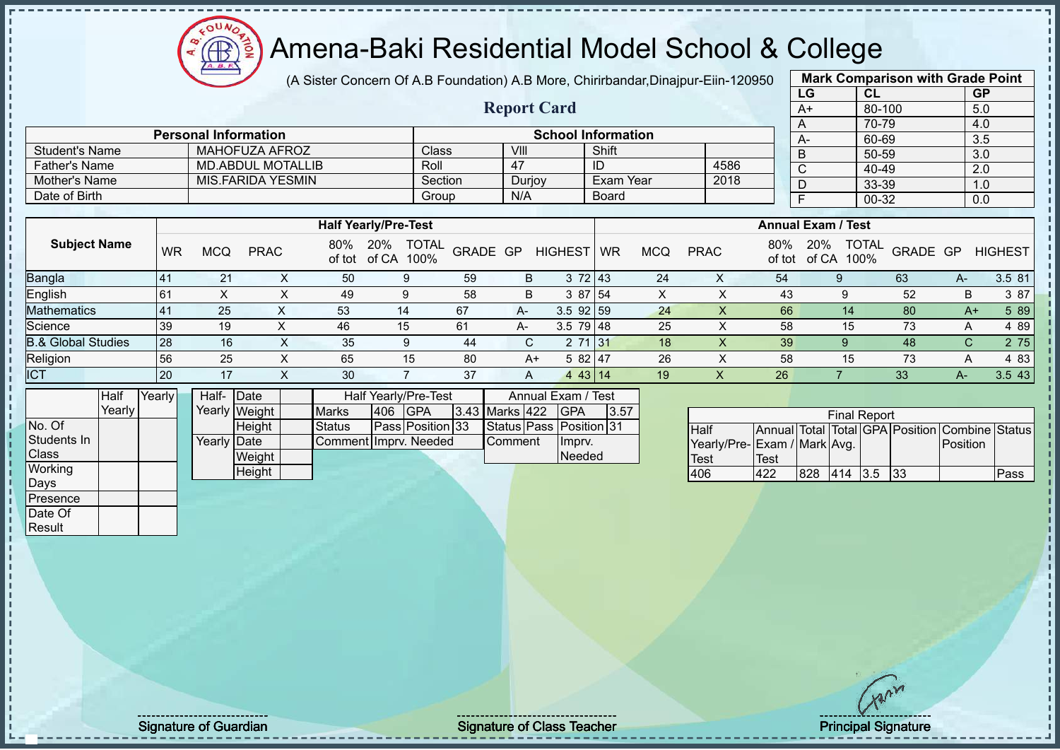$12\mu\text{V}$ Amena-Baki Residential Model School & College Æ

**Personal Information School Information** 

Father's Name MD.ABDUL MOTALLIB Roll 47 ID 4586<br>
Mother's Name MIS.FARIDA YESMIN Section Duriov Exam Year 2018

(A Sister Concern Of A.B Foundation) A.B More, Chirirbandar,Dinajpur-Eiin-120950

**Report Card**

|      | <b>Mark Comparison with Grade Point</b> |           |
|------|-----------------------------------------|-----------|
| LG   | CL                                      | <b>GP</b> |
| $A+$ | 80-100                                  | 5.0       |
| A    | 70-79                                   | 4.0       |
| А-   | 60-69                                   | 3.5       |
| B    | 50-59                                   | 3.0       |
| C    | 40-49                                   | 2.0       |
| D    | 33-39                                   | 1.0       |
|      | 00-32                                   | 0.0       |
|      |                                         |           |

|                               |           |           |             |     |                                          |          |      |                 |                           |            |             |               |                                      | $\ddot{\phantom{0}}$ |      | $\ddotsc$      |  |
|-------------------------------|-----------|-----------|-------------|-----|------------------------------------------|----------|------|-----------------|---------------------------|------------|-------------|---------------|--------------------------------------|----------------------|------|----------------|--|
|                               |           |           |             |     |                                          |          |      |                 |                           |            |             |               |                                      |                      |      |                |  |
|                               |           |           |             |     | <b>Half Yearly/Pre-Test</b>              |          |      |                 | <b>Annual Exam / Test</b> |            |             |               |                                      |                      |      |                |  |
| <b>Subject Name</b>           | <b>WR</b> |           | <b>PRAC</b> | 80% | <b>TOTAL</b><br>20%<br>of tot of CA 100% | GRADE GP |      | <b>HIGHEST</b>  | <b>WR</b>                 | <b>MCQ</b> | <b>PRAC</b> | 80%<br>of tot | <b>TOTAL</b><br>20%<br>100%<br>of CA | GRADE GP             |      | <b>HIGHEST</b> |  |
| <b>Bangla</b>                 | 41        | 21        | $\sim$      | 50  | 9                                        | 59       | B    | 372 43          |                           | 24         | ∧           | 54            | 9                                    | 63                   | A-   | 3.5 81         |  |
| English                       | <b>61</b> | $\lambda$ |             | 49  | 9                                        | 58       | B    | 3 87 54         |                           | X          | ∧           | 43            |                                      | 52                   | B    | 3 87           |  |
| <b>Mathematics</b>            | 41        | 25        |             | 53  | 14                                       | 67       | $A-$ | $3.5$ 92 59     |                           | 24         |             | 66            | 14                                   | 80                   | $A+$ | 5 89           |  |
| Science                       | 39        | 19        |             | 46  | 15 <sup>1</sup>                          | 61       | А-   | $3.5$ 79 48     |                           | 25         |             | 58            | 15                                   | 73                   | A    | 4 89           |  |
| <b>B.&amp; Global Studies</b> | 28        | 16        | $\sim$      | 35  | 9                                        | 44       | C.   | 2 71 31         |                           | 18         | $\lambda$   | 39            |                                      | 48                   | C.   | 2 75           |  |
| Religion                      | 56        | 25        |             | 65  | 15                                       | 80       |      | 5 82 47<br>$A+$ |                           | 26         |             | 58            | 15                                   | 73                   | A    | 4 8 3          |  |
| <b>ICT</b>                    | 20        | 17        |             | 30  |                                          | 37       | A    | 43 14<br>4      |                           | 19         | ↗           | 26            |                                      | 33                   | A-   | 3.5 43         |  |

|                  | Half   | Yearly I | Half- Date  |               |                       |     | Half Yearly/Pre-Test |                 | Annual Exam / Test      |      |  |
|------------------|--------|----------|-------------|---------------|-----------------------|-----|----------------------|-----------------|-------------------------|------|--|
|                  | Yearly |          |             | Yearly Weight | <b>Marks</b>          | 406 | <b>IGPA</b>          | 3.43 Marks 422  | <b>IGPA</b>             | 3.57 |  |
| No. Of           |        |          |             | <b>Height</b> | <b>Status</b>         |     | Pass Position 33     |                 | Status Pass Position 31 |      |  |
| Students In      |        |          | Yearly Date |               | Comment Imprv. Needed |     |                      | <b>IComment</b> | Impry.                  |      |  |
| <b>Class</b>     |        |          |             | Weight        |                       |     |                      |                 | Needed                  |      |  |
| Working          |        |          |             | Height        |                       |     |                      |                 |                         |      |  |
| Days             |        |          |             |               |                       |     |                      |                 |                         |      |  |
| <b>IPresence</b> |        |          |             |               |                       |     |                      |                 |                         |      |  |

Student's Name MAHOFUZA AFROZ Class VIII VIII Shift

Mother's Name MIS.FARIDA YESMIN Section Durjoy Exam Year Date of Birth Board Group N/A Board

| <b>Final Report</b>         |      |     |         |  |      |                                                |      |  |  |  |  |  |  |
|-----------------------------|------|-----|---------|--|------|------------------------------------------------|------|--|--|--|--|--|--|
| <b>Half</b>                 |      |     |         |  |      | Annual Total Total GPA Position Combine Status |      |  |  |  |  |  |  |
| Yearly/Pre-Exam / Mark Avg. |      |     |         |  |      | Position                                       |      |  |  |  |  |  |  |
| <b>Test</b>                 | Test |     |         |  |      |                                                |      |  |  |  |  |  |  |
| 406                         | 422  | 828 | 414 3.5 |  | -133 |                                                | Pass |  |  |  |  |  |  |

Date Of **Result** 

Signature of Guardian Signature Signature of Class Teacher **Signature of Class Teacher** Principal Signature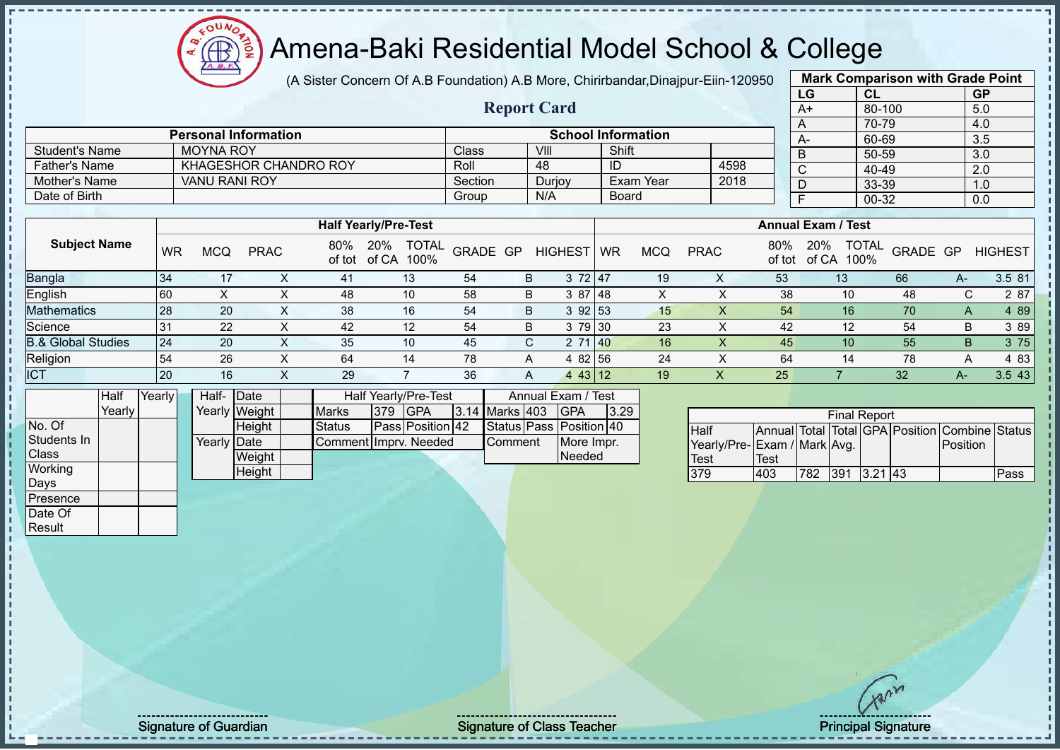(A Sister Concern Of A.B Foundation) A.B More, Chirirbandar,Dinajpur-Eiin-120950

**Report Card**

| <b>Mark Comparison with Grade Point</b> |        |           |  |  |  |  |  |  |  |  |  |
|-----------------------------------------|--------|-----------|--|--|--|--|--|--|--|--|--|
| LG                                      | CL     | <b>GP</b> |  |  |  |  |  |  |  |  |  |
| A+                                      | 80-100 | 5.0       |  |  |  |  |  |  |  |  |  |
| Α                                       | 70-79  | 4.0       |  |  |  |  |  |  |  |  |  |
| A-                                      | 60-69  | 3.5       |  |  |  |  |  |  |  |  |  |
| B                                       | 50-59  | 3.0       |  |  |  |  |  |  |  |  |  |
| C                                       | 40-49  | 2.0       |  |  |  |  |  |  |  |  |  |
| D                                       | 33-39  | 1.0       |  |  |  |  |  |  |  |  |  |
| F                                       | 00-32  | 0.0       |  |  |  |  |  |  |  |  |  |
|                                         |        |           |  |  |  |  |  |  |  |  |  |

|                      | <b>Personal Information</b> |         |        | <b>School Information</b> |      |
|----------------------|-----------------------------|---------|--------|---------------------------|------|
| Student's Name       | <b>MOYNA ROY</b>            | Class   | VIII   | Shift                     |      |
| <b>Father's Name</b> | KHAGESHOR CHANDRO ROY       | Roll    | 48     | ID                        | 4598 |
| Mother's Name        | <b>VANU RANI ROY</b>        | Section | Durjoy | Exam Year                 | 2018 |
| Date of Birth        |                             | Group   | N/A    | <b>Board</b>              |      |

|                     |                |            |             |               | <b>Half Yearly/Pre-Test</b>   |          |   |                         | <b>Annual Exam / Test</b> |     |             |               |                                      |          |      |                |
|---------------------|----------------|------------|-------------|---------------|-------------------------------|----------|---|-------------------------|---------------------------|-----|-------------|---------------|--------------------------------------|----------|------|----------------|
| <b>Subject Name</b> | WR             | <b>MCQ</b> | <b>PRAC</b> | 80%<br>of tot | TOTAL<br>20%<br>of CA<br>100% | GRADE GP |   | <b>HIGHEST</b>          | WR                        | MCQ | <b>PRAC</b> | 80%<br>of tot | <b>TOTAL</b><br>20%<br>100%<br>of CA | GRADE GP |      | <b>HIGHEST</b> |
| Bangla              | l 34           | 17         |             | 41            | 13                            | 54       | B | 3 72 47                 |                           | 19  | ∧           | 53            | 13                                   | 66       | $A-$ | 3.5 81         |
| English             | 60             | X          |             | 48            | 10                            | 58       | B | 3 87 48                 |                           | X   |             | 38            | 10                                   | 48       | C.   | 2 87           |
| Mathematics         | <b>28</b>      | 20         |             | 38            | 16                            | 54       | B | 392 53                  |                           | 15  |             | 54            | 16                                   | 70       | A    | 4 8 9          |
| Science             | 3 <sup>1</sup> | 22         |             | 42            | 12                            | 54       | B | 3 79 30                 |                           | 23  |             | 42            | 12                                   | 54       | В    | 3 8 9          |
| 3.& Global Studies  | 24             | 20         |             | 35            | 10                            | 45       |   | 71 40<br>2 <sub>1</sub> |                           | 16  |             | 45            | 10                                   | 55       | B    | 3 75           |
| Religion            | 54             | 26         | ́           | 64            | 14                            | 78       | A | 4 82 56                 |                           | 24  |             | 64            | 14                                   | 78       | A    | 4 8 3          |
| <b>ICT</b>          | <b>20</b>      | 16         |             | 29            |                               | 36       | A | 4 43 12                 |                           | 19  | х           | 25            |                                      | 32       | A-   | 3.5 43         |

|              | <b>Half</b> | Yearly <mark>l</mark> | Half- Date  |               |                       |     | <b>Half Yearly/Pre-Test</b> |                |                |            | Annual Exam / Test      |      |
|--------------|-------------|-----------------------|-------------|---------------|-----------------------|-----|-----------------------------|----------------|----------------|------------|-------------------------|------|
|              | Yearly      |                       |             | Yearly Weight | <b>Marks</b>          | 379 | <b>IGPA</b>                 |                | 3.14 Marks 403 |            | IGPA                    | 3.29 |
| No. Of       |             |                       |             | <b>Height</b> | <b>Status</b>         |     | Pass Position 42            |                |                |            | Status Pass Position 40 |      |
| Students In  |             |                       | Yearly Date |               | Comment Imprv. Needed |     |                             | <b>Comment</b> |                | More Impr. |                         |      |
| <b>Class</b> |             |                       |             | Weight        |                       |     |                             | Needed         |                |            |                         |      |
| Working      |             |                       |             | Height        |                       |     |                             |                |                |            |                         |      |
| Days         |             |                       |             |               |                       |     |                             |                |                |            |                         |      |

 $12\mu\text{V}$ 

| <b>Final Report</b>         |      |                     |  |  |  |                                                |      |  |  |  |  |  |  |
|-----------------------------|------|---------------------|--|--|--|------------------------------------------------|------|--|--|--|--|--|--|
| <b>Half</b>                 |      |                     |  |  |  | Annual Total Total GPA Position Combine Status |      |  |  |  |  |  |  |
| Yearly/Pre-Exam / Mark Avg. |      |                     |  |  |  | <b>IPosition</b>                               |      |  |  |  |  |  |  |
| <b>Test</b>                 | Test |                     |  |  |  |                                                |      |  |  |  |  |  |  |
| 379                         | 403  | 1782 1391 13.21 143 |  |  |  |                                                | Pass |  |  |  |  |  |  |

**Presence** Date Of Result

Signature of Guardian Signature Signature of Class Teacher **Signature Signature 50, 1999** Principal Signature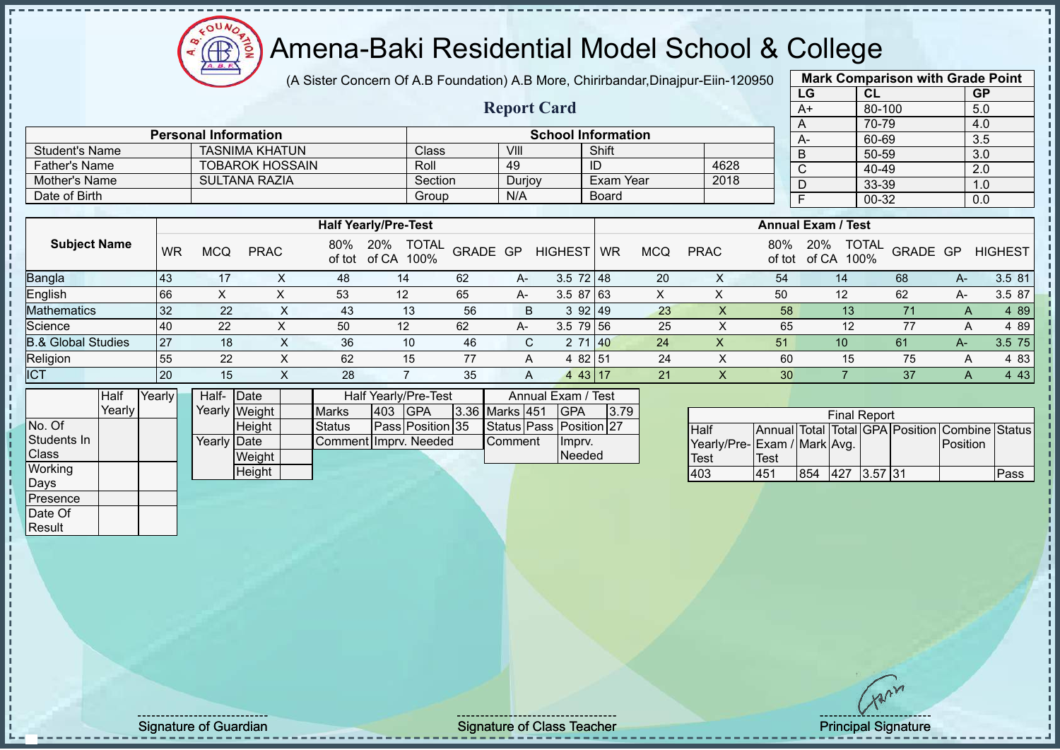# Amena-Baki Residential Model School & College

(A Sister Concern Of A.B Foundation) A.B More, Chirirbandar,Dinajpur-Eiin-120950

**Report Card**

| <b>Mark Comparison with Grade Point</b> |        |           |  |  |  |  |  |  |  |  |  |  |
|-----------------------------------------|--------|-----------|--|--|--|--|--|--|--|--|--|--|
| LG                                      | CL     | <b>GP</b> |  |  |  |  |  |  |  |  |  |  |
| $A+$                                    | 80-100 | 5.0       |  |  |  |  |  |  |  |  |  |  |
| A                                       | 70-79  | 4.0       |  |  |  |  |  |  |  |  |  |  |
| A-                                      | 60-69  | 3.5       |  |  |  |  |  |  |  |  |  |  |
| B                                       | 50-59  | 3.0       |  |  |  |  |  |  |  |  |  |  |
| C                                       | 40-49  | 2.0       |  |  |  |  |  |  |  |  |  |  |
| D                                       | 33-39  | 1.0       |  |  |  |  |  |  |  |  |  |  |
| F                                       | 00-32  | 0.0       |  |  |  |  |  |  |  |  |  |  |
|                                         |        |           |  |  |  |  |  |  |  |  |  |  |

|                       | <b>Personal Information</b> |         |        | <b>School Information</b> |      | $A-$ |  |
|-----------------------|-----------------------------|---------|--------|---------------------------|------|------|--|
| <b>Student's Name</b> | TASNIMA KHATUN              | Class   | VIII   | Shift                     |      | В    |  |
| Father's Name         | <b>TOBAROK HOSSAIN</b>      | Roll    | 49     | ID                        | 4628 | ັ    |  |
| Mother's Name         | SULTANA RAZIA               | Section | Durjoy | Exam Year                 | 2018 | U    |  |
| Date of Birth         |                             | Group   | N/A    | <b>Board</b>              |      |      |  |

|                               |           |     |             |     | <b>Half Yearly/Pre-Test</b>              |          |      |                  | <b>Annual Exam / Test</b> |     |             |               |                      |                          |      |                |
|-------------------------------|-----------|-----|-------------|-----|------------------------------------------|----------|------|------------------|---------------------------|-----|-------------|---------------|----------------------|--------------------------|------|----------------|
| <b>Subject Name</b>           | <b>WR</b> | MCQ | <b>PRAC</b> | 80% | <b>TOTAL</b><br>20%<br>of tot of CA 100% | GRADE GP |      | <b>HIGHEST</b>   | <b>WR</b>                 | MCQ | <b>PRAC</b> | 80%<br>of tot | 20%<br>100%<br>of CA | <b>TOTAL</b><br>GRADE GP |      | <b>HIGHEST</b> |
| <b>Bangla</b>                 | 43        | 17  |             | 48  | 14                                       | 62       | $A-$ | $3.5 \ 72 \ 148$ |                           | 20  | ↗           | 54            | 14                   | 68                       | $A-$ | 3.5 81         |
| English                       | 66        | ∧   |             | 53  | 12                                       | 65       | $A-$ | $3.587$ 63       |                           |     |             | 50            | 12                   | 62                       | A-   | 3.5 87         |
| <b>Mathematics</b>            | 32        | 22  | $\sim$      | 43  | 13                                       | 56       | B    | 392 49           |                           | 23  | $\Lambda$   | 58            | 13                   |                          | A    | 4 8 9          |
| Science                       | 40        | 22  |             | 50  | 12                                       | 62       | A-   | $3.5$ 79 56      |                           | 25  |             | 65            | 12                   | 77                       |      | 4 89           |
| <b>B.&amp; Global Studies</b> | <b>27</b> | 18  |             | 36  | 10                                       | 46       |      | 71 40            |                           | 24  |             | 51            | 10                   | 61                       | A-7  | 3.5 75         |
| Religion                      | 55        | 22  |             | 62  | 15                                       | 77       |      | 4 82 51          |                           | 24  |             | 60            | 15                   | 75                       |      | 4 8 3          |
| <b>ICT</b>                    | 20        | 15  | $\sim$      | 28  |                                          | 35       |      | 4 43 17          |                           | 21  | $\Lambda$   | 30            |                      | 37                       | A    | 4 4 3          |

|              | Half   | Yearly | Half-       | <b>IDate</b>  | Half Yearly/Pre-Test  | Annual Exam / Test |                  |  |                |  |                         |      |
|--------------|--------|--------|-------------|---------------|-----------------------|--------------------|------------------|--|----------------|--|-------------------------|------|
|              | Yearly |        |             | Yearly Weight | <b>Marks</b>          | 403                | <b>IGPA</b>      |  | 3.36 Marks 451 |  | <b>IGPA</b>             | 3.79 |
| No. Of       |        |        |             | Height        | <b>Status</b>         |                    | Pass Position 35 |  |                |  | Status Pass Position 27 |      |
| Students In  |        |        | Yearly Date |               | Comment Imprv. Needed |                    |                  |  | <b>Comment</b> |  | Imprv.                  |      |
| <b>Class</b> |        |        |             | Weight        |                       |                    |                  |  |                |  | Needed                  |      |
| Working      |        |        |             | Height        |                       |                    |                  |  |                |  |                         |      |
| Days         |        |        |             |               |                       |                    |                  |  |                |  |                         |      |
| Presence     |        |        |             |               |                       |                    |                  |  |                |  |                         |      |

| <b>Final Report</b>         |      |     |             |  |  |                                                |      |  |  |  |  |  |  |
|-----------------------------|------|-----|-------------|--|--|------------------------------------------------|------|--|--|--|--|--|--|
| Half                        |      |     |             |  |  | Annual Total Total GPA Position Combine Status |      |  |  |  |  |  |  |
| Yearly/Pre-Exam / Mark Avg. |      |     |             |  |  | Position                                       |      |  |  |  |  |  |  |
| <b>Test</b>                 | Test |     |             |  |  |                                                |      |  |  |  |  |  |  |
| 403                         | 451  | 854 | 427 3.57 31 |  |  |                                                | Pass |  |  |  |  |  |  |

Date Of **Result** 

Signature of Guardian Signature of Class Teacher Signature of Class Teacher Principal Signature